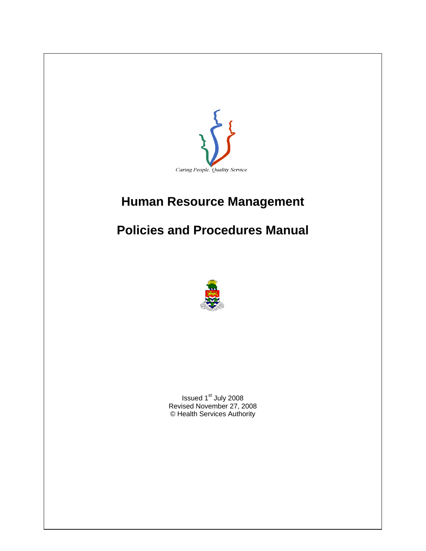

# **Human Resource Management**

# **Policies and Procedures Manual**



Issued 1<sup>st</sup> July 2008 Revised November 27, 2008 © Health Services Authority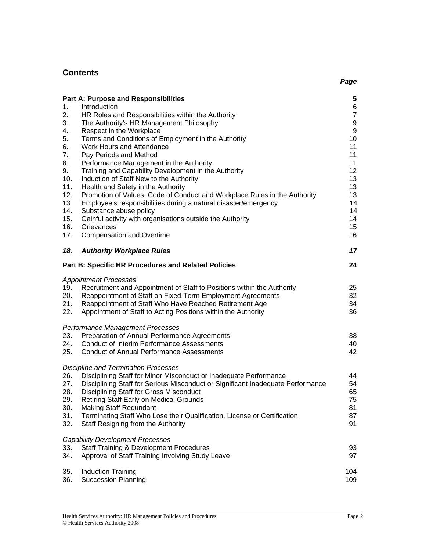### **Contents**  *Page*

| 1.<br>2.<br>3.<br>4.<br>5.<br>6.<br>7.<br>8.<br>9.<br>10.<br>11.<br>12.<br>13<br>14.<br>15.<br>16.<br>17. | <b>Part A: Purpose and Responsibilities</b><br>Introduction<br>HR Roles and Responsibilities within the Authority<br>The Authority's HR Management Philosophy<br>Respect in the Workplace<br>Terms and Conditions of Employment in the Authority<br>Work Hours and Attendance<br>Pay Periods and Method<br>Performance Management in the Authority<br>Training and Capability Development in the Authority<br>Induction of Staff New to the Authority<br>Health and Safety in the Authority<br>Promotion of Values, Code of Conduct and Workplace Rules in the Authority<br>Employee's responsibilities during a natural disaster/emergency<br>Substance abuse policy<br>Gainful activity with organisations outside the Authority<br>Grievances<br><b>Compensation and Overtime</b> | 5<br>6<br>$\overline{7}$<br>9<br>9<br>10<br>11<br>11<br>11<br>12<br>13<br>13<br>13<br>14<br>14<br>14<br>15<br>16 |
|-----------------------------------------------------------------------------------------------------------|--------------------------------------------------------------------------------------------------------------------------------------------------------------------------------------------------------------------------------------------------------------------------------------------------------------------------------------------------------------------------------------------------------------------------------------------------------------------------------------------------------------------------------------------------------------------------------------------------------------------------------------------------------------------------------------------------------------------------------------------------------------------------------------|------------------------------------------------------------------------------------------------------------------|
| 18.                                                                                                       | <b>Authority Workplace Rules</b>                                                                                                                                                                                                                                                                                                                                                                                                                                                                                                                                                                                                                                                                                                                                                     | 17                                                                                                               |
|                                                                                                           | <b>Part B: Specific HR Procedures and Related Policies</b>                                                                                                                                                                                                                                                                                                                                                                                                                                                                                                                                                                                                                                                                                                                           | 24                                                                                                               |
| 19.<br>20.<br>21.<br>22.                                                                                  | <b>Appointment Processes</b><br>Recruitment and Appointment of Staff to Positions within the Authority<br>Reappointment of Staff on Fixed-Term Employment Agreements<br>Reappointment of Staff Who Have Reached Retirement Age<br>Appointment of Staff to Acting Positions within the Authority<br>Performance Management Processes                                                                                                                                                                                                                                                                                                                                                                                                                                                  | 25<br>32<br>34<br>36                                                                                             |
| 23.<br>24.<br>25.                                                                                         | Preparation of Annual Performance Agreements<br><b>Conduct of Interim Performance Assessments</b><br><b>Conduct of Annual Performance Assessments</b>                                                                                                                                                                                                                                                                                                                                                                                                                                                                                                                                                                                                                                | 38<br>40<br>42                                                                                                   |
| 26.<br>27.<br>28.<br>29.<br>30.<br>31.<br>32.                                                             | <b>Discipline and Termination Processes</b><br>Disciplining Staff for Minor Misconduct or Inadequate Performance<br>Disciplining Staff for Serious Misconduct or Significant Inadequate Performance<br>Disciplining Staff for Gross Misconduct<br>Retiring Staff Early on Medical Grounds<br><b>Making Staff Redundant</b><br>Terminating Staff Who Lose their Qualification, License or Certification<br>Staff Resigning from the Authority                                                                                                                                                                                                                                                                                                                                         | 44<br>54<br>65<br>75<br>81<br>87<br>91                                                                           |
| 33.<br>34.                                                                                                | <b>Capability Development Processes</b><br><b>Staff Training &amp; Development Procedures</b><br>Approval of Staff Training Involving Study Leave                                                                                                                                                                                                                                                                                                                                                                                                                                                                                                                                                                                                                                    | 93<br>97                                                                                                         |
| 35.<br>36.                                                                                                | <b>Induction Training</b><br><b>Succession Planning</b>                                                                                                                                                                                                                                                                                                                                                                                                                                                                                                                                                                                                                                                                                                                              | 104<br>109                                                                                                       |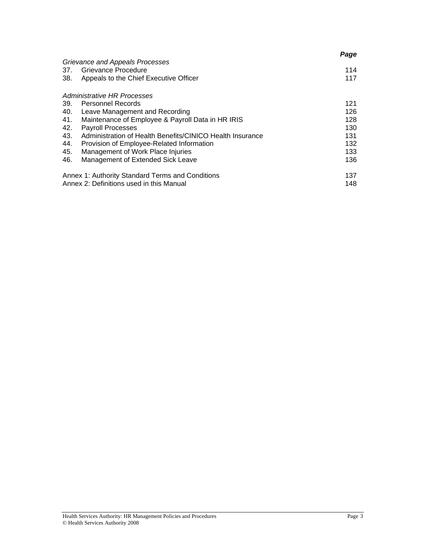|     |                                                           | Page |
|-----|-----------------------------------------------------------|------|
|     | Grievance and Appeals Processes                           |      |
| 37. | Grievance Procedure                                       | 114  |
| 38. | Appeals to the Chief Executive Officer                    | 117  |
|     | Administrative HR Processes                               |      |
| 39. | <b>Personnel Records</b>                                  | 121  |
| 40. | Leave Management and Recording                            | 126  |
| 41. | Maintenance of Employee & Payroll Data in HR IRIS         | 128  |
| 42. | <b>Payroll Processes</b>                                  | 130  |
| 43. | Administration of Health Benefits/CINICO Health Insurance | 131  |
| 44. | Provision of Employee-Related Information                 | 132  |
| 45. | Management of Work Place Injuries                         | 133  |
| 46. | Management of Extended Sick Leave                         | 136  |
|     | Annex 1: Authority Standard Terms and Conditions          | 137  |
|     | Annex 2: Definitions used in this Manual                  | 148  |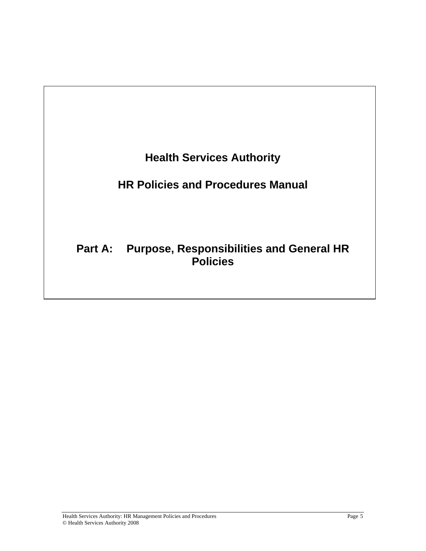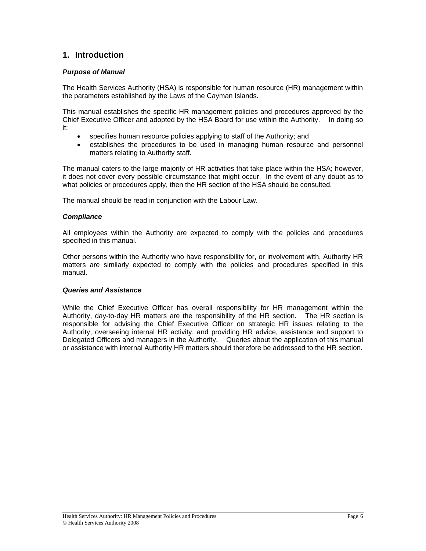### **1. Introduction**

### *Purpose of Manual*

The Health Services Authority (HSA) is responsible for human resource (HR) management within the parameters established by the Laws of the Cayman Islands.

This manual establishes the specific HR management policies and procedures approved by the Chief Executive Officer and adopted by the HSA Board for use within the Authority. In doing so it:

- specifies human resource policies applying to staff of the Authority; and
- establishes the procedures to be used in managing human resource and personnel matters relating to Authority staff.

The manual caters to the large majority of HR activities that take place within the HSA; however, it does not cover every possible circumstance that might occur. In the event of any doubt as to what policies or procedures apply, then the HR section of the HSA should be consulted.

The manual should be read in conjunction with the Labour Law.

### *Compliance*

All employees within the Authority are expected to comply with the policies and procedures specified in this manual.

Other persons within the Authority who have responsibility for, or involvement with, Authority HR matters are similarly expected to comply with the policies and procedures specified in this manual.

### *Queries and Assistance*

While the Chief Executive Officer has overall responsibility for HR management within the Authority, day-to-day HR matters are the responsibility of the HR section. The HR section is responsible for advising the Chief Executive Officer on strategic HR issues relating to the Authority, overseeing internal HR activity, and providing HR advice, assistance and support to Delegated Officers and managers in the Authority. Queries about the application of this manual or assistance with internal Authority HR matters should therefore be addressed to the HR section.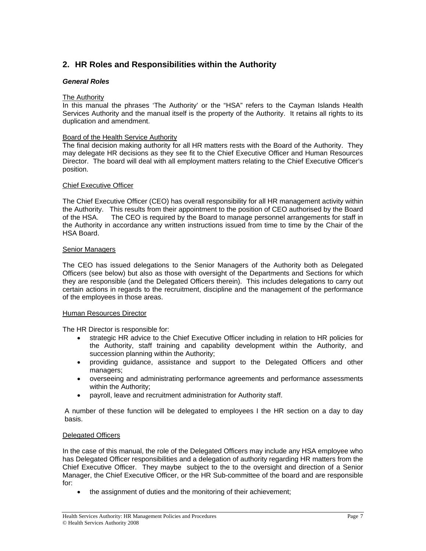# **2. HR Roles and Responsibilities within the Authority**

### *General Roles*

### The Authority

In this manual the phrases 'The Authority' or the "HSA" refers to the Cayman Islands Health Services Authority and the manual itself is the property of the Authority. It retains all rights to its duplication and amendment.

### Board of the Health Service Authority

The final decision making authority for all HR matters rests with the Board of the Authority. They may delegate HR decisions as they see fit to the Chief Executive Officer and Human Resources Director. The board will deal with all employment matters relating to the Chief Executive Officer's position.

### Chief Executive Officer

The Chief Executive Officer (CEO) has overall responsibility for all HR management activity within the Authority. This results from their appointment to the position of CEO authorised by the Board of the HSA. The CEO is required by the Board to manage personnel arrangements for staff in the Authority in accordance any written instructions issued from time to time by the Chair of the HSA Board.

### Senior Managers

The CEO has issued delegations to the Senior Managers of the Authority both as Delegated Officers (see below) but also as those with oversight of the Departments and Sections for which they are responsible (and the Delegated Officers therein). This includes delegations to carry out certain actions in regards to the recruitment, discipline and the management of the performance of the employees in those areas.

### Human Resources Director

The HR Director is responsible for:

- strategic HR advice to the Chief Executive Officer including in relation to HR policies for the Authority, staff training and capability development within the Authority, and succession planning within the Authority;
- providing guidance, assistance and support to the Delegated Officers and other managers;
- overseeing and administrating performance agreements and performance assessments within the Authority;
- payroll, leave and recruitment administration for Authority staff.

A number of these function will be delegated to employees I the HR section on a day to day basis.

### Delegated Officers

In the case of this manual, the role of the Delegated Officers may include any HSA employee who has Delegated Officer responsibilities and a delegation of authority regarding HR matters from the Chief Executive Officer. They maybe subject to the to the oversight and direction of a Senior Manager, the Chief Executive Officer, or the HR Sub-committee of the board and are responsible for:

• the assignment of duties and the monitoring of their achievement;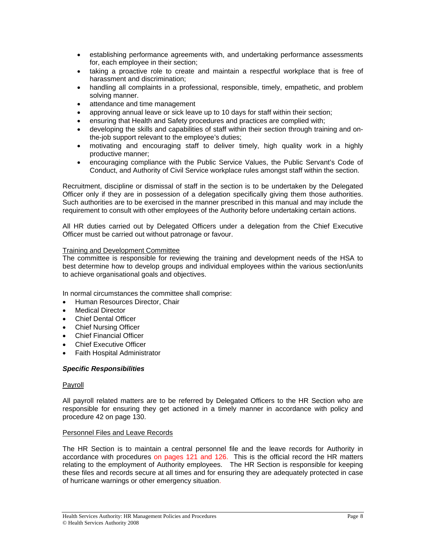- establishing performance agreements with, and undertaking performance assessments for, each employee in their section;
- taking a proactive role to create and maintain a respectful workplace that is free of harassment and discrimination;
- handling all complaints in a professional, responsible, timely, empathetic, and problem solving manner.
- attendance and time management
- approving annual leave or sick leave up to 10 days for staff within their section;
- ensuring that Health and Safety procedures and practices are complied with;
- developing the skills and capabilities of staff within their section through training and onthe-job support relevant to the employee's duties;
- motivating and encouraging staff to deliver timely, high quality work in a highly productive manner;
- encouraging compliance with the Public Service Values, the Public Servant's Code of Conduct, and Authority of Civil Service workplace rules amongst staff within the section.

Recruitment, discipline or dismissal of staff in the section is to be undertaken by the Delegated Officer only if they are in possession of a delegation specifically giving them those authorities. Such authorities are to be exercised in the manner prescribed in this manual and may include the requirement to consult with other employees of the Authority before undertaking certain actions.

All HR duties carried out by Delegated Officers under a delegation from the Chief Executive Officer must be carried out without patronage or favour.

### Training and Development Committee

The committee is responsible for reviewing the training and development needs of the HSA to best determine how to develop groups and individual employees within the various section/units to achieve organisational goals and objectives.

In normal circumstances the committee shall comprise:

- Human Resources Director, Chair
- **Medical Director**
- Chief Dental Officer
- Chief Nursing Officer
- Chief Financial Officer
- **Chief Executive Officer**
- Faith Hospital Administrator

#### *Specific Responsibilities*

#### Payroll

All payroll related matters are to be referred by Delegated Officers to the HR Section who are responsible for ensuring they get actioned in a timely manner in accordance with policy and procedure 42 on page 130.

#### Personnel Files and Leave Records

The HR Section is to maintain a central personnel file and the leave records for Authority in accordance with procedures on pages 121 and 126. This is the official record the HR matters relating to the employment of Authority employees. The HR Section is responsible for keeping these files and records secure at all times and for ensuring they are adequately protected in case of hurricane warnings or other emergency situation.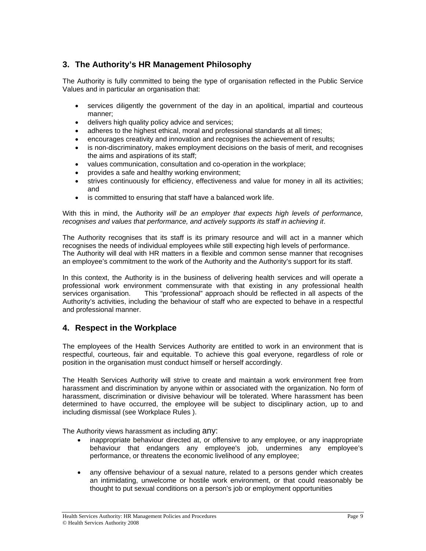# **3. The Authority's HR Management Philosophy**

The Authority is fully committed to being the type of organisation reflected in the Public Service Values and in particular an organisation that:

- services diligently the government of the day in an apolitical, impartial and courteous manner;
- delivers high quality policy advice and services;
- adheres to the highest ethical, moral and professional standards at all times;
- encourages creativity and innovation and recognises the achievement of results;
- is non-discriminatory, makes employment decisions on the basis of merit, and recognises the aims and aspirations of its staff;
- values communication, consultation and co-operation in the workplace;
- provides a safe and healthy working environment;
- strives continuously for efficiency, effectiveness and value for money in all its activities; and
- is committed to ensuring that staff have a balanced work life.

With this in mind, the Authority *will be an employer that expects high levels of performance, recognises and values that performance, and actively supports its staff in achieving it*.

The Authority recognises that its staff is its primary resource and will act in a manner which recognises the needs of individual employees while still expecting high levels of performance. The Authority will deal with HR matters in a flexible and common sense manner that recognises an employee's commitment to the work of the Authority and the Authority's support for its staff.

In this context, the Authority is in the business of delivering health services and will operate a professional work environment commensurate with that existing in any professional health services organisation. This "professional" approach should be reflected in all aspects of the Authority's activities, including the behaviour of staff who are expected to behave in a respectful and professional manner.

### **4. Respect in the Workplace**

The employees of the Health Services Authority are entitled to work in an environment that is respectful, courteous, fair and equitable. To achieve this goal everyone, regardless of role or position in the organisation must conduct himself or herself accordingly.

The Health Services Authority will strive to create and maintain a work environment free from harassment and discrimination by anyone within or associated with the organization. No form of harassment, discrimination or divisive behaviour will be tolerated. Where harassment has been determined to have occurred, the employee will be subject to disciplinary action, up to and including dismissal (see Workplace Rules ).

The Authority views harassment as including any:

- inappropriate behaviour directed at, or offensive to any employee, or any inappropriate behaviour that endangers any employee's job, undermines any employee's performance, or threatens the economic livelihood of any employee;
- any offensive behaviour of a sexual nature, related to a persons gender which creates an intimidating, unwelcome or hostile work environment, or that could reasonably be thought to put sexual conditions on a person's job or employment opportunities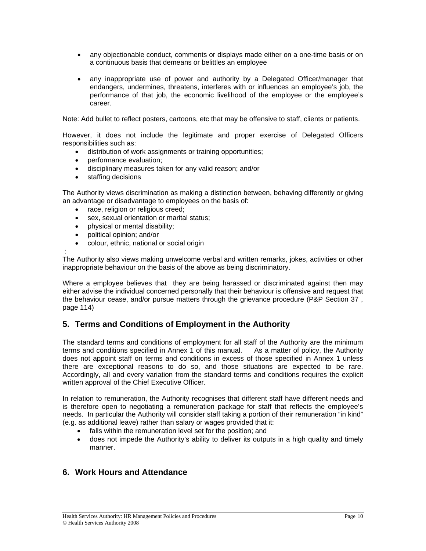- any objectionable conduct, comments or displays made either on a one-time basis or on a continuous basis that demeans or belittles an employee
- any inappropriate use of power and authority by a Delegated Officer/manager that endangers, undermines, threatens, interferes with or influences an employee's job, the performance of that job, the economic livelihood of the employee or the employee's career.

Note: Add bullet to reflect posters, cartoons, etc that may be offensive to staff, clients or patients.

However, it does not include the legitimate and proper exercise of Delegated Officers responsibilities such as:

- distribution of work assignments or training opportunities;
- performance evaluation;
- disciplinary measures taken for any valid reason; and/or
- staffing decisions

The Authority views discrimination as making a distinction between, behaving differently or giving an advantage or disadvantage to employees on the basis of:

- race, religion or religious creed;
- sex, sexual orientation or marital status;
- physical or mental disability;
- political opinion; and/or

:

• colour, ethnic, national or social origin

The Authority also views making unwelcome verbal and written remarks, jokes, activities or other inappropriate behaviour on the basis of the above as being discriminatory.

Where a employee believes that they are being harassed or discriminated against then may either advise the individual concerned personally that their behaviour is offensive and request that the behaviour cease, and/or pursue matters through the grievance procedure (P&P Section 37 , page 114)

# **5. Terms and Conditions of Employment in the Authority**

The standard terms and conditions of employment for all staff of the Authority are the minimum terms and conditions specified in Annex 1 of this manual. As a matter of policy, the Authority does not appoint staff on terms and conditions in excess of those specified in Annex 1 unless there are exceptional reasons to do so, and those situations are expected to be rare. Accordingly, all and every variation from the standard terms and conditions requires the explicit written approval of the Chief Executive Officer.

In relation to remuneration, the Authority recognises that different staff have different needs and is therefore open to negotiating a remuneration package for staff that reflects the employee's needs. In particular the Authority will consider staff taking a portion of their remuneration "in kind" (e.g. as additional leave) rather than salary or wages provided that it:

- falls within the remuneration level set for the position; and
- does not impede the Authority's ability to deliver its outputs in a high quality and timely manner.

### **6. Work Hours and Attendance**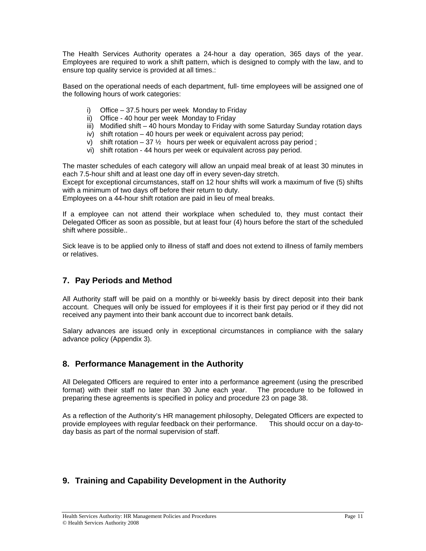The Health Services Authority operates a 24-hour a day operation, 365 days of the year. Employees are required to work a shift pattern, which is designed to comply with the law, and to ensure top quality service is provided at all times.:

Based on the operational needs of each department, full- time employees will be assigned one of the following hours of work categories:

- i) Office 37.5 hours per week Monday to Friday
- ii) Office 40 hour per week Monday to Friday
- iii) Modified shift 40 hours Monday to Friday with some Saturday Sunday rotation days
- iv) shift rotation 40 hours per week or equivalent across pay period;
- v) shift rotation 37  $\frac{1}{2}$  hours per week or equivalent across pay period;
- vi) shift rotation 44 hours per week or equivalent across pay period.

The master schedules of each category will allow an unpaid meal break of at least 30 minutes in each 7.5-hour shift and at least one day off in every seven-day stretch.

Except for exceptional circumstances, staff on 12 hour shifts will work a maximum of five (5) shifts with a minimum of two days off before their return to duty.

Employees on a 44-hour shift rotation are paid in lieu of meal breaks.

If a employee can not attend their workplace when scheduled to, they must contact their Delegated Officer as soon as possible, but at least four (4) hours before the start of the scheduled shift where possible..

Sick leave is to be applied only to illness of staff and does not extend to illness of family members or relatives.

### **7. Pay Periods and Method**

All Authority staff will be paid on a monthly or bi-weekly basis by direct deposit into their bank account. Cheques will only be issued for employees if it is their first pay period or if they did not received any payment into their bank account due to incorrect bank details.

Salary advances are issued only in exceptional circumstances in compliance with the salary advance policy (Appendix 3).

### **8. Performance Management in the Authority**

All Delegated Officers are required to enter into a performance agreement (using the prescribed format) with their staff no later than 30 June each year. The procedure to be followed in preparing these agreements is specified in policy and procedure 23 on page 38.

As a reflection of the Authority's HR management philosophy, Delegated Officers are expected to provide employees with regular feedback on their performance. This should occur on a day-today basis as part of the normal supervision of staff.

# **9. Training and Capability Development in the Authority**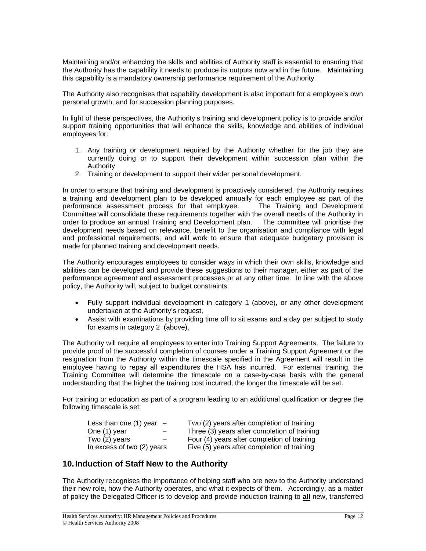Maintaining and/or enhancing the skills and abilities of Authority staff is essential to ensuring that the Authority has the capability it needs to produce its outputs now and in the future. Maintaining this capability is a mandatory ownership performance requirement of the Authority.

The Authority also recognises that capability development is also important for a employee's own personal growth, and for succession planning purposes.

In light of these perspectives, the Authority's training and development policy is to provide and/or support training opportunities that will enhance the skills, knowledge and abilities of individual employees for:

- 1. Any training or development required by the Authority whether for the job they are currently doing or to support their development within succession plan within the Authority
- 2. Training or development to support their wider personal development.

In order to ensure that training and development is proactively considered, the Authority requires a training and development plan to be developed annually for each employee as part of the performance assessment process for that employee. The Training and Development Committee will consolidate these requirements together with the overall needs of the Authority in order to produce an annual Training and Development plan. The committee will prioritise the development needs based on relevance, benefit to the organisation and compliance with legal and professional requirements; and will work to ensure that adequate budgetary provision is made for planned training and development needs.

The Authority encourages employees to consider ways in which their own skills, knowledge and abilities can be developed and provide these suggestions to their manager, either as part of the performance agreement and assessment processes or at any other time. In line with the above policy, the Authority will, subject to budget constraints:

- Fully support individual development in category 1 (above), or any other development undertaken at the Authority's request.
- Assist with examinations by providing time off to sit exams and a day per subject to study for exams in category 2 (above),

The Authority will require all employees to enter into Training Support Agreements. The failure to provide proof of the successful completion of courses under a Training Support Agreement or the resignation from the Authority within the timescale specified in the Agreement will result in the employee having to repay all expenditures the HSA has incurred. For external training, the Training Committee will determine the timescale on a case-by-case basis with the general understanding that the higher the training cost incurred, the longer the timescale will be set.

For training or education as part of a program leading to an additional qualification or degree the following timescale is set:

| Less than one $(1)$ year $-$ | Two (2) years after completion of training   |
|------------------------------|----------------------------------------------|
| One (1) year<br>$-$          | Three (3) years after completion of training |
| Two (2) years<br>$-$         | Four (4) years after completion of training  |
| In excess of two (2) years   | Five (5) years after completion of training  |

### **10. Induction of Staff New to the Authority**

The Authority recognises the importance of helping staff who are new to the Authority understand their new role, how the Authority operates, and what it expects of them. Accordingly, as a matter of policy the Delegated Officer is to develop and provide induction training to **all** new, transferred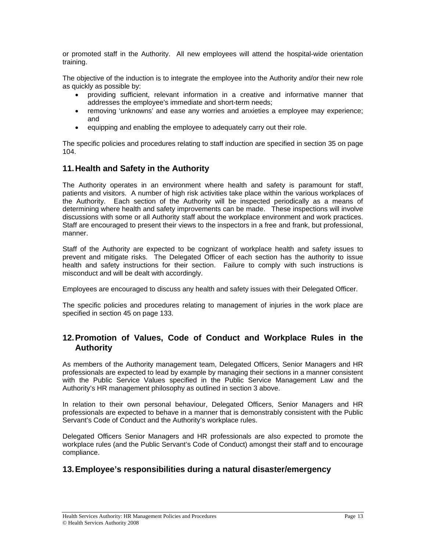or promoted staff in the Authority. All new employees will attend the hospital-wide orientation training.

The objective of the induction is to integrate the employee into the Authority and/or their new role as quickly as possible by:

- providing sufficient, relevant information in a creative and informative manner that addresses the employee's immediate and short-term needs;
- removing 'unknowns' and ease any worries and anxieties a employee may experience; and
- equipping and enabling the employee to adequately carry out their role.

The specific policies and procedures relating to staff induction are specified in section 35 on page 104.

### **11. Health and Safety in the Authority**

The Authority operates in an environment where health and safety is paramount for staff, patients and visitors. A number of high risk activities take place within the various workplaces of the Authority. Each section of the Authority will be inspected periodically as a means of determining where health and safety improvements can be made. These inspections will involve discussions with some or all Authority staff about the workplace environment and work practices. Staff are encouraged to present their views to the inspectors in a free and frank, but professional, manner.

Staff of the Authority are expected to be cognizant of workplace health and safety issues to prevent and mitigate risks. The Delegated Officer of each section has the authority to issue health and safety instructions for their section. Failure to comply with such instructions is misconduct and will be dealt with accordingly.

Employees are encouraged to discuss any health and safety issues with their Delegated Officer.

The specific policies and procedures relating to management of injuries in the work place are specified in section 45 on page 133.

### **12. Promotion of Values, Code of Conduct and Workplace Rules in the Authority**

As members of the Authority management team, Delegated Officers, Senior Managers and HR professionals are expected to lead by example by managing their sections in a manner consistent with the Public Service Values specified in the Public Service Management Law and the Authority's HR management philosophy as outlined in section 3 above.

In relation to their own personal behaviour, Delegated Officers, Senior Managers and HR professionals are expected to behave in a manner that is demonstrably consistent with the Public Servant's Code of Conduct and the Authority's workplace rules.

Delegated Officers Senior Managers and HR professionals are also expected to promote the workplace rules (and the Public Servant's Code of Conduct) amongst their staff and to encourage compliance.

### **13. Employee's responsibilities during a natural disaster/emergency**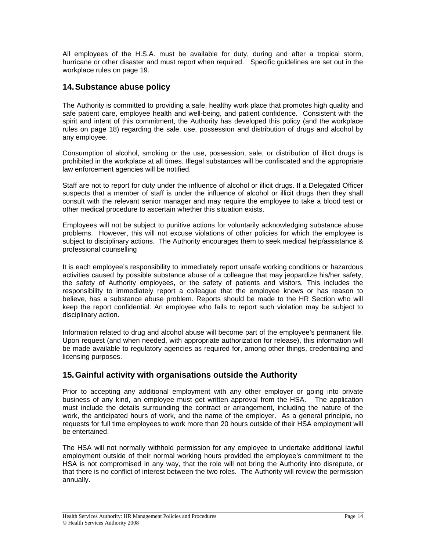All employees of the H.S.A. must be available for duty, during and after a tropical storm, hurricane or other disaster and must report when required. Specific guidelines are set out in the workplace rules on page 19.

### **14. Substance abuse policy**

The Authority is committed to providing a safe, healthy work place that promotes high quality and safe patient care, employee health and well-being, and patient confidence. Consistent with the spirit and intent of this commitment, the Authority has developed this policy (and the workplace rules on page 18) regarding the sale, use, possession and distribution of drugs and alcohol by any employee.

Consumption of alcohol, smoking or the use, possession, sale, or distribution of illicit drugs is prohibited in the workplace at all times. Illegal substances will be confiscated and the appropriate law enforcement agencies will be notified.

Staff are not to report for duty under the influence of alcohol or illicit drugs. If a Delegated Officer suspects that a member of staff is under the influence of alcohol or illicit drugs then they shall consult with the relevant senior manager and may require the employee to take a blood test or other medical procedure to ascertain whether this situation exists.

Employees will not be subject to punitive actions for voluntarily acknowledging substance abuse problems. However, this will not excuse violations of other policies for which the employee is subject to disciplinary actions. The Authority encourages them to seek medical help/assistance & professional counselling

It is each employee's responsibility to immediately report unsafe working conditions or hazardous activities caused by possible substance abuse of a colleague that may jeopardize his/her safety, the safety of Authority employees, or the safety of patients and visitors. This includes the responsibility to immediately report a colleague that the employee knows or has reason to believe, has a substance abuse problem. Reports should be made to the HR Section who will keep the report confidential. An employee who fails to report such violation may be subject to disciplinary action.

Information related to drug and alcohol abuse will become part of the employee's permanent file. Upon request (and when needed, with appropriate authorization for release), this information will be made available to regulatory agencies as required for, among other things, credentialing and licensing purposes.

# **15. Gainful activity with organisations outside the Authority**

Prior to accepting any additional employment with any other employer or going into private business of any kind, an employee must get written approval from the HSA. The application must include the details surrounding the contract or arrangement, including the nature of the work, the anticipated hours of work, and the name of the employer. As a general principle, no requests for full time employees to work more than 20 hours outside of their HSA employment will be entertained.

The HSA will not normally withhold permission for any employee to undertake additional lawful employment outside of their normal working hours provided the employee's commitment to the HSA is not compromised in any way, that the role will not bring the Authority into disrepute, or that there is no conflict of interest between the two roles. The Authority will review the permission annually.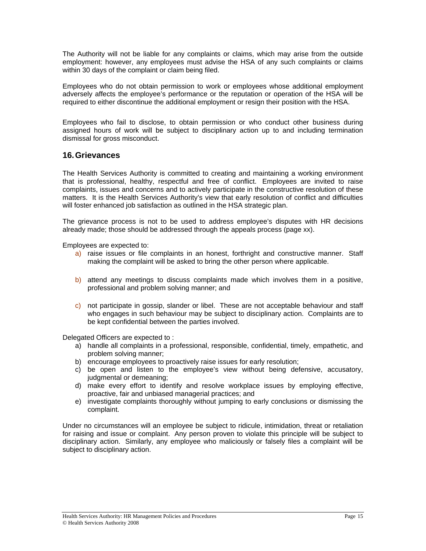The Authority will not be liable for any complaints or claims, which may arise from the outside employment: however, any employees must advise the HSA of any such complaints or claims within 30 days of the complaint or claim being filed.

Employees who do not obtain permission to work or employees whose additional employment adversely affects the employee's performance or the reputation or operation of the HSA will be required to either discontinue the additional employment or resign their position with the HSA.

Employees who fail to disclose, to obtain permission or who conduct other business during assigned hours of work will be subject to disciplinary action up to and including termination dismissal for gross misconduct.

### **16. Grievances**

The Health Services Authority is committed to creating and maintaining a working environment that is professional, healthy, respectful and free of conflict. Employees are invited to raise complaints, issues and concerns and to actively participate in the constructive resolution of these matters. It is the Health Services Authority's view that early resolution of conflict and difficulties will foster enhanced job satisfaction as outlined in the HSA strategic plan.

The grievance process is not to be used to address employee's disputes with HR decisions already made; those should be addressed through the appeals process (page xx).

Employees are expected to:

- a) raise issues or file complaints in an honest, forthright and constructive manner. Staff making the complaint will be asked to bring the other person where applicable.
- b) attend any meetings to discuss complaints made which involves them in a positive, professional and problem solving manner; and
- c) not participate in gossip, slander or libel. These are not acceptable behaviour and staff who engages in such behaviour may be subject to disciplinary action. Complaints are to be kept confidential between the parties involved.

Delegated Officers are expected to :

- a) handle all complaints in a professional, responsible, confidential, timely, empathetic, and problem solving manner;
- b) encourage employees to proactively raise issues for early resolution;
- c) be open and listen to the employee's view without being defensive, accusatory, judgmental or demeaning;
- d) make every effort to identify and resolve workplace issues by employing effective, proactive, fair and unbiased managerial practices; and
- e) investigate complaints thoroughly without jumping to early conclusions or dismissing the complaint.

Under no circumstances will an employee be subject to ridicule, intimidation, threat or retaliation for raising and issue or complaint. Any person proven to violate this principle will be subject to disciplinary action. Similarly, any employee who maliciously or falsely files a complaint will be subject to disciplinary action.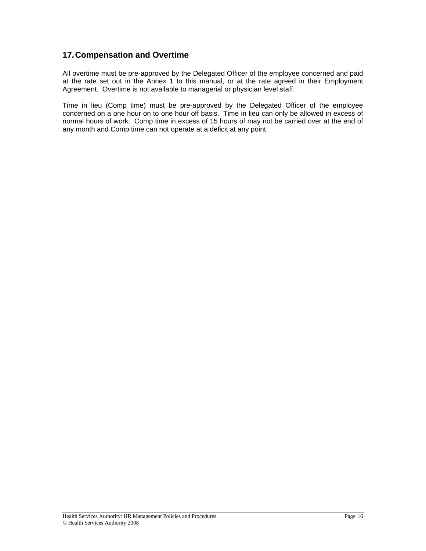### **17. Compensation and Overtime**

All overtime must be pre-approved by the Delegated Officer of the employee concerned and paid at the rate set out in the Annex 1 to this manual, or at the rate agreed in their Employment Agreement. Overtime is not available to managerial or physician level staff.

Time in lieu (Comp time) must be pre-approved by the Delegated Officer of the employee concerned on a one hour on to one hour off basis. Time in lieu can only be allowed in excess of normal hours of work. Comp time in excess of 15 hours of may not be carried over at the end of any month and Comp time can not operate at a deficit at any point.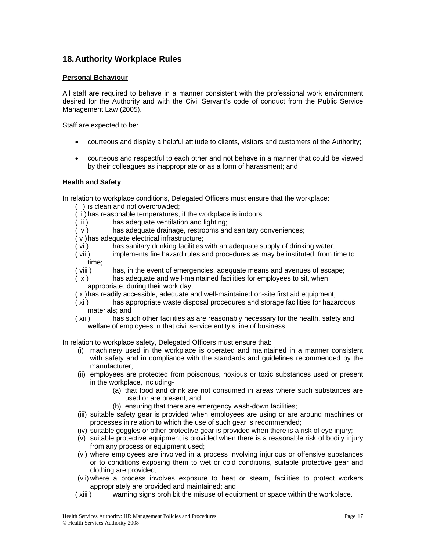### **18. Authority Workplace Rules**

### **Personal Behaviour**

All staff are required to behave in a manner consistent with the professional work environment desired for the Authority and with the Civil Servant's code of conduct from the Public Service Management Law (2005).

Staff are expected to be:

- courteous and display a helpful attitude to clients, visitors and customers of the Authority;
- courteous and respectful to each other and not behave in a manner that could be viewed by their colleagues as inappropriate or as a form of harassment; and

### **Health and Safety**

In relation to workplace conditions, Delegated Officers must ensure that the workplace:

- ( i ) is clean and not overcrowded;
- ( ii ) has reasonable temperatures, if the workplace is indoors;
- ( iii ) has adequate ventilation and lighting;
- ( iv ) has adequate drainage, restrooms and sanitary conveniences;
- ( v ) has adequate electrical infrastructure;
- ( vi ) has sanitary drinking facilities with an adequate supply of drinking water;
- ( vii ) implements fire hazard rules and procedures as may be instituted from time to time;
- ( viii ) has, in the event of emergencies, adequate means and avenues of escape;
- ( ix ) has adequate and well-maintained facilities for employees to sit, when appropriate, during their work day;
- ( x ) has readily accessible, adequate and well-maintained on-site first aid equipment;
- ( xi ) has appropriate waste disposal procedures and storage facilities for hazardous materials; and
- ( xii ) has such other facilities as are reasonably necessary for the health, safety and welfare of employees in that civil service entity's line of business.

In relation to workplace safety, Delegated Officers must ensure that:

- (i) machinery used in the workplace is operated and maintained in a manner consistent with safety and in compliance with the standards and guidelines recommended by the manufacturer;
- (ii) employees are protected from poisonous, noxious or toxic substances used or present in the workplace, including-
	- (a) that food and drink are not consumed in areas where such substances are used or are present; and
	- (b) ensuring that there are emergency wash-down facilities;
- (iii) suitable safety gear is provided when employees are using or are around machines or processes in relation to which the use of such gear is recommended;
- (iv) suitable goggles or other protective gear is provided when there is a risk of eye injury;
- (v) suitable protective equipment is provided when there is a reasonable risk of bodily injury from any process or equipment used;
- (vi) where employees are involved in a process involving injurious or offensive substances or to conditions exposing them to wet or cold conditions, suitable protective gear and clothing are provided;
- (vii) where a process involves exposure to heat or steam, facilities to protect workers appropriately are provided and maintained; and
- ( xiii ) warning signs prohibit the misuse of equipment or space within the workplace.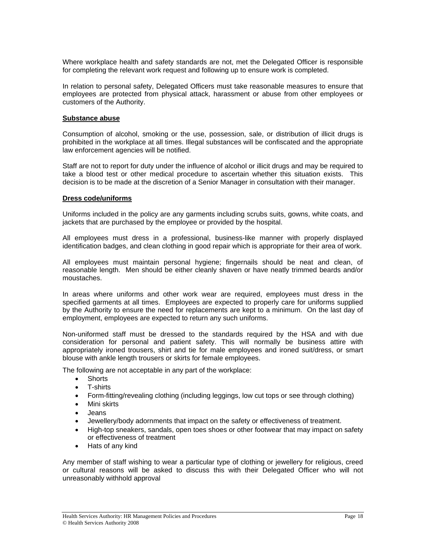Where workplace health and safety standards are not, met the Delegated Officer is responsible for completing the relevant work request and following up to ensure work is completed.

In relation to personal safety, Delegated Officers must take reasonable measures to ensure that employees are protected from physical attack, harassment or abuse from other employees or customers of the Authority.

#### **Substance abuse**

Consumption of alcohol, smoking or the use, possession, sale, or distribution of illicit drugs is prohibited in the workplace at all times. Illegal substances will be confiscated and the appropriate law enforcement agencies will be notified.

Staff are not to report for duty under the influence of alcohol or illicit drugs and may be required to take a blood test or other medical procedure to ascertain whether this situation exists. This decision is to be made at the discretion of a Senior Manager in consultation with their manager.

#### **Dress code/uniforms**

Uniforms included in the policy are any garments including scrubs suits, gowns, white coats, and jackets that are purchased by the employee or provided by the hospital.

All employees must dress in a professional, business-like manner with properly displayed identification badges, and clean clothing in good repair which is appropriate for their area of work.

All employees must maintain personal hygiene; fingernails should be neat and clean, of reasonable length. Men should be either cleanly shaven or have neatly trimmed beards and/or moustaches.

In areas where uniforms and other work wear are required, employees must dress in the specified garments at all times. Employees are expected to properly care for uniforms supplied by the Authority to ensure the need for replacements are kept to a minimum. On the last day of employment, employees are expected to return any such uniforms.

Non-uniformed staff must be dressed to the standards required by the HSA and with due consideration for personal and patient safety. This will normally be business attire with appropriately ironed trousers, shirt and tie for male employees and ironed suit/dress, or smart blouse with ankle length trousers or skirts for female employees.

The following are not acceptable in any part of the workplace:

- Shorts
- T-shirts
- Form-fitting/revealing clothing (including leggings, low cut tops or see through clothing)
- Mini skirts
- Jeans
- Jewellery/body adornments that impact on the safety or effectiveness of treatment.
- High-top sneakers, sandals, open toes shoes or other footwear that may impact on safety or effectiveness of treatment
- Hats of any kind

Any member of staff wishing to wear a particular type of clothing or jewellery for religious, creed or cultural reasons will be asked to discuss this with their Delegated Officer who will not unreasonably withhold approval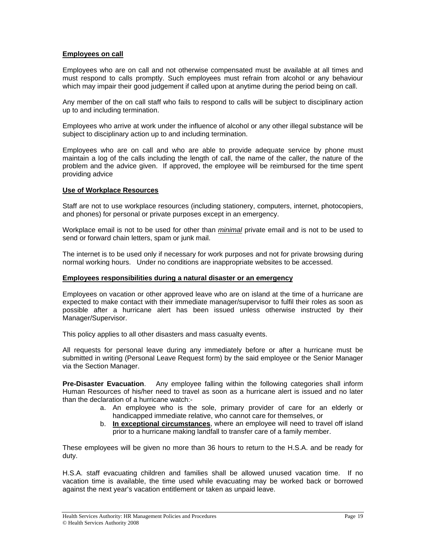### **Employees on call**

Employees who are on call and not otherwise compensated must be available at all times and must respond to calls promptly. Such employees must refrain from alcohol or any behaviour which may impair their good judgement if called upon at anytime during the period being on call.

Any member of the on call staff who fails to respond to calls will be subject to disciplinary action up to and including termination.

Employees who arrive at work under the influence of alcohol or any other illegal substance will be subject to disciplinary action up to and including termination.

Employees who are on call and who are able to provide adequate service by phone must maintain a log of the calls including the length of call, the name of the caller, the nature of the problem and the advice given. If approved, the employee will be reimbursed for the time spent providing advice

### **Use of Workplace Resources**

Staff are not to use workplace resources (including stationery, computers, internet, photocopiers, and phones) for personal or private purposes except in an emergency.

Workplace email is not to be used for other than *minimal* private email and is not to be used to send or forward chain letters, spam or junk mail.

The internet is to be used only if necessary for work purposes and not for private browsing during normal working hours. Under no conditions are inappropriate websites to be accessed.

#### **Employees responsibilities during a natural disaster or an emergency**

Employees on vacation or other approved leave who are on island at the time of a hurricane are expected to make contact with their immediate manager/supervisor to fulfil their roles as soon as possible after a hurricane alert has been issued unless otherwise instructed by their Manager/Supervisor.

This policy applies to all other disasters and mass casualty events.

All requests for personal leave during any immediately before or after a hurricane must be submitted in writing (Personal Leave Request form) by the said employee or the Senior Manager via the Section Manager.

**Pre-Disaster Evacuation**. Any employee falling within the following categories shall inform Human Resources of his/her need to travel as soon as a hurricane alert is issued and no later than the declaration of a hurricane watch:-

- a. An employee who is the sole, primary provider of care for an elderly or handicapped immediate relative, who cannot care for themselves, or
- b. **In exceptional circumstances**, where an employee will need to travel off island prior to a hurricane making landfall to transfer care of a family member.

These employees will be given no more than 36 hours to return to the H.S.A. and be ready for duty.

H.S.A. staff evacuating children and families shall be allowed unused vacation time. If no vacation time is available, the time used while evacuating may be worked back or borrowed against the next year's vacation entitlement or taken as unpaid leave.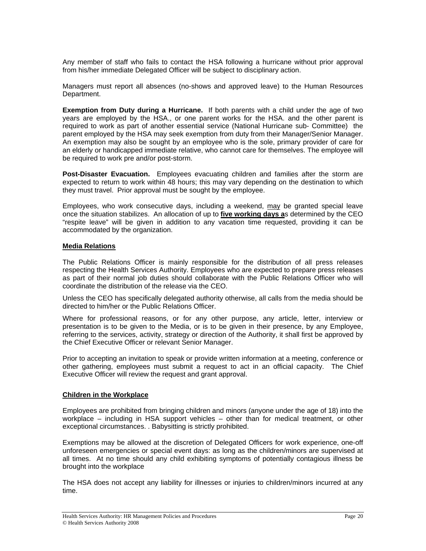Any member of staff who fails to contact the HSA following a hurricane without prior approval from his/her immediate Delegated Officer will be subject to disciplinary action.

Managers must report all absences (no-shows and approved leave) to the Human Resources Department.

**Exemption from Duty during a Hurricane.** If both parents with a child under the age of two years are employed by the HSA., or one parent works for the HSA. and the other parent is required to work as part of another essential service (National Hurricane sub- Committee) the parent employed by the HSA may seek exemption from duty from their Manager/Senior Manager. An exemption may also be sought by an employee who is the sole, primary provider of care for an elderly or handicapped immediate relative, who cannot care for themselves. The employee will be required to work pre and/or post-storm.

**Post-Disaster Evacuation.** Employees evacuating children and families after the storm are expected to return to work within 48 hours; this may vary depending on the destination to which they must travel. Prior approval must be sought by the employee.

Employees, who work consecutive days, including a weekend, may be granted special leave once the situation stabilizes. An allocation of up to **five working days a**s determined by the CEO "respite leave" will be given in addition to any vacation time requested, providing it can be accommodated by the organization.

### **Media Relations**

The Public Relations Officer is mainly responsible for the distribution of all press releases respecting the Health Services Authority. Employees who are expected to prepare press releases as part of their normal job duties should collaborate with the Public Relations Officer who will coordinate the distribution of the release via the CEO.

Unless the CEO has specifically delegated authority otherwise, all calls from the media should be directed to him/her or the Public Relations Officer.

Where for professional reasons, or for any other purpose, any article, letter, interview or presentation is to be given to the Media, or is to be given in their presence, by any Employee, referring to the services, activity, strategy or direction of the Authority, it shall first be approved by the Chief Executive Officer or relevant Senior Manager.

Prior to accepting an invitation to speak or provide written information at a meeting, conference or other gathering, employees must submit a request to act in an official capacity. The Chief Executive Officer will review the request and grant approval.

### **Children in the Workplace**

Employees are prohibited from bringing children and minors (anyone under the age of 18) into the workplace – including in HSA support vehicles – other than for medical treatment, or other exceptional circumstances. . Babysitting is strictly prohibited.

Exemptions may be allowed at the discretion of Delegated Officers for work experience, one-off unforeseen emergencies or special event days: as long as the children/minors are supervised at all times. At no time should any child exhibiting symptoms of potentially contagious illness be brought into the workplace

The HSA does not accept any liability for illnesses or injuries to children/minors incurred at any time.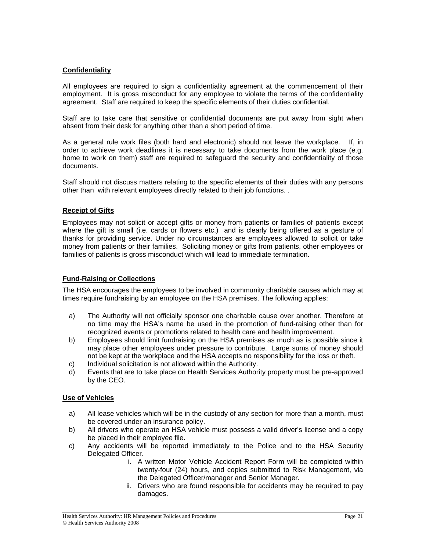### **Confidentiality**

All employees are required to sign a confidentiality agreement at the commencement of their employment. It is gross misconduct for any employee to violate the terms of the confidentiality agreement. Staff are required to keep the specific elements of their duties confidential.

Staff are to take care that sensitive or confidential documents are put away from sight when absent from their desk for anything other than a short period of time.

As a general rule work files (both hard and electronic) should not leave the workplace. If, in order to achieve work deadlines it is necessary to take documents from the work place (e.g. home to work on them) staff are required to safeguard the security and confidentiality of those documents.

Staff should not discuss matters relating to the specific elements of their duties with any persons other than with relevant employees directly related to their job functions. .

### **Receipt of Gifts**

Employees may not solicit or accept gifts or money from patients or families of patients except where the gift is small (i.e. cards or flowers etc.) and is clearly being offered as a gesture of thanks for providing service. Under no circumstances are employees allowed to solicit or take money from patients or their families. Soliciting money or gifts from patients, other employees or families of patients is gross misconduct which will lead to immediate termination.

### **Fund-Raising or Collections**

The HSA encourages the employees to be involved in community charitable causes which may at times require fundraising by an employee on the HSA premises. The following applies:

- a) The Authority will not officially sponsor one charitable cause over another. Therefore at no time may the HSA's name be used in the promotion of fund-raising other than for recognized events or promotions related to health care and health improvement.
- b) Employees should limit fundraising on the HSA premises as much as is possible since it may place other employees under pressure to contribute. Large sums of money should not be kept at the workplace and the HSA accepts no responsibility for the loss or theft.
- c) Individual solicitation is not allowed within the Authority.
- d) Events that are to take place on Health Services Authority property must be pre-approved by the CEO.

### **Use of Vehicles**

- a) All lease vehicles which will be in the custody of any section for more than a month, must be covered under an insurance policy.
- b) All drivers who operate an HSA vehicle must possess a valid driver's license and a copy be placed in their employee file.
- c) Any accidents will be reported immediately to the Police and to the HSA Security Delegated Officer.
	- i. A written Motor Vehicle Accident Report Form will be completed within twenty-four (24) hours, and copies submitted to Risk Management, via the Delegated Officer/manager and Senior Manager.
	- ii. Drivers who are found responsible for accidents may be required to pay damages.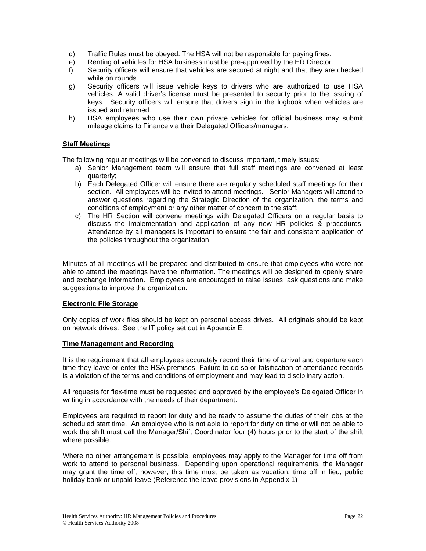- d) Traffic Rules must be obeyed. The HSA will not be responsible for paying fines.
- e) Renting of vehicles for HSA business must be pre-approved by the HR Director.
- f) Security officers will ensure that vehicles are secured at night and that they are checked while on rounds
- g) Security officers will issue vehicle keys to drivers who are authorized to use HSA vehicles. A valid driver's license must be presented to security prior to the issuing of keys. Security officers will ensure that drivers sign in the logbook when vehicles are issued and returned.
- h) HSA employees who use their own private vehicles for official business may submit mileage claims to Finance via their Delegated Officers/managers.

### **Staff Meetings**

The following regular meetings will be convened to discuss important, timely issues:

- a) Senior Management team will ensure that full staff meetings are convened at least quarterly;
- b) Each Delegated Officer will ensure there are regularly scheduled staff meetings for their section. All employees will be invited to attend meetings. Senior Managers will attend to answer questions regarding the Strategic Direction of the organization, the terms and conditions of employment or any other matter of concern to the staff;
- c) The HR Section will convene meetings with Delegated Officers on a regular basis to discuss the implementation and application of any new HR policies & procedures. Attendance by all managers is important to ensure the fair and consistent application of the policies throughout the organization.

Minutes of all meetings will be prepared and distributed to ensure that employees who were not able to attend the meetings have the information. The meetings will be designed to openly share and exchange information. Employees are encouraged to raise issues, ask questions and make suggestions to improve the organization.

### **Electronic File Storage**

Only copies of work files should be kept on personal access drives. All originals should be kept on network drives. See the IT policy set out in Appendix E.

### **Time Management and Recording**

It is the requirement that all employees accurately record their time of arrival and departure each time they leave or enter the HSA premises. Failure to do so or falsification of attendance records is a violation of the terms and conditions of employment and may lead to disciplinary action.

All requests for flex-time must be requested and approved by the employee's Delegated Officer in writing in accordance with the needs of their department.

Employees are required to report for duty and be ready to assume the duties of their jobs at the scheduled start time. An employee who is not able to report for duty on time or will not be able to work the shift must call the Manager/Shift Coordinator four (4) hours prior to the start of the shift where possible.

Where no other arrangement is possible, employees may apply to the Manager for time off from work to attend to personal business. Depending upon operational requirements, the Manager may grant the time off, however, this time must be taken as vacation, time off in lieu, public holiday bank or unpaid leave (Reference the leave provisions in Appendix 1)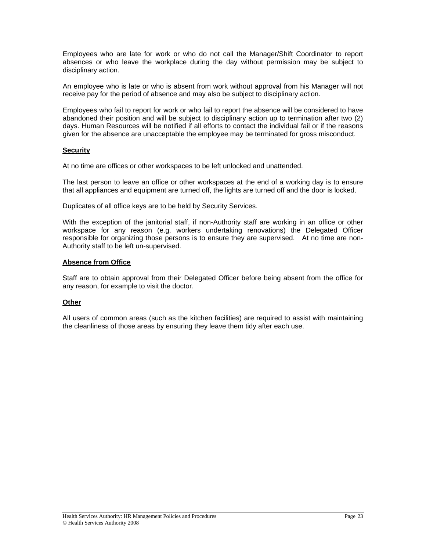Employees who are late for work or who do not call the Manager/Shift Coordinator to report absences or who leave the workplace during the day without permission may be subject to disciplinary action.

An employee who is late or who is absent from work without approval from his Manager will not receive pay for the period of absence and may also be subject to disciplinary action.

Employees who fail to report for work or who fail to report the absence will be considered to have abandoned their position and will be subject to disciplinary action up to termination after two (2) days. Human Resources will be notified if all efforts to contact the individual fail or if the reasons given for the absence are unacceptable the employee may be terminated for gross misconduct.

### **Security**

At no time are offices or other workspaces to be left unlocked and unattended.

The last person to leave an office or other workspaces at the end of a working day is to ensure that all appliances and equipment are turned off, the lights are turned off and the door is locked.

Duplicates of all office keys are to be held by Security Services.

With the exception of the janitorial staff, if non-Authority staff are working in an office or other workspace for any reason (e.g. workers undertaking renovations) the Delegated Officer responsible for organizing those persons is to ensure they are supervised. At no time are non-Authority staff to be left un-supervised.

### **Absence from Office**

Staff are to obtain approval from their Delegated Officer before being absent from the office for any reason, for example to visit the doctor.

### **Other**

All users of common areas (such as the kitchen facilities) are required to assist with maintaining the cleanliness of those areas by ensuring they leave them tidy after each use.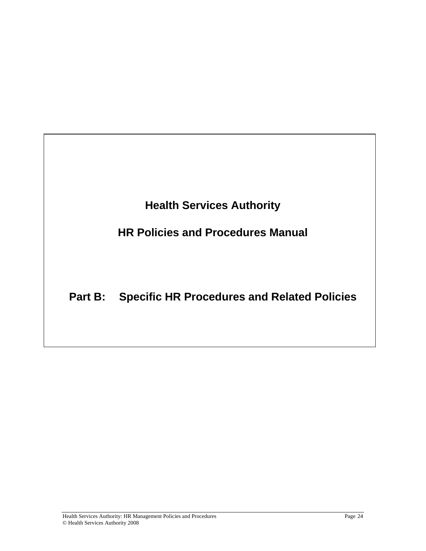**Health Services Authority** 

**HR Policies and Procedures Manual** 

# **Part B: Specific HR Procedures and Related Policies**

 $\overline{a}$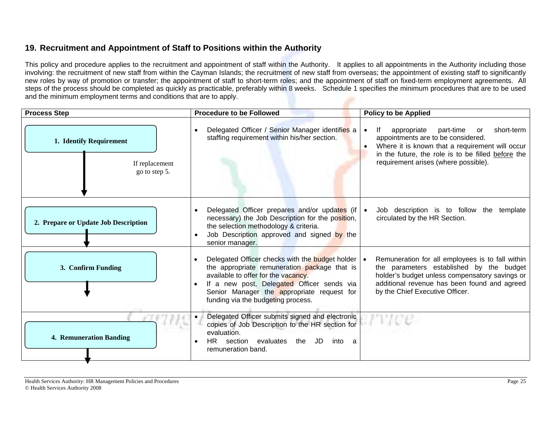# **19. Recruitment and Appointment of Staff to Positions within the Authority**

This policy and procedure applies to the recruitment and appointment of staff within the Authority. It applies to all appointments in the Authority including those involving: the recruitment of new staff from within the Cayman Islands; the recruitment of new staff from overseas; the appointment of existing staff to significantly new roles by way of promotion or transfer; the appointment of staff to short-term roles; and the appointment of staff on fixed-term employment agreements. All steps of the process should be completed as quickly as practicable, preferably within 8 weeks. Schedule 1 specifies the minimum procedures that are to be used and the minimum employment terms and conditions that are to apply.

| <b>Process Step</b>                                        | <b>Procedure to be Followed</b>                                                                                                                                                                                                                                                           | <b>Policy to be Applied</b>                                                                                                                                                                                                                |
|------------------------------------------------------------|-------------------------------------------------------------------------------------------------------------------------------------------------------------------------------------------------------------------------------------------------------------------------------------------|--------------------------------------------------------------------------------------------------------------------------------------------------------------------------------------------------------------------------------------------|
| 1. Identify Requirement<br>If replacement<br>go to step 5. | Delegated Officer / Senior Manager identifies a<br>staffing requirement within his/her section.                                                                                                                                                                                           | appropriate<br>short-term<br>lf.<br>part-time<br>or<br>appointments are to be considered.<br>Where it is known that a requirement will occur<br>in the future, the role is to be filled before the<br>requirement arises (where possible). |
| 2. Prepare or Update Job Description                       | Delegated Officer prepares and/or updates (if $\cdot$<br>necessary) the Job Description for the position,<br>the selection methodology & criteria.<br>Job Description approved and signed by the<br>senior manager.                                                                       | Job description is to follow the template<br>circulated by the HR Section.                                                                                                                                                                 |
| 3. Confirm Funding                                         | Delegated Officer checks with the budget holder   •<br>$\bullet$<br>the appropriate remuneration package that is<br>available to offer for the vacancy.<br>If a new post, Delegated Officer sends via<br>Senior Manager the appropriate request for<br>funding via the budgeting process. | Remuneration for all employees is to fall within<br>the parameters established by the budget<br>holder's budget unless compensatory savings or<br>additional revenue has been found and agreed<br>by the Chief Executive Officer.          |
| <b>4. Remuneration Banding</b>                             | Delegated Officer submits signed and electronic<br>copies of Job Description to the HR section for<br>evaluation.<br>the JD<br>HR.<br>section evaluates<br>into a<br>remuneration band.                                                                                                   |                                                                                                                                                                                                                                            |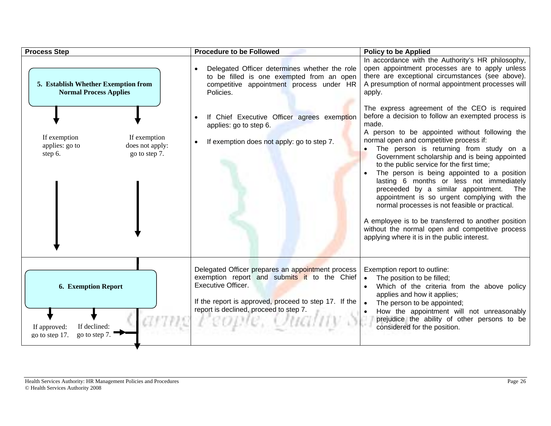| <b>Process Step</b>                                                                           | <b>Procedure to be Followed</b>                                                                                                                                                                                                                  | <b>Policy to be Applied</b>                                                                                                                                                                                                                                                                                                                                                                                                                                                                                                                                                                                                                                                                                                                           |
|-----------------------------------------------------------------------------------------------|--------------------------------------------------------------------------------------------------------------------------------------------------------------------------------------------------------------------------------------------------|-------------------------------------------------------------------------------------------------------------------------------------------------------------------------------------------------------------------------------------------------------------------------------------------------------------------------------------------------------------------------------------------------------------------------------------------------------------------------------------------------------------------------------------------------------------------------------------------------------------------------------------------------------------------------------------------------------------------------------------------------------|
| 5. Establish Whether Exemption from<br><b>Normal Process Applies</b>                          | Delegated Officer determines whether the role<br>to be filled is one exempted from an open<br>competitive appointment process under HR<br>Policies.                                                                                              | In accordance with the Authority's HR philosophy,<br>open appointment processes are to apply unless<br>there are exceptional circumstances (see above).<br>A presumption of normal appointment processes will<br>apply.                                                                                                                                                                                                                                                                                                                                                                                                                                                                                                                               |
| If exemption<br>If exemption<br>applies: go to<br>does not apply:<br>step 6.<br>go to step 7. | If Chief Executive Officer agrees exemption<br>applies: go to step 6.<br>If exemption does not apply: go to step 7.                                                                                                                              | The express agreement of the CEO is required<br>before a decision to follow an exempted process is<br>made.<br>A person to be appointed without following the<br>normal open and competitive process if:<br>The person is returning from study on a<br>Government scholarship and is being appointed<br>to the public service for the first time;<br>The person is being appointed to a position<br>lasting 6 months or less not immediately<br>preceeded by a similar appointment.<br>The<br>appointment is so urgent complying with the<br>normal processes is not feasible or practical.<br>A employee is to be transferred to another position<br>without the normal open and competitive process<br>applying where it is in the public interest. |
| <b>6. Exemption Report</b><br>If declined:<br>If approved:<br>go to step 7.<br>go to step 17. | Delegated Officer prepares an appointment process<br>exemption report and submits it to the Chief<br>Executive Officer.<br>If the report is approved, proceed to step 17. If the $\vert \bullet \vert$<br>report is declined, proceed to step 7. | Exemption report to outline:<br>The position to be filled;<br>Which of the criteria from the above policy<br>applies and how it applies;<br>The person to be appointed;<br>How the appointment will not unreasonably<br>prejudice the ability of other persons to be<br>considered for the position.                                                                                                                                                                                                                                                                                                                                                                                                                                                  |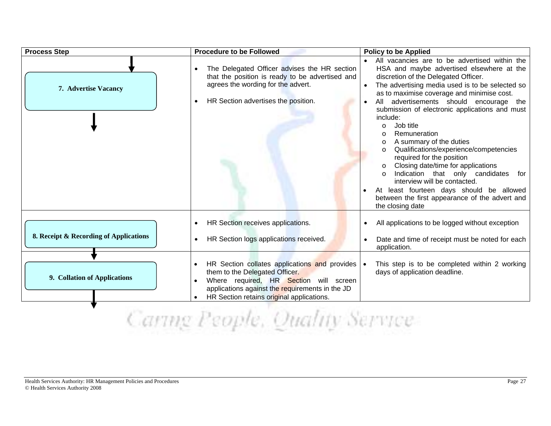| <b>Process Step</b>                                                    | <b>Procedure to be Followed</b>                                                                                                                                                                                                                                                                              | <b>Policy to be Applied</b>                                                                                                                                                                                                                                                                                                                                                                                                                                                                                                                                                                                                                                                                                                            |  |
|------------------------------------------------------------------------|--------------------------------------------------------------------------------------------------------------------------------------------------------------------------------------------------------------------------------------------------------------------------------------------------------------|----------------------------------------------------------------------------------------------------------------------------------------------------------------------------------------------------------------------------------------------------------------------------------------------------------------------------------------------------------------------------------------------------------------------------------------------------------------------------------------------------------------------------------------------------------------------------------------------------------------------------------------------------------------------------------------------------------------------------------------|--|
| 7. Advertise Vacancy                                                   | The Delegated Officer advises the HR section<br>that the position is ready to be advertised and<br>agrees the wording for the advert.<br>HR Section advertises the position.<br>$\bullet$                                                                                                                    | All vacancies are to be advertised within the<br>HSA and maybe advertised elsewhere at the<br>discretion of the Delegated Officer.<br>The advertising media used is to be selected so<br>as to maximise coverage and minimise cost.<br>All advertisements should encourage the<br>submission of electronic applications and must<br>include:<br>Job title<br>$\circ$<br>Remuneration<br>$\circ$<br>A summary of the duties<br>$\circ$<br>Qualifications/experience/competencies<br>required for the position<br>Closing date/time for applications<br>Indication that only candidates<br>for<br>$\Omega$<br>interview will be contacted.<br>At least fourteen days should be allowed<br>between the first appearance of the advert and |  |
| 8. Receipt & Recording of Applications<br>9. Collation of Applications | HR Section receives applications.<br>HR Section logs applications received.<br>HR Section collates applications and provides   •<br>them to the Delegated Officer.<br>Where required, HR Section will screen<br>applications against the requirements in the JD<br>HR Section retains original applications. | the closing date<br>All applications to be logged without exception<br>Date and time of receipt must be noted for each<br>application.<br>This step is to be completed within 2 working<br>days of application deadline.                                                                                                                                                                                                                                                                                                                                                                                                                                                                                                               |  |
| commu                                                                  |                                                                                                                                                                                                                                                                                                              |                                                                                                                                                                                                                                                                                                                                                                                                                                                                                                                                                                                                                                                                                                                                        |  |

Caring People, Quality Service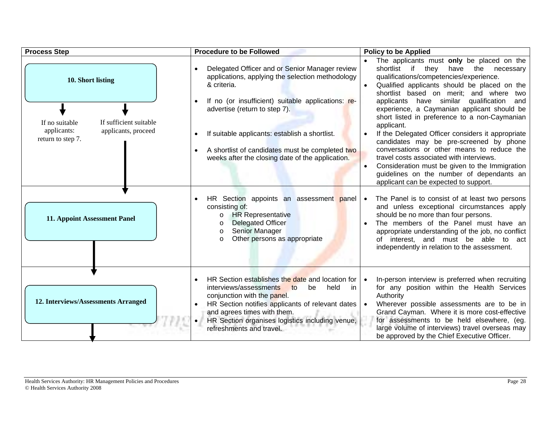| <b>Process Step</b>                                     | <b>Procedure to be Followed</b>                                                                                                                                                                                                                                                                       | <b>Policy to be Applied</b>                                                                                                                                                                                                                                                                                                                                 |
|---------------------------------------------------------|-------------------------------------------------------------------------------------------------------------------------------------------------------------------------------------------------------------------------------------------------------------------------------------------------------|-------------------------------------------------------------------------------------------------------------------------------------------------------------------------------------------------------------------------------------------------------------------------------------------------------------------------------------------------------------|
| 10. Short listing                                       | Delegated Officer and or Senior Manager review<br>$\bullet$<br>applications, applying the selection methodology<br>& criteria.<br>If no (or insufficient) suitable applications: re-                                                                                                                  | The applicants must only be placed on the<br>shortlist if<br>they<br>have<br>the necessary<br>qualifications/competencies/experience.<br>Qualified applicants should be placed on the<br>shortlist based on merit; and where two<br>applicants have similar qualification<br>and                                                                            |
| If no suitable<br>If sufficient suitable                | advertise (return to step 7).                                                                                                                                                                                                                                                                         | experience, a Caymanian applicant should be<br>short listed in preference to a non-Caymanian<br>applicant.                                                                                                                                                                                                                                                  |
| applicants, proceed<br>applicants:<br>return to step 7. | If suitable applicants: establish a shortlist.<br>A shortlist of candidates must be completed two<br>weeks after the closing date of the application.                                                                                                                                                 | If the Delegated Officer considers it appropriate<br>candidates may be pre-screened by phone<br>conversations or other means to reduce the<br>travel costs associated with interviews.<br>Consideration must be given to the Immigration<br>guidelines on the number of dependants an<br>applicant can be expected to support.                              |
| 11. Appoint Assessment Panel                            | HR Section appoints an assessment panel<br>consisting of:<br><b>HR Representative</b><br>$\circ$<br><b>Delegated Officer</b><br>Senior Manager<br>$\circ$<br>Other persons as appropriate<br>$\Omega$                                                                                                 | The Panel is to consist of at least two persons<br>and unless exceptional circumstances apply<br>should be no more than four persons.<br>The members of the Panel must have an<br>appropriate understanding of the job, no conflict<br>of interest, and must be able to act<br>independently in relation to the assessment.                                 |
| 12. Interviews/Assessments Arranged                     | HR Section establishes the date and location for<br>interviews/assessments<br>to<br>be<br>held<br>in<br>conjunction with the panel.<br>HR Section notifies applicants of relevant dates<br>and agrees times with them.<br>HR Section organises logistics including venue,<br>refreshments and travel. | In-person interview is preferred when recruiting<br>for any position within the Health Services<br>Authority<br>Wherever possible assessments are to be in<br>Grand Cayman. Where it is more cost-effective<br>for assessments to be held elsewhere, (eg.<br>large volume of interviews) travel overseas may<br>be approved by the Chief Executive Officer. |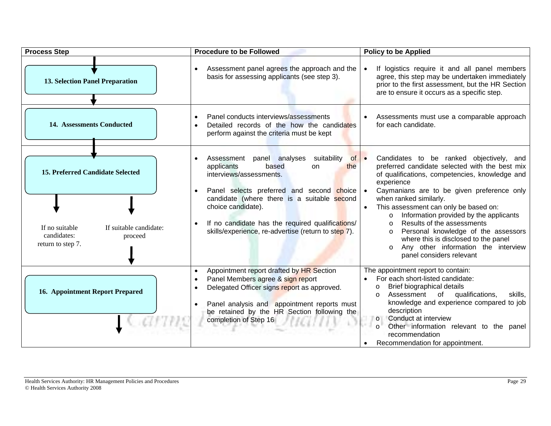| <b>Process Step</b>                                                                                                         | <b>Procedure to be Followed</b>                                                                                                                                                                                                                                                                                                                             | <b>Policy to be Applied</b>                                                                                                                                                                                                                                                                                                                                                                                                                                                                                                             |
|-----------------------------------------------------------------------------------------------------------------------------|-------------------------------------------------------------------------------------------------------------------------------------------------------------------------------------------------------------------------------------------------------------------------------------------------------------------------------------------------------------|-----------------------------------------------------------------------------------------------------------------------------------------------------------------------------------------------------------------------------------------------------------------------------------------------------------------------------------------------------------------------------------------------------------------------------------------------------------------------------------------------------------------------------------------|
| <b>13. Selection Panel Preparation</b>                                                                                      | Assessment panel agrees the approach and the<br>basis for assessing applicants (see step 3).                                                                                                                                                                                                                                                                | If logistics require it and all panel members<br>agree, this step may be undertaken immediately<br>prior to the first assessment, but the HR Section<br>are to ensure it occurs as a specific step.                                                                                                                                                                                                                                                                                                                                     |
| 14. Assessments Conducted                                                                                                   | Panel conducts interviews/assessments<br>Detailed records of the how the candidates<br>perform against the criteria must be kept                                                                                                                                                                                                                            | Assessments must use a comparable approach<br>for each candidate.                                                                                                                                                                                                                                                                                                                                                                                                                                                                       |
| 15. Preferred Candidate Selected<br>If suitable candidate:<br>If no suitable<br>candidates:<br>proceed<br>return to step 7. | suitability<br>Assessment<br>panel analyses<br>$of \bullet$<br>applicants<br>based<br>on<br>the<br>interviews/assessments.<br>Panel selects preferred and second choice   •<br>candidate (where there is a suitable second<br>choice candidate).<br>If no candidate has the required qualifications/<br>skills/experience, re-advertise (return to step 7). | Candidates to be ranked objectively, and<br>preferred candidate selected with the best mix<br>of qualifications, competencies, knowledge and<br>experience<br>Caymanians are to be given preference only<br>when ranked similarly.<br>This assessment can only be based on:<br>Information provided by the applicants<br>$\circ$<br>Results of the assessments<br>$\Omega$<br>Personal knowledge of the assessors<br>$\circ$<br>where this is disclosed to the panel<br>Any other information the interview<br>panel considers relevant |
| <b>16. Appointment Report Prepared</b>                                                                                      | Appointment report drafted by HR Section<br>Panel Members agree & sign report<br>Delegated Officer signs report as approved.<br>Panel analysis and appointment reports must<br>be retained by the HR Section following the<br>completion of Step 16                                                                                                         | The appointment report to contain:<br>For each short-listed candidate:<br>$\bullet$<br>Brief biographical details<br>$\circ$<br>qualifications,<br>Assessment of<br>skills,<br>$\Omega$<br>knowledge and experience compared to job<br>description<br>Conduct at interview<br>$\circ$<br>Other information relevant to the panel<br>$\circ$<br>recommendation<br>Recommendation for appointment.                                                                                                                                        |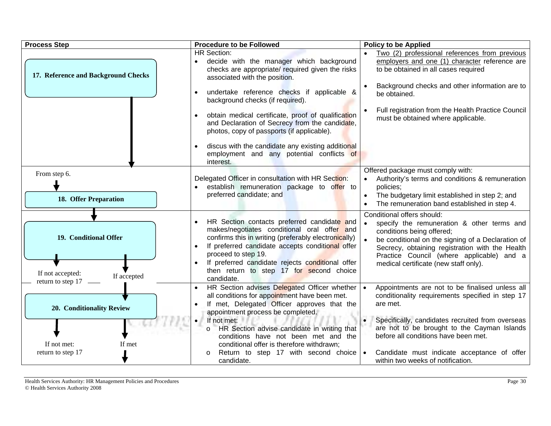| <b>Process Step</b>                                                           | <b>Procedure to be Followed</b>                                                                                                                                                                                                                                                                                                                                                             | <b>Policy to be Applied</b>                                                                                                                                                                                                                                                                                            |
|-------------------------------------------------------------------------------|---------------------------------------------------------------------------------------------------------------------------------------------------------------------------------------------------------------------------------------------------------------------------------------------------------------------------------------------------------------------------------------------|------------------------------------------------------------------------------------------------------------------------------------------------------------------------------------------------------------------------------------------------------------------------------------------------------------------------|
| 17. Reference and Background Checks                                           | <b>HR Section:</b><br>decide with the manager which background<br>checks are appropriate/ required given the risks<br>associated with the position.<br>undertake reference checks if applicable &<br>background checks (if required).<br>obtain medical certificate, proof of qualification<br>and Declaration of Secrecy from the candidate,<br>photos, copy of passports (if applicable). | Two (2) professional references from previous<br>employers and one (1) character reference are<br>to be obtained in all cases required<br>Background checks and other information are to<br>be obtained.<br>Full registration from the Health Practice Council<br>must be obtained where applicable.                   |
|                                                                               | discus with the candidate any existing additional<br>employment and any potential conflicts of<br>interest.                                                                                                                                                                                                                                                                                 |                                                                                                                                                                                                                                                                                                                        |
| From step 6.<br>18. Offer Preparation                                         | Delegated Officer in consultation with HR Section:<br>establish remuneration package to offer to<br>preferred candidate; and                                                                                                                                                                                                                                                                | Offered package must comply with:<br>Authority's terms and conditions & remuneration<br>policies;<br>The budgetary limit established in step 2; and<br>The remuneration band established in step 4.                                                                                                                    |
| 19. Conditional Offer<br>If not accepted:<br>If accepted<br>return to step 17 | HR Section contacts preferred candidate and<br>makes/negotiates conditional oral offer and<br>confirms this in writing (preferably electronically)<br>If preferred candidate accepts conditional offer<br>proceed to step 19.<br>If preferred candidate rejects conditional offer<br>then return to step 17 for second choice<br>candidate.                                                 | Conditional offers should:<br>specify the remuneration & other terms and<br>$\bullet$<br>conditions being offered;<br>be conditional on the signing of a Declaration of<br>Secrecy, obtaining registration with the Health<br>Practice Council (where applicable) and a<br>medical certificate (new staff only).       |
| 20. Conditionality Review<br>If not met:<br>If met<br>return to step 17       | HR Section advises Delegated Officer whether   •<br>all conditions for appointment have been met.<br>If met, Delegated Officer approves that the<br>appointment process be completed.<br>• If not met:<br>HR Section advise candidate in writing that<br>conditions have not been met and the<br>conditional offer is therefore withdrawn;<br>Return to step 17 with second choice $\cdot$  | Appointments are not to be finalised unless all<br>conditionality requirements specified in step 17<br>are met.<br>Specifically, candidates recruited from overseas<br>$\bullet$<br>are not to be brought to the Cayman Islands<br>before all conditions have been met.<br>Candidate must indicate acceptance of offer |
|                                                                               | candidate.                                                                                                                                                                                                                                                                                                                                                                                  | within two weeks of notification.                                                                                                                                                                                                                                                                                      |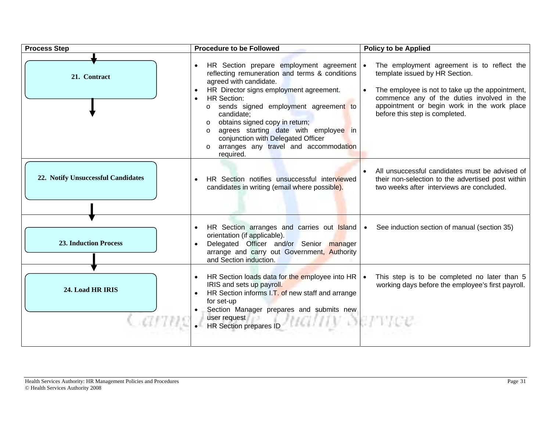| <b>Process Step</b>                | <b>Procedure to be Followed</b>                                                                                                                                                                                                                                                                                                                                                                                                                 | <b>Policy to be Applied</b>                                                                                                                                                                                                                                    |
|------------------------------------|-------------------------------------------------------------------------------------------------------------------------------------------------------------------------------------------------------------------------------------------------------------------------------------------------------------------------------------------------------------------------------------------------------------------------------------------------|----------------------------------------------------------------------------------------------------------------------------------------------------------------------------------------------------------------------------------------------------------------|
| 21. Contract                       | HR Section prepare employment agreement   •<br>reflecting remuneration and terms & conditions<br>agreed with candidate.<br>HR Director signs employment agreement.<br><b>HR Section:</b><br>o sends signed employment agreement to<br>candidate;<br>obtains signed copy in return;<br>$\Omega$<br>agrees starting date with employee in<br>$\Omega$<br>conjunction with Delegated Officer<br>arranges any travel and accommodation<br>required. | The employment agreement is to reflect the<br>template issued by HR Section.<br>The employee is not to take up the appointment,<br>commence any of the duties involved in the<br>appointment or begin work in the work place<br>before this step is completed. |
| 22. Notify Unsuccessful Candidates | HR Section notifies unsuccessful interviewed<br>candidates in writing (email where possible).                                                                                                                                                                                                                                                                                                                                                   | All unsuccessful candidates must be advised of<br>their non-selection to the advertised post within<br>two weeks after interviews are concluded.                                                                                                               |
| <b>23. Induction Process</b>       | HR Section arranges and carries out Island .<br>orientation (if applicable).<br>Delegated Officer and/or Senior manager<br>arrange and carry out Government, Authority<br>and Section induction.                                                                                                                                                                                                                                                | See induction section of manual (section 35)                                                                                                                                                                                                                   |
| 24. Load HR IRIS                   | HR Section loads data for the employee into HR $\vert \bullet \vert$<br>$\bullet$<br>IRIS and sets up payroll.<br>HR Section informs I.T. of new staff and arrange<br>for set-up<br>• Section Manager prepares and submits new<br>$\cdot$ First request $\uparrow$ in $\mathcal{N}(HCHH)$                                                                                                                                                       | This step is to be completed no later than 5<br>working days before the employee's first payroll.                                                                                                                                                              |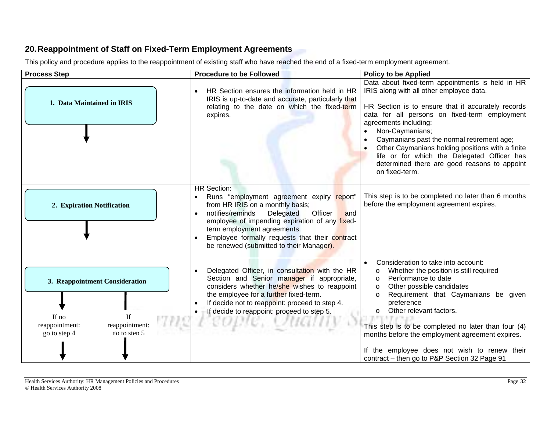# **20. Reappointment of Staff on Fixed-Term Employment Agreements**

This policy and procedure applies to the reappointment of existing staff who have reached the end of a fixed-term employment agreement.

| <b>Process Step</b>                                                                                                        | <b>Procedure to be Followed</b>                                                                                                                                                                                                                                                                                                       | <b>Policy to be Applied</b>                                                                                                                                                                                                                                                                                                                                                                                                                                                                  |
|----------------------------------------------------------------------------------------------------------------------------|---------------------------------------------------------------------------------------------------------------------------------------------------------------------------------------------------------------------------------------------------------------------------------------------------------------------------------------|----------------------------------------------------------------------------------------------------------------------------------------------------------------------------------------------------------------------------------------------------------------------------------------------------------------------------------------------------------------------------------------------------------------------------------------------------------------------------------------------|
| 1. Data Maintained in IRIS                                                                                                 | HR Section ensures the information held in HR<br>IRIS is up-to-date and accurate, particularly that<br>relating to the date on which the fixed-term<br>expires.                                                                                                                                                                       | Data about fixed-term appointments is held in HR<br>IRIS along with all other employee data.<br>HR Section is to ensure that it accurately records<br>data for all persons on fixed-term employment<br>agreements including:<br>Non-Caymanians;<br>$\bullet$<br>Caymanians past the normal retirement age;<br>$\bullet$<br>Other Caymanians holding positions with a finite<br>life or for which the Delegated Officer has<br>determined there are good reasons to appoint<br>on fixed-term. |
| 2. Expiration Notification                                                                                                 | <b>HR Section:</b><br>Runs "employment agreement expiry report"<br>from HR IRIS on a monthly basis;<br>notifies/reminds<br>Officer<br>Delegated<br>and<br>employee of impending expiration of any fixed-<br>term employment agreements.<br>Employee formally requests that their contract<br>be renewed (submitted to their Manager). | This step is to be completed no later than 6 months<br>before the employment agreement expires.                                                                                                                                                                                                                                                                                                                                                                                              |
| 3. Reappointment Consideration<br>If $no$<br><b>If</b><br>reappointment:<br>reappointment:<br>go to step 5<br>go to step 4 | Delegated Officer, in consultation with the HR<br>Section and Senior manager if appropriate,<br>considers whether he/she wishes to reappoint<br>the employee for a further fixed-term.<br>If decide not to reappoint: proceed to step 4.<br>If decide to reappoint: proceed to step 5.<br>L'EODIE.                                    | Consideration to take into account:<br>Whether the position is still required<br>$\circ$<br>Performance to date<br>$\circ$<br>Other possible candidates<br>$\circ$<br>Requirement that Caymanians be given<br>$\circ$<br>preference<br>Other relevant factors.<br>$\Omega$<br>This step is to be completed no later than four (4)<br>months before the employment agreement expires.<br>If the employee does not wish to renew their<br>contract - then go to P&P Section 32 Page 91         |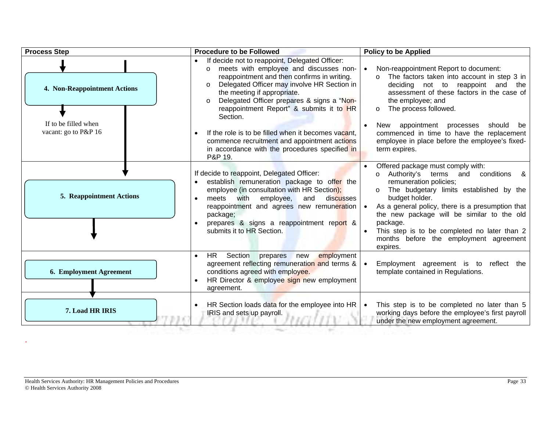| <b>Process Step</b>                                                          | <b>Procedure to be Followed</b>                                                                                                                                                                                                                                                                                                                                                                                                                                                                                                   | <b>Policy to be Applied</b>                                                                                                                                                                                                                                                                                                                                                                                       |
|------------------------------------------------------------------------------|-----------------------------------------------------------------------------------------------------------------------------------------------------------------------------------------------------------------------------------------------------------------------------------------------------------------------------------------------------------------------------------------------------------------------------------------------------------------------------------------------------------------------------------|-------------------------------------------------------------------------------------------------------------------------------------------------------------------------------------------------------------------------------------------------------------------------------------------------------------------------------------------------------------------------------------------------------------------|
| 4. Non-Reappointment Actions<br>If to be filled when<br>vacant: go to P&P 16 | If decide not to reappoint, Delegated Officer:<br>meets with employee and discusses non-<br>$\circ$<br>reappointment and then confirms in writing.<br>Delegated Officer may involve HR Section in<br>$\circ$<br>the meeting if appropriate.<br>Delegated Officer prepares & signs a "Non-<br>$\Omega$<br>reappointment Report" & submits it to HR<br>Section.<br>If the role is to be filled when it becomes vacant,<br>commence recruitment and appointment actions<br>in accordance with the procedures specified in<br>P&P 19. | Non-reappointment Report to document:<br>The factors taken into account in step 3 in<br>$\circ$<br>deciding not to reappoint and<br>the<br>assessment of these factors in the case of<br>the employee; and<br>The process followed.<br>$\circ$<br>appointment processes should<br>New<br>be<br>commenced in time to have the replacement<br>employee in place before the employee's fixed-<br>term expires.       |
| <b>5. Reappointment Actions</b>                                              | If decide to reappoint, Delegated Officer:<br>establish remuneration package to offer the<br>employee (in consultation with HR Section);<br>meets with employee,<br>and<br>discusses<br>reappointment and agrees new remuneration   •<br>package;<br>prepares & signs a reappointment report &<br>submits it to HR Section.                                                                                                                                                                                                       | Offered package must comply with:<br>conditions<br>Authority's terms<br>and<br>&<br>$\circ$<br>remuneration policies;<br>The budgetary limits established by the<br>$\circ$<br>budget holder.<br>As a general policy, there is a presumption that<br>the new package will be similar to the old<br>package.<br>This step is to be completed no later than 2<br>months before the employment agreement<br>expires. |
| 6. Employment Agreement                                                      | <b>HR</b><br>Section<br>employment<br>prepares<br>new<br>$\bullet$<br>agreement reflecting remuneration and terms &<br>conditions agreed with employee.<br>HR Director & employee sign new employment<br>agreement.                                                                                                                                                                                                                                                                                                               | Employment agreement is to reflect the<br>template contained in Regulations.                                                                                                                                                                                                                                                                                                                                      |
| 7. Load HR IRIS                                                              | HR Section loads data for the employee into HR  <br>IRIS and sets up payroll.                                                                                                                                                                                                                                                                                                                                                                                                                                                     | This step is to be completed no later than 5<br>working days before the employee's first payroll<br>under the new employment agreement.                                                                                                                                                                                                                                                                           |

.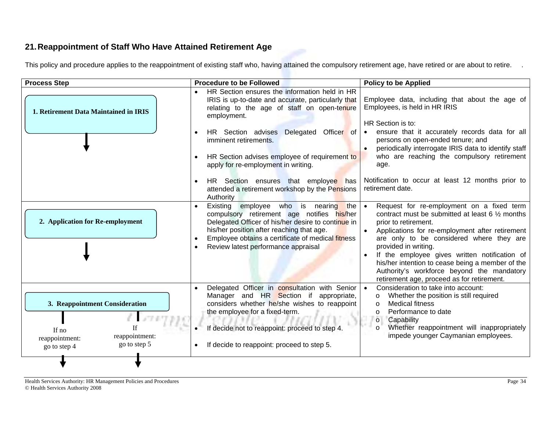# **21. Reappointment of Staff Who Have Attained Retirement Age**

This policy and procedure applies to the reappointment of existing staff who, having attained the compulsory retirement age, have retired or are about to retire.

| <b>Process Step</b>                                                                                         | <b>Procedure to be Followed</b>                                                                                                                                                                                                                                                                                                                                                                                                                                                   | <b>Policy to be Applied</b>                                                                                                                                                                                                                                                                                                                                                                                                                                         |
|-------------------------------------------------------------------------------------------------------------|-----------------------------------------------------------------------------------------------------------------------------------------------------------------------------------------------------------------------------------------------------------------------------------------------------------------------------------------------------------------------------------------------------------------------------------------------------------------------------------|---------------------------------------------------------------------------------------------------------------------------------------------------------------------------------------------------------------------------------------------------------------------------------------------------------------------------------------------------------------------------------------------------------------------------------------------------------------------|
| 1. Retirement Data Maintained in IRIS                                                                       | HR Section ensures the information held in HR<br>IRIS is up-to-date and accurate, particularly that<br>relating to the age of staff on open-tenure<br>employment.<br>HR Section advises<br>Delegated<br>Officer of<br>$\bullet$<br>imminent retirements.<br>HR Section advises employee of requirement to<br>$\bullet$<br>apply for re-employment in writing.<br>HR Section ensures that employee has<br>$\bullet$<br>attended a retirement workshop by the Pensions<br>Authority | Employee data, including that about the age of<br>Employees, is held in HR IRIS<br>HR Section is to:<br>ensure that it accurately records data for all<br>persons on open-ended tenure; and<br>periodically interrogate IRIS data to identify staff<br>who are reaching the compulsory retirement<br>age.<br>Notification to occur at least 12 months prior to<br>retirement date.                                                                                  |
| 2. Application for Re-employment                                                                            | Existing employee who is nearing<br>the<br>compulsory retirement age notifies his/her<br>Delegated Officer of his/her desire to continue in<br>his/her position after reaching that age.<br>Employee obtains a certificate of medical fitness<br>Review latest performance appraisal<br>$\bullet$                                                                                                                                                                                 | Request for re-employment on a fixed term<br>$\bullet$<br>contract must be submitted at least $6\frac{1}{2}$ months<br>prior to retirement.<br>Applications for re-employment after retirement<br>are only to be considered where they are<br>provided in writing.<br>If the employee gives written notification of<br>his/her intention to cease being a member of the<br>Authority's workforce beyond the mandatory<br>retirement age, proceed as for retirement. |
| 3. Reappointment Consideration<br>If no<br>reappointment:<br>reappointment:<br>go to step 5<br>go to step 4 | Delegated Officer in consultation with Senior   •<br>$\bullet$<br>Manager and HR Section if<br>appropriate,<br>considers whether he/she wishes to reappoint<br>the employee for a fixed-term.<br>If decide not to reappoint: proceed to step 4.<br>If decide to reappoint: proceed to step 5.                                                                                                                                                                                     | Consideration to take into account:<br>Whether the position is still required<br>$\circ$<br><b>Medical fitness</b><br>$\circ$<br>Performance to date<br>$\circ$<br>$\circ$<br>Capability<br>Whether reappointment will inappropriately<br>$\circ$<br>impede younger Caymanian employees.                                                                                                                                                                            |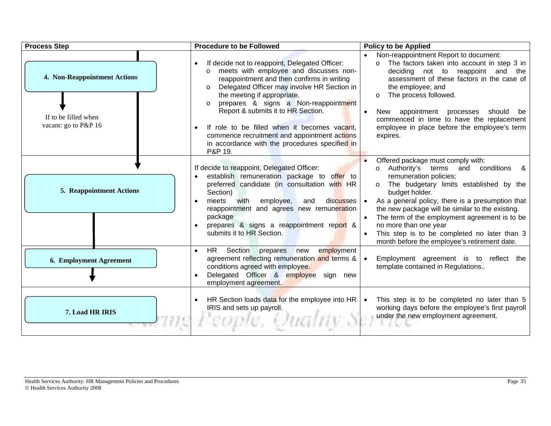| <b>Process Step</b>                                                          | <b>Procedure to be Followed</b>                                                                                                                                                                                                                                                                                                                                                                                                                                                                   | <b>Policy to be Applied</b>                                                                                                                                                                                                                                                                                                                                                                                                                                                     |
|------------------------------------------------------------------------------|---------------------------------------------------------------------------------------------------------------------------------------------------------------------------------------------------------------------------------------------------------------------------------------------------------------------------------------------------------------------------------------------------------------------------------------------------------------------------------------------------|---------------------------------------------------------------------------------------------------------------------------------------------------------------------------------------------------------------------------------------------------------------------------------------------------------------------------------------------------------------------------------------------------------------------------------------------------------------------------------|
| 4. Non-Reappointment Actions<br>If to be filled when<br>vacant: go to P&P 16 | If decide not to reappoint, Delegated Officer:<br>meets with employee and discusses non-<br>$\Omega$<br>reappointment and then confirms in writing<br>Delegated Officer may involve HR Section in<br>$\circ$<br>the meeting if appropriate.<br>prepares & signs a Non-reappointment<br>$\circ$<br>Report & submits it to HR Section.<br>If role to be filled when it becomes vacant,<br>commence recruitment and appointment actions<br>in accordance with the procedures specified in<br>P&P 19. | Non-reappointment Report to document:<br>The factors taken into account in step 3 in<br>deciding not to reappoint and<br>the<br>assessment of these factors in the case of<br>the employee; and<br>The process followed.<br>$\circ$<br>appointment processes should<br>New<br>be<br>$\bullet$<br>commenced in time to have the replacement<br>employee in place before the employee's term<br>expires.                                                                          |
| <b>5. Reappointment Actions</b>                                              | If decide to reappoint, Delegated Officer:<br>establish remuneration package to offer to<br>preferred candidate (in consultation with HR<br>Section)<br>employee,<br>meets<br>with<br>and<br>discusses   •<br>reappointment and agrees new remuneration<br>package<br>prepares & signs a reappointment report &<br>submits it to HR Section.                                                                                                                                                      | Offered package must comply with:<br>Authority's terms<br>conditions<br>and<br>&<br>$\circ$<br>remuneration policies;<br>The budgetary limits established by the<br>$\circ$<br>budget holder.<br>As a general policy, there is a presumption that<br>the new package will be similar to the existing.<br>The term of the employment agreement is to be<br>no more than one year<br>This step is to be completed no later than 3<br>month before the employee's retirement date. |
| 6. Employment Agreement                                                      | employment<br>HR.<br>Section<br>prepares<br>new<br>agreement reflecting remuneration and terms &<br>conditions agreed with employee.<br>Delegated Officer & employee sign new<br>employment agreement.                                                                                                                                                                                                                                                                                            | Employment agreement is to reflect the<br>template contained in Regulations                                                                                                                                                                                                                                                                                                                                                                                                     |
| 7. Load HR IRIS                                                              | HR Section loads data for the employee into HR  <br>IRIS and sets up payroll.                                                                                                                                                                                                                                                                                                                                                                                                                     | This step is to be completed no later than 5<br>working days before the employee's first payroll<br>under the new employment agreement.                                                                                                                                                                                                                                                                                                                                         |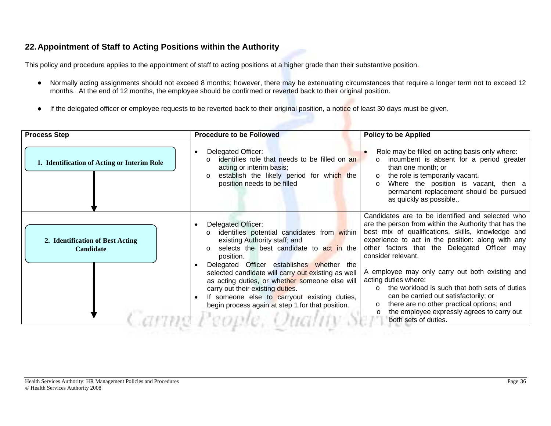# **22. Appointment of Staff to Acting Positions within the Authority**

This policy and procedure applies to the appointment of staff to acting positions at a higher grade than their substantive position.

- • Normally acting assignments should not exceed 8 months; however, there may be extenuating circumstances that require a longer term not to exceed 12 months. At the end of 12 months, the employee should be confirmed or reverted back to their original position.
- •If the delegated officer or employee requests to be reverted back to their original position, a notice of least 30 days must be given.

| <b>Process Step</b>                                  | <b>Procedure to be Followed</b>                                                                                                                                                                                                                                                                                                                                                                                                                                                  | <b>Policy to be Applied</b>                                                                                                                                                                                                                                                                                                                                                                                                                                                                                                                                                                             |
|------------------------------------------------------|----------------------------------------------------------------------------------------------------------------------------------------------------------------------------------------------------------------------------------------------------------------------------------------------------------------------------------------------------------------------------------------------------------------------------------------------------------------------------------|---------------------------------------------------------------------------------------------------------------------------------------------------------------------------------------------------------------------------------------------------------------------------------------------------------------------------------------------------------------------------------------------------------------------------------------------------------------------------------------------------------------------------------------------------------------------------------------------------------|
| 1. Identification of Acting or Interim Role          | Delegated Officer:<br>identifies role that needs to be filled on an<br>$\Omega$<br>acting or interim basis;<br>establish the likely period for which the<br>$\Omega$<br>position needs to be filled                                                                                                                                                                                                                                                                              | Role may be filled on acting basis only where:<br>incumbent is absent for a period greater<br>than one month: or<br>the role is temporarily vacant.<br>$\circ$<br>Where the position is vacant, then a<br>$\circ$<br>permanent replacement should be pursued<br>as quickly as possible                                                                                                                                                                                                                                                                                                                  |
| 2. Identification of Best Acting<br><b>Candidate</b> | Delegated Officer:<br>identifies potential candidates from within<br>$\Omega$<br>existing Authority staff; and<br>selects the best candidate to act in the<br>$\Omega$<br>position.<br>Delegated Officer establishes whether the<br>selected candidate will carry out existing as well<br>as acting duties, or whether someone else will<br>carry out their existing duties.<br>If someone else to carryout existing duties,<br>begin process again at step 1 for that position. | Candidates are to be identified and selected who<br>are the person from within the Authority that has the<br>best mix of qualifications, skills, knowledge and<br>experience to act in the position: along with any<br>other factors that the Delegated Officer may<br>consider relevant.<br>A employee may only carry out both existing and<br>acting duties where:<br>the workload is such that both sets of duties<br>can be carried out satisfactorily; or<br>there are no other practical options; and<br>$\circ$<br>the employee expressly agrees to carry out<br>$\circ$<br>both sets of duties. |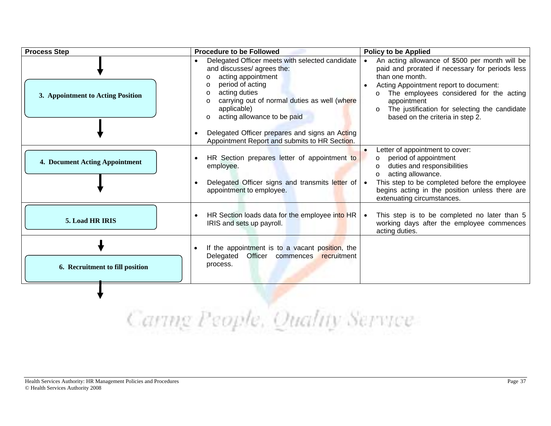| <b>Process Step</b>               | <b>Procedure to be Followed</b>                                                                                                                                                                                                                                                      | <b>Policy to be Applied</b>                                                                                                                                                                                                                                                                                                                      |
|-----------------------------------|--------------------------------------------------------------------------------------------------------------------------------------------------------------------------------------------------------------------------------------------------------------------------------------|--------------------------------------------------------------------------------------------------------------------------------------------------------------------------------------------------------------------------------------------------------------------------------------------------------------------------------------------------|
| 3. Appointment to Acting Position | Delegated Officer meets with selected candidate<br>and discusses/ agrees the:<br>acting appointment<br>period of acting<br>$\Omega$<br>acting duties<br>$\circ$<br>carrying out of normal duties as well (where<br>$\Omega$<br>applicable)<br>acting allowance to be paid<br>$\circ$ | An acting allowance of \$500 per month will be<br>paid and prorated if necessary for periods less<br>than one month.<br>Acting Appointment report to document:<br>$\bullet$<br>The employees considered for the acting<br>$\circ$<br>appointment<br>The justification for selecting the candidate<br>$\circ$<br>based on the criteria in step 2. |
|                                   | Delegated Officer prepares and signs an Acting<br>Appointment Report and submits to HR Section.                                                                                                                                                                                      |                                                                                                                                                                                                                                                                                                                                                  |
| 4. Document Acting Appointment    | HR Section prepares letter of appointment to<br>employee.<br>Delegated Officer signs and transmits letter of   •<br>appointment to employee.                                                                                                                                         | Letter of appointment to cover:<br>period of appointment<br>$\circ$<br>duties and responsibilities<br>$\circ$<br>acting allowance.<br>$\circ$<br>This step to be completed before the employee<br>begins acting in the position unless there are                                                                                                 |
| 5. Load HR IRIS                   | HR Section loads data for the employee into HR  <br>IRIS and sets up payroll.                                                                                                                                                                                                        | extenuating circumstances.<br>This step is to be completed no later than 5<br>working days after the employee commences<br>acting duties.                                                                                                                                                                                                        |
| 6. Recruitment to fill position   | If the appointment is to a vacant position, the<br>Officer<br>Delegated<br>commences recruitment<br>process.                                                                                                                                                                         |                                                                                                                                                                                                                                                                                                                                                  |
|                                   |                                                                                                                                                                                                                                                                                      |                                                                                                                                                                                                                                                                                                                                                  |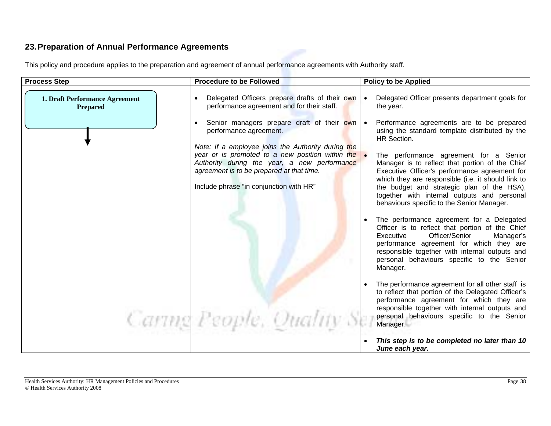### **23. Preparation of Annual Performance Agreements**

| <b>Process Step</b>                               | <b>Procedure to be Followed</b>                                                                                                                         | <b>Policy to be Applied</b>                                                                                                                                                                                                                                                                      |
|---------------------------------------------------|---------------------------------------------------------------------------------------------------------------------------------------------------------|--------------------------------------------------------------------------------------------------------------------------------------------------------------------------------------------------------------------------------------------------------------------------------------------------|
| 1. Draft Performance Agreement<br><b>Prepared</b> | Delegated Officers prepare drafts of their own<br>performance agreement and for their staff.                                                            | Delegated Officer presents department goals for<br>the year.                                                                                                                                                                                                                                     |
|                                                   | Senior managers prepare draft of their own   •<br>performance agreement.                                                                                | Performance agreements are to be prepared<br>using the standard template distributed by the<br>HR Section.                                                                                                                                                                                       |
|                                                   | Note: If a employee joins the Authority during the                                                                                                      |                                                                                                                                                                                                                                                                                                  |
|                                                   | year or is promoted to a new position within the $\bullet$<br>Authority during the year, a new performance<br>agreement is to be prepared at that time. | The performance agreement for a Senior<br>Manager is to reflect that portion of the Chief<br>Executive Officer's performance agreement for<br>which they are responsible (i.e. it should link to                                                                                                 |
|                                                   | Include phrase "in conjunction with HR"                                                                                                                 | the budget and strategic plan of the HSA),<br>together with internal outputs and personal<br>behaviours specific to the Senior Manager.                                                                                                                                                          |
|                                                   |                                                                                                                                                         | The performance agreement for a Delegated<br>Officer is to reflect that portion of the Chief<br>Officer/Senior<br>Executive<br>Manager's<br>performance agreement for which they are<br>responsible together with internal outputs and<br>personal behaviours specific to the Senior<br>Manager. |
|                                                   |                                                                                                                                                         | The performance agreement for all other staff is<br>to reflect that portion of the Delegated Officer's<br>performance agreement for which they are<br>responsible together with internal outputs and<br>personal behaviours specific to the Senior                                               |
|                                                   | Cartng People, Quality Se                                                                                                                               | Manager.                                                                                                                                                                                                                                                                                         |
|                                                   |                                                                                                                                                         | This step is to be completed no later than 10<br>June each year.                                                                                                                                                                                                                                 |

This policy and procedure applies to the preparation and agreement of annual performance agreements with Authority staff.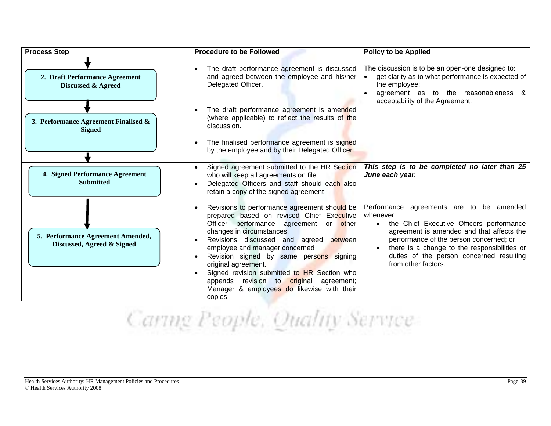| <b>Process Step</b>                                             | <b>Procedure to be Followed</b>                                                                                                                                                                                                                                                                                                                                                                                                                                      | <b>Policy to be Applied</b>                                                                                                                                                                                                                                                                                                            |
|-----------------------------------------------------------------|----------------------------------------------------------------------------------------------------------------------------------------------------------------------------------------------------------------------------------------------------------------------------------------------------------------------------------------------------------------------------------------------------------------------------------------------------------------------|----------------------------------------------------------------------------------------------------------------------------------------------------------------------------------------------------------------------------------------------------------------------------------------------------------------------------------------|
| 2. Draft Performance Agreement<br><b>Discussed &amp; Agreed</b> | The draft performance agreement is discussed<br>and agreed between the employee and his/her<br>Delegated Officer.                                                                                                                                                                                                                                                                                                                                                    | The discussion is to be an open-one designed to:<br>get clarity as to what performance is expected of<br>the employee;<br>agreement as to the reasonableness &<br>acceptability of the Agreement.                                                                                                                                      |
| 3. Performance Agreement Finalised &<br><b>Signed</b>           | The draft performance agreement is amended<br>(where applicable) to reflect the results of the<br>discussion.<br>The finalised performance agreement is signed<br>by the employee and by their Delegated Officer.                                                                                                                                                                                                                                                    |                                                                                                                                                                                                                                                                                                                                        |
| 4. Signed Performance Agreement<br><b>Submitted</b>             | Signed agreement submitted to the HR Section<br>who will keep all agreements on file<br>Delegated Officers and staff should each also<br>retain a copy of the signed agreement                                                                                                                                                                                                                                                                                       | This step is to be completed no later than 25<br>June each year.                                                                                                                                                                                                                                                                       |
| 5. Performance Agreement Amended,<br>Discussed, Agreed & Signed | Revisions to performance agreement should be<br>prepared based on revised Chief Executive<br>Officer performance agreement<br>or other<br>changes in circumstances.<br>Revisions discussed and agreed between<br>employee and manager concerned<br>Revision signed by same persons signing<br>original agreement.<br>Signed revision submitted to HR Section who<br>appends revision to original agreement;<br>Manager & employees do likewise with their<br>copies. | Performance agreements are to be amended<br>whenever:<br>the Chief Executive Officers performance<br>$\bullet$<br>agreement is amended and that affects the<br>performance of the person concerned; or<br>there is a change to the responsibilities or<br>$\bullet$<br>duties of the person concerned resulting<br>from other factors. |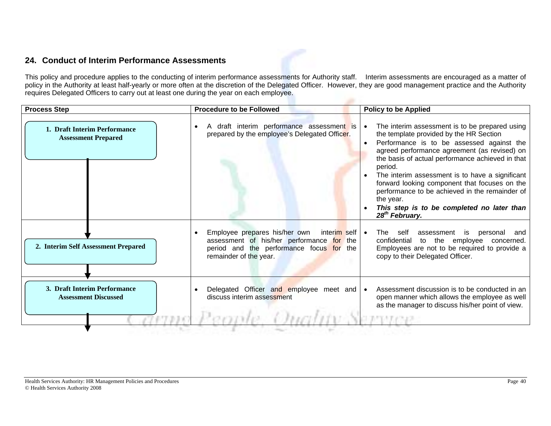### **24. Conduct of Interim Performance Assessments**

This policy and procedure applies to the conducting of interim performance assessments for Authority staff. Interim assessments are encouraged as a matter of policy in the Authority at least half-yearly or more often at the discretion of the Delegated Officer. However, they are good management practice and the Authority requires Delegated Officers to carry out at least one during the year on each employee.

| 1. Draft Interim Performance                                |                                                                                                                                                                      |                                                                                                                                                                                                                                                                                                                                                                                                                                                                                                                   |
|-------------------------------------------------------------|----------------------------------------------------------------------------------------------------------------------------------------------------------------------|-------------------------------------------------------------------------------------------------------------------------------------------------------------------------------------------------------------------------------------------------------------------------------------------------------------------------------------------------------------------------------------------------------------------------------------------------------------------------------------------------------------------|
| <b>Assessment Prepared</b>                                  | A draft interim performance assessment is<br>prepared by the employee's Delegated Officer.                                                                           | The interim assessment is to be prepared using<br>the template provided by the HR Section<br>Performance is to be assessed against the<br>$\bullet$<br>agreed performance agreement (as revised) on<br>the basis of actual performance achieved in that<br>period.<br>The interim assessment is to have a significant<br>forward looking component that focuses on the<br>performance to be achieved in the remainder of<br>the year.<br>This step is to be completed no later than<br>28 <sup>th</sup> February. |
| 2. Interim Self Assessment Prepared                         | Employee prepares his/her own<br>interim self   •<br>assessment of his/her performance for the<br>period and the performance focus for the<br>remainder of the year. | The<br>self<br>assessment<br>is<br>personal<br>and<br>confidential<br>to the employee<br>concerned.<br>Employees are not to be required to provide a<br>copy to their Delegated Officer.                                                                                                                                                                                                                                                                                                                          |
| 3. Draft Interim Performance<br><b>Assessment Discussed</b> | Delegated Officer and employee meet and $\bullet$<br>discuss interim assessment                                                                                      | Assessment discussion is to be conducted in an<br>open manner which allows the employee as well<br>as the manager to discuss his/her point of view.                                                                                                                                                                                                                                                                                                                                                               |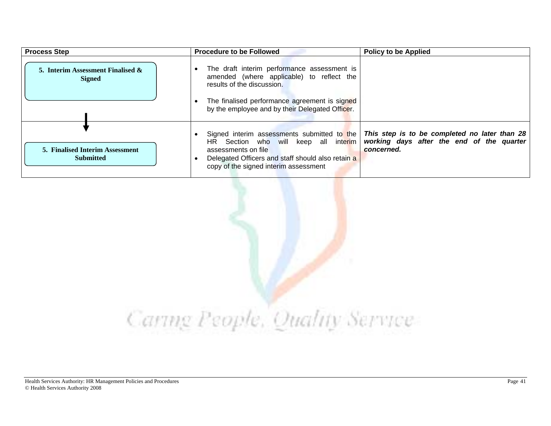| <b>Process Step</b>                                        | <b>Procedure to be Followed</b>                                                                                                                                                                          | <b>Policy to be Applied</b>                                                                              |
|------------------------------------------------------------|----------------------------------------------------------------------------------------------------------------------------------------------------------------------------------------------------------|----------------------------------------------------------------------------------------------------------|
| 5. Interim Assessment Finalised $\&$<br><b>Signed</b>      | The draft interim performance assessment is<br>amended (where applicable) to reflect the<br>results of the discussion.                                                                                   |                                                                                                          |
|                                                            | The finalised performance agreement is signed<br>by the employee and by their Delegated Officer.                                                                                                         |                                                                                                          |
| <b>5. Finalised Interim Assessment</b><br><b>Submitted</b> | Signed interim assessments submitted to the<br>HR Section who will keep all interim<br>assessments on file<br>Delegated Officers and staff should also retain a<br>copy of the signed interim assessment | This step is to be completed no later than 28<br>working days after the end of the quarter<br>concerned. |

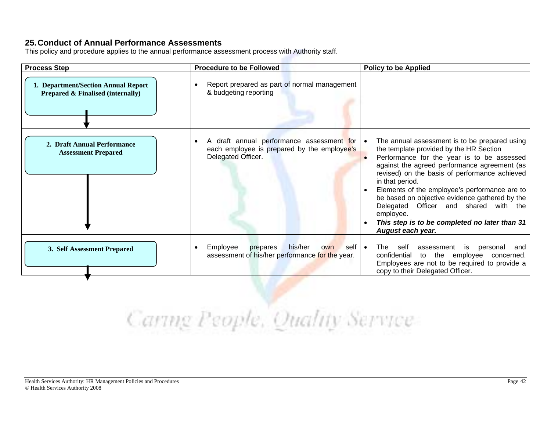#### **25. Conduct of Annual Performance Assessments**

This policy and procedure applies to the annual performance assessment process with Authority staff.

| <b>Process Step</b>                                                                 | <b>Procedure to be Followed</b>                                                                                          | <b>Policy to be Applied</b>                                                                                                                                                                                                                                                                                                                                                                                                                                                               |
|-------------------------------------------------------------------------------------|--------------------------------------------------------------------------------------------------------------------------|-------------------------------------------------------------------------------------------------------------------------------------------------------------------------------------------------------------------------------------------------------------------------------------------------------------------------------------------------------------------------------------------------------------------------------------------------------------------------------------------|
| 1. Department/Section Annual Report<br><b>Prepared &amp; Finalised (internally)</b> | Report prepared as part of normal management<br>& budgeting reporting                                                    |                                                                                                                                                                                                                                                                                                                                                                                                                                                                                           |
| 2. Draft Annual Performance<br><b>Assessment Prepared</b>                           | A draft annual performance assessment for $\bullet$<br>each employee is prepared by the employee's<br>Delegated Officer. | The annual assessment is to be prepared using<br>the template provided by the HR Section<br>Performance for the year is to be assessed<br>against the agreed performance agreement (as<br>revised) on the basis of performance achieved<br>in that period.<br>Elements of the employee's performance are to<br>be based on objective evidence gathered by the<br>Delegated Officer and shared with the<br>employee.<br>This step is to be completed no later than 31<br>August each year. |
| 3. Self Assessment Prepared                                                         | his/her<br>Employee<br>self $\cdot$<br>prepares<br>own<br>$\bullet$<br>assessment of his/her performance for the year.   | self<br>The<br>assessment<br>personal<br>is<br>and<br>confidential<br>to the employee<br>concerned.<br>Employees are not to be required to provide a<br>copy to their Delegated Officer.                                                                                                                                                                                                                                                                                                  |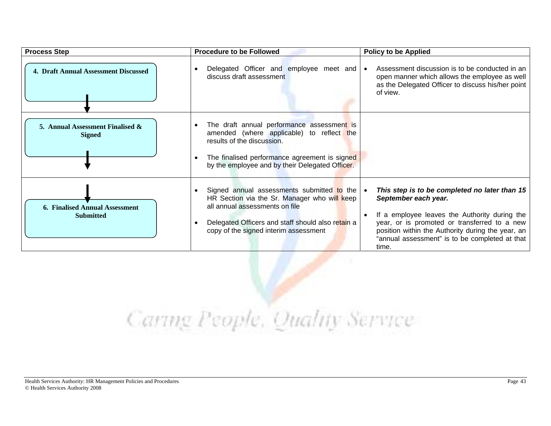| <b>Process Step</b>                                       | <b>Procedure to be Followed</b>                                                                                                                                                                                              | <b>Policy to be Applied</b>                                                                                                                                                                                                                                                            |
|-----------------------------------------------------------|------------------------------------------------------------------------------------------------------------------------------------------------------------------------------------------------------------------------------|----------------------------------------------------------------------------------------------------------------------------------------------------------------------------------------------------------------------------------------------------------------------------------------|
| 4. Draft Annual Assessment Discussed                      | Delegated Officer and employee meet and .<br>discuss draft assessment                                                                                                                                                        | Assessment discussion is to be conducted in an<br>open manner which allows the employee as well<br>as the Delegated Officer to discuss his/her point<br>of view.                                                                                                                       |
| 5. Annual Assessment Finalised &<br><b>Signed</b>         | The draft annual performance assessment is<br>amended (where applicable) to reflect the<br>results of the discussion.<br>The finalised performance agreement is signed<br>by the employee and by their Delegated Officer.    |                                                                                                                                                                                                                                                                                        |
| <b>6. Finalised Annual Assessment</b><br><b>Submitted</b> | Signed annual assessments submitted to the  <br>HR Section via the Sr. Manager who will keep<br>all annual assessments on file<br>Delegated Officers and staff should also retain a<br>copy of the signed interim assessment | This step is to be completed no later than 15<br>September each year.<br>If a employee leaves the Authority during the<br>year, or is promoted or transferred to a new<br>position within the Authority during the year, an<br>"annual assessment" is to be completed at that<br>time. |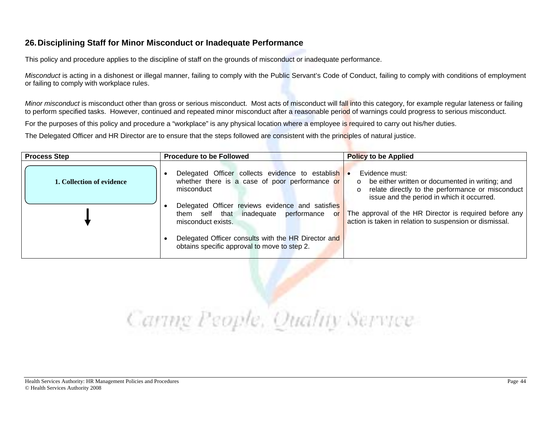### **26. Disciplining Staff for Minor Misconduct or Inadequate Performance**

This policy and procedure applies to the discipline of staff on the grounds of misconduct or inadequate performance.

*Misconduct* is acting in a dishonest or illegal manner, failing to comply with the Public Servant's Code of Conduct, failing to comply with conditions of employment or failing to comply with workplace rules.

*Minor misconduct* is misconduct other than gross or serious misconduct. Most acts of misconduct will fall into this category, for example regular lateness or failing to perform specified tasks. However, continued and repeated minor misconduct after a reasonable period of warnings could progress to serious misconduct.

For the purposes of this policy and procedure a "workplace" is any physical location where a employee is required to carry out his/her duties.

The Delegated Officer and HR Director are to ensure that the steps followed are consistent with the principles of natural justice.

| <b>Process Step</b>       | <b>Procedure to be Followed</b>                                                                                                                                                                                                           | <b>Policy to be Applied</b>                                                                                                                                                                                                                                                                               |
|---------------------------|-------------------------------------------------------------------------------------------------------------------------------------------------------------------------------------------------------------------------------------------|-----------------------------------------------------------------------------------------------------------------------------------------------------------------------------------------------------------------------------------------------------------------------------------------------------------|
| 1. Collection of evidence | Delegated Officer collects evidence to establish<br>whether there is a case of poor performance or<br>misconduct<br>Delegated Officer reviews evidence and satisfies<br>them self that inadequate performance<br>or<br>misconduct exists. | Evidence must:<br>$\bullet$<br>o be either written or documented in writing; and<br>o relate directly to the performance or misconduct<br>issue and the period in which it occurred.<br>The approval of the HR Director is required before any<br>action is taken in relation to suspension or dismissal. |
|                           | Delegated Officer consults with the HR Director and<br>obtains specific approval to move to step 2.                                                                                                                                       |                                                                                                                                                                                                                                                                                                           |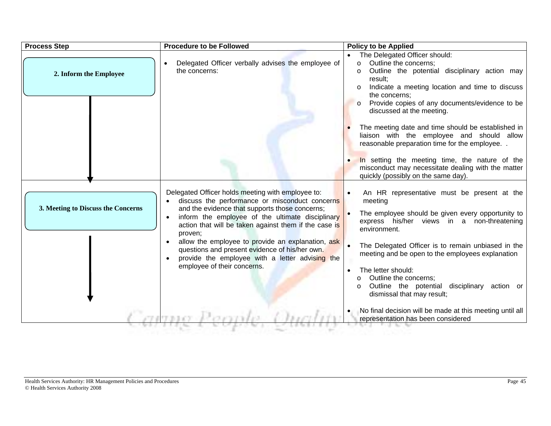| <b>Process Step</b>                | <b>Procedure to be Followed</b>                                                                                                                                                                                                                                                                                                                                                                                                                                        | <b>Policy to be Applied</b>                                                                                                                                                                                                                                                                                                                                                                                                                         |
|------------------------------------|------------------------------------------------------------------------------------------------------------------------------------------------------------------------------------------------------------------------------------------------------------------------------------------------------------------------------------------------------------------------------------------------------------------------------------------------------------------------|-----------------------------------------------------------------------------------------------------------------------------------------------------------------------------------------------------------------------------------------------------------------------------------------------------------------------------------------------------------------------------------------------------------------------------------------------------|
| 2. Inform the Employee             | Delegated Officer verbally advises the employee of<br>the concerns:                                                                                                                                                                                                                                                                                                                                                                                                    | The Delegated Officer should:<br>Outline the concerns;<br>$\circ$<br>Outline the potential disciplinary action may<br>$\circ$<br>result;<br>Indicate a meeting location and time to discuss<br>the concerns;                                                                                                                                                                                                                                        |
|                                    |                                                                                                                                                                                                                                                                                                                                                                                                                                                                        | Provide copies of any documents/evidence to be<br>$\circ$<br>discussed at the meeting.<br>The meeting date and time should be established in<br>liaison with the employee and should allow<br>reasonable preparation time for the employee                                                                                                                                                                                                          |
|                                    |                                                                                                                                                                                                                                                                                                                                                                                                                                                                        | In setting the meeting time, the nature of the<br>misconduct may necessitate dealing with the matter<br>quickly (possibly on the same day).                                                                                                                                                                                                                                                                                                         |
| 3. Meeting to Discuss the Concerns | Delegated Officer holds meeting with employee to:<br>discuss the performance or misconduct concerns<br>and the evidence that supports those concerns;<br>inform the employee of the ultimate disciplinary<br>action that will be taken against them if the case is<br>proven;<br>allow the employee to provide an explanation, ask<br>questions and present evidence of his/her own.<br>provide the employee with a letter advising the<br>employee of their concerns. | An HR representative must be present at the<br>meeting<br>The employee should be given every opportunity to<br>express his/her views in a non-threatening<br>environment.<br>The Delegated Officer is to remain unbiased in the<br>meeting and be open to the employees explanation<br>The letter should:<br>$\bullet$<br>Outline the concerns;<br>$\circ$<br>Outline the potential disciplinary action or<br>$\circ$<br>dismissal that may result; |
|                                    |                                                                                                                                                                                                                                                                                                                                                                                                                                                                        | No final decision will be made at this meeting until all<br>representation has been considered                                                                                                                                                                                                                                                                                                                                                      |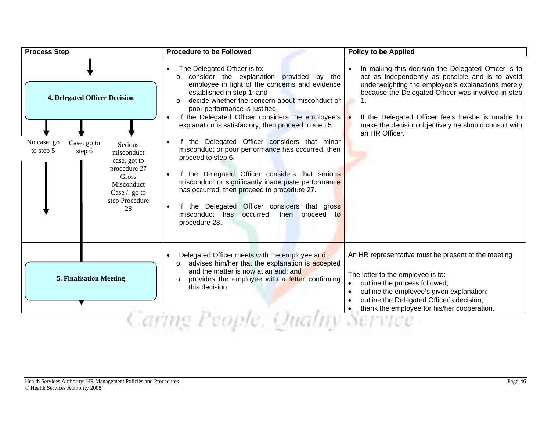| <b>Process Step</b>                                                                                                                                                                                                   | <b>Procedure to be Followed</b>                                                                                                                                                                                                                                                                                                                                                                                                                                                                                                                                                                                                                                                                                                                                         | <b>Policy to be Applied</b>                                                                                                                                                                                                                                                                                                                        |
|-----------------------------------------------------------------------------------------------------------------------------------------------------------------------------------------------------------------------|-------------------------------------------------------------------------------------------------------------------------------------------------------------------------------------------------------------------------------------------------------------------------------------------------------------------------------------------------------------------------------------------------------------------------------------------------------------------------------------------------------------------------------------------------------------------------------------------------------------------------------------------------------------------------------------------------------------------------------------------------------------------------|----------------------------------------------------------------------------------------------------------------------------------------------------------------------------------------------------------------------------------------------------------------------------------------------------------------------------------------------------|
| <b>4. Delegated Officer Decision</b><br>No case: go<br>Case: go to<br>Serious<br>to step 5<br>step 6<br>misconduct<br>case, got to<br>procedure 27<br>Gross<br>Misconduct<br>Case $/$ : go to<br>step Procedure<br>28 | The Delegated Officer is to:<br>consider the explanation provided by the<br>$\Omega$<br>employee in light of the concerns and evidence<br>established in step 1; and<br>decide whether the concern about misconduct or<br>poor performance is justified.<br>If the Delegated Officer considers the employee's<br>explanation is satisfactory, then proceed to step 5.<br>If the Delegated Officer considers that minor<br>misconduct or poor performance has occurred, then<br>proceed to step 6.<br>If the Delegated Officer considers that serious<br>misconduct or significantly inadequate performance<br>has occurred, then proceed to procedure 27.<br>If the Delegated Officer considers that gross<br>misconduct has occurred, then proceed to<br>procedure 28. | In making this decision the Delegated Officer is to<br>act as independently as possible and is to avoid<br>underweighting the employee's explanations merely<br>because the Delegated Officer was involved in step<br>If the Delegated Officer feels he/she is unable to<br>make the decision objectively he should consult with<br>an HR Officer. |
| <b>5. Finalisation Meeting</b>                                                                                                                                                                                        | Delegated Officer meets with the employee and:<br>advises him/her that the explanation is accepted<br>and the matter is now at an end; and<br>provides the employee with a letter confirming<br>this decision.                                                                                                                                                                                                                                                                                                                                                                                                                                                                                                                                                          | An HR representative must be present at the meeting<br>The letter to the employee is to:<br>outline the process followed;<br>$\bullet$<br>outline the employee's given explanation;<br>$\bullet$<br>outline the Delegated Officer's decision;<br>thank the employee for his/her cooperation.                                                       |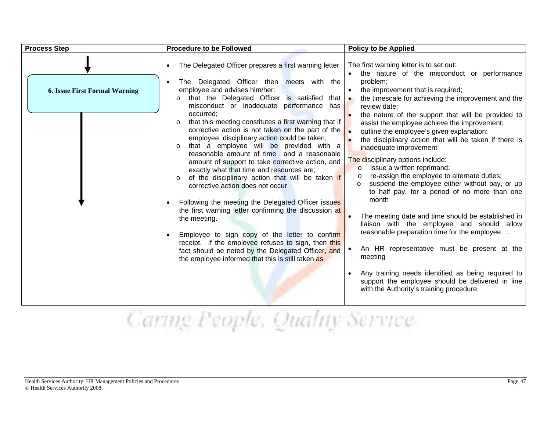| <b>Process Step</b>                  | <b>Procedure to be Followed</b>                                                                                                                                                                                                                                                                                                                                                                                                                                                                                                                                                                                                                                                                                                                                                                                                                                                                                                                                                                                                                                                                               | <b>Policy to be Applied</b>                                                                                                                                                                                                                                                                                                                                                                                                                                                                                                                                                                                                                                                                                                                                                                                                                                                                                                                                                                                                                                                                                            |
|--------------------------------------|---------------------------------------------------------------------------------------------------------------------------------------------------------------------------------------------------------------------------------------------------------------------------------------------------------------------------------------------------------------------------------------------------------------------------------------------------------------------------------------------------------------------------------------------------------------------------------------------------------------------------------------------------------------------------------------------------------------------------------------------------------------------------------------------------------------------------------------------------------------------------------------------------------------------------------------------------------------------------------------------------------------------------------------------------------------------------------------------------------------|------------------------------------------------------------------------------------------------------------------------------------------------------------------------------------------------------------------------------------------------------------------------------------------------------------------------------------------------------------------------------------------------------------------------------------------------------------------------------------------------------------------------------------------------------------------------------------------------------------------------------------------------------------------------------------------------------------------------------------------------------------------------------------------------------------------------------------------------------------------------------------------------------------------------------------------------------------------------------------------------------------------------------------------------------------------------------------------------------------------------|
| <b>6. Issue First Formal Warning</b> | The Delegated Officer prepares a first warning letter<br>The Delegated Officer then meets with the<br>employee and advises him/her:<br>that the Delegated Officer is satisfied<br>that $\vert \bullet \vert$<br>$\circ$<br>misconduct or inadequate performance<br>has<br>occurred;<br>that this meeting constitutes a first warning that if<br>$\circ$<br>corrective action is not taken on the part of the<br>employee, disciplinary action could be taken;<br>that a employee will be provided with a<br>$\circ$<br>reasonable amount of time and a reasonable<br>amount of support to take corrective action, and<br>exactly what that time and resources are;<br>of the disciplinary action that will be taken if<br>corrective action does not occur<br>Following the meeting the Delegated Officer issues<br>the first warning letter confirming the discussion at<br>the meeting.<br>Employee to sign copy of the letter to confirm<br>receipt. If the employee refuses to sign, then this<br>fact should be noted by the Delegated Officer, and<br>the employee informed that this is still taken as | The first warning letter is to set out:<br>the nature of the misconduct or performance<br>$\bullet$<br>problem;<br>the improvement that is required;<br>the timescale for achieving the improvement and the<br>review date;<br>the nature of the support that will be provided to<br>$\bullet$<br>assist the employee achieve the improvement;<br>outline the employee's given explanation;<br>$\bullet$<br>the disciplinary action that will be taken if there is<br>inadequate improvement<br>The disciplinary options include:<br>issue a written reprimand;<br>$\circ$<br>re-assign the employee to alternate duties;<br>suspend the employee either without pay, or up<br>to half pay, for a period of no more than one<br>month<br>The meeting date and time should be established in<br>liaison with the employee and should allow<br>reasonable preparation time for the employee<br>An HR representative must be present at the<br>meeting<br>Any training needs identified as being required to<br>$\bullet$<br>support the employee should be delivered in line<br>with the Authority's training procedure. |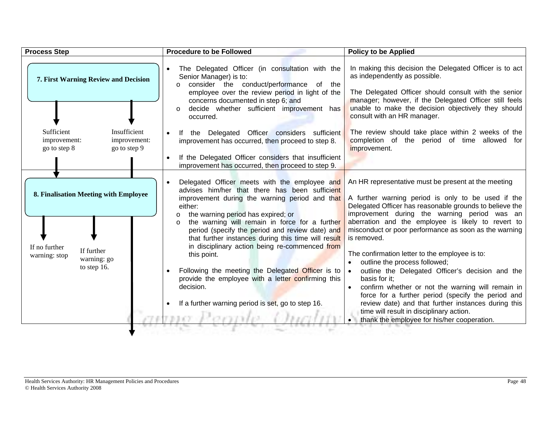| <b>Process Step</b>                                                                                                 | <b>Procedure to be Followed</b>                                                                                                                                                                                                                                                                                                                                                                                                                                                                                                                                                                                                     | <b>Policy to be Applied</b>                                                                                                                                                                                                                                                                                                                                                                                                                                                                                                                                                                                                                                                                                                                                             |
|---------------------------------------------------------------------------------------------------------------------|-------------------------------------------------------------------------------------------------------------------------------------------------------------------------------------------------------------------------------------------------------------------------------------------------------------------------------------------------------------------------------------------------------------------------------------------------------------------------------------------------------------------------------------------------------------------------------------------------------------------------------------|-------------------------------------------------------------------------------------------------------------------------------------------------------------------------------------------------------------------------------------------------------------------------------------------------------------------------------------------------------------------------------------------------------------------------------------------------------------------------------------------------------------------------------------------------------------------------------------------------------------------------------------------------------------------------------------------------------------------------------------------------------------------------|
| 7. First Warning Review and Decision                                                                                | The Delegated Officer (in consultation with the<br>Senior Manager) is to:<br>consider the conduct/performance of the<br>$\circ$<br>employee over the review period in light of the<br>concerns documented in step 6; and<br>decide whether sufficient improvement has<br>$\circ$<br>occurred.                                                                                                                                                                                                                                                                                                                                       | In making this decision the Delegated Officer is to act<br>as independently as possible.<br>The Delegated Officer should consult with the senior<br>manager; however, if the Delegated Officer still feels<br>unable to make the decision objectively they should<br>consult with an HR manager.                                                                                                                                                                                                                                                                                                                                                                                                                                                                        |
| Sufficient<br>Insufficient<br>improvement:<br>improvement:<br>go to step 8<br>go to step 9                          | If the Delegated Officer considers sufficient<br>improvement has occurred, then proceed to step 8.<br>If the Delegated Officer considers that insufficient<br>improvement has occurred, then proceed to step 9.                                                                                                                                                                                                                                                                                                                                                                                                                     | The review should take place within 2 weeks of the<br>completion of the period of time allowed for<br>improvement.                                                                                                                                                                                                                                                                                                                                                                                                                                                                                                                                                                                                                                                      |
| 8. Finalisation Meeting with Employee<br>If no further<br>If further<br>warning: stop<br>warning: go<br>to step 16. | Delegated Officer meets with the employee and<br>advises him/her that there has been sufficient<br>improvement during the warning period and that<br>either:<br>the warning period has expired; or<br>$\circ$<br>the warning will remain in force for a further<br>$\circ$<br>period (specify the period and review date) and<br>that further instances during this time will result<br>in disciplinary action being re-commenced from<br>this point.<br>Following the meeting the Delegated Officer is to<br>provide the employee with a letter confirming this<br>decision.<br>If a further warning period is set, go to step 16. | An HR representative must be present at the meeting<br>A further warning period is only to be used if the<br>Delegated Officer has reasonable grounds to believe the<br>improvement during the warning period was an<br>aberration and the employee is likely to revert to<br>misconduct or poor performance as soon as the warning<br>is removed.<br>The confirmation letter to the employee is to:<br>outline the process followed;<br>outline the Delegated Officer's decision and the<br>basis for it;<br>confirm whether or not the warning will remain in<br>force for a further period (specify the period and<br>review date) and that further instances during this<br>time will result in disciplinary action.<br>thank the employee for his/her cooperation. |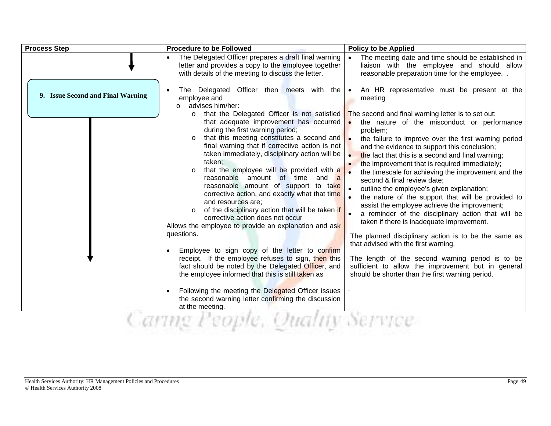| <b>Process Step</b>               | <b>Procedure to be Followed</b>                                                                                                                                                                                                                                                                                                                                                                                                                                                                                                                                                                                                                                                                                                                                                                                                                                                                                                                                                                                                                                                                                                                                                                                                                                                         | <b>Policy to be Applied</b>                                                                                                                                                                                                                                                                                                                                                                                                                                                                                                                                                                                                                                                                                                                                                                                                                                                                                                                                                                                                                                 |
|-----------------------------------|-----------------------------------------------------------------------------------------------------------------------------------------------------------------------------------------------------------------------------------------------------------------------------------------------------------------------------------------------------------------------------------------------------------------------------------------------------------------------------------------------------------------------------------------------------------------------------------------------------------------------------------------------------------------------------------------------------------------------------------------------------------------------------------------------------------------------------------------------------------------------------------------------------------------------------------------------------------------------------------------------------------------------------------------------------------------------------------------------------------------------------------------------------------------------------------------------------------------------------------------------------------------------------------------|-------------------------------------------------------------------------------------------------------------------------------------------------------------------------------------------------------------------------------------------------------------------------------------------------------------------------------------------------------------------------------------------------------------------------------------------------------------------------------------------------------------------------------------------------------------------------------------------------------------------------------------------------------------------------------------------------------------------------------------------------------------------------------------------------------------------------------------------------------------------------------------------------------------------------------------------------------------------------------------------------------------------------------------------------------------|
|                                   | The Delegated Officer prepares a draft final warning<br>letter and provides a copy to the employee together<br>with details of the meeting to discuss the letter.                                                                                                                                                                                                                                                                                                                                                                                                                                                                                                                                                                                                                                                                                                                                                                                                                                                                                                                                                                                                                                                                                                                       | The meeting date and time should be established in<br>liaison with the employee and should allow<br>reasonable preparation time for the employee                                                                                                                                                                                                                                                                                                                                                                                                                                                                                                                                                                                                                                                                                                                                                                                                                                                                                                            |
| 9. Issue Second and Final Warning | The Delegated Officer then meets with the $\bullet$<br>employee and<br>advises him/her:<br>$\Omega$<br>that the Delegated Officer is not satisfied<br>$\Omega$<br>that adequate improvement has occurred<br>during the first warning period;<br>that this meeting constitutes a second and<br>final warning that if corrective action is not<br>taken immediately, disciplinary action will be<br>taken:<br>that the employee will be provided with a<br>$\circ$<br>reasonable amount of time and a<br>reasonable amount of support to take<br>corrective action, and exactly what that time<br>and resources are;<br>of the disciplinary action that will be taken if<br>$\circ$<br>corrective action does not occur<br>Allows the employee to provide an explanation and ask<br>questions.<br>Employee to sign copy of the letter to confirm<br>receipt. If the employee refuses to sign, then this<br>fact should be noted by the Delegated Officer, and<br>the employee informed that this is still taken as<br>Following the meeting the Delegated Officer issues<br>the second warning letter confirming the discussion<br>at the meeting.<br>en compositor de la compositor de la compositor de la compositor de la compositor de la compositor de<br>the control and control of | An HR representative must be present at the<br>meeting<br>The second and final warning letter is to set out:<br>the nature of the misconduct or performance<br>problem;<br>the failure to improve over the first warning period<br>and the evidence to support this conclusion;<br>the fact that this is a second and final warning;<br>$\bullet$<br>the improvement that is required immediately;<br>$\bullet$<br>the timescale for achieving the improvement and the<br>second & final review date;<br>outline the employee's given explanation;<br>the nature of the support that will be provided to<br>assist the employee achieve the improvement;<br>a reminder of the disciplinary action that will be<br>taken if there is inadequate improvement.<br>The planned disciplinary action is to be the same as<br>that advised with the first warning.<br>The length of the second warning period is to be<br>sufficient to allow the improvement but in general<br>should be shorter than the first warning period.<br>A 21 YEAR OLD A 20 A 210 A 220 |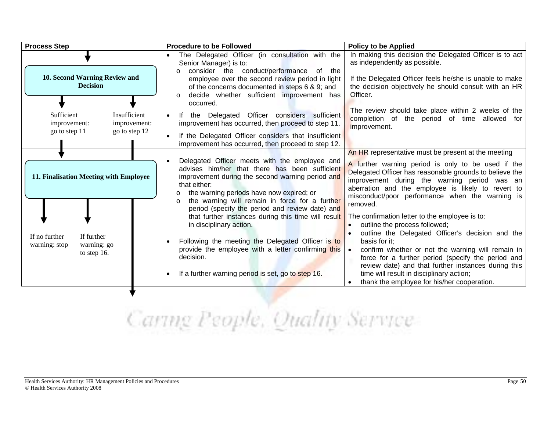| <b>Process Step</b>                                                                                                     | <b>Procedure to be Followed</b>                                                                                                                                                                                                                                                                                                                                                                                                                                                                                                                                                                                        | <b>Policy to be Applied</b>                                                                                                                                                                                                                                                                                                                                                                                                                                                                                                                                                                                                                                                                                                                                    |
|-------------------------------------------------------------------------------------------------------------------------|------------------------------------------------------------------------------------------------------------------------------------------------------------------------------------------------------------------------------------------------------------------------------------------------------------------------------------------------------------------------------------------------------------------------------------------------------------------------------------------------------------------------------------------------------------------------------------------------------------------------|----------------------------------------------------------------------------------------------------------------------------------------------------------------------------------------------------------------------------------------------------------------------------------------------------------------------------------------------------------------------------------------------------------------------------------------------------------------------------------------------------------------------------------------------------------------------------------------------------------------------------------------------------------------------------------------------------------------------------------------------------------------|
| 10. Second Warning Review and<br><b>Decision</b><br>Sufficient<br>Insufficient<br>improvement:<br>improvement:          | The Delegated Officer (in consultation with the<br>Senior Manager) is to:<br>consider the conduct/performance of the<br>$\Omega$<br>employee over the second review period in light<br>of the concerns documented in steps 6 & 9; and<br>decide whether sufficient improvement has<br>$\circ$<br>occurred.<br>If the Delegated Officer considers sufficient<br>improvement has occurred, then proceed to step 11.                                                                                                                                                                                                      | In making this decision the Delegated Officer is to act<br>as independently as possible.<br>If the Delegated Officer feels he/she is unable to make<br>the decision objectively he should consult with an HR<br>Officer.<br>The review should take place within 2 weeks of the<br>completion of the period of time allowed for<br>improvement.                                                                                                                                                                                                                                                                                                                                                                                                                 |
| go to step 11<br>go to step 12                                                                                          | If the Delegated Officer considers that insufficient<br>improvement has occurred, then proceed to step 12.                                                                                                                                                                                                                                                                                                                                                                                                                                                                                                             |                                                                                                                                                                                                                                                                                                                                                                                                                                                                                                                                                                                                                                                                                                                                                                |
| 11. Finalisation Meeting with Employee<br>If further<br>If no further<br>warning: go<br>warning: stop<br>to step $16$ . | Delegated Officer meets with the employee and<br>advises him/her that there has been sufficient<br>improvement during the second warning period and<br>that either:<br>the warning periods have now expired; or<br>the warning will remain in force for a further<br>$\circ$<br>period (specify the period and review date) and<br>that further instances during this time will result<br>in disciplinary action.<br>Following the meeting the Delegated Officer is to<br>provide the employee with a letter confirming this $\bullet$<br>decision.<br>If a further warning period is set, go to step 16.<br>$\bullet$ | An HR representative must be present at the meeting<br>A further warning period is only to be used if the<br>Delegated Officer has reasonable grounds to believe the<br>improvement during the warning period was an<br>aberration and the employee is likely to revert to<br>misconduct/poor performance when the warning is<br>removed.<br>The confirmation letter to the employee is to:<br>outline the process followed;<br>outline the Delegated Officer's decision and the<br>basis for it:<br>confirm whether or not the warning will remain in<br>force for a further period (specify the period and<br>review date) and that further instances during this<br>time will result in disciplinary action;<br>thank the employee for his/her cooperation. |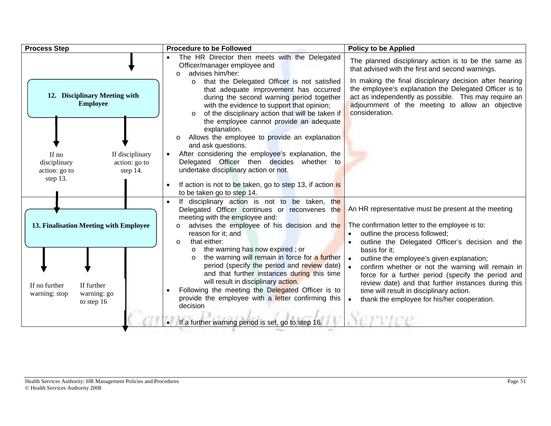| <b>Process Step</b>                                                                                | <b>Procedure to be Followed</b>                                                                                                                                                                                                                                                                                                                                                                                                                                                                                                | <b>Policy to be Applied</b>                                                                                                                                                                                                                                                                                                                                                                                                                                            |
|----------------------------------------------------------------------------------------------------|--------------------------------------------------------------------------------------------------------------------------------------------------------------------------------------------------------------------------------------------------------------------------------------------------------------------------------------------------------------------------------------------------------------------------------------------------------------------------------------------------------------------------------|------------------------------------------------------------------------------------------------------------------------------------------------------------------------------------------------------------------------------------------------------------------------------------------------------------------------------------------------------------------------------------------------------------------------------------------------------------------------|
| 12. Disciplinary Meeting with<br><b>Employee</b>                                                   | The HR Director then meets with the Delegated<br>Officer/manager employee and<br>advises him/her:<br>that the Delegated Officer is not satisfied<br>$\circ$<br>that adequate improvement has occurred<br>during the second warning period together<br>with the evidence to support that opinion;<br>of the disciplinary action that will be taken if                                                                                                                                                                           | The planned disciplinary action is to be the same as<br>that advised with the first and second warnings.<br>In making the final disciplinary decision after hearing<br>the employee's explanation the Delegated Officer is to<br>act as independently as possible. This may require an<br>adjournment of the meeting to allow an objective<br>consideration.                                                                                                           |
| If disciplinary<br>If no<br>action: go to<br>disciplinary<br>step 14.<br>action: go to<br>step 13. | the employee cannot provide an adequate<br>explanation.<br>Allows the employee to provide an explanation<br>$\circ$<br>and ask questions.<br>After considering the employee's explanation, the<br>Delegated Officer then decides whether to<br>undertake disciplinary action or not.<br>If action is not to be taken, go to step 13, if action is<br>to be taken go to step 14.                                                                                                                                                |                                                                                                                                                                                                                                                                                                                                                                                                                                                                        |
| 13. Finalisation Meeting with Employee<br>If no further<br>If further                              | If disciplinary action is not to be taken, the<br>Delegated Officer continues or reconvenes the<br>meeting with the employee and:<br>advises the employee of his decision and the<br>reason for it; and<br>that either:<br>$\circ$<br>the warning has now expired; or<br>$\circ$<br>the warning will remain in force for a further<br>period (specify the period and review date)  <br>and that further instances during this time<br>will result in disciplinary action.<br>Following the meeting the Delegated Officer is to | An HR representative must be present at the meeting<br>The confirmation letter to the employee is to:<br>outline the process followed;<br>outline the Delegated Officer's decision and the<br>basis for it:<br>outline the employee's given explanation;<br>confirm whether or not the warning will remain in<br>force for a further period (specify the period and<br>review date) and that further instances during this<br>time will result in disciplinary action. |
| warning: go<br>warning: stop<br>to step 16                                                         | provide the employee with a letter confirming this<br>decision<br>If a further warning period is set, go to step 16.                                                                                                                                                                                                                                                                                                                                                                                                           | thank the employee for his/her cooperation.                                                                                                                                                                                                                                                                                                                                                                                                                            |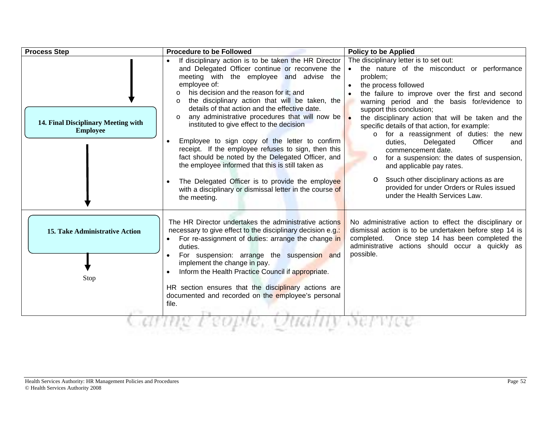| <b>Process Step</b>                                    | <b>Procedure to be Followed</b>                                                                                                                                                                                                                                                                                                                                                                                                                                                                                                                                                                                                                                                                                                                                                               | <b>Policy to be Applied</b>                                                                                                                                                                                                                                                                                                                                                                                                                                                                                                                                                                                                                                                                                         |
|--------------------------------------------------------|-----------------------------------------------------------------------------------------------------------------------------------------------------------------------------------------------------------------------------------------------------------------------------------------------------------------------------------------------------------------------------------------------------------------------------------------------------------------------------------------------------------------------------------------------------------------------------------------------------------------------------------------------------------------------------------------------------------------------------------------------------------------------------------------------|---------------------------------------------------------------------------------------------------------------------------------------------------------------------------------------------------------------------------------------------------------------------------------------------------------------------------------------------------------------------------------------------------------------------------------------------------------------------------------------------------------------------------------------------------------------------------------------------------------------------------------------------------------------------------------------------------------------------|
| 14. Final Disciplinary Meeting with<br><b>Employee</b> | If disciplinary action is to be taken the HR Director<br>and Delegated Officer continue or reconvene the<br>meeting with the employee and advise the<br>employee of:<br>his decision and the reason for it; and<br>$\circ$<br>the disciplinary action that will be taken, the<br>details of that action and the effective date.<br>any administrative procedures that will now be<br>$\circ$<br>instituted to give effect to the decision<br>Employee to sign copy of the letter to confirm<br>receipt. If the employee refuses to sign, then this<br>fact should be noted by the Delegated Officer, and<br>the employee informed that this is still taken as<br>The Delegated Officer is to provide the employee<br>with a disciplinary or dismissal letter in the course of<br>the meeting. | The disciplinary letter is to set out:<br>the nature of the misconduct or performance<br>problem;<br>the process followed<br>$\bullet$<br>the failure to improve over the first and second<br>warning period and the basis for/evidence to<br>support this conclusion;<br>the disciplinary action that will be taken and the<br>specific details of that action, for example:<br>o for a reassignment of duties: the new<br>Officer<br>duties,<br>Delegated<br>and<br>commencement date.<br>for a suspension: the dates of suspension,<br>$\circ$<br>and applicable pay rates.<br>Ssuch other disciplinary actions as are<br>$\circ$<br>provided for under Orders or Rules issued<br>under the Health Services Law. |
| <b>15. Take Administrative Action</b><br>Stop          | The HR Director undertakes the administrative actions<br>necessary to give effect to the disciplinary decision e.g.:<br>• For re-assignment of duties: arrange the change in<br>duties.<br>For suspension: arrange the suspension and<br>implement the change in pay.<br>Inform the Health Practice Council if appropriate.<br>$\bullet$<br>HR section ensures that the disciplinary actions are<br>documented and recorded on the employee's personal<br>file.                                                                                                                                                                                                                                                                                                                               | No administrative action to effect the disciplinary or<br>dismissal action is to be undertaken before step 14 is<br>completed. Once step 14 has been completed the<br>administrative actions should occur a quickly as<br>possible.                                                                                                                                                                                                                                                                                                                                                                                                                                                                                 |
|                                                        |                                                                                                                                                                                                                                                                                                                                                                                                                                                                                                                                                                                                                                                                                                                                                                                               |                                                                                                                                                                                                                                                                                                                                                                                                                                                                                                                                                                                                                                                                                                                     |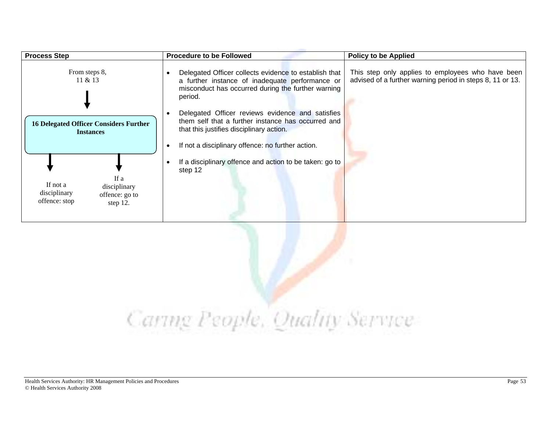| <b>Process Step</b>                                                                                | <b>Procedure to be Followed</b>                                                                                                                                                                         | <b>Policy to be Applied</b>                                                                                    |
|----------------------------------------------------------------------------------------------------|---------------------------------------------------------------------------------------------------------------------------------------------------------------------------------------------------------|----------------------------------------------------------------------------------------------------------------|
| From steps 8,<br>11 & 213                                                                          | Delegated Officer collects evidence to establish that<br>a further instance of inadequate performance or<br>misconduct has occurred during the further warning<br>period.                               | This step only applies to employees who have been<br>advised of a further warning period in steps 8, 11 or 13. |
| <b>16 Delegated Officer Considers Further</b><br><b>Instances</b>                                  | Delegated Officer reviews evidence and satisfies<br>them self that a further instance has occurred and<br>that this justifies disciplinary action.<br>If not a disciplinary offence: no further action. |                                                                                                                |
| If a<br>If not a<br>disciplinary<br>disciplinary<br>offence: go to<br>offence: stop<br>step $12$ . | If a disciplinary offence and action to be taken: go to<br>step 12                                                                                                                                      |                                                                                                                |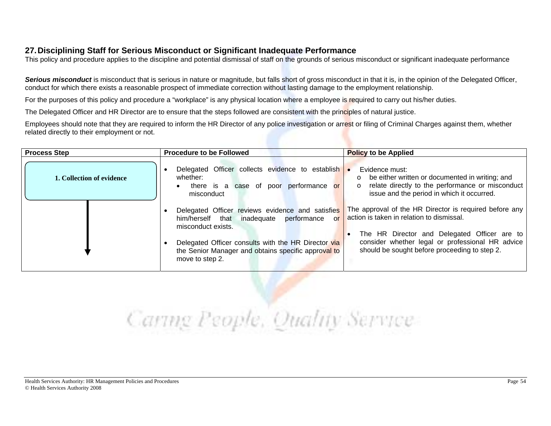### **27. Disciplining Staff for Serious Misconduct or Significant Inadequate Performance**

This policy and procedure applies to the discipline and potential dismissal of staff on the grounds of serious misconduct or significant inadequate performance

Serious misconduct is misconduct that is serious in nature or magnitude, but falls short of gross misconduct in that it is, in the opinion of the Delegated Officer, conduct for which there exists a reasonable prospect of immediate correction without lasting damage to the employment relationship.

For the purposes of this policy and procedure a "workplace" is any physical location where a employee is required to carry out his/her duties.

The Delegated Officer and HR Director are to ensure that the steps followed are consistent with the principles of natural justice.

Employees should note that they are required to inform the HR Director of any police investigation or arrest or filing of Criminal Charges against them, whether related directly to their employment or not.

| <b>Process Step</b>       | <b>Procedure to be Followed</b>                                                                                               | <b>Policy to be Applied</b>                                                                                                                                                                             |
|---------------------------|-------------------------------------------------------------------------------------------------------------------------------|---------------------------------------------------------------------------------------------------------------------------------------------------------------------------------------------------------|
| 1. Collection of evidence | Delegated Officer collects evidence to establish .<br>whether:<br>there is a case of poor performance or<br>misconduct        | Evidence must:<br>$\circ$ be either written or documented in writing; and<br>relate directly to the performance or misconduct<br>$\circ$<br>issue and the period in which it occurred.                  |
|                           | Delegated Officer reviews evidence and satisfies<br>him/herself that inadequate performance<br>or<br>misconduct exists.       | The approval of the HR Director is required before any<br>action is taken in relation to dismissal.<br>The HR Director and Delegated Officer are to<br>consider whether legal or professional HR advice |
|                           | Delegated Officer consults with the HR Director via<br>the Senior Manager and obtains specific approval to<br>move to step 2. | should be sought before proceeding to step 2.                                                                                                                                                           |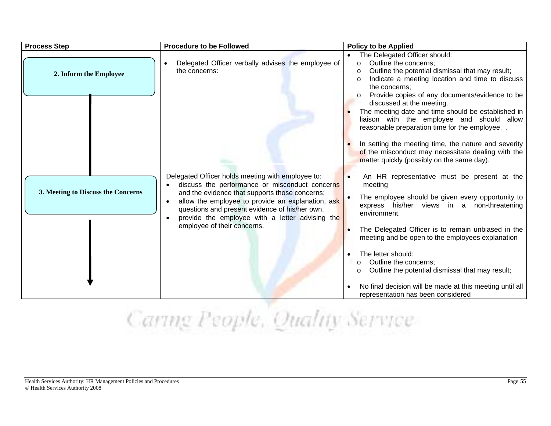| <b>Process Step</b>                | <b>Procedure to be Followed</b>                                                                                                                                                                                                                                                                                                                             | <b>Policy to be Applied</b>                                                                                                                                                                                                                                                                                                                                                                                                                                                                         |
|------------------------------------|-------------------------------------------------------------------------------------------------------------------------------------------------------------------------------------------------------------------------------------------------------------------------------------------------------------------------------------------------------------|-----------------------------------------------------------------------------------------------------------------------------------------------------------------------------------------------------------------------------------------------------------------------------------------------------------------------------------------------------------------------------------------------------------------------------------------------------------------------------------------------------|
| 2. Inform the Employee             | Delegated Officer verbally advises the employee of<br>$\bullet$<br>the concerns:                                                                                                                                                                                                                                                                            | The Delegated Officer should:<br>Outline the concerns:<br>$\Omega$<br>Outline the potential dismissal that may result;<br>$\circ$<br>Indicate a meeting location and time to discuss<br>the concerns:<br>Provide copies of any documents/evidence to be                                                                                                                                                                                                                                             |
|                                    |                                                                                                                                                                                                                                                                                                                                                             | discussed at the meeting.<br>The meeting date and time should be established in<br>liaison with the employee and should allow<br>reasonable preparation time for the employee<br>In setting the meeting time, the nature and severity<br>of the misconduct may necessitate dealing with the<br>matter quickly (possibly on the same day).                                                                                                                                                           |
| 3. Meeting to Discuss the Concerns | Delegated Officer holds meeting with employee to:<br>discuss the performance or misconduct concerns<br>and the evidence that supports those concerns;<br>allow the employee to provide an explanation, ask<br>$\bullet$<br>questions and present evidence of his/her own.<br>provide the employee with a letter advising the<br>employee of their concerns. | An HR representative must be present at the<br>meeting<br>The employee should be given every opportunity to<br>express his/her views in a non-threatening<br>environment.<br>The Delegated Officer is to remain unbiased in the<br>meeting and be open to the employees explanation<br>The letter should:<br>Outline the concerns;<br>$\circ$<br>Outline the potential dismissal that may result;<br>No final decision will be made at this meeting until all<br>representation has been considered |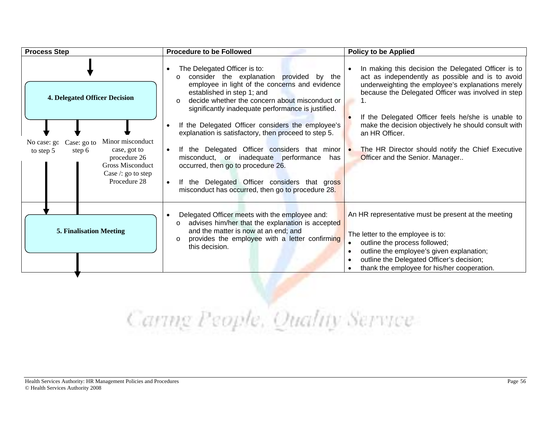| <b>Process Step</b>                                                                                                                                                                                     | <b>Procedure to be Followed</b>                                                                                                                                                                                                                                                                                                                                                                                                                                                                                                                                                                                                                                          | <b>Policy to be Applied</b>                                                                                                                                                                                                                                                                                                                                                                                                                |
|---------------------------------------------------------------------------------------------------------------------------------------------------------------------------------------------------------|--------------------------------------------------------------------------------------------------------------------------------------------------------------------------------------------------------------------------------------------------------------------------------------------------------------------------------------------------------------------------------------------------------------------------------------------------------------------------------------------------------------------------------------------------------------------------------------------------------------------------------------------------------------------------|--------------------------------------------------------------------------------------------------------------------------------------------------------------------------------------------------------------------------------------------------------------------------------------------------------------------------------------------------------------------------------------------------------------------------------------------|
| <b>4. Delegated Officer Decision</b><br>Minor misconduct<br>Case: go to<br>No case: go<br>case, got to<br>to step 5<br>step 6<br>procedure 26<br>Gross Misconduct<br>Case /: go to step<br>Procedure 28 | The Delegated Officer is to:<br>consider the explanation provided by the<br>$\circ$<br>employee in light of the concerns and evidence<br>established in step 1; and<br>decide whether the concern about misconduct or<br>$\Omega$<br>significantly inadequate performance is justified.<br>If the Delegated Officer considers the employee's<br>explanation is satisfactory, then proceed to step 5.<br>If the Delegated Officer considers that minor $\bullet$<br>$\bullet$<br>misconduct, or inadequate performance<br>has<br>occurred, then go to procedure 26.<br>If the Delegated Officer considers that gross<br>misconduct has occurred, then go to procedure 28. | In making this decision the Delegated Officer is to<br>act as independently as possible and is to avoid<br>underweighting the employee's explanations merely<br>because the Delegated Officer was involved in step<br>If the Delegated Officer feels he/she is unable to<br>make the decision objectively he should consult with<br>an HR Officer.<br>The HR Director should notify the Chief Executive<br>Officer and the Senior. Manager |
| <b>5. Finalisation Meeting</b>                                                                                                                                                                          | Delegated Officer meets with the employee and:<br>advises him/her that the explanation is accepted<br>$\circ$<br>and the matter is now at an end; and<br>provides the employee with a letter confirming<br>this decision.                                                                                                                                                                                                                                                                                                                                                                                                                                                | An HR representative must be present at the meeting<br>The letter to the employee is to:<br>outline the process followed;<br>outline the employee's given explanation;<br>outline the Delegated Officer's decision;<br>thank the employee for his/her cooperation.                                                                                                                                                                         |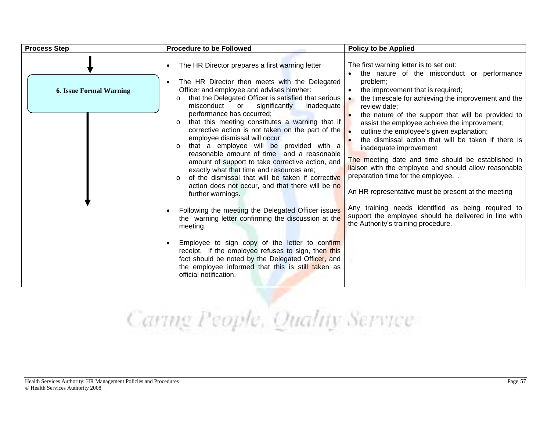| <b>Process Step</b>            | <b>Procedure to be Followed</b>                                                                                                                                                                                                                                                                                                                                                                                                                                                                                                                                                                                                                                                                                                                  | <b>Policy to be Applied</b>                                                                                                                                                                                                                                                                                                                                                                                                                                                                                                                                                                                                                                                |
|--------------------------------|--------------------------------------------------------------------------------------------------------------------------------------------------------------------------------------------------------------------------------------------------------------------------------------------------------------------------------------------------------------------------------------------------------------------------------------------------------------------------------------------------------------------------------------------------------------------------------------------------------------------------------------------------------------------------------------------------------------------------------------------------|----------------------------------------------------------------------------------------------------------------------------------------------------------------------------------------------------------------------------------------------------------------------------------------------------------------------------------------------------------------------------------------------------------------------------------------------------------------------------------------------------------------------------------------------------------------------------------------------------------------------------------------------------------------------------|
| <b>6. Issue Formal Warning</b> | The HR Director prepares a first warning letter<br>$\bullet$<br>The HR Director then meets with the Delegated<br>Officer and employee and advises him/her:<br>that the Delegated Officer is satisfied that serious<br>$\circ$<br>misconduct<br>or<br>significantly<br>inadequate<br>performance has occurred;<br>that this meeting constitutes a warning that if<br>$\circ$<br>employee dismissal will occur;<br>that a employee will be provided with a<br>$\circ$<br>reasonable amount of time and a reasonable<br>amount of support to take corrective action, and<br>exactly what that time and resources are;<br>of the dismissal that will be taken if corrective<br>action does not occur, and that there will be no<br>further warnings. | The first warning letter is to set out:<br>the nature of the misconduct or performance<br>problem;<br>the improvement that is required;<br>$\bullet$<br>the timescale for achieving the improvement and the<br>review date:<br>the nature of the support that will be provided to<br>assist the employee achieve the improvement;<br>outline the employee's given explanation;<br>the dismissal action that will be taken if there is<br>inadequate improvement<br>The meeting date and time should be established in<br>liaison with the employee and should allow reasonable<br>preparation time for the employee<br>An HR representative must be present at the meeting |
|                                | Following the meeting the Delegated Officer issues<br>the warning letter confirming the discussion at the<br>meeting.                                                                                                                                                                                                                                                                                                                                                                                                                                                                                                                                                                                                                            | Any training needs identified as being required to<br>support the employee should be delivered in line with<br>the Authority's training procedure.                                                                                                                                                                                                                                                                                                                                                                                                                                                                                                                         |
|                                | Employee to sign copy of the letter to confirm<br>receipt. If the employee refuses to sign, then this<br>fact should be noted by the Delegated Officer, and<br>the employee informed that this is still taken as<br>official notification.                                                                                                                                                                                                                                                                                                                                                                                                                                                                                                       |                                                                                                                                                                                                                                                                                                                                                                                                                                                                                                                                                                                                                                                                            |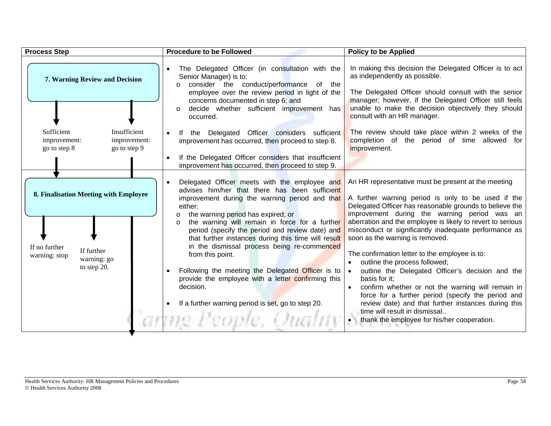| <b>Process Step</b>                                                                                                 | <b>Procedure to be Followed</b>                                                                                                                                                                                                                                                                                                                                                                                                                                                                                                                                                                                                                                             | <b>Policy to be Applied</b>                                                                                                                                                                                                                                                                                                                                                                                                                                                                                                                                                                                                                                                                                                                                                                           |
|---------------------------------------------------------------------------------------------------------------------|-----------------------------------------------------------------------------------------------------------------------------------------------------------------------------------------------------------------------------------------------------------------------------------------------------------------------------------------------------------------------------------------------------------------------------------------------------------------------------------------------------------------------------------------------------------------------------------------------------------------------------------------------------------------------------|-------------------------------------------------------------------------------------------------------------------------------------------------------------------------------------------------------------------------------------------------------------------------------------------------------------------------------------------------------------------------------------------------------------------------------------------------------------------------------------------------------------------------------------------------------------------------------------------------------------------------------------------------------------------------------------------------------------------------------------------------------------------------------------------------------|
| 7. Warning Review and Decision                                                                                      | The Delegated Officer (in consultation with the<br>Senior Manager) is to:<br>consider the conduct/performance of the<br>employee over the review period in light of the<br>concerns documented in step 6; and<br>decide whether sufficient improvement has<br>occurred.                                                                                                                                                                                                                                                                                                                                                                                                     | In making this decision the Delegated Officer is to act<br>as independently as possible.<br>The Delegated Officer should consult with the senior<br>manager; however, if the Delegated Officer still feels<br>unable to make the decision objectively they should<br>consult with an HR manager.                                                                                                                                                                                                                                                                                                                                                                                                                                                                                                      |
| Insufficient<br>Sufficient<br>improvement:<br>improvement:<br>go to step 9<br>go to step 8                          | the Delegated Officer considers sufficient<br>lf.<br>improvement has occurred, then proceed to step 8.<br>If the Delegated Officer considers that insufficient<br>improvement has occurred, then proceed to step 9.                                                                                                                                                                                                                                                                                                                                                                                                                                                         | The review should take place within 2 weeks of the<br>completion of the period of time allowed for<br>improvement.                                                                                                                                                                                                                                                                                                                                                                                                                                                                                                                                                                                                                                                                                    |
| 8. Finalisation Meeting with Employee<br>If no further<br>If further<br>warning: stop<br>warning: go<br>to step 20. | Delegated Officer meets with the employee and<br>advises him/her that there has been sufficient<br>improvement during the warning period and that<br>either:<br>the warning period has expired; or<br>$\circ$<br>the warning will remain in force for a further<br>$\Omega$<br>period (specify the period and review date) and<br>that further instances during this time will result<br>in the dismissal process being re-commenced<br>from this point.<br>Following the meeting the Delegated Officer is to<br>provide the employee with a letter confirming this<br>decision.<br>If a further warning period is set, go to step 20.<br>$\bullet$<br>armg People, Quality | An HR representative must be present at the meeting<br>A further warning period is only to be used if the<br>Delegated Officer has reasonable grounds to believe the<br>improvement during the warning period was an<br>aberration and the employee is likely to revert to serious<br>misconduct or significantly inadequate performance as<br>soon as the warning is removed.<br>The confirmation letter to the employee is to:<br>outline the process followed;<br>outline the Delegated Officer's decision and the<br>basis for it;<br>confirm whether or not the warning will remain in<br>force for a further period (specify the period and<br>review date) and that further instances during this<br>time will result in dismissal<br>$\bullet$<br>thank the employee for his/her cooperation. |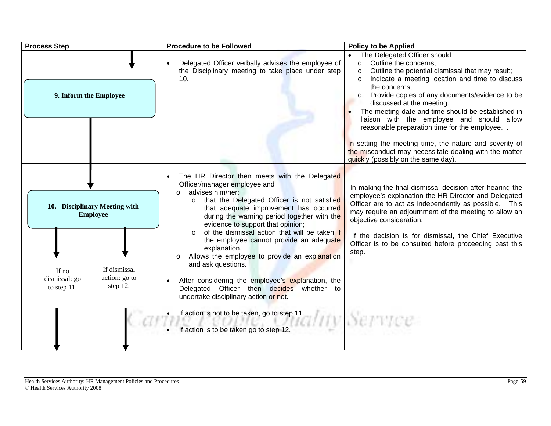| <b>Process Step</b>                                                                                                                    | <b>Procedure to be Followed</b>                                                                                                                                                                                                                                                                                                                                                                                                                                                                                                                                                                                                                                                                                                                     | <b>Policy to be Applied</b>                                                                                                                                                                                                                                                                                                                                                                                                                                                                                        |
|----------------------------------------------------------------------------------------------------------------------------------------|-----------------------------------------------------------------------------------------------------------------------------------------------------------------------------------------------------------------------------------------------------------------------------------------------------------------------------------------------------------------------------------------------------------------------------------------------------------------------------------------------------------------------------------------------------------------------------------------------------------------------------------------------------------------------------------------------------------------------------------------------------|--------------------------------------------------------------------------------------------------------------------------------------------------------------------------------------------------------------------------------------------------------------------------------------------------------------------------------------------------------------------------------------------------------------------------------------------------------------------------------------------------------------------|
| 9. Inform the Employee                                                                                                                 | Delegated Officer verbally advises the employee of<br>the Disciplinary meeting to take place under step<br>10.                                                                                                                                                                                                                                                                                                                                                                                                                                                                                                                                                                                                                                      | The Delegated Officer should:<br>Outline the concerns;<br>$\circ$<br>Outline the potential dismissal that may result;<br>$\Omega$<br>Indicate a meeting location and time to discuss<br>$\Omega$<br>the concerns:<br>Provide copies of any documents/evidence to be<br>discussed at the meeting.<br>The meeting date and time should be established in<br>liaison with the employee and should allow<br>reasonable preparation time for the employee. .<br>In setting the meeting time, the nature and severity of |
|                                                                                                                                        |                                                                                                                                                                                                                                                                                                                                                                                                                                                                                                                                                                                                                                                                                                                                                     | the misconduct may necessitate dealing with the matter<br>quickly (possibly on the same day).                                                                                                                                                                                                                                                                                                                                                                                                                      |
| 10. Disciplinary Meeting with<br><b>Employee</b><br>If dismissal<br>If no<br>action: go to<br>dismissal: go<br>step 12.<br>to step 11. | The HR Director then meets with the Delegated<br>Officer/manager employee and<br>advises him/her:<br>$\circ$<br>that the Delegated Officer is not satisfied<br>$\Omega$<br>that adequate improvement has occurred<br>during the warning period together with the<br>evidence to support that opinion;<br>of the dismissal action that will be taken if<br>$\cap$<br>the employee cannot provide an adequate<br>explanation.<br>Allows the employee to provide an explanation<br>$\circ$<br>and ask questions.<br>After considering the employee's explanation, the<br>Delegated Officer then decides whether to<br>undertake disciplinary action or not.<br>If action is not to be taken, go to step 11.<br>If action is to be taken go to step 12. | In making the final dismissal decision after hearing the<br>employee's explanation the HR Director and Delegated<br>Officer are to act as independently as possible. This<br>may require an adjournment of the meeting to allow an<br>objective consideration.<br>If the decision is for dismissal, the Chief Executive<br>Officer is to be consulted before proceeding past this<br>step.                                                                                                                         |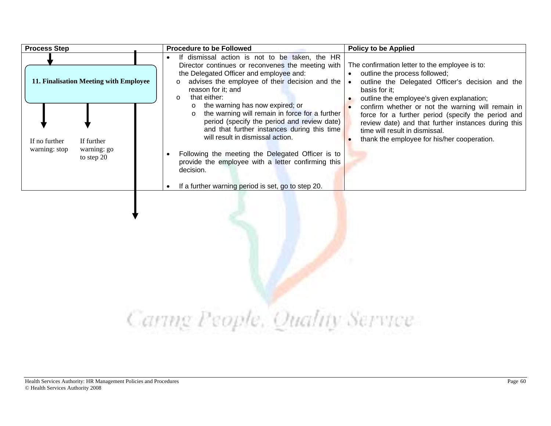| <b>Process Step</b>                                                       | <b>Procedure to be Followed</b>                                                                                                                                                                                                                                                                                                                                                                              | <b>Policy to be Applied</b>                                                                                                                                                                                                                     |
|---------------------------------------------------------------------------|--------------------------------------------------------------------------------------------------------------------------------------------------------------------------------------------------------------------------------------------------------------------------------------------------------------------------------------------------------------------------------------------------------------|-------------------------------------------------------------------------------------------------------------------------------------------------------------------------------------------------------------------------------------------------|
| 11. Finalisation Meeting with Employee                                    | If dismissal action is not to be taken, the HR<br>$\bullet$<br>Director continues or reconvenes the meeting with<br>the Delegated Officer and employee and:<br>advises the employee of their decision and the $\vert \bullet \vert$<br>$\Omega$<br>reason for it; and<br>that either:<br>$\circ$                                                                                                             | The confirmation letter to the employee is to:<br>outline the process followed;<br>$\bullet$<br>outline the Delegated Officer's decision and the<br>basis for it:<br>outline the employee's given explanation;                                  |
| If further<br>If no further<br>warning: stop<br>warning: go<br>to step 20 | the warning has now expired; or<br>the warning will remain in force for a further<br>$\circ$<br>period (specify the period and review date)<br>and that further instances during this time<br>will result in dismissal action.<br>Following the meeting the Delegated Officer is to<br>provide the employee with a letter confirming this<br>decision.<br>If a further warning period is set, go to step 20. | confirm whether or not the warning will remain in<br>force for a further period (specify the period and<br>review date) and that further instances during this<br>time will result in dismissal.<br>thank the employee for his/her cooperation. |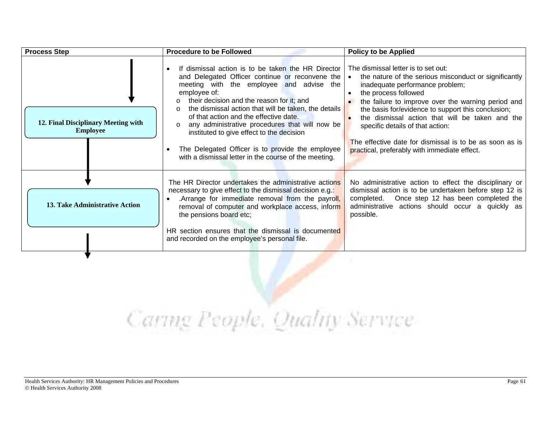| <b>Process Step</b>                                    | <b>Procedure to be Followed</b>                                                                                                                                                                                                                                                                                                                                                                                                                                                                                              | <b>Policy to be Applied</b>                                                                                                                                                                                                                                                                                                                                                                                                                                           |
|--------------------------------------------------------|------------------------------------------------------------------------------------------------------------------------------------------------------------------------------------------------------------------------------------------------------------------------------------------------------------------------------------------------------------------------------------------------------------------------------------------------------------------------------------------------------------------------------|-----------------------------------------------------------------------------------------------------------------------------------------------------------------------------------------------------------------------------------------------------------------------------------------------------------------------------------------------------------------------------------------------------------------------------------------------------------------------|
| 12. Final Disciplinary Meeting with<br><b>Employee</b> | If dismissal action is to be taken the HR Director<br>and Delegated Officer continue or reconvene the<br>meeting with the employee and advise the<br>employee of:<br>their decision and the reason for it; and<br>the dismissal action that will be taken, the details<br>of that action and the effective date.<br>any administrative procedures that will now be<br>instituted to give effect to the decision<br>The Delegated Officer is to provide the employee<br>with a dismissal letter in the course of the meeting. | The dismissal letter is to set out:<br>the nature of the serious misconduct or significantly<br>inadequate performance problem;<br>the process followed<br>the failure to improve over the warning period and<br>the basis for/evidence to support this conclusion;<br>the dismissal action that will be taken and the<br>specific details of that action:<br>The effective date for dismissal is to be as soon as is<br>practical, preferably with immediate effect. |
| 13. Take Administrative Action                         | The HR Director undertakes the administrative actions<br>necessary to give effect to the dismissal decision e.g.:<br>Arrange for immediate removal from the payroll,<br>removal of computer and workplace access, inform<br>the pensions board etc;<br>HR section ensures that the dismissal is documented<br>and recorded on the employee's personal file.                                                                                                                                                                  | No administrative action to effect the disciplinary or<br>dismissal action is to be undertaken before step 12 is<br>completed. Once step 12 has been completed the<br>administrative actions should occur a quickly as<br>possible.                                                                                                                                                                                                                                   |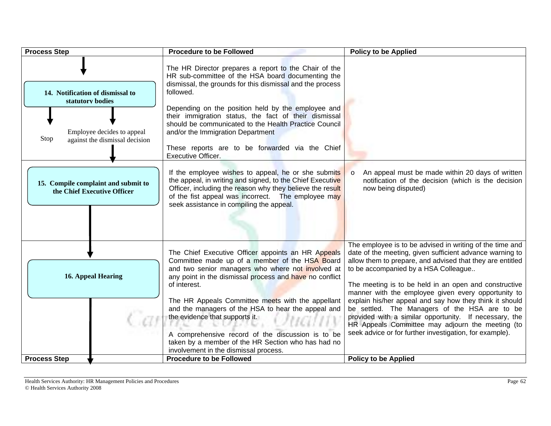| <b>Process Step</b>                                                                                                          | <b>Procedure to be Followed</b>                                                                                                                                                                                                                                                                                                                                                                                                                                                                                                       | <b>Policy to be Applied</b>                                                                                                                                                                                                                                                                                                                                                                                                                                                                                                                                                                                                    |
|------------------------------------------------------------------------------------------------------------------------------|---------------------------------------------------------------------------------------------------------------------------------------------------------------------------------------------------------------------------------------------------------------------------------------------------------------------------------------------------------------------------------------------------------------------------------------------------------------------------------------------------------------------------------------|--------------------------------------------------------------------------------------------------------------------------------------------------------------------------------------------------------------------------------------------------------------------------------------------------------------------------------------------------------------------------------------------------------------------------------------------------------------------------------------------------------------------------------------------------------------------------------------------------------------------------------|
| 14. Notification of dismissal to<br>statutory bodies<br>Employee decides to appeal<br>Stop<br>against the dismissal decision | The HR Director prepares a report to the Chair of the<br>HR sub-committee of the HSA board documenting the<br>dismissal, the grounds for this dismissal and the process<br>followed.<br>Depending on the position held by the employee and<br>their immigration status, the fact of their dismissal<br>should be communicated to the Health Practice Council<br>and/or the Immigration Department<br>These reports are to be forwarded via the Chief<br>Executive Officer.                                                            |                                                                                                                                                                                                                                                                                                                                                                                                                                                                                                                                                                                                                                |
| 15. Compile complaint and submit to<br>the Chief Executive Officer                                                           | If the employee wishes to appeal, he or she submits<br>the appeal, in writing and signed, to the Chief Executive<br>Officer, including the reason why they believe the result<br>of the fist appeal was incorrect. The employee may<br>seek assistance in compiling the appeal.                                                                                                                                                                                                                                                       | An appeal must be made within 20 days of written<br>$\circ$<br>notification of the decision (which is the decision<br>now being disputed)                                                                                                                                                                                                                                                                                                                                                                                                                                                                                      |
| <b>16. Appeal Hearing</b>                                                                                                    | The Chief Executive Officer appoints an HR Appeals<br>Committee made up of a member of the HSA Board<br>and two senior managers who where not involved at<br>any point in the dismissal process and have no conflict<br>of interest.<br>The HR Appeals Committee meets with the appellant<br>and the managers of the HSA to hear the appeal and<br>the evidence that supports it.<br>A comprehensive record of the discussion is to be<br>taken by a member of the HR Section who has had no<br>involvement in the dismissal process. | The employee is to be advised in writing of the time and<br>date of the meeting, given sufficient advance warning to<br>allow them to prepare, and advised that they are entitled<br>to be accompanied by a HSA Colleague<br>The meeting is to be held in an open and constructive<br>manner with the employee given every opportunity to<br>explain his/her appeal and say how they think it should<br>be settled. The Managers of the HSA are to be<br>provided with a similar opportunity. If necessary, the<br>HR Appeals Committee may adjourn the meeting (to<br>seek advice or for further investigation, for example). |
| <b>Process Step</b>                                                                                                          | <b>Procedure to be Followed</b>                                                                                                                                                                                                                                                                                                                                                                                                                                                                                                       | <b>Policy to be Applied</b>                                                                                                                                                                                                                                                                                                                                                                                                                                                                                                                                                                                                    |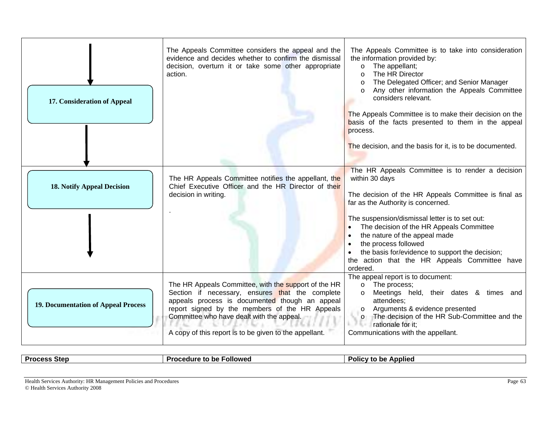| 17. Consideration of Appeal                | The Appeals Committee considers the appeal and the<br>evidence and decides whether to confirm the dismissal<br>decision, overturn it or take some other appropriate<br>action.                                                                                                                                     | The Appeals Committee is to take into consideration<br>the information provided by:<br>The appellant;<br>$\circ$<br>The HR Director<br>$\Omega$<br>The Delegated Officer; and Senior Manager<br>$\circ$<br>Any other information the Appeals Committee<br>considers relevant.<br>The Appeals Committee is to make their decision on the<br>basis of the facts presented to them in the appeal<br>process. |
|--------------------------------------------|--------------------------------------------------------------------------------------------------------------------------------------------------------------------------------------------------------------------------------------------------------------------------------------------------------------------|-----------------------------------------------------------------------------------------------------------------------------------------------------------------------------------------------------------------------------------------------------------------------------------------------------------------------------------------------------------------------------------------------------------|
|                                            | The HR Appeals Committee notifies the appellant, the                                                                                                                                                                                                                                                               | The decision, and the basis for it, is to be documented.<br>The HR Appeals Committee is to render a decision<br>within 30 days                                                                                                                                                                                                                                                                            |
| <b>18. Notify Appeal Decision</b>          | Chief Executive Officer and the HR Director of their<br>decision in writing.                                                                                                                                                                                                                                       | The decision of the HR Appeals Committee is final as<br>far as the Authority is concerned.                                                                                                                                                                                                                                                                                                                |
|                                            |                                                                                                                                                                                                                                                                                                                    | The suspension/dismissal letter is to set out:<br>The decision of the HR Appeals Committee<br>the nature of the appeal made<br>$\bullet$<br>the process followed<br>$\bullet$<br>the basis for/evidence to support the decision;<br>the action that the HR Appeals Committee have<br>ordered.                                                                                                             |
| <b>19. Documentation of Appeal Process</b> | The HR Appeals Committee, with the support of the HR<br>Section if necessary, ensures that the complete<br>appeals process is documented though an appeal<br>report signed by the members of the HR Appeals<br>Committee who have dealt with the appeal.<br>A copy of this report is to be given to the appellant. | The appeal report is to document:<br>o The process;<br>Meetings held, their dates & times and<br>$\Omega$<br>attendees;<br>Arguments & evidence presented<br>$\circ$<br>The decision of the HR Sub-Committee and the<br>$\circ$<br>rationale for it:<br>Communications with the appellant.                                                                                                                |

### **Process Step Procedure to be Followed Procedure to be Applied**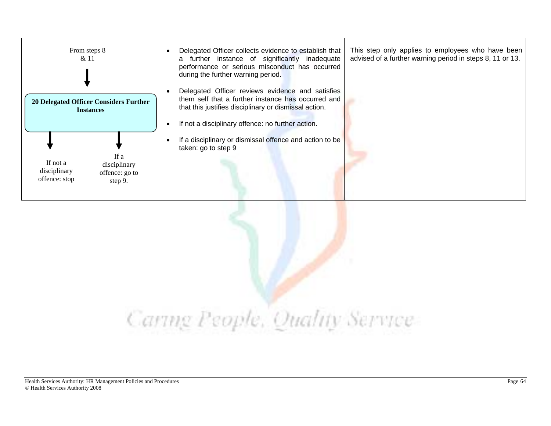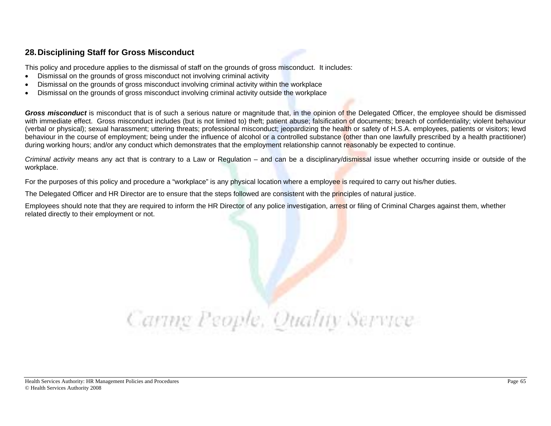### **28. Disciplining Staff for Gross Misconduct**

This policy and procedure applies to the dismissal of staff on the grounds of gross misconduct. It includes:

- Dismissal on the grounds of gross misconduct not involving criminal activity
- Dismissal on the grounds of gross misconduct involving criminal activity within the workplace
- Dismissal on the grounds of gross misconduct involving criminal activity outside the workplace

**Gross misconduct** is misconduct that is of such a serious nature or magnitude that, in the opinion of the Delegated Officer, the employee should be dismissed with immediate effect. Gross misconduct includes (but is not limited to) theft; patient abuse; falsification of documents; breach of confidentiality; violent behaviour (verbal or physical); sexual harassment; uttering threats; professional misconduct; jeopardizing the health or safety of H.S.A. employees, patients or visitors; lewd behaviour in the course of employment; being under the influence of alcohol or a controlled substance (other than one lawfully prescribed by a health practitioner) during working hours; and/or any conduct which demonstrates that the employment relationship cannot reasonably be expected to continue.

*Criminal activity* means any act that is contrary to a Law or Regulation – and can be a disciplinary/dismissal issue whether occurring inside or outside of the workplace.

For the purposes of this policy and procedure a "workplace" is any physical location where a employee is required to carry out his/her duties.

The Delegated Officer and HR Director are to ensure that the steps followed are consistent with the principles of natural justice.

Employees should note that they are required to inform the HR Director of any police investigation, arrest or filing of Criminal Charges against them, whether related directly to their employment or not.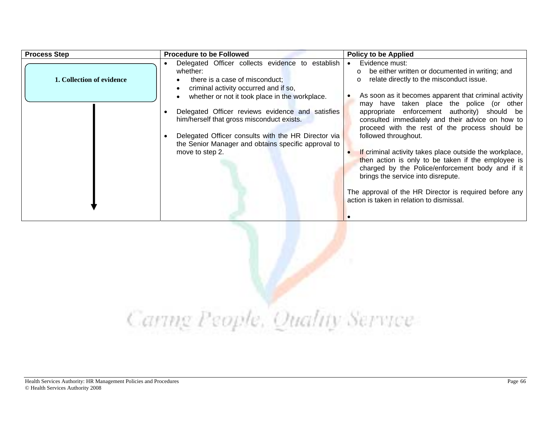| <b>Process Step</b>       | <b>Procedure to be Followed</b>                                                                                                                                                                                                                                                                                                                                                                                             | <b>Policy to be Applied</b>                                                                                                                                                                                                                                                                                                                                                                                                                                                                                                                            |
|---------------------------|-----------------------------------------------------------------------------------------------------------------------------------------------------------------------------------------------------------------------------------------------------------------------------------------------------------------------------------------------------------------------------------------------------------------------------|--------------------------------------------------------------------------------------------------------------------------------------------------------------------------------------------------------------------------------------------------------------------------------------------------------------------------------------------------------------------------------------------------------------------------------------------------------------------------------------------------------------------------------------------------------|
| 1. Collection of evidence | Delegated Officer collects evidence to establish<br>whether:<br>there is a case of misconduct;<br>criminal activity occurred and if so,<br>whether or not it took place in the workplace.<br>Delegated Officer reviews evidence and satisfies<br>him/herself that gross misconduct exists.<br>Delegated Officer consults with the HR Director via<br>the Senior Manager and obtains specific approval to<br>move to step 2. | Evidence must:<br>$\bullet$<br>be either written or documented in writing; and<br>$\circ$<br>relate directly to the misconduct issue.<br>$\Omega$<br>As soon as it becomes apparent that criminal activity<br>may have taken place the police (or other<br>appropriate enforcement authority) should be<br>consulted immediately and their advice on how to<br>proceed with the rest of the process should be<br>followed throughout.<br>If criminal activity takes place outside the workplace,<br>then action is only to be taken if the employee is |
|                           |                                                                                                                                                                                                                                                                                                                                                                                                                             | charged by the Police/enforcement body and if it<br>brings the service into disrepute.<br>The approval of the HR Director is required before any<br>action is taken in relation to dismissal.                                                                                                                                                                                                                                                                                                                                                          |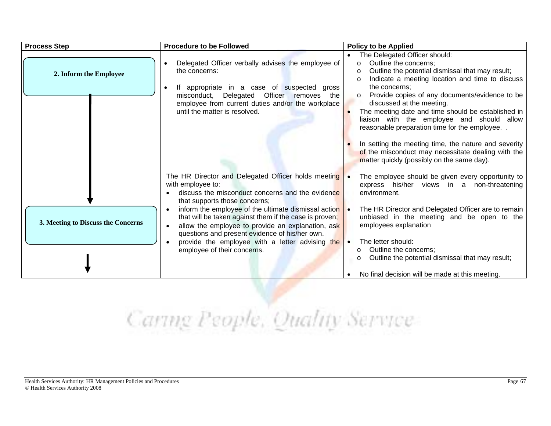| <b>Process Step</b>                | <b>Procedure to be Followed</b>                                                                                                                                                                                                                                                                                                                                                                                                                                            | <b>Policy to be Applied</b>                                                                                                                                                                                                                                                                                                                                                                                                                                                                                                                                                                                       |
|------------------------------------|----------------------------------------------------------------------------------------------------------------------------------------------------------------------------------------------------------------------------------------------------------------------------------------------------------------------------------------------------------------------------------------------------------------------------------------------------------------------------|-------------------------------------------------------------------------------------------------------------------------------------------------------------------------------------------------------------------------------------------------------------------------------------------------------------------------------------------------------------------------------------------------------------------------------------------------------------------------------------------------------------------------------------------------------------------------------------------------------------------|
| 2. Inform the Employee             | Delegated Officer verbally advises the employee of<br>the concerns:<br>appropriate in a case of suspected<br>lf.<br>gross<br>$\bullet$<br>misconduct, Delegated Officer removes<br>the<br>employee from current duties and/or the workplace<br>until the matter is resolved.                                                                                                                                                                                               | The Delegated Officer should:<br>$\bullet$<br>Outline the concerns:<br>$\Omega$<br>Outline the potential dismissal that may result;<br>Indicate a meeting location and time to discuss<br>the concerns:<br>Provide copies of any documents/evidence to be<br>$\circ$<br>discussed at the meeting.<br>The meeting date and time should be established in<br>liaison with the employee and should allow<br>reasonable preparation time for the employee<br>In setting the meeting time, the nature and severity<br>of the misconduct may necessitate dealing with the<br>matter quickly (possibly on the same day). |
| 3. Meeting to Discuss the Concerns | The HR Director and Delegated Officer holds meeting .<br>with employee to:<br>discuss the misconduct concerns and the evidence<br>that supports those concerns;<br>inform the employee of the ultimate dismissal action<br>that will be taken against them if the case is proven;<br>allow the employee to provide an explanation, ask<br>questions and present evidence of his/her own.<br>provide the employee with a letter advising the<br>employee of their concerns. | The employee should be given every opportunity to<br>express his/her views in a non-threatening<br>environment.<br>The HR Director and Delegated Officer are to remain<br>unbiased in the meeting and be open to the<br>employees explanation<br>The letter should:<br>Outline the concerns;<br>$\circ$<br>Outline the potential dismissal that may result;<br>O<br>No final decision will be made at this meeting.                                                                                                                                                                                               |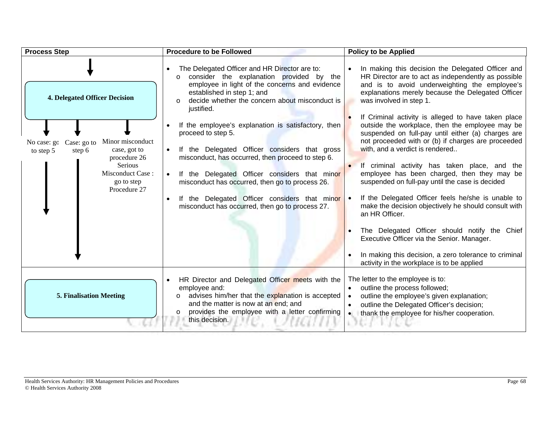| <b>Process Step</b>                                                                                                                                                                                        | <b>Procedure to be Followed</b>                                                                                                                                                                                                                                                                                                                                                                                                                                                                                                                                                                                                                                           | <b>Policy to be Applied</b>                                                                                                                                                                                                                                                                                                                                                                                                                                                                                                                                                                                                                                                                                                                                                                                                                                                                                                                   |
|------------------------------------------------------------------------------------------------------------------------------------------------------------------------------------------------------------|---------------------------------------------------------------------------------------------------------------------------------------------------------------------------------------------------------------------------------------------------------------------------------------------------------------------------------------------------------------------------------------------------------------------------------------------------------------------------------------------------------------------------------------------------------------------------------------------------------------------------------------------------------------------------|-----------------------------------------------------------------------------------------------------------------------------------------------------------------------------------------------------------------------------------------------------------------------------------------------------------------------------------------------------------------------------------------------------------------------------------------------------------------------------------------------------------------------------------------------------------------------------------------------------------------------------------------------------------------------------------------------------------------------------------------------------------------------------------------------------------------------------------------------------------------------------------------------------------------------------------------------|
| <b>4. Delegated Officer Decision</b><br>Minor misconduct<br>Case: go to<br>No case: go<br>case, got to<br>step 6<br>to step 5<br>procedure 26<br>Serious<br>Misconduct Case:<br>go to step<br>Procedure 27 | The Delegated Officer and HR Director are to:<br>consider the explanation provided by the<br>employee in light of the concerns and evidence<br>established in step 1; and<br>decide whether the concern about misconduct is<br>$\circ$<br>justified.<br>If the employee's explanation is satisfactory, then<br>proceed to step 5.<br>If the Delegated Officer considers that gross<br>$\bullet$<br>misconduct, has occurred, then proceed to step 6.<br>If the Delegated Officer considers that minor<br>$\bullet$<br>misconduct has occurred, then go to process 26.<br>If the Delegated Officer considers that minor<br>misconduct has occurred, then go to process 27. | In making this decision the Delegated Officer and<br>HR Director are to act as independently as possible<br>and is to avoid underweighting the employee's<br>explanations merely because the Delegated Officer<br>was involved in step 1.<br>If Criminal activity is alleged to have taken place<br>outside the workplace, then the employee may be<br>suspended on full-pay until either (a) charges are<br>not proceeded with or (b) if charges are proceeded<br>with, and a verdict is rendered<br>If criminal activity has taken place, and the<br>employee has been charged, then they may be<br>suspended on full-pay until the case is decided<br>If the Delegated Officer feels he/she is unable to<br>make the decision objectively he should consult with<br>an HR Officer.<br>The Delegated Officer should notify the Chief<br>Executive Officer via the Senior. Manager.<br>In making this decision, a zero tolerance to criminal |
|                                                                                                                                                                                                            |                                                                                                                                                                                                                                                                                                                                                                                                                                                                                                                                                                                                                                                                           | activity in the workplace is to be applied                                                                                                                                                                                                                                                                                                                                                                                                                                                                                                                                                                                                                                                                                                                                                                                                                                                                                                    |
| <b>5. Finalisation Meeting</b>                                                                                                                                                                             | HR Director and Delegated Officer meets with the<br>employee and:<br>advises him/her that the explanation is accepted<br>and the matter is now at an end; and<br>provides the employee with a letter confirming<br>this decision.                                                                                                                                                                                                                                                                                                                                                                                                                                         | The letter to the employee is to:<br>outline the process followed;<br>outline the employee's given explanation;<br>outline the Delegated Officer's decision;<br>• thank the employee for his/her cooperation.                                                                                                                                                                                                                                                                                                                                                                                                                                                                                                                                                                                                                                                                                                                                 |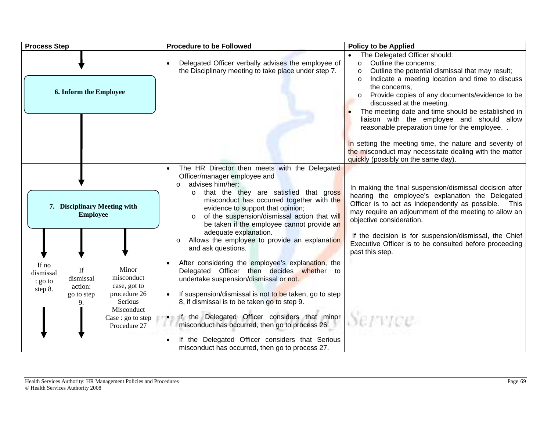| <b>Process Step</b>                                                                                                                                                                                                                                                | <b>Procedure to be Followed</b>                                                                                                                                                                                                                                                                                                                                                                                                                                                                                                                                                                                                                                                                                                                                                                                                                                                                                                         | <b>Policy to be Applied</b>                                                                                                                                                                                                                                                                                                                                                                                                                            |
|--------------------------------------------------------------------------------------------------------------------------------------------------------------------------------------------------------------------------------------------------------------------|-----------------------------------------------------------------------------------------------------------------------------------------------------------------------------------------------------------------------------------------------------------------------------------------------------------------------------------------------------------------------------------------------------------------------------------------------------------------------------------------------------------------------------------------------------------------------------------------------------------------------------------------------------------------------------------------------------------------------------------------------------------------------------------------------------------------------------------------------------------------------------------------------------------------------------------------|--------------------------------------------------------------------------------------------------------------------------------------------------------------------------------------------------------------------------------------------------------------------------------------------------------------------------------------------------------------------------------------------------------------------------------------------------------|
| 6. Inform the Employee                                                                                                                                                                                                                                             | Delegated Officer verbally advises the employee of<br>the Disciplinary meeting to take place under step 7.                                                                                                                                                                                                                                                                                                                                                                                                                                                                                                                                                                                                                                                                                                                                                                                                                              | The Delegated Officer should:<br>Outline the concerns;<br>$\circ$<br>Outline the potential dismissal that may result;<br>$\Omega$<br>Indicate a meeting location and time to discuss<br>$\circ$<br>the concerns;<br>Provide copies of any documents/evidence to be<br>discussed at the meeting.<br>The meeting date and time should be established in<br>liaison with the employee and should allow<br>reasonable preparation time for the employee. . |
|                                                                                                                                                                                                                                                                    |                                                                                                                                                                                                                                                                                                                                                                                                                                                                                                                                                                                                                                                                                                                                                                                                                                                                                                                                         | In setting the meeting time, the nature and severity of<br>the misconduct may necessitate dealing with the matter<br>quickly (possibly on the same day).                                                                                                                                                                                                                                                                                               |
| 7. Disciplinary Meeting with<br><b>Employee</b><br>If no<br>Minor<br>If<br>dismissal<br>misconduct<br>dismissal<br>: go to<br>case, got to<br>action:<br>step 8.<br>procedure 26<br>go to step<br>Serious<br>9.<br>Misconduct<br>Case : go to step<br>Procedure 27 | The HR Director then meets with the Delegated<br>Officer/manager employee and<br>advises him/her:<br>$\circ$<br>that the they are satisfied that gross<br>$\circ$<br>misconduct has occurred together with the<br>evidence to support that opinion;<br>of the suspension/dismissal action that will<br>$\circ$<br>be taken if the employee cannot provide an<br>adequate explanation.<br>Allows the employee to provide an explanation<br>$\circ$<br>and ask questions.<br>After considering the employee's explanation, the<br>Delegated Officer then decides whether to<br>undertake suspension/dismissal or not.<br>If suspension/dismissal is not to be taken, go to step<br>8, if dismissal is to be taken go to step 9.<br>If the Delegated Officer considers that minor<br>misconduct has occurred, then go to process 26.<br>If the Delegated Officer considers that Serious<br>misconduct has occurred, then go to process 27. | In making the final suspension/dismissal decision after<br>hearing the employee's explanation the Delegated<br>Officer is to act as independently as possible.<br>This<br>may require an adjournment of the meeting to allow an<br>objective consideration.<br>If the decision is for suspension/dismissal, the Chief<br>Executive Officer is to be consulted before proceeding<br>past this step.                                                     |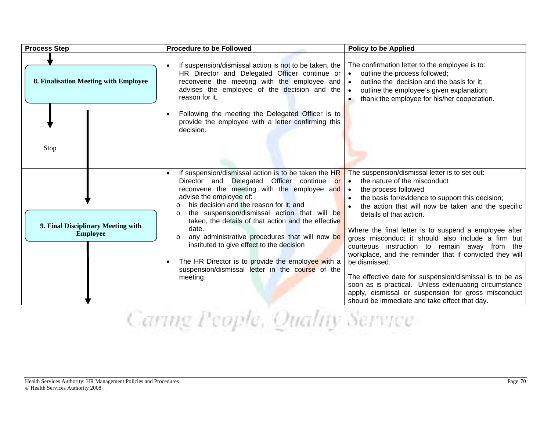| <b>Process Step</b>                                   | <b>Procedure to be Followed</b>                                                                                                                                                                                                                                                                                                                                                                                                                                                                                                                                                                 | <b>Policy to be Applied</b>                                                                                                                                                                                                                                                                                                                                                                                                                                                                                                                                                                                                                                                                                                                   |
|-------------------------------------------------------|-------------------------------------------------------------------------------------------------------------------------------------------------------------------------------------------------------------------------------------------------------------------------------------------------------------------------------------------------------------------------------------------------------------------------------------------------------------------------------------------------------------------------------------------------------------------------------------------------|-----------------------------------------------------------------------------------------------------------------------------------------------------------------------------------------------------------------------------------------------------------------------------------------------------------------------------------------------------------------------------------------------------------------------------------------------------------------------------------------------------------------------------------------------------------------------------------------------------------------------------------------------------------------------------------------------------------------------------------------------|
| 8. Finalisation Meeting with Employee                 | If suspension/dismissal action is not to be taken, the<br>HR Director and Delegated Officer continue or<br>reconvene the meeting with the employee and<br>advises the employee of the decision and the<br>reason for it.                                                                                                                                                                                                                                                                                                                                                                        | The confirmation letter to the employee is to:<br>outline the process followed;<br>$\bullet$<br>outline the decision and the basis for it;<br>$\bullet$<br>outline the employee's given explanation;<br>$\bullet$<br>thank the employee for his/her cooperation.<br>$\bullet$                                                                                                                                                                                                                                                                                                                                                                                                                                                                 |
| Stop                                                  | Following the meeting the Delegated Officer is to<br>provide the employee with a letter confirming this<br>decision.                                                                                                                                                                                                                                                                                                                                                                                                                                                                            |                                                                                                                                                                                                                                                                                                                                                                                                                                                                                                                                                                                                                                                                                                                                               |
| 9. Final Disciplinary Meeting with<br><b>Employee</b> | If suspension/dismissal action is to be taken the HR<br>Delegated Officer continue or<br>Director and<br>reconvene the meeting with the employee and<br>advise the employee of:<br>his decision and the reason for it; and<br>$\circ$<br>the suspension/dismissal action that will be<br>$\circ$<br>taken, the details of that action and the effective<br>date.<br>any administrative procedures that will now be<br>$\circ$<br>instituted to give effect to the decision<br>The HR Director is to provide the employee with a<br>suspension/dismissal letter in the course of the<br>meeting. | The suspension/dismissal letter is to set out:<br>the nature of the misconduct<br>$\bullet$<br>the process followed<br>$\bullet$<br>the basis for/evidence to support this decision;<br>the action that will now be taken and the specific<br>details of that action.<br>Where the final letter is to suspend a employee after<br>gross misconduct it should also include a firm but<br>courteous instruction to remain away from the<br>workplace, and the reminder that if convicted they will<br>be dismissed.<br>The effective date for suspension/dismissal is to be as<br>soon as is practical. Unless extenuating circumstance<br>apply, dismissal or suspension for gross misconduct<br>should be immediate and take effect that day. |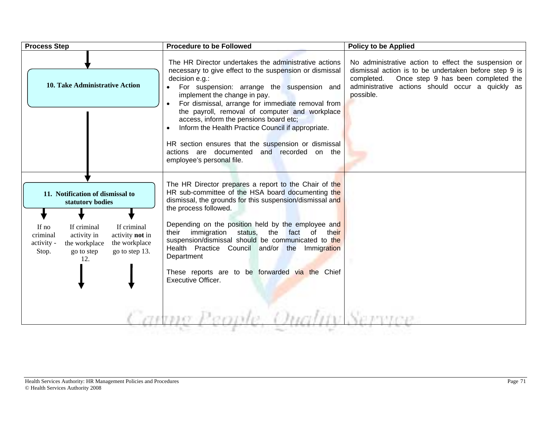| <b>Process Step</b>                                                                                                                                                                                                                       | <b>Procedure to be Followed</b>                                                                                                                                                                                                                                                                                                                                                                                                                                                                                                                           | <b>Policy to be Applied</b>                                                                                                                                                                                                        |
|-------------------------------------------------------------------------------------------------------------------------------------------------------------------------------------------------------------------------------------------|-----------------------------------------------------------------------------------------------------------------------------------------------------------------------------------------------------------------------------------------------------------------------------------------------------------------------------------------------------------------------------------------------------------------------------------------------------------------------------------------------------------------------------------------------------------|------------------------------------------------------------------------------------------------------------------------------------------------------------------------------------------------------------------------------------|
| 10. Take Administrative Action                                                                                                                                                                                                            | The HR Director undertakes the administrative actions<br>necessary to give effect to the suspension or dismissal<br>decision e.g.:<br>For suspension: arrange the suspension and<br>implement the change in pay.<br>For dismissal, arrange for immediate removal from<br>the payroll, removal of computer and workplace<br>access, inform the pensions board etc;<br>Inform the Health Practice Council if appropriate.<br>HR section ensures that the suspension or dismissal<br>actions are documented and recorded on the<br>employee's personal file. | No administrative action to effect the suspension or<br>dismissal action is to be undertaken before step 9 is<br>Once step 9 has been completed the<br>completed.<br>administrative actions should occur a quickly as<br>possible. |
| 11. Notification of dismissal to<br>statutory bodies<br>If criminal<br>If no<br>If criminal<br>criminal<br>activity in<br>activity not in<br>activity -<br>the workplace<br>the workplace<br>go to step 13.<br>go to step<br>Stop.<br>12. | The HR Director prepares a report to the Chair of the<br>HR sub-committee of the HSA board documenting the<br>dismissal, the grounds for this suspension/dismissal and<br>the process followed.<br>Depending on the position held by the employee and<br>their immigration status, the fact of<br>their<br>suspension/dismissal should be communicated to the<br>Health Practice Council and/or the Immigration<br>Department<br>These reports are to be forwarded via the Chief<br>Executive Officer.                                                    |                                                                                                                                                                                                                                    |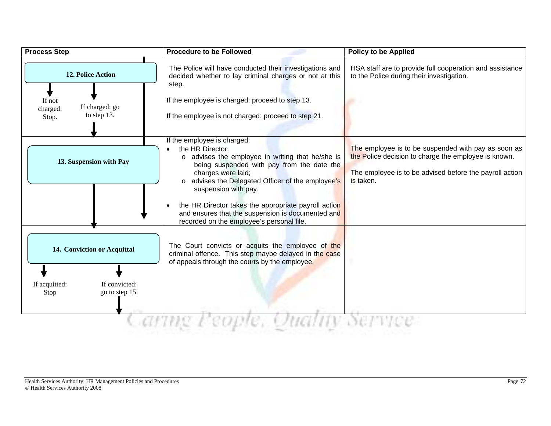| <b>Process Step</b>                                                                      | <b>Procedure to be Followed</b>                                                                                                                                                                                                                                                                                                                                                                                             | <b>Policy to be Applied</b>                                                                                                                                                         |
|------------------------------------------------------------------------------------------|-----------------------------------------------------------------------------------------------------------------------------------------------------------------------------------------------------------------------------------------------------------------------------------------------------------------------------------------------------------------------------------------------------------------------------|-------------------------------------------------------------------------------------------------------------------------------------------------------------------------------------|
| <b>12. Police Action</b><br>If not<br>If charged: go<br>charged:<br>to step 13.<br>Stop. | The Police will have conducted their investigations and<br>decided whether to lay criminal charges or not at this<br>step.<br>If the employee is charged: proceed to step 13.<br>If the employee is not charged: proceed to step 21.                                                                                                                                                                                        | HSA staff are to provide full cooperation and assistance<br>to the Police during their investigation.                                                                               |
| 13. Suspension with Pay                                                                  | If the employee is charged:<br>the HR Director:<br>$\bullet$<br>o advises the employee in writing that he/she is<br>being suspended with pay from the date the<br>charges were laid;<br>o advises the Delegated Officer of the employee's<br>suspension with pay.<br>the HR Director takes the appropriate payroll action<br>and ensures that the suspension is documented and<br>recorded on the employee's personal file. | The employee is to be suspended with pay as soon as<br>the Police decision to charge the employee is known.<br>The employee is to be advised before the payroll action<br>is taken. |
| 14. Conviction or Acquittal<br>If convicted:<br>If acquitted:<br>go to step 15.<br>Stop  | The Court convicts or acquits the employee of the<br>criminal offence. This step maybe delayed in the case<br>of appeals through the courts by the employee.                                                                                                                                                                                                                                                                |                                                                                                                                                                                     |
|                                                                                          |                                                                                                                                                                                                                                                                                                                                                                                                                             |                                                                                                                                                                                     |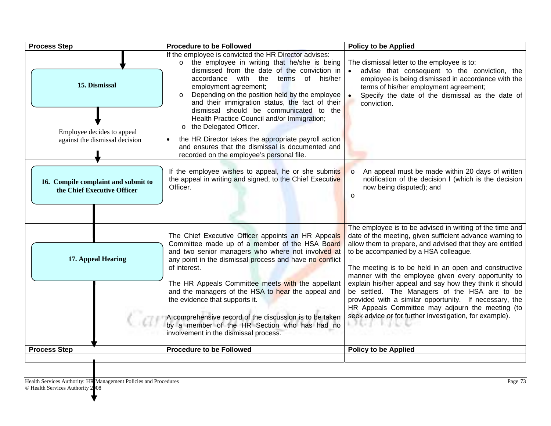| <b>Process Step</b>                                                | <b>Procedure to be Followed</b>                                                                                                                                                                                                                                                                                                                                                                                                                                                                                                       | <b>Policy to be Applied</b>                                                                                                                                                                                                                                                                                                                                                                                                                                                                                                                                                                                                                 |
|--------------------------------------------------------------------|---------------------------------------------------------------------------------------------------------------------------------------------------------------------------------------------------------------------------------------------------------------------------------------------------------------------------------------------------------------------------------------------------------------------------------------------------------------------------------------------------------------------------------------|---------------------------------------------------------------------------------------------------------------------------------------------------------------------------------------------------------------------------------------------------------------------------------------------------------------------------------------------------------------------------------------------------------------------------------------------------------------------------------------------------------------------------------------------------------------------------------------------------------------------------------------------|
| 15. Dismissal                                                      | If the employee is convicted the HR Director advises:<br>the employee in writing that he/she is being<br>$\circ$<br>dismissed from the date of the conviction in<br>accordance with the<br>terms of his/her<br>employment agreement;<br>Depending on the position held by the employee<br>$\circ$<br>and their immigration status, the fact of their                                                                                                                                                                                  | The dismissal letter to the employee is to:<br>advise that consequent to the conviction, the<br>employee is being dismissed in accordance with the<br>terms of his/her employment agreement;<br>Specify the date of the dismissal as the date of<br>$\bullet$<br>conviction.                                                                                                                                                                                                                                                                                                                                                                |
| Employee decides to appeal<br>against the dismissal decision       | dismissal should be communicated to the<br>Health Practice Council and/or Immigration;<br>the Delegated Officer.<br>$\circ$<br>the HR Director takes the appropriate payroll action<br>and ensures that the dismissal is documented and<br>recorded on the employee's personal file.                                                                                                                                                                                                                                                  |                                                                                                                                                                                                                                                                                                                                                                                                                                                                                                                                                                                                                                             |
| 16. Compile complaint and submit to<br>the Chief Executive Officer | If the employee wishes to appeal, he or she submits<br>the appeal in writing and signed, to the Chief Executive<br>Officer.                                                                                                                                                                                                                                                                                                                                                                                                           | An appeal must be made within 20 days of written<br>$\circ$<br>notification of the decision I (which is the decision<br>now being disputed); and<br>$\circ$                                                                                                                                                                                                                                                                                                                                                                                                                                                                                 |
| 17. Appeal Hearing                                                 | The Chief Executive Officer appoints an HR Appeals<br>Committee made up of a member of the HSA Board<br>and two senior managers who where not involved at<br>any point in the dismissal process and have no conflict<br>of interest.<br>The HR Appeals Committee meets with the appellant<br>and the managers of the HSA to hear the appeal and<br>the evidence that supports it.<br>A comprehensive record of the discussion is to be taken<br>by a member of the HR Section who has had no<br>involvement in the dismissal process. | The employee is to be advised in writing of the time and<br>date of the meeting, given sufficient advance warning to<br>allow them to prepare, and advised that they are entitled<br>to be accompanied by a HSA colleague.<br>The meeting is to be held in an open and constructive<br>manner with the employee given every opportunity to<br>explain his/her appeal and say how they think it should<br>be settled. The Managers of the HSA are to be<br>provided with a similar opportunity. If necessary, the<br>HR Appeals Committee may adjourn the meeting (to<br>seek advice or for further investigation, for example).<br>2 S.C. 1 |
| <b>Process Step</b>                                                | <b>Procedure to be Followed</b>                                                                                                                                                                                                                                                                                                                                                                                                                                                                                                       | <b>Policy to be Applied</b>                                                                                                                                                                                                                                                                                                                                                                                                                                                                                                                                                                                                                 |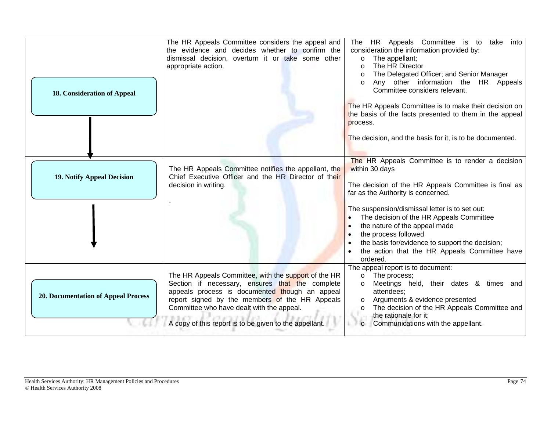| <b>18. Consideration of Appeal</b>         | The HR Appeals Committee considers the appeal and<br>the evidence and decides whether to confirm the<br>dismissal decision, overturn it or take some other<br>appropriate action.                                                                                                                                  | The HR Appeals Committee is to<br>take<br>into<br>consideration the information provided by:<br>The appellant;<br>$\circ$<br>The HR Director<br>$\circ$<br>The Delegated Officer; and Senior Manager<br>$\circ$<br>Any other information the HR Appeals<br>$\circ$<br>Committee considers relevant.<br>The HR Appeals Committee is to make their decision on<br>the basis of the facts presented to them in the appeal<br>process. |
|--------------------------------------------|--------------------------------------------------------------------------------------------------------------------------------------------------------------------------------------------------------------------------------------------------------------------------------------------------------------------|------------------------------------------------------------------------------------------------------------------------------------------------------------------------------------------------------------------------------------------------------------------------------------------------------------------------------------------------------------------------------------------------------------------------------------|
| <b>19. Notify Appeal Decision</b>          | The HR Appeals Committee notifies the appellant, the<br>Chief Executive Officer and the HR Director of their<br>decision in writing.                                                                                                                                                                               | The decision, and the basis for it, is to be documented.<br>The HR Appeals Committee is to render a decision<br>within 30 days<br>The decision of the HR Appeals Committee is final as<br>far as the Authority is concerned.                                                                                                                                                                                                       |
|                                            |                                                                                                                                                                                                                                                                                                                    | The suspension/dismissal letter is to set out:<br>The decision of the HR Appeals Committee<br>the nature of the appeal made<br>the process followed<br>the basis for/evidence to support the decision;<br>the action that the HR Appeals Committee have<br>ordered.                                                                                                                                                                |
| <b>20. Documentation of Appeal Process</b> | The HR Appeals Committee, with the support of the HR<br>Section if necessary, ensures that the complete<br>appeals process is documented though an appeal<br>report signed by the members of the HR Appeals<br>Committee who have dealt with the appeal.<br>A copy of this report is to be given to the appellant. | The appeal report is to document:<br>The process;<br>$\circ$<br>Meetings held, their dates & times and<br>$\circ$<br>attendees;<br>Arguments & evidence presented<br>$\circ$<br>The decision of the HR Appeals Committee and<br>$\circ$<br>the rationale for it:<br>Communications with the appellant.<br>$\Omega$                                                                                                                 |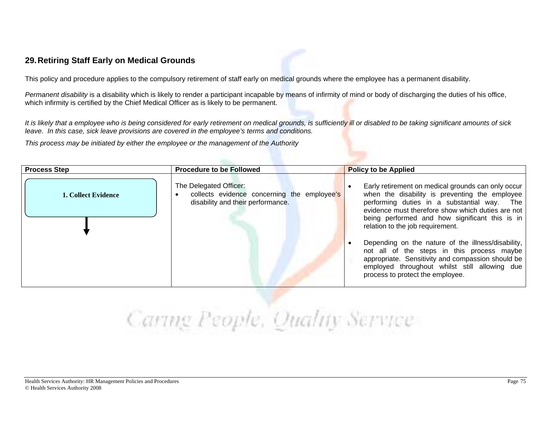### **29. Retiring Staff Early on Medical Grounds**

This policy and procedure applies to the compulsory retirement of staff early on medical grounds where the employee has a permanent disability.

*Permanent disability* is a disability which is likely to render a participant incapable by means of infirmity of mind or body of discharging the duties of his office, which infirmity is certified by the Chief Medical Officer as is likely to be permanent.

*It is likely that a employee who is being considered for early retirement on medical grounds, is sufficiently ill or disabled to be taking significant amounts of sick leave. In this case, sick leave provisions are covered in the employee's terms and conditions.* 

*This process may be initiated by either the employee or the management of the Authority* 

| The Delegated Officer:<br>collects evidence concerning the employee's<br><b>1. Collect Evidence</b><br>disability and their performance.<br>relation to the job requirement. | <b>Process Step</b> | <b>Procedure to be Followed</b> | <b>Policy to be Applied</b>                                                                                                                                                                                                                                                                                                                                                                                                                                          |
|------------------------------------------------------------------------------------------------------------------------------------------------------------------------------|---------------------|---------------------------------|----------------------------------------------------------------------------------------------------------------------------------------------------------------------------------------------------------------------------------------------------------------------------------------------------------------------------------------------------------------------------------------------------------------------------------------------------------------------|
|                                                                                                                                                                              |                     |                                 | Early retirement on medical grounds can only occur<br>when the disability is preventing the employee<br>performing duties in a substantial way. The<br>evidence must therefore show which duties are not<br>being performed and how significant this is in<br>Depending on the nature of the illness/disability,<br>not all of the steps in this process maybe<br>appropriate. Sensitivity and compassion should be<br>employed throughout whilst still allowing due |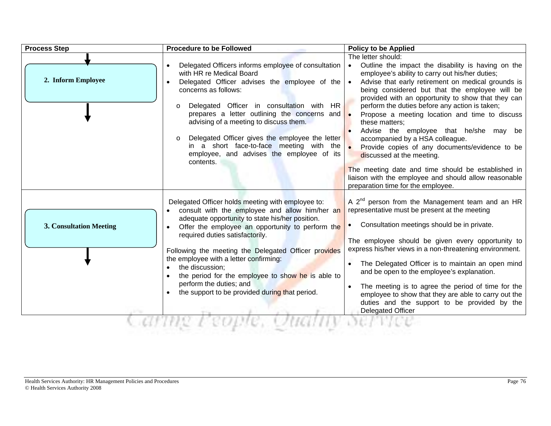| <b>Process Step</b>            | <b>Procedure to be Followed</b>                                                                                                                                                                                                                                                                                                                                                                                                                                                                      | <b>Policy to be Applied</b>                                                                                                                                                                                                                                                                                                                                                                                                                                                                                                                                                                                                                                                                                                      |
|--------------------------------|------------------------------------------------------------------------------------------------------------------------------------------------------------------------------------------------------------------------------------------------------------------------------------------------------------------------------------------------------------------------------------------------------------------------------------------------------------------------------------------------------|----------------------------------------------------------------------------------------------------------------------------------------------------------------------------------------------------------------------------------------------------------------------------------------------------------------------------------------------------------------------------------------------------------------------------------------------------------------------------------------------------------------------------------------------------------------------------------------------------------------------------------------------------------------------------------------------------------------------------------|
| 2. Inform Employee             | Delegated Officers informs employee of consultation<br>with HR re Medical Board<br>Delegated Officer advises the employee of the<br>concerns as follows:<br>Delegated Officer in consultation with HR<br>$\circ$<br>prepares a letter outlining the concerns and<br>advising of a meeting to discuss them.<br>Delegated Officer gives the employee the letter<br>$\circ$<br>in a short face-to-face meeting with the<br>employee, and advises the employee of its<br>contents.                       | The letter should:<br>Outline the impact the disability is having on the<br>employee's ability to carry out his/her duties;<br>Advise that early retirement on medical grounds is<br>being considered but that the employee will be<br>provided with an opportunity to show that they can<br>perform the duties before any action is taken;<br>Propose a meeting location and time to discuss<br>these matters:<br>Advise the employee that he/she may be<br>accompanied by a HSA colleague.<br>Provide copies of any documents/evidence to be<br>discussed at the meeting.<br>The meeting date and time should be established in<br>liaison with the employee and should allow reasonable<br>preparation time for the employee. |
| <b>3. Consultation Meeting</b> | Delegated Officer holds meeting with employee to:<br>consult with the employee and allow him/her an<br>adequate opportunity to state his/her position.<br>Offer the employee an opportunity to perform the<br>required duties satisfactorily.<br>Following the meeting the Delegated Officer provides<br>the employee with a letter confirming:<br>the discussion:<br>the period for the employee to show he is able to<br>perform the duties; and<br>the support to be provided during that period. | A 2 <sup>nd</sup> person from the Management team and an HR<br>representative must be present at the meeting<br>Consultation meetings should be in private.<br>The employee should be given every opportunity to<br>express his/her views in a non-threatening environment.<br>The Delegated Officer is to maintain an open mind<br>and be open to the employee's explanation.<br>The meeting is to agree the period of time for the<br>employee to show that they are able to carry out the<br>duties and the support to be provided by the<br><b>Delegated Officer</b>                                                                                                                                                         |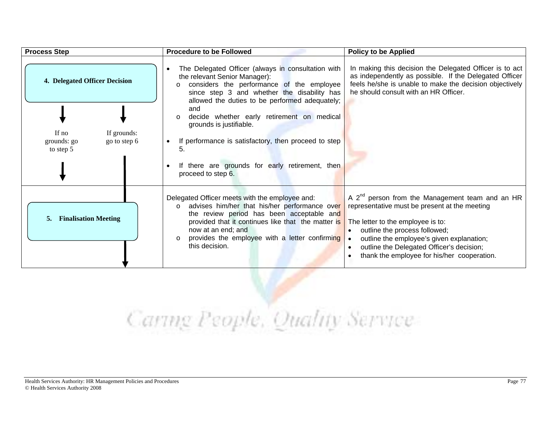| <b>Process Step</b>                                                                                        | <b>Procedure to be Followed</b>                                                                                                                                                                                                                                                                                                                                                                                                                                          | <b>Policy to be Applied</b>                                                                                                                                                                                                                                                                                                              |
|------------------------------------------------------------------------------------------------------------|--------------------------------------------------------------------------------------------------------------------------------------------------------------------------------------------------------------------------------------------------------------------------------------------------------------------------------------------------------------------------------------------------------------------------------------------------------------------------|------------------------------------------------------------------------------------------------------------------------------------------------------------------------------------------------------------------------------------------------------------------------------------------------------------------------------------------|
| <b>4. Delegated Officer Decision</b><br>If $no$<br>If grounds:<br>grounds: go<br>go to step 6<br>to step 5 | The Delegated Officer (always in consultation with<br>the relevant Senior Manager):<br>considers the performance of the employee<br>since step 3 and whether the disability has<br>allowed the duties to be performed adequately;<br>and<br>decide whether early retirement on medical<br>$\circ$<br>grounds is justifiable.<br>If performance is satisfactory, then proceed to step<br>٠<br>5.<br>If there are grounds for early retirement, then<br>proceed to step 6. | In making this decision the Delegated Officer is to act<br>as independently as possible. If the Delegated Officer<br>feels he/she is unable to make the decision objectively<br>he should consult with an HR Officer.                                                                                                                    |
| <b>Finalisation Meeting</b><br>5.                                                                          | Delegated Officer meets with the employee and:<br>advises him/her that his/her performance over<br>$\circ$<br>the review period has been acceptable and<br>provided that it continues like that the matter is<br>now at an end; and<br>provides the employee with a letter confirming<br>$\circ$<br>this decision.                                                                                                                                                       | A 2 <sup>nd</sup> person from the Management team and an HR<br>representative must be present at the meeting<br>The letter to the employee is to:<br>outline the process followed;<br>$\bullet$<br>outline the employee's given explanation;<br>outline the Delegated Officer's decision;<br>thank the employee for his/her cooperation. |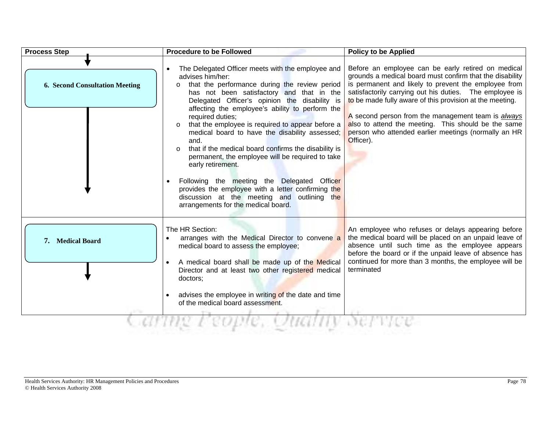| <b>Process Step</b>                   | <b>Procedure to be Followed</b>                                                                                                                                                                                                                                                                                                                                                                                                                                                                                                                                                                                                                                                                                                                                        | <b>Policy to be Applied</b>                                                                                                                                                                                                                                                                                                                                                                                                                                                            |
|---------------------------------------|------------------------------------------------------------------------------------------------------------------------------------------------------------------------------------------------------------------------------------------------------------------------------------------------------------------------------------------------------------------------------------------------------------------------------------------------------------------------------------------------------------------------------------------------------------------------------------------------------------------------------------------------------------------------------------------------------------------------------------------------------------------------|----------------------------------------------------------------------------------------------------------------------------------------------------------------------------------------------------------------------------------------------------------------------------------------------------------------------------------------------------------------------------------------------------------------------------------------------------------------------------------------|
| <b>6. Second Consultation Meeting</b> | The Delegated Officer meets with the employee and<br>advises him/her:<br>that the performance during the review period<br>$\circ$<br>has not been satisfactory and that in the<br>Delegated Officer's opinion the disability is<br>affecting the employee's ability to perform the<br>required duties;<br>that the employee is required to appear before a<br>$\circ$<br>medical board to have the disability assessed;<br>and.<br>that if the medical board confirms the disability is<br>$\circ$<br>permanent, the employee will be required to take<br>early retirement.<br>Following the meeting the Delegated Officer<br>provides the employee with a letter confirming the<br>discussion at the meeting and outlining the<br>arrangements for the medical board. | Before an employee can be early retired on medical<br>grounds a medical board must confirm that the disability<br>is permanent and likely to prevent the employee from<br>satisfactorily carrying out his duties. The employee is<br>to be made fully aware of this provision at the meeting.<br>A second person from the management team is <i>always</i><br>also to attend the meeting. This should be the same<br>person who attended earlier meetings (normally an HR<br>Officer). |
| 7. Medical Board                      | The HR Section:<br>arranges with the Medical Director to convene a<br>medical board to assess the employee;<br>A medical board shall be made up of the Medical<br>Director and at least two other registered medical<br>doctors:<br>advises the employee in writing of the date and time<br>of the medical board assessment.                                                                                                                                                                                                                                                                                                                                                                                                                                           | An employee who refuses or delays appearing before<br>the medical board will be placed on an unpaid leave of<br>absence until such time as the employee appears<br>before the board or if the unpaid leave of absence has<br>continued for more than 3 months, the employee will be<br>terminated                                                                                                                                                                                      |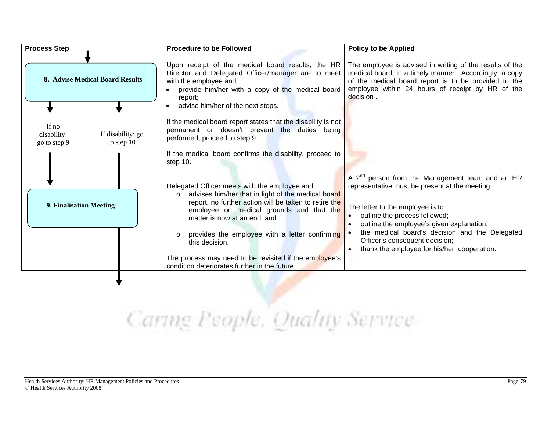| Upon receipt of the medical board results, the HR<br>The employee is advised in writing of the results of the<br>medical board, in a timely manner. Accordingly, a copy<br>Director and Delegated Officer/manager are to meet<br>8. Advise Medical Board Results<br>with the employee and:<br>of the medical board report is to be provided to the<br>employee within 24 hours of receipt by HR of the<br>provide him/her with a copy of the medical board<br>decision.<br>report;<br>advise him/her of the next steps.<br>If the medical board report states that the disability is not<br>If no<br>permanent or doesn't prevent the duties being<br>If disability: go<br>disability:<br>performed, proceed to step 9.<br>to step $10$<br>go to step 9<br>If the medical board confirms the disability, proceed to<br>step 10.<br>A $2^{nd}$ person from the Management team and an HR<br>Delegated Officer meets with the employee and:<br>representative must be present at the meeting<br>advises him/her that in light of the medical board<br>$\Omega$<br>report, no further action will be taken to retire the<br>9. Finalisation Meeting<br>The letter to the employee is to:<br>employee on medical grounds and that the<br>outline the process followed;<br>matter is now at an end; and<br>outline the employee's given explanation;<br>the medical board's decision and the Delegated<br>provides the employee with a letter confirming<br>$\circ$<br>Officer's consequent decision;<br>this decision.<br>thank the employee for his/her cooperation.<br>The process may need to be revisited if the employee's<br>condition deteriorates further in the future. | <b>Process Step</b> | <b>Procedure to be Followed</b> | <b>Policy to be Applied</b> |
|------------------------------------------------------------------------------------------------------------------------------------------------------------------------------------------------------------------------------------------------------------------------------------------------------------------------------------------------------------------------------------------------------------------------------------------------------------------------------------------------------------------------------------------------------------------------------------------------------------------------------------------------------------------------------------------------------------------------------------------------------------------------------------------------------------------------------------------------------------------------------------------------------------------------------------------------------------------------------------------------------------------------------------------------------------------------------------------------------------------------------------------------------------------------------------------------------------------------------------------------------------------------------------------------------------------------------------------------------------------------------------------------------------------------------------------------------------------------------------------------------------------------------------------------------------------------------------------------------------------------------------------------------------------------------|---------------------|---------------------------------|-----------------------------|
|                                                                                                                                                                                                                                                                                                                                                                                                                                                                                                                                                                                                                                                                                                                                                                                                                                                                                                                                                                                                                                                                                                                                                                                                                                                                                                                                                                                                                                                                                                                                                                                                                                                                              |                     |                                 |                             |
|                                                                                                                                                                                                                                                                                                                                                                                                                                                                                                                                                                                                                                                                                                                                                                                                                                                                                                                                                                                                                                                                                                                                                                                                                                                                                                                                                                                                                                                                                                                                                                                                                                                                              |                     |                                 |                             |
|                                                                                                                                                                                                                                                                                                                                                                                                                                                                                                                                                                                                                                                                                                                                                                                                                                                                                                                                                                                                                                                                                                                                                                                                                                                                                                                                                                                                                                                                                                                                                                                                                                                                              |                     |                                 |                             |
|                                                                                                                                                                                                                                                                                                                                                                                                                                                                                                                                                                                                                                                                                                                                                                                                                                                                                                                                                                                                                                                                                                                                                                                                                                                                                                                                                                                                                                                                                                                                                                                                                                                                              |                     |                                 |                             |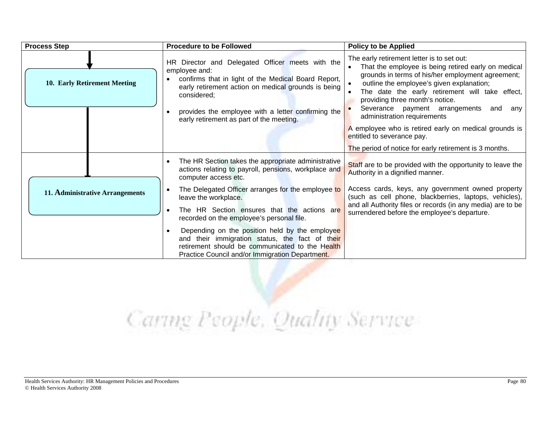| <b>Process Step</b>             | <b>Procedure to be Followed</b>                                                                                                                                                                                                                                                                                             | <b>Policy to be Applied</b>                                                                                                                                                                                                                                                                                                                                                                                                                                                                                            |
|---------------------------------|-----------------------------------------------------------------------------------------------------------------------------------------------------------------------------------------------------------------------------------------------------------------------------------------------------------------------------|------------------------------------------------------------------------------------------------------------------------------------------------------------------------------------------------------------------------------------------------------------------------------------------------------------------------------------------------------------------------------------------------------------------------------------------------------------------------------------------------------------------------|
| 10. Early Retirement Meeting    | HR Director and Delegated Officer meets with the<br>employee and:<br>confirms that in light of the Medical Board Report,<br>early retirement action on medical grounds is being<br>considered;<br>provides the employee with a letter confirming the<br>early retirement as part of the meeting.                            | The early retirement letter is to set out:<br>That the employee is being retired early on medical<br>grounds in terms of his/her employment agreement;<br>outline the employee's given explanation;<br>The date the early retirement will take effect,<br>providing three month's notice.<br>Severance payment arrangements and<br>any<br>administration requirements<br>A employee who is retired early on medical grounds is<br>entitled to severance pay.<br>The period of notice for early retirement is 3 months. |
|                                 | The HR Section takes the appropriate administrative<br>actions relating to payroll, pensions, workplace and<br>computer access etc.<br>The Delegated Officer arranges for the employee to                                                                                                                                   | Staff are to be provided with the opportunity to leave the<br>Authority in a dignified manner.<br>Access cards, keys, any government owned property                                                                                                                                                                                                                                                                                                                                                                    |
| 11. Administrative Arrangements | leave the workplace.<br>The HR Section ensures that the actions are<br>recorded on the employee's personal file.<br>Depending on the position held by the employee<br>and their immigration status, the fact of their<br>retirement should be communicated to the Health<br>Practice Council and/or Immigration Department. | (such as cell phone, blackberries, laptops, vehicles),<br>and all Authority files or records (in any media) are to be<br>surrendered before the employee's departure.                                                                                                                                                                                                                                                                                                                                                  |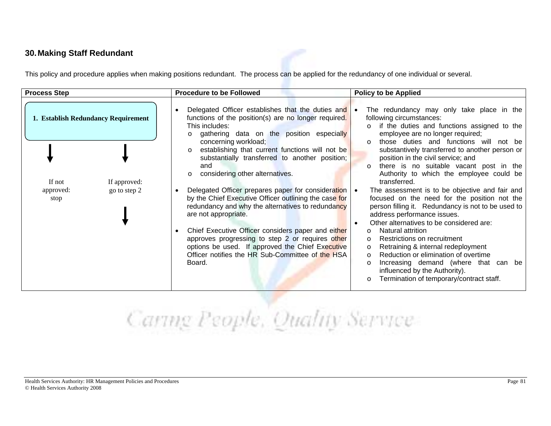#### **30. Making Staff Redundant**

This policy and procedure applies when making positions redundant. The process can be applied for the redundancy of one individual or several.

| <b>Process Step</b>                 | <b>Procedure to be Followed</b>                                                                                                                                                                                          | <b>Policy to be Applied</b>                                                                                                                                                                                                                                                           |
|-------------------------------------|--------------------------------------------------------------------------------------------------------------------------------------------------------------------------------------------------------------------------|---------------------------------------------------------------------------------------------------------------------------------------------------------------------------------------------------------------------------------------------------------------------------------------|
| 1. Establish Redundancy Requirement | Delegated Officer establishes that the duties and $\bullet$<br>functions of the position(s) are no longer required.<br>This includes:<br>gathering data on the position especially<br>$\Omega$                           | The redundancy may only take place in the<br>following circumstances:<br>if the duties and functions assigned to the<br>employee are no longer required;                                                                                                                              |
| If not<br>If approved:              | concerning workload;<br>establishing that current functions will not be<br>substantially transferred to another position;<br>and<br>considering other alternatives.                                                      | those duties and functions will not be<br>$\Omega$<br>substantively transferred to another person or<br>position in the civil service; and<br>there is no suitable vacant post in the<br>$\circ$<br>Authority to which the employee could be<br>transferred.                          |
| go to step 2<br>approved:<br>stop   | Delegated Officer prepares paper for consideration<br>by the Chief Executive Officer outlining the case for<br>redundancy and why the alternatives to redundancy<br>are not appropriate.                                 | The assessment is to be objective and fair and<br>focused on the need for the position not the<br>person filling it. Redundancy is not to be used to<br>address performance issues.<br>Other alternatives to be considered are:                                                       |
|                                     | Chief Executive Officer considers paper and either<br>approves progressing to step 2 or requires other<br>options be used. If approved the Chief Executive<br>Officer notifies the HR Sub-Committee of the HSA<br>Board. | Natural attrition<br>Restrictions on recruitment<br>Retraining & internal redeployment<br>Reduction or elimination of overtime<br>$\Omega$<br>Increasing demand (where that can be<br>$\circ$<br>influenced by the Authority).<br>Termination of temporary/contract staff.<br>$\circ$ |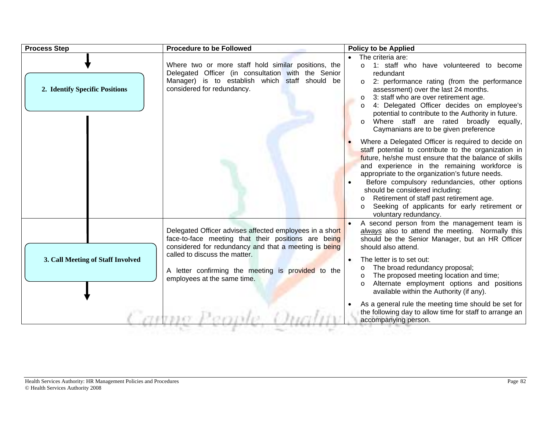| <b>Process Step</b>               | <b>Procedure to be Followed</b>                                                                                                                                                                                                                                                               | <b>Policy to be Applied</b>                                                                                                                                                                                                                                                                                                                                                                                                                                                      |
|-----------------------------------|-----------------------------------------------------------------------------------------------------------------------------------------------------------------------------------------------------------------------------------------------------------------------------------------------|----------------------------------------------------------------------------------------------------------------------------------------------------------------------------------------------------------------------------------------------------------------------------------------------------------------------------------------------------------------------------------------------------------------------------------------------------------------------------------|
| 2. Identify Specific Positions    | Where two or more staff hold similar positions, the<br>Delegated Officer (in consultation with the Senior<br>Manager) is to establish which staff should be<br>considered for redundancy.                                                                                                     | • The criteria are:<br>1: staff who have volunteered to become<br>$\circ$<br>redundant<br>2: performance rating (from the performance<br>assessment) over the last 24 months.<br>3: staff who are over retirement age.<br>O<br>4: Delegated Officer decides on employee's<br>$\circ$<br>potential to contribute to the Authority in future.<br>Where staff are rated broadly equally,<br>$\circ$<br>Caymanians are to be given preference                                        |
|                                   |                                                                                                                                                                                                                                                                                               | Where a Delegated Officer is required to decide on<br>staff potential to contribute to the organization in<br>future, he/she must ensure that the balance of skills<br>and experience in the remaining workforce is<br>appropriate to the organization's future needs.<br>Before compulsory redundancies, other options<br>should be considered including:<br>Retirement of staff past retirement age.<br>Seeking of applicants for early retirement or<br>voluntary redundancy. |
| 3. Call Meeting of Staff Involved | Delegated Officer advises affected employees in a short<br>face-to-face meeting that their positions are being<br>considered for redundancy and that a meeting is being<br>called to discuss the matter.<br>A letter confirming the meeting is provided to the<br>employees at the same time. | A second person from the management team is<br>always also to attend the meeting. Normally this<br>should be the Senior Manager, but an HR Officer<br>should also attend.<br>The letter is to set out:<br>$\bullet$<br>The broad redundancy proposal;<br>$\circ$<br>The proposed meeting location and time;<br>$\circ$<br>Alternate employment options and positions<br>$\circ$<br>available within the Authority (if any).                                                      |
|                                   |                                                                                                                                                                                                                                                                                               | As a general rule the meeting time should be set for<br>the following day to allow time for staff to arrange an<br>accompanying person.                                                                                                                                                                                                                                                                                                                                          |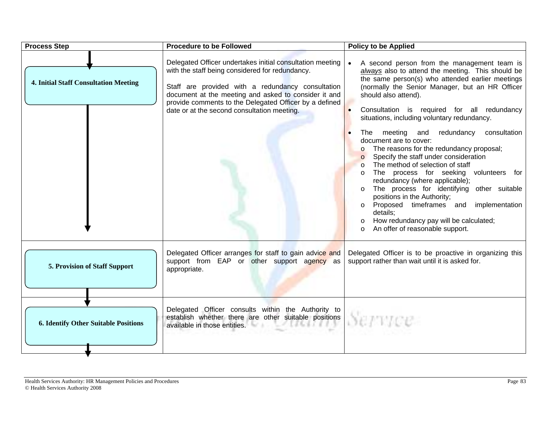| <b>Process Step</b>                          | <b>Procedure to be Followed</b>                                                                                                                                                                                                                                                                                                    | <b>Policy to be Applied</b>                                                                                                                                                                                                                                                                                                                                                                                                                                                                                                                                                                                                                                                                                                                                                                                                                                                                                 |
|----------------------------------------------|------------------------------------------------------------------------------------------------------------------------------------------------------------------------------------------------------------------------------------------------------------------------------------------------------------------------------------|-------------------------------------------------------------------------------------------------------------------------------------------------------------------------------------------------------------------------------------------------------------------------------------------------------------------------------------------------------------------------------------------------------------------------------------------------------------------------------------------------------------------------------------------------------------------------------------------------------------------------------------------------------------------------------------------------------------------------------------------------------------------------------------------------------------------------------------------------------------------------------------------------------------|
| <b>4. Initial Staff Consultation Meeting</b> | Delegated Officer undertakes initial consultation meeting<br>with the staff being considered for redundancy.<br>Staff are provided with a redundancy consultation<br>document at the meeting and asked to consider it and<br>provide comments to the Delegated Officer by a defined<br>date or at the second consultation meeting. | A second person from the management team is<br>always also to attend the meeting. This should be<br>the same person(s) who attended earlier meetings<br>(normally the Senior Manager, but an HR Officer<br>should also attend).<br>Consultation is required for all redundancy<br>situations, including voluntary redundancy.<br>The meeting and<br>redundancy<br>consultation<br>document are to cover:<br>The reasons for the redundancy proposal;<br>$\circ$<br>Specify the staff under consideration<br>$\circ$<br>The method of selection of staff<br>$\circ$<br>The process for seeking volunteers for<br>$\circ$<br>redundancy (where applicable);<br>The process for identifying other suitable<br>positions in the Authority;<br>Proposed timeframes and implementation<br>$\circ$<br>details:<br>How redundancy pay will be calculated;<br>$\circ$<br>An offer of reasonable support.<br>$\Omega$ |
| 5. Provision of Staff Support                | Delegated Officer arranges for staff to gain advice and<br>support from EAP or other support agency as<br>appropriate.                                                                                                                                                                                                             | Delegated Officer is to be proactive in organizing this<br>support rather than wait until it is asked for.                                                                                                                                                                                                                                                                                                                                                                                                                                                                                                                                                                                                                                                                                                                                                                                                  |
| <b>6. Identify Other Suitable Positions</b>  | Delegated Officer consults within the Authority to<br>establish whether there are other suitable positions<br>ANNA CI<br>available in those entities.                                                                                                                                                                              | Service                                                                                                                                                                                                                                                                                                                                                                                                                                                                                                                                                                                                                                                                                                                                                                                                                                                                                                     |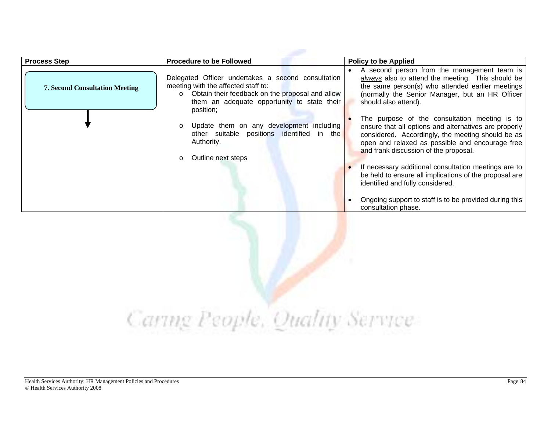| <b>Process Step</b>                   | <b>Procedure to be Followed</b>                                                                                                                                                                                     | <b>Policy to be Applied</b>                                                                                                                                                                                                                             |
|---------------------------------------|---------------------------------------------------------------------------------------------------------------------------------------------------------------------------------------------------------------------|---------------------------------------------------------------------------------------------------------------------------------------------------------------------------------------------------------------------------------------------------------|
| <b>7. Second Consultation Meeting</b> | Delegated Officer undertakes a second consultation<br>meeting with the affected staff to:<br>Obtain their feedback on the proposal and allow<br>$\circ$<br>them an adequate opportunity to state their<br>position; | A second person from the management team is<br>always also to attend the meeting. This should be<br>the same person(s) who attended earlier meetings<br>(normally the Senior Manager, but an HR Officer<br>should also attend).                         |
|                                       | Update them on any development including<br>other suitable positions identified in the<br>Authority.<br>Outline next steps                                                                                          | The purpose of the consultation meeting is to<br>ensure that all options and alternatives are properly<br>considered. Accordingly, the meeting should be as<br>open and relaxed as possible and encourage free<br>and frank discussion of the proposal. |
|                                       |                                                                                                                                                                                                                     | If necessary additional consultation meetings are to<br>be held to ensure all implications of the proposal are<br>identified and fully considered.<br>Ongoing support to staff is to be provided during this<br>consultation phase.                     |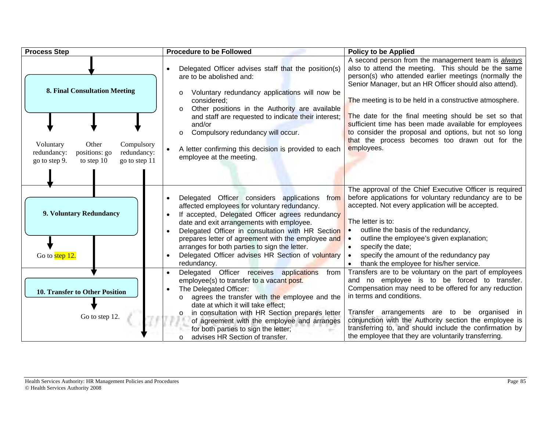| <b>Process Step</b>                                                                                                                                                       | <b>Procedure to be Followed</b>                                                                                                                                                                                                                                                                                                                                                                                                                          | <b>Policy to be Applied</b>                                                                                                                                                                                                                                                                                                                                                                                                                                                                                                       |
|---------------------------------------------------------------------------------------------------------------------------------------------------------------------------|----------------------------------------------------------------------------------------------------------------------------------------------------------------------------------------------------------------------------------------------------------------------------------------------------------------------------------------------------------------------------------------------------------------------------------------------------------|-----------------------------------------------------------------------------------------------------------------------------------------------------------------------------------------------------------------------------------------------------------------------------------------------------------------------------------------------------------------------------------------------------------------------------------------------------------------------------------------------------------------------------------|
| <b>8. Final Consultation Meeting</b><br>Other<br>Voluntary<br>Compulsory<br>redundancy:<br>redundancy:<br>positions: go<br>go to step 11<br>go to step 9.<br>to step $10$ | Delegated Officer advises staff that the position(s)<br>are to be abolished and:<br>Voluntary redundancy applications will now be<br>$\circ$<br>considered:<br>Other positions in the Authority are available<br>$\Omega$<br>and staff are requested to indicate their interest;<br>and/or<br>Compulsory redundancy will occur.<br>$\circ$<br>A letter confirming this decision is provided to each<br>$\bullet$<br>employee at the meeting.             | A second person from the management team is always<br>also to attend the meeting. This should be the same<br>person(s) who attended earlier meetings (normally the<br>Senior Manager, but an HR Officer should also attend).<br>The meeting is to be held in a constructive atmosphere.<br>The date for the final meeting should be set so that<br>sufficient time has been made available for employees<br>to consider the proposal and options, but not so long<br>that the process becomes too drawn out for the<br>employees. |
| 9. Voluntary Redundancy<br>Go to step 12.                                                                                                                                 | Delegated Officer considers applications from<br>affected employees for voluntary redundancy.<br>If accepted, Delegated Officer agrees redundancy<br>$\bullet$<br>date and exit arrangements with employee.<br>Delegated Officer in consultation with HR Section<br>$\bullet$<br>prepares letter of agreement with the employee and<br>arranges for both parties to sign the letter.<br>Delegated Officer advises HR Section of voluntary<br>redundancy. | The approval of the Chief Executive Officer is required<br>before applications for voluntary redundancy are to be<br>accepted. Not every application will be accepted.<br>The letter is to:<br>outline the basis of the redundancy,<br>outline the employee's given explanation;<br>specify the date;<br>specify the amount of the redundancy pay<br>thank the employee for his/her service.                                                                                                                                      |
| <b>10. Transfer to Other Position</b><br>Go to step 12.                                                                                                                   | Delegated Officer receives applications<br>from<br>employee(s) to transfer to a vacant post.<br>The Delegated Officer:<br>agrees the transfer with the employee and the<br>$\circ$<br>date at which it will take effect;<br>in consultation with HR Section prepares letter<br>$\circ$<br>of agreement with the employee and arranges<br>for both parties to sign the letter;<br>advises HR Section of transfer.<br>O                                    | Transfers are to be voluntary on the part of employees<br>and no employee is to be forced to transfer.<br>Compensation may need to be offered for any reduction<br>in terms and conditions.<br>Transfer arrangements are to be organised in<br>conjunction with the Authority section the employee is<br>transferring to, and should include the confirmation by<br>the employee that they are voluntarily transferring.                                                                                                          |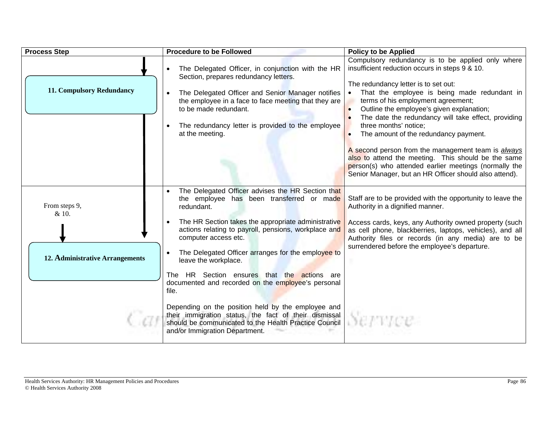| <b>Process Step</b>             | <b>Procedure to be Followed</b>                                                                                                                                                                                                                                                                          | <b>Policy to be Applied</b>                                                                                                                                                                                                                                                                                                                                                                                                       |
|---------------------------------|----------------------------------------------------------------------------------------------------------------------------------------------------------------------------------------------------------------------------------------------------------------------------------------------------------|-----------------------------------------------------------------------------------------------------------------------------------------------------------------------------------------------------------------------------------------------------------------------------------------------------------------------------------------------------------------------------------------------------------------------------------|
| 11. Compulsory Redundancy       | The Delegated Officer, in conjunction with the HR<br>Section, prepares redundancy letters.<br>The Delegated Officer and Senior Manager notifies<br>the employee in a face to face meeting that they are<br>to be made redundant.<br>The redundancy letter is provided to the employee<br>at the meeting. | Compulsory redundancy is to be applied only where<br>insufficient reduction occurs in steps 9 & 10.<br>The redundancy letter is to set out:<br>That the employee is being made redundant in<br>terms of his employment agreement;<br>Outline the employee's given explanation;<br>$\bullet$<br>The date the redundancy will take effect, providing<br>three months' notice;<br>The amount of the redundancy payment.<br>$\bullet$ |
|                                 |                                                                                                                                                                                                                                                                                                          | A second person from the management team is <i>always</i><br>also to attend the meeting. This should be the same<br>person(s) who attended earlier meetings (normally the<br>Senior Manager, but an HR Officer should also attend).                                                                                                                                                                                               |
| From steps 9,<br>& 10.          | The Delegated Officer advises the HR Section that<br>the employee has been transferred or made<br>redundant.                                                                                                                                                                                             | Staff are to be provided with the opportunity to leave the<br>Authority in a dignified manner.                                                                                                                                                                                                                                                                                                                                    |
| 12. Administrative Arrangements | The HR Section takes the appropriate administrative<br>actions relating to payroll, pensions, workplace and<br>computer access etc.<br>The Delegated Officer arranges for the employee to<br>leave the workplace.                                                                                        | Access cards, keys, any Authority owned property (such<br>as cell phone, blackberries, laptops, vehicles), and all<br>Authority files or records (in any media) are to be<br>surrendered before the employee's departure.                                                                                                                                                                                                         |
|                                 | The HR Section ensures that the actions are<br>documented and recorded on the employee's personal<br>file.                                                                                                                                                                                               |                                                                                                                                                                                                                                                                                                                                                                                                                                   |
|                                 | Depending on the position held by the employee and<br>their immigration status, the fact of their dismissal<br>should be communicated to the Health Practice Council<br>and/or Immigration Department.                                                                                                   |                                                                                                                                                                                                                                                                                                                                                                                                                                   |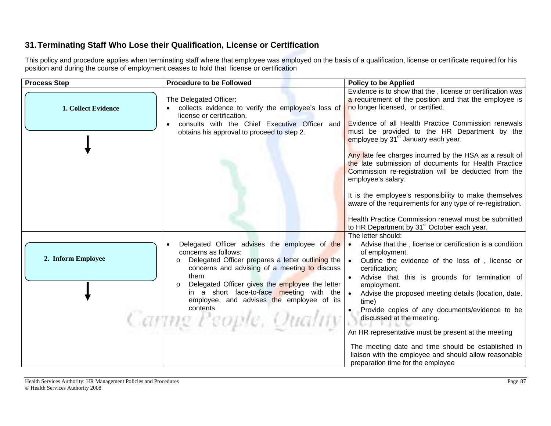## **31. Terminating Staff Who Lose their Qualification, License or Certification**

This policy and procedure applies when terminating staff where that employee was employed on the basis of a qualification, license or certificate required for his position and during the course of employment ceases to hold that license or certification

| <b>Process Step</b> | <b>Procedure to be Followed</b>                             | <b>Policy to be Applied</b>                                                                                     |
|---------------------|-------------------------------------------------------------|-----------------------------------------------------------------------------------------------------------------|
|                     |                                                             | Evidence is to show that the, license or certification was                                                      |
|                     | The Delegated Officer:                                      | a requirement of the position and that the employee is                                                          |
| 1. Collect Evidence | collects evidence to verify the employee's loss of          | no longer licensed, or certified.                                                                               |
|                     | license or certification.                                   |                                                                                                                 |
|                     | consults with the Chief Executive Officer and               | Evidence of all Health Practice Commission renewals                                                             |
|                     | obtains his approval to proceed to step 2.                  | must be provided to the HR Department by the                                                                    |
|                     |                                                             | employee by 31 <sup>st</sup> January each year.                                                                 |
|                     |                                                             |                                                                                                                 |
|                     |                                                             | Any late fee charges incurred by the HSA as a result of<br>the late submission of documents for Health Practice |
|                     |                                                             | Commission re-registration will be deducted from the                                                            |
|                     |                                                             | employee's salary.                                                                                              |
|                     |                                                             |                                                                                                                 |
|                     |                                                             | It is the employee's responsibility to make themselves                                                          |
|                     |                                                             | aware of the requirements for any type of re-registration.                                                      |
|                     |                                                             |                                                                                                                 |
|                     |                                                             | Health Practice Commission renewal must be submitted                                                            |
|                     |                                                             | to HR Department by 31 <sup>st</sup> October each year.                                                         |
|                     | Delegated Officer advises the employee of the               | The letter should:<br>Advise that the, license or certification is a condition                                  |
|                     | concerns as follows:                                        | of employment.                                                                                                  |
| 2. Inform Employee  | Delegated Officer prepares a letter outlining the           | Outline the evidence of the loss of, license or                                                                 |
|                     | concerns and advising of a meeting to discuss               | certification;                                                                                                  |
|                     | them.                                                       | Advise that this is grounds for termination of                                                                  |
|                     | Delegated Officer gives the employee the letter<br>$\Omega$ | employment.                                                                                                     |
|                     | in a short face-to-face meeting with the                    | Advise the proposed meeting details (location, date,                                                            |
|                     | employee, and advises the employee of its                   | time)                                                                                                           |
|                     | contents.                                                   | Provide copies of any documents/evidence to be                                                                  |
|                     | Caning People, Quality                                      | discussed at the meeting.                                                                                       |
|                     |                                                             | An HR representative must be present at the meeting                                                             |
|                     |                                                             |                                                                                                                 |
|                     |                                                             | The meeting date and time should be established in                                                              |
|                     |                                                             | liaison with the employee and should allow reasonable                                                           |
|                     |                                                             | preparation time for the employee                                                                               |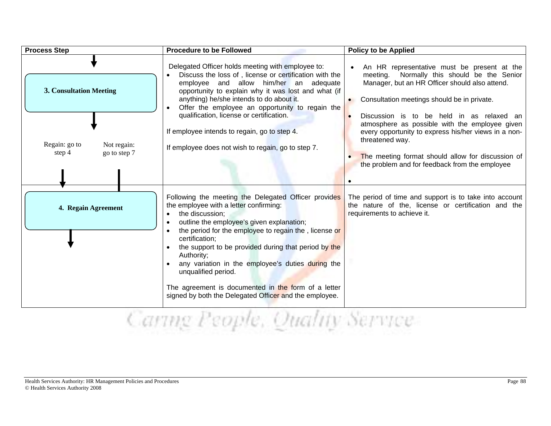| <b>Process Step</b>                                                                        | <b>Procedure to be Followed</b>                                                                                                                                                                                                                                                                                                                                                                                                                               | <b>Policy to be Applied</b>                                                                                                                                                                                                                                                                                                                                                                                                                                                               |
|--------------------------------------------------------------------------------------------|---------------------------------------------------------------------------------------------------------------------------------------------------------------------------------------------------------------------------------------------------------------------------------------------------------------------------------------------------------------------------------------------------------------------------------------------------------------|-------------------------------------------------------------------------------------------------------------------------------------------------------------------------------------------------------------------------------------------------------------------------------------------------------------------------------------------------------------------------------------------------------------------------------------------------------------------------------------------|
| <b>3. Consultation Meeting</b><br>Regain: go to<br>Not regain:<br>go to step 7<br>step $4$ | Delegated Officer holds meeting with employee to:<br>Discuss the loss of, license or certification with the<br>employee and allow him/her an adequate<br>opportunity to explain why it was lost and what (if<br>anything) he/she intends to do about it.<br>Offer the employee an opportunity to regain the<br>qualification, license or certification.<br>If employee intends to regain, go to step 4.<br>If employee does not wish to regain, go to step 7. | An HR representative must be present at the<br>meeting. Normally this should be the Senior<br>Manager, but an HR Officer should also attend.<br>Consultation meetings should be in private.<br>Discussion is to be held in as relaxed an<br>$\bullet$<br>atmosphere as possible with the employee given<br>every opportunity to express his/her views in a non-<br>threatened way.<br>The meeting format should allow for discussion of<br>the problem and for feedback from the employee |
|                                                                                            |                                                                                                                                                                                                                                                                                                                                                                                                                                                               |                                                                                                                                                                                                                                                                                                                                                                                                                                                                                           |
| 4. Regain Agreement                                                                        | Following the meeting the Delegated Officer provides<br>the employee with a letter confirming:<br>the discussion;<br>outline the employee's given explanation;<br>the period for the employee to regain the, license or<br>certification;<br>the support to be provided during that period by the<br>Authority;<br>any variation in the employee's duties during the<br>unqualified period.                                                                   | The period of time and support is to take into account<br>the nature of the, license or certification and the<br>requirements to achieve it.                                                                                                                                                                                                                                                                                                                                              |
|                                                                                            | The agreement is documented in the form of a letter<br>signed by both the Delegated Officer and the employee.                                                                                                                                                                                                                                                                                                                                                 |                                                                                                                                                                                                                                                                                                                                                                                                                                                                                           |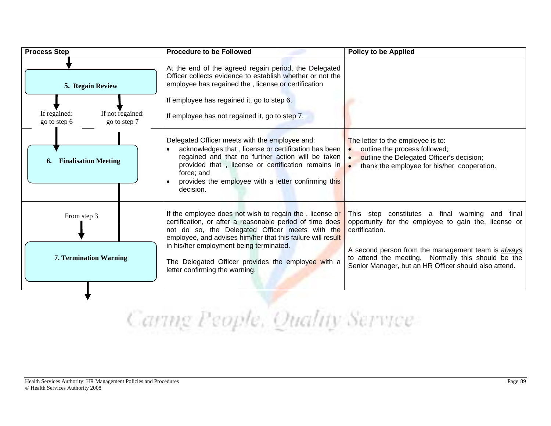| <b>Process Step</b>                                              | <b>Procedure to be Followed</b>                                                                                                                                                                                                                                                                       | <b>Policy to be Applied</b>                                                                                                                                              |
|------------------------------------------------------------------|-------------------------------------------------------------------------------------------------------------------------------------------------------------------------------------------------------------------------------------------------------------------------------------------------------|--------------------------------------------------------------------------------------------------------------------------------------------------------------------------|
| 5. Regain Review                                                 | At the end of the agreed regain period, the Delegated<br>Officer collects evidence to establish whether or not the<br>employee has regained the, license or certification                                                                                                                             |                                                                                                                                                                          |
|                                                                  | If employee has regained it, go to step 6.                                                                                                                                                                                                                                                            |                                                                                                                                                                          |
| If not regained:<br>If regained:<br>go to step 7<br>go to step 6 | If employee has not regained it, go to step 7.                                                                                                                                                                                                                                                        |                                                                                                                                                                          |
| <b>Finalisation Meeting</b><br>6.                                | Delegated Officer meets with the employee and:<br>acknowledges that, license or certification has been<br>regained and that no further action will be taken .<br>provided that, license or certification remains in<br>force; and<br>provides the employee with a letter confirming this<br>decision. | The letter to the employee is to:<br>outline the process followed;<br>outline the Delegated Officer's decision;<br>thank the employee for his/her cooperation.           |
| From step 3                                                      | If the employee does not wish to regain the, license or<br>certification, or after a reasonable period of time does<br>not do so, the Delegated Officer meets with the<br>employee, and advises him/her that this failure will result                                                                 | This step constitutes a final warning and final<br>opportunity for the employee to gain the, license or<br>certification.                                                |
| <b>7. Termination Warning</b>                                    | in his/her employment being terminated.<br>The Delegated Officer provides the employee with a<br>letter confirming the warning.                                                                                                                                                                       | A second person from the management team is <i>always</i><br>to attend the meeting. Normally this should be the<br>Senior Manager, but an HR Officer should also attend. |
|                                                                  |                                                                                                                                                                                                                                                                                                       |                                                                                                                                                                          |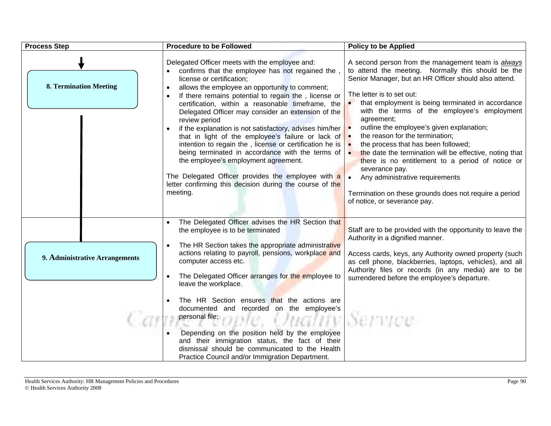| <b>Process Step</b>            | <b>Procedure to be Followed</b>                                                                                                                                                                                                                                                                                                                                                                                                                                                                                                                                                                                                                                                                                                                                                                                                                                  | <b>Policy to be Applied</b>                                                                                                                                                                                                                                                                                                                                                                                                                                                                                                                                                                                                                                                                                  |
|--------------------------------|------------------------------------------------------------------------------------------------------------------------------------------------------------------------------------------------------------------------------------------------------------------------------------------------------------------------------------------------------------------------------------------------------------------------------------------------------------------------------------------------------------------------------------------------------------------------------------------------------------------------------------------------------------------------------------------------------------------------------------------------------------------------------------------------------------------------------------------------------------------|--------------------------------------------------------------------------------------------------------------------------------------------------------------------------------------------------------------------------------------------------------------------------------------------------------------------------------------------------------------------------------------------------------------------------------------------------------------------------------------------------------------------------------------------------------------------------------------------------------------------------------------------------------------------------------------------------------------|
| <b>8. Termination Meeting</b>  | Delegated Officer meets with the employee and:<br>confirms that the employee has not regained the<br>license or certification;<br>allows the employee an opportunity to comment;<br>If there remains potential to regain the, license or<br>certification, within a reasonable timeframe, the<br>Delegated Officer may consider an extension of the<br>review period<br>if the explanation is not satisfactory, advises him/her $\vert \bullet \vert$<br>that in light of the employee's failure or lack of $\bullet$<br>intention to regain the, license or certification he is $\cdot$<br>being terminated in accordance with the terms of $\vert \bullet \vert$<br>the employee's employment agreement.<br>The Delegated Officer provides the employee with a<br>letter confirming this decision during the course of the<br>meeting.                         | A second person from the management team is <i>always</i><br>to attend the meeting. Normally this should be the<br>Senior Manager, but an HR Officer should also attend.<br>The letter is to set out:<br>that employment is being terminated in accordance<br>with the terms of the employee's employment<br>agreement;<br>outline the employee's given explanation;<br>the reason for the termination;<br>the process that has been followed;<br>the date the termination will be effective, noting that<br>there is no entitlement to a period of notice or<br>severance pay.<br>Any administrative requirements<br>Termination on these grounds does not require a period<br>of notice, or severance pay. |
| 9. Administrative Arrangements | The Delegated Officer advises the HR Section that<br>the employee is to be terminated<br>The HR Section takes the appropriate administrative<br>actions relating to payroll, pensions, workplace and<br>computer access etc.<br>The Delegated Officer arranges for the employee to<br>leave the workplace.<br>The HR Section ensures that the actions are<br>documented and recorded on the employee's<br>personal file;<br>and the contract of the contract of the contract of the contract of the contract of the contract of the contract of the contract of the contract of the contract of the contract of the contract of the contra<br>Uttalliv<br>Depending on the position held by the employee<br>and their immigration status, the fact of their<br>dismissal should be communicated to the Health<br>Practice Council and/or Immigration Department. | Staff are to be provided with the opportunity to leave the<br>Authority in a dignified manner.<br>Access cards, keys, any Authority owned property (such<br>as cell phone, blackberries, laptops, vehicles), and all<br>Authority files or records (in any media) are to be<br>surrendered before the employee's departure.                                                                                                                                                                                                                                                                                                                                                                                  |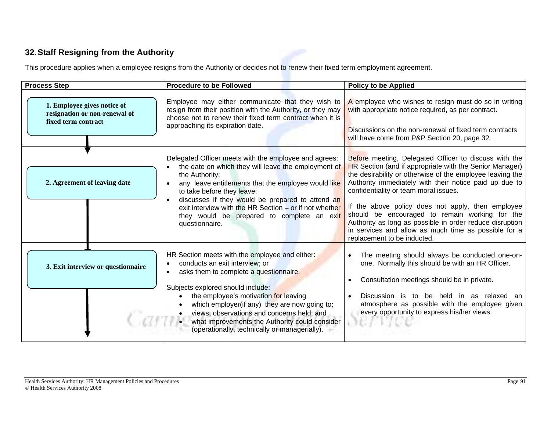## **32. Staff Resigning from the Authority**

This procedure applies when a employee resigns from the Authority or decides not to renew their fixed term employment agreement.

| <b>Process Step</b>                                                                 | <b>Procedure to be Followed</b>                                                                                                                                                                                                                                                                                                                                                                            | <b>Policy to be Applied</b>                                                                                                                                                                                                                                                                                                                                                                                                                                                                                                                |
|-------------------------------------------------------------------------------------|------------------------------------------------------------------------------------------------------------------------------------------------------------------------------------------------------------------------------------------------------------------------------------------------------------------------------------------------------------------------------------------------------------|--------------------------------------------------------------------------------------------------------------------------------------------------------------------------------------------------------------------------------------------------------------------------------------------------------------------------------------------------------------------------------------------------------------------------------------------------------------------------------------------------------------------------------------------|
| 1. Employee gives notice of<br>resignation or non-renewal of<br>fixed term contract | Employee may either communicate that they wish to<br>resign from their position with the Authority, or they may<br>choose not to renew their fixed term contract when it is<br>approaching its expiration date.                                                                                                                                                                                            | A employee who wishes to resign must do so in writing<br>with appropriate notice required, as per contract.<br>Discussions on the non-renewal of fixed term contracts<br>will have come from P&P Section 20, page 32                                                                                                                                                                                                                                                                                                                       |
| 2. Agreement of leaving date                                                        | Delegated Officer meets with the employee and agrees:<br>the date on which they will leave the employment of<br>the Authority;<br>any leave entitlements that the employee would like<br>to take before they leave;<br>discusses if they would be prepared to attend an<br>exit interview with the HR Section $-$ or if not whether<br>they would be prepared to complete an exit<br>questionnaire.        | Before meeting, Delegated Officer to discuss with the<br>HR Section (and if appropriate with the Senior Manager)<br>the desirability or otherwise of the employee leaving the<br>Authority immediately with their notice paid up due to<br>confidentiality or team moral issues.<br>If the above policy does not apply, then employee<br>should be encouraged to remain working for the<br>Authority as long as possible in order reduce disruption<br>in services and allow as much time as possible for a<br>replacement to be inducted. |
| 3. Exit interview or questionnaire                                                  | HR Section meets with the employee and either:<br>conducts an exit interview; or<br>asks them to complete a questionnaire.<br>Subjects explored should include:<br>the employee's motivation for leaving<br>which employer(if any) they are now going to;<br>views, observations and concerns held; and<br>what improvements the Authority could consider<br>(operationally, technically or managerially). | The meeting should always be conducted one-on-<br>one. Normally this should be with an HR Officer.<br>Consultation meetings should be in private.<br>in as relaxed an<br>Discussion is<br>held<br>to be<br>atmosphere as possible with the employee given<br>every opportunity to express his/her views.                                                                                                                                                                                                                                   |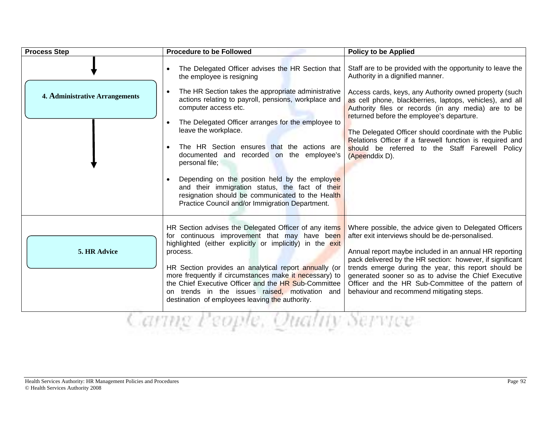| <b>Process Step</b>                   | <b>Procedure to be Followed</b>                                                                                                                                                                                                                                                                                                                                                                                                                                                                                                                                                                                               | <b>Policy to be Applied</b>                                                                                                                                                                                                                                                                                                                                                                                                                                                                                          |
|---------------------------------------|-------------------------------------------------------------------------------------------------------------------------------------------------------------------------------------------------------------------------------------------------------------------------------------------------------------------------------------------------------------------------------------------------------------------------------------------------------------------------------------------------------------------------------------------------------------------------------------------------------------------------------|----------------------------------------------------------------------------------------------------------------------------------------------------------------------------------------------------------------------------------------------------------------------------------------------------------------------------------------------------------------------------------------------------------------------------------------------------------------------------------------------------------------------|
| <b>4. Administrative Arrangements</b> | The Delegated Officer advises the HR Section that<br>the employee is resigning<br>The HR Section takes the appropriate administrative<br>actions relating to payroll, pensions, workplace and<br>computer access etc.<br>The Delegated Officer arranges for the employee to<br>leave the workplace.<br>The HR Section ensures that the actions are<br>documented and recorded on the employee's<br>personal file;<br>Depending on the position held by the employee<br>and their immigration status, the fact of their<br>resignation should be communicated to the Health<br>Practice Council and/or Immigration Department. | Staff are to be provided with the opportunity to leave the<br>Authority in a dignified manner.<br>Access cards, keys, any Authority owned property (such<br>as cell phone, blackberries, laptops, vehicles), and all<br>Authority files or records (in any media) are to be<br>returned before the employee's departure.<br>The Delegated Officer should coordinate with the Public<br>Relations Officer if a farewell function is required and<br>should be referred to the Staff Farewell Policy<br>(Apeenddix D). |
| 5. HR Advice                          | HR Section advises the Delegated Officer of any items<br>for continuous improvement that may have been<br>highlighted (either explicitly or implicitly) in the exit<br>process.<br>HR Section provides an analytical report annually (or<br>more frequently if circumstances make it necessary) to<br>the Chief Executive Officer and the HR Sub-Committee<br>on trends in the issues raised, motivation and<br>destination of employees leaving the authority.<br>arme Feople, Quality Ser                                                                                                                                   | Where possible, the advice given to Delegated Officers<br>after exit interviews should be de-personalised.<br>Annual report maybe included in an annual HR reporting<br>pack delivered by the HR section: however, if significant<br>trends emerge during the year, this report should be<br>generated sooner so as to advise the Chief Executive<br>Officer and the HR Sub-Committee of the pattern of<br>behaviour and recommend mitigating steps.                                                                 |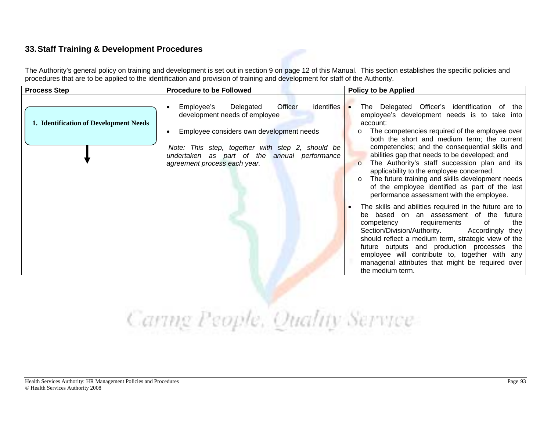### **33. Staff Training & Development Procedures**

The Authority's general policy on training and development is set out in section 9 on page 12 of this Manual. This section establishes the specific policies and procedures that are to be applied to the identification and provision of training and development for staff of the Authority.

| <b>Process Step</b>                    | <b>Procedure to be Followed</b>                                                                                                                                                                                                                                            | <b>Policy to be Applied</b>                                                                                                                                                                                                                                                                                                                                                                                                                                                                                                                                                                                                                                                                                                                                                                                                                                                                                                                                                                                           |
|----------------------------------------|----------------------------------------------------------------------------------------------------------------------------------------------------------------------------------------------------------------------------------------------------------------------------|-----------------------------------------------------------------------------------------------------------------------------------------------------------------------------------------------------------------------------------------------------------------------------------------------------------------------------------------------------------------------------------------------------------------------------------------------------------------------------------------------------------------------------------------------------------------------------------------------------------------------------------------------------------------------------------------------------------------------------------------------------------------------------------------------------------------------------------------------------------------------------------------------------------------------------------------------------------------------------------------------------------------------|
| 1. Identification of Development Needs | <b>Officer</b><br>Employee's<br>Delegated<br>identifies •<br>development needs of employee<br>Employee considers own development needs<br>Note: This step, together with step 2, should be<br>undertaken as part of the annual performance<br>agreement process each year. | The Delegated Officer's identification of the<br>employee's development needs is to take into<br>account:<br>The competencies required of the employee over<br>$\circ$<br>both the short and medium term; the current<br>competencies; and the consequential skills and<br>abilities gap that needs to be developed; and<br>The Authority's staff succession plan and its<br>$\Omega$<br>applicability to the employee concerned;<br>The future training and skills development needs<br>of the employee identified as part of the last<br>performance assessment with the employee.<br>The skills and abilities required in the future are to<br>be based on an assessment of the future<br>competency requirements<br>of<br>the<br>Section/Division/Authority.<br>Accordingly they<br>should reflect a medium term, strategic view of the<br>future outputs and production processes the<br>employee will contribute to, together with any<br>managerial attributes that might be required over<br>the medium term. |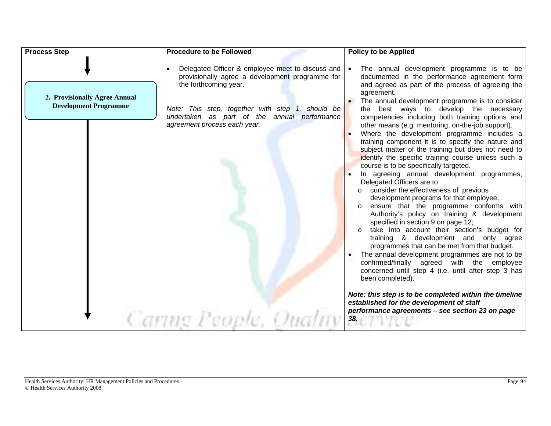| <b>Process Step</b>                                           | <b>Procedure to be Followed</b>                                                                                                                                                                                                                                      | <b>Policy to be Applied</b>                                                                                                                                                                                                                                                                                                                                                                                                                                                                                                                                                                                                                                                                                                                                                                                                                                                                                                                                                                                                                                                                                                                                                                                                                                                                                                                                                                                                  |
|---------------------------------------------------------------|----------------------------------------------------------------------------------------------------------------------------------------------------------------------------------------------------------------------------------------------------------------------|------------------------------------------------------------------------------------------------------------------------------------------------------------------------------------------------------------------------------------------------------------------------------------------------------------------------------------------------------------------------------------------------------------------------------------------------------------------------------------------------------------------------------------------------------------------------------------------------------------------------------------------------------------------------------------------------------------------------------------------------------------------------------------------------------------------------------------------------------------------------------------------------------------------------------------------------------------------------------------------------------------------------------------------------------------------------------------------------------------------------------------------------------------------------------------------------------------------------------------------------------------------------------------------------------------------------------------------------------------------------------------------------------------------------------|
| 2. Provisionally Agree Annual<br><b>Development Programme</b> | Delegated Officer & employee meet to discuss and   •<br>provisionally agree a development programme for<br>the forthcoming year.<br>Note: This step, together with step 1, should be<br>undertaken as part of the annual performance<br>agreement process each year. | The annual development programme is to be<br>documented in the performance agreement form<br>and agreed as part of the process of agreeing the<br>agreement.<br>The annual development programme is to consider<br>best ways to develop the necessary<br>the<br>competencies including both training options and<br>other means (e.g. mentoring, on-the-job support).<br>Where the development programme includes a<br>training component it is to specify the nature and<br>subject matter of the training but does not need to<br>identify the specific training course unless such a<br>course is to be specifically targeted.<br>In agreeing annual development programmes,<br>Delegated Officers are to:<br>consider the effectiveness of previous<br>$\circ$<br>development programs for that employee;<br>ensure that the programme conforms with<br>Authority's policy on training & development<br>specified in section 9 on page 12;<br>take into account their section's budget for<br>training & development and only agree<br>programmes that can be met from that budget.<br>The annual development programmes are not to be<br>confirmed/finally agreed with the employee<br>concerned until step 4 (i.e. until after step 3 has<br>been completed).<br>Note: this step is to be completed within the timeline<br>established for the development of staff<br>performance agreements - see section 23 on page |
|                                                               | Canng People, Quality                                                                                                                                                                                                                                                | 38.                                                                                                                                                                                                                                                                                                                                                                                                                                                                                                                                                                                                                                                                                                                                                                                                                                                                                                                                                                                                                                                                                                                                                                                                                                                                                                                                                                                                                          |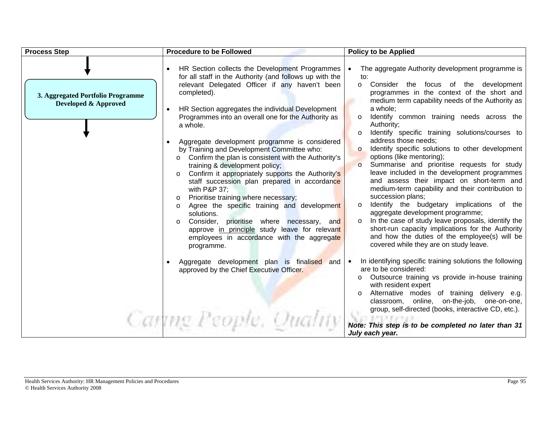| <b>Process Step</b>                                       | <b>Procedure to be Followed</b>                                                                                                                                                                                                                                                                                                                                                                                                                                                                                                                                                                                                                                                                                                                                 | <b>Policy to be Applied</b>                                                                                                                                                                                                                                                                                                                                                                                                                                                                                                                                                                                                                                                                                                                                                                                    |
|-----------------------------------------------------------|-----------------------------------------------------------------------------------------------------------------------------------------------------------------------------------------------------------------------------------------------------------------------------------------------------------------------------------------------------------------------------------------------------------------------------------------------------------------------------------------------------------------------------------------------------------------------------------------------------------------------------------------------------------------------------------------------------------------------------------------------------------------|----------------------------------------------------------------------------------------------------------------------------------------------------------------------------------------------------------------------------------------------------------------------------------------------------------------------------------------------------------------------------------------------------------------------------------------------------------------------------------------------------------------------------------------------------------------------------------------------------------------------------------------------------------------------------------------------------------------------------------------------------------------------------------------------------------------|
| 3. Aggregated Portfolio Programme<br>Developed & Approved | HR Section collects the Development Programmes<br>for all staff in the Authority (and follows up with the<br>relevant Delegated Officer if any haven't been<br>completed).<br>HR Section aggregates the individual Development<br>Programmes into an overall one for the Authority as<br>a whole.<br>Aggregate development programme is considered<br>by Training and Development Committee who:<br>Confirm the plan is consistent with the Authority's<br>$\circ$<br>training & development policy;<br>Confirm it appropriately supports the Authority's<br>$\circ$<br>staff succession plan prepared in accordance<br>with P&P 37:<br>Prioritise training where necessary;<br>$\circ$<br>Agree the specific training and development<br>$\circ$<br>solutions. | The aggregate Authority development programme is<br>to:<br>Consider the focus of the development<br>$\circ$<br>programmes in the context of the short and<br>medium term capability needs of the Authority as<br>a whole;<br>Identify common training needs across the<br>$\circ$<br>Authority;<br>Identify specific training solutions/courses to<br>$\circ$<br>address those needs;<br>Identify specific solutions to other development<br>$\circ$<br>options (like mentoring);<br>Summarise and prioritise requests for study<br>$\circ$<br>leave included in the development programmes<br>and assess their impact on short-term and<br>medium-term capability and their contribution to<br>succession plans;<br>Identify the budgetary implications of the<br>$\circ$<br>aggregate development programme; |
|                                                           | Consider, prioritise where necessary, and<br>$\circ$<br>approve in principle study leave for relevant<br>employees in accordance with the aggregate<br>programme.<br>Aggregate development plan is finalised and<br>approved by the Chief Executive Officer.<br>Cannig People, Quality                                                                                                                                                                                                                                                                                                                                                                                                                                                                          | In the case of study leave proposals, identify the<br>$\circ$<br>short-run capacity implications for the Authority<br>and how the duties of the employee(s) will be<br>covered while they are on study leave.<br>In identifying specific training solutions the following<br>$\bullet$<br>are to be considered:<br>Outsource training vs provide in-house training<br>$\circ$<br>with resident expert<br>Alternative modes of training delivery e.g.<br>$\circ$<br>online, on-the-job, one-on-one,<br>classroom.<br>group, self-directed (books, interactive CD, etc.).<br>Note: This step is to be completed no later than 31<br>July each year.                                                                                                                                                              |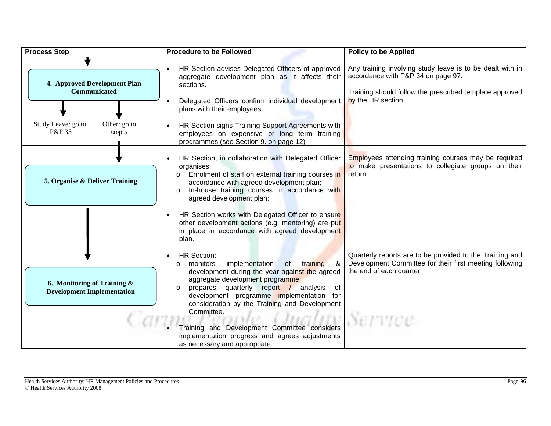| <b>Process Step</b>                                              | <b>Procedure to be Followed</b>                                                                                                                                                                                                                                                                                                                                                                                                                                                     | <b>Policy to be Applied</b>                                                                                                                                                      |
|------------------------------------------------------------------|-------------------------------------------------------------------------------------------------------------------------------------------------------------------------------------------------------------------------------------------------------------------------------------------------------------------------------------------------------------------------------------------------------------------------------------------------------------------------------------|----------------------------------------------------------------------------------------------------------------------------------------------------------------------------------|
| 4. Approved Development Plan<br><b>Communicated</b>              | HR Section advises Delegated Officers of approved<br>aggregate development plan as it affects their<br>sections.<br>Delegated Officers confirm individual development<br>plans with their employees.                                                                                                                                                                                                                                                                                | Any training involving study leave is to be dealt with in<br>accordance with P&P 34 on page 97.<br>Training should follow the prescribed template approved<br>by the HR section. |
| Study Leave: go to<br>Other: go to<br>P&P 35<br>step 5           | HR Section signs Training Support Agreements with<br>employees on expensive or long term training<br>programmes (see Section 9. on page 12)                                                                                                                                                                                                                                                                                                                                         |                                                                                                                                                                                  |
| 5. Organise & Deliver Training                                   | HR Section, in collaboration with Delegated Officer<br>organises:<br>Enrolment of staff on external training courses in<br>$\circ$<br>accordance with agreed development plan;<br>In-house training courses in accordance with<br>$\circ$<br>agreed development plan;                                                                                                                                                                                                               | <b>Employees attending training courses may be required</b><br>to make presentations to collegiate groups on their<br>return                                                     |
|                                                                  | HR Section works with Delegated Officer to ensure<br>other development actions (e.g. mentoring) are put<br>in place in accordance with agreed development<br>plan.                                                                                                                                                                                                                                                                                                                  |                                                                                                                                                                                  |
| 6. Monitoring of Training &<br><b>Development Implementation</b> | <b>HR Section:</b><br>implementation<br>&<br>monitors<br><b>of</b><br>training<br>$\circ$<br>development during the year against the agreed<br>aggregate development programme;<br>prepares quarterly report / analysis of<br>$\circ$<br>development programme implementation for<br>consideration by the Training and Development<br>Committee.<br>Training and Development Committee considers<br>implementation progress and agrees adjustments<br>as necessary and appropriate. | Quarterly reports are to be provided to the Training and<br>Development Committee for their first meeting following<br>the end of each quarter.                                  |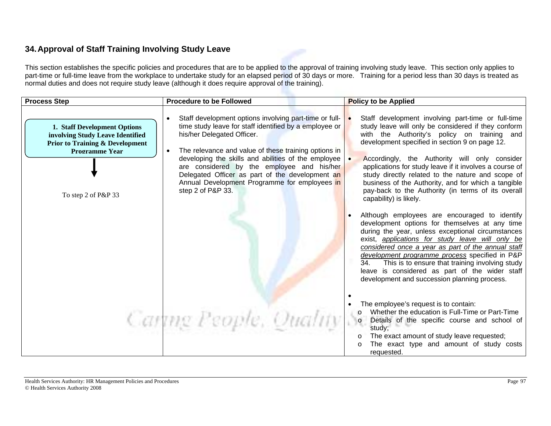## **34. Approval of Staff Training Involving Study Leave**

This section establishes the specific policies and procedures that are to be applied to the approval of training involving study leave. This section only applies to part-time or full-time leave from the workplace to undertake study for an elapsed period of 30 days or more. Training for a period less than 30 days is treated as normal duties and does not require study leave (although it does require approval of the training).

| <b>Process Step</b>                                                                                                                                            | <b>Procedure to be Followed</b>                                                                                                                                                                                                                                                                                                                                                                                                      | <b>Policy to be Applied</b>                                                                                                                                                                                                                                                                                                                                                                                                                                                                                                                                                                                                                                                                                                                                                                                                                                                                                                                                                                        |
|----------------------------------------------------------------------------------------------------------------------------------------------------------------|--------------------------------------------------------------------------------------------------------------------------------------------------------------------------------------------------------------------------------------------------------------------------------------------------------------------------------------------------------------------------------------------------------------------------------------|----------------------------------------------------------------------------------------------------------------------------------------------------------------------------------------------------------------------------------------------------------------------------------------------------------------------------------------------------------------------------------------------------------------------------------------------------------------------------------------------------------------------------------------------------------------------------------------------------------------------------------------------------------------------------------------------------------------------------------------------------------------------------------------------------------------------------------------------------------------------------------------------------------------------------------------------------------------------------------------------------|
| 1. Staff Development Options<br>involving Study Leave Identified<br><b>Prior to Training &amp; Development</b><br><b>Programme Year</b><br>To step 2 of P&P 33 | Staff development options involving part-time or full-<br>time study leave for staff identified by a employee or<br>his/her Delegated Officer.<br>The relevance and value of these training options in<br>developing the skills and abilities of the employee<br>are considered by the employee and his/her<br>Delegated Officer as part of the development an<br>Annual Development Programme for employees in<br>step 2 of P&P 33. | Staff development involving part-time or full-time<br>study leave will only be considered if they conform<br>with the Authority's policy on training and<br>development specified in section 9 on page 12.<br>Accordingly, the Authority will only consider<br>applications for study leave if it involves a course of<br>study directly related to the nature and scope of<br>business of the Authority, and for which a tangible<br>pay-back to the Authority (in terms of its overall<br>capability) is likely.<br>Although employees are encouraged to identify<br>development options for themselves at any time<br>during the year, unless exceptional circumstances<br>exist, applications for study leave will only be<br>considered once a year as part of the annual staff<br>development programme process specified in P&P<br>This is to ensure that training involving study<br>34.<br>leave is considered as part of the wider staff<br>development and succession planning process. |
|                                                                                                                                                                | Carting People, Quality Se                                                                                                                                                                                                                                                                                                                                                                                                           | The employee's request is to contain:<br>Whether the education is Full-Time or Part-Time<br>Details of the specific course and school of<br>study;<br>The exact amount of study leave requested;<br>The exact type and amount of study costs<br>requested.                                                                                                                                                                                                                                                                                                                                                                                                                                                                                                                                                                                                                                                                                                                                         |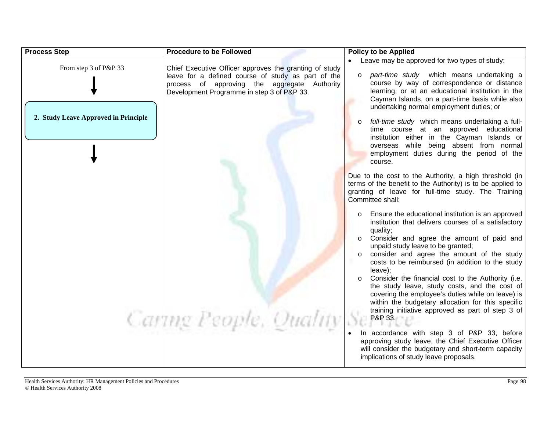| <b>Process Step</b>                  | <b>Procedure to be Followed</b>                                                                                                                                                                            | <b>Policy to be Applied</b>                                                                                                                                                                                                                                                                                                                                                                                                                                                                                                                                                                          |
|--------------------------------------|------------------------------------------------------------------------------------------------------------------------------------------------------------------------------------------------------------|------------------------------------------------------------------------------------------------------------------------------------------------------------------------------------------------------------------------------------------------------------------------------------------------------------------------------------------------------------------------------------------------------------------------------------------------------------------------------------------------------------------------------------------------------------------------------------------------------|
| From step 3 of P&P 33                | Chief Executive Officer approves the granting of study<br>leave for a defined course of study as part of the<br>process of approving the aggregate Authority<br>Development Programme in step 3 of P&P 33. | Leave may be approved for two types of study:<br>part-time study which means undertaking a<br>$\circ$<br>course by way of correspondence or distance<br>learning, or at an educational institution in the<br>Cayman Islands, on a part-time basis while also<br>undertaking normal employment duties; or                                                                                                                                                                                                                                                                                             |
| 2. Study Leave Approved in Principle |                                                                                                                                                                                                            | full-time study which means undertaking a full-<br>time course at an approved educational<br>institution either in the Cayman Islands or<br>overseas while being absent from normal<br>employment duties during the period of the<br>course.                                                                                                                                                                                                                                                                                                                                                         |
|                                      |                                                                                                                                                                                                            | Due to the cost to the Authority, a high threshold (in<br>terms of the benefit to the Authority) is to be applied to<br>granting of leave for full-time study. The Training<br>Committee shall:                                                                                                                                                                                                                                                                                                                                                                                                      |
|                                      |                                                                                                                                                                                                            | Ensure the educational institution is an approved<br>institution that delivers courses of a satisfactory<br>quality;<br>Consider and agree the amount of paid and<br>unpaid study leave to be granted;<br>consider and agree the amount of the study<br>$\circ$<br>costs to be reimbursed (in addition to the study<br>leave);<br>Consider the financial cost to the Authority (i.e.<br>the study leave, study costs, and the cost of<br>covering the employee's duties while on leave) is<br>within the budgetary allocation for this specific<br>training initiative approved as part of step 3 of |
|                                      | Carting People, Quality                                                                                                                                                                                    | P&P 33.<br>In accordance with step 3 of P&P 33, before<br>approving study leave, the Chief Executive Officer<br>will consider the budgetary and short-term capacity<br>implications of study leave proposals.                                                                                                                                                                                                                                                                                                                                                                                        |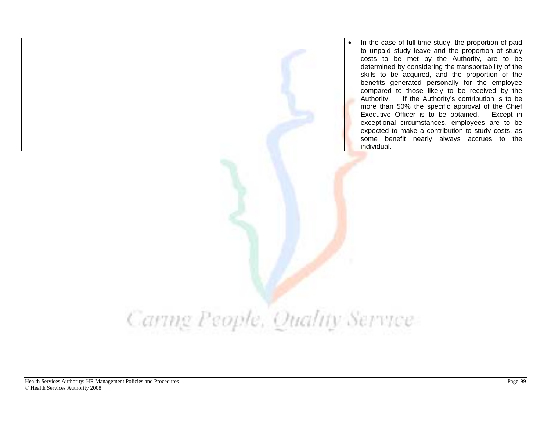• In the case of full-time study, the proportion of paid to unpaid study leave and the proportion of study costs to be met by the Authority, are to be determined by considering the transportability of the skills to be acquired, and the proportion of the benefits generated personally for the employee compared to those likely to be received by the Authority. If the Authority's contribution is to be more than 50% the specific approval of the Chief Executive Officer is to be obtained. Except in exceptional circumstances, employees are to be expected to make a contribution to study costs, as some benefit nearly always accrues to the individual.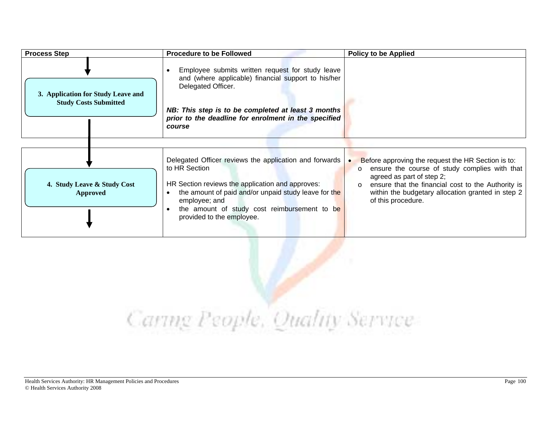| <b>Process Step</b>                                                | <b>Procedure to be Followed</b>                                                                                                                                                                                                                                                     | <b>Policy to be Applied</b>                                                                                                                                                                                                                                                             |
|--------------------------------------------------------------------|-------------------------------------------------------------------------------------------------------------------------------------------------------------------------------------------------------------------------------------------------------------------------------------|-----------------------------------------------------------------------------------------------------------------------------------------------------------------------------------------------------------------------------------------------------------------------------------------|
| 3. Application for Study Leave and<br><b>Study Costs Submitted</b> | Employee submits written request for study leave<br>and (where applicable) financial support to his/her<br>Delegated Officer.<br>NB: This step is to be completed at least 3 months<br>prior to the deadline for enrolment in the specified<br>course                               |                                                                                                                                                                                                                                                                                         |
| 4. Study Leave & Study Cost<br><b>Approved</b>                     | Delegated Officer reviews the application and forwards  <br>to HR Section<br>HR Section reviews the application and approves:<br>the amount of paid and/or unpaid study leave for the<br>employee; and<br>the amount of study cost reimbursement to be<br>provided to the employee. | Before approving the request the HR Section is to:<br>ensure the course of study complies with that<br>$\circ$<br>agreed as part of step 2;<br>ensure that the financial cost to the Authority is<br>$\circ$<br>within the budgetary allocation granted in step 2<br>of this procedure. |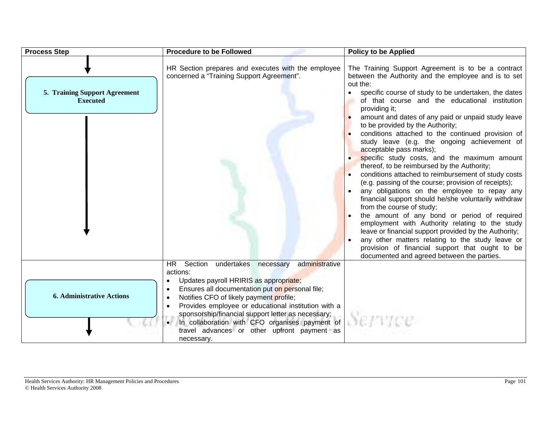| <b>Process Step</b>                              | <b>Procedure to be Followed</b>                                                                                                                                                                                                                                                                                                                                                                                                                | <b>Policy to be Applied</b>                                                                                                                                                                                                                                                                                                                                                                                                                                                                                                                                                                                      |
|--------------------------------------------------|------------------------------------------------------------------------------------------------------------------------------------------------------------------------------------------------------------------------------------------------------------------------------------------------------------------------------------------------------------------------------------------------------------------------------------------------|------------------------------------------------------------------------------------------------------------------------------------------------------------------------------------------------------------------------------------------------------------------------------------------------------------------------------------------------------------------------------------------------------------------------------------------------------------------------------------------------------------------------------------------------------------------------------------------------------------------|
| 5. Training Support Agreement<br><b>Executed</b> | HR Section prepares and executes with the employee<br>concerned a "Training Support Agreement".                                                                                                                                                                                                                                                                                                                                                | The Training Support Agreement is to be a contract<br>between the Authority and the employee and is to set<br>out the:<br>specific course of study to be undertaken, the dates<br>of that course and the educational institution<br>providing it;<br>amount and dates of any paid or unpaid study leave<br>to be provided by the Authority;<br>conditions attached to the continued provision of<br>study leave (e.g. the ongoing achievement of<br>acceptable pass marks);<br>specific study costs, and the maximum amount                                                                                      |
|                                                  |                                                                                                                                                                                                                                                                                                                                                                                                                                                | thereof, to be reimbursed by the Authority;<br>conditions attached to reimbursement of study costs<br>(e.g. passing of the course; provision of receipts);<br>any obligations on the employee to repay any<br>financial support should he/she voluntarily withdraw<br>from the course of study;<br>the amount of any bond or period of required<br>employment with Authority relating to the study<br>leave or financial support provided by the Authority;<br>any other matters relating to the study leave or<br>provision of financial support that ought to be<br>documented and agreed between the parties. |
| <b>6. Administrative Actions</b>                 | <b>HR</b><br>Section<br>undertakes necessary<br>administrative<br>actions:<br>Updates payroll HRIRIS as appropriate;<br>Ensures all documentation put on personal file;<br>Notifies CFO of likely payment profile;<br>Provides employee or educational institution with a<br>sponsorship/financial support letter as necessary;<br>In collaboration with CFO organises payment of<br>travel advances or other upfront payment as<br>necessary. |                                                                                                                                                                                                                                                                                                                                                                                                                                                                                                                                                                                                                  |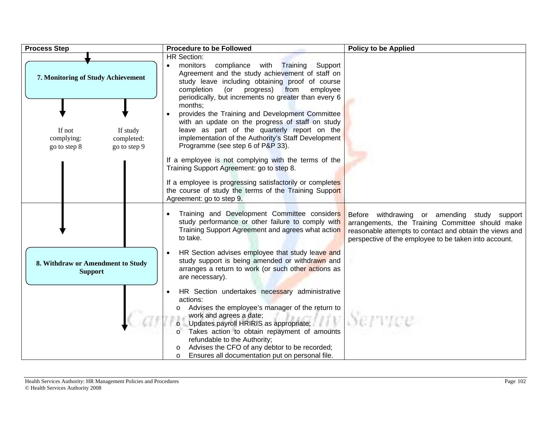| <b>Process Step</b> |                                                                                | <b>Procedure to be Followed</b>                                                                                                                                                                                                                                                                                                                                                  | <b>Policy to be Applied</b>                                                                                                                                                                                          |
|---------------------|--------------------------------------------------------------------------------|----------------------------------------------------------------------------------------------------------------------------------------------------------------------------------------------------------------------------------------------------------------------------------------------------------------------------------------------------------------------------------|----------------------------------------------------------------------------------------------------------------------------------------------------------------------------------------------------------------------|
|                     | 7. Monitoring of Study Achievement                                             | <b>HR Section:</b><br>monitors<br>compliance with Training<br>Support<br>Agreement and the study achievement of staff on<br>study leave including obtaining proof of course<br>(or progress) from<br>completion<br>employee<br>periodically, but increments no greater than every 6<br>months;                                                                                   |                                                                                                                                                                                                                      |
|                     | If not<br>If study<br>complying:<br>completed:<br>go to step 8<br>go to step 9 | provides the Training and Development Committee<br>with an update on the progress of staff on study<br>leave as part of the quarterly report on the<br>implementation of the Authority's Staff Development<br>Programme (see step 6 of P&P 33).<br>If a employee is not complying with the terms of the                                                                          |                                                                                                                                                                                                                      |
|                     |                                                                                | Training Support Agreement: go to step 8.<br>If a employee is progressing satisfactorily or completes<br>the course of study the terms of the Training Support<br>Agreement: go to step 9.                                                                                                                                                                                       |                                                                                                                                                                                                                      |
|                     |                                                                                | Training and Development Committee considers<br>study performance or other failure to comply with<br>Training Support Agreement and agrees what action<br>to take.                                                                                                                                                                                                               | Before withdrawing or amending study support<br>arrangements, the Training Committee should make<br>reasonable attempts to contact and obtain the views and<br>perspective of the employee to be taken into account. |
|                     | 8. Withdraw or Amendment to Study<br><b>Support</b>                            | HR Section advises employee that study leave and<br>study support is being amended or withdrawn and<br>arranges a return to work (or such other actions as<br>are necessary).                                                                                                                                                                                                    |                                                                                                                                                                                                                      |
|                     |                                                                                | HR Section undertakes necessary administrative<br>actions:<br>Advises the employee's manager of the return to<br>work and agrees a date;<br>Updates payroll HRIRIS as appropriate;<br>Takes action to obtain repayment of amounts<br>refundable to the Authority;<br>Advises the CFO of any debtor to be recorded;<br>Ensures all documentation put on personal file.<br>$\circ$ |                                                                                                                                                                                                                      |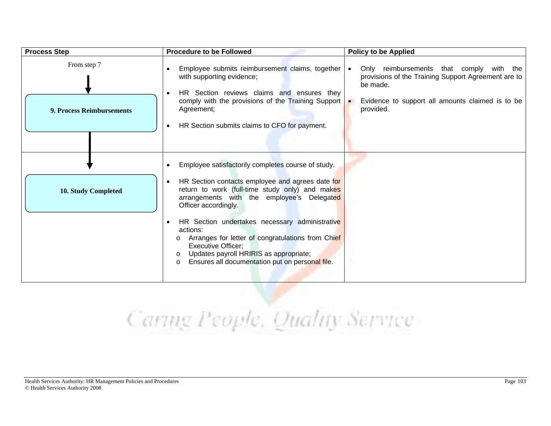| <b>Process Step</b>                      | <b>Procedure to be Followed</b>                                                                                                                                                                                                                                            | <b>Policy to be Applied</b>                                                                                                                                                  |
|------------------------------------------|----------------------------------------------------------------------------------------------------------------------------------------------------------------------------------------------------------------------------------------------------------------------------|------------------------------------------------------------------------------------------------------------------------------------------------------------------------------|
| From step 7<br>9. Process Reimbursements | Employee submits reimbursement claims, together<br>with supporting evidence;<br>HR Section reviews claims and ensures they<br>comply with the provisions of the Training Support<br>Agreement;<br>HR Section submits claims to CFO for payment.<br>$\bullet$               | Only reimbursements that comply with the<br>provisions of the Training Support Agreement are to<br>be made.<br>Evidence to support all amounts claimed is to be<br>provided. |
| <b>10. Study Completed</b>               | Employee satisfactorily completes course of study.<br>HR Section contacts employee and agrees date for<br>return to work (full-time study only) and makes<br>arrangements with the employee's Delegated<br>Officer accordingly.                                            |                                                                                                                                                                              |
|                                          | HR Section undertakes necessary administrative<br>actions:<br>Arranges for letter of congratulations from Chief<br>$\circ$<br><b>Executive Officer;</b><br>Updates payroll HRIRIS as appropriate;<br>$\circ$<br>Ensures all documentation put on personal file.<br>$\circ$ |                                                                                                                                                                              |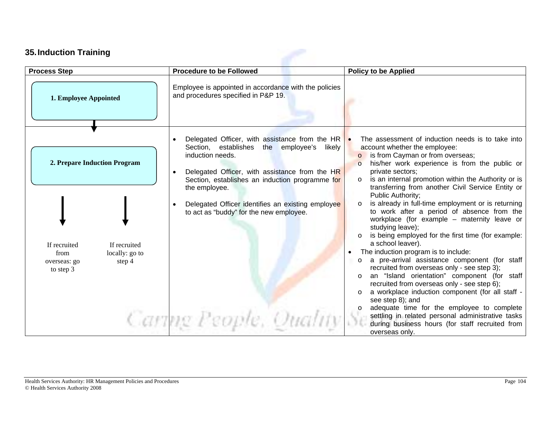### **35. Induction Training**

| <b>Process Step</b>                                                                                                           | <b>Procedure to be Followed</b>                                                                                                                                                                                                                                                                                                                                                  | <b>Policy to be Applied</b>                                                                                                                                                                                                                                                                                                                                                                                                                                                                                                                                                                                                                                                                                                                                                                                                                                                                                                                                                                                                                                                            |
|-------------------------------------------------------------------------------------------------------------------------------|----------------------------------------------------------------------------------------------------------------------------------------------------------------------------------------------------------------------------------------------------------------------------------------------------------------------------------------------------------------------------------|----------------------------------------------------------------------------------------------------------------------------------------------------------------------------------------------------------------------------------------------------------------------------------------------------------------------------------------------------------------------------------------------------------------------------------------------------------------------------------------------------------------------------------------------------------------------------------------------------------------------------------------------------------------------------------------------------------------------------------------------------------------------------------------------------------------------------------------------------------------------------------------------------------------------------------------------------------------------------------------------------------------------------------------------------------------------------------------|
| 1. Employee Appointed                                                                                                         | Employee is appointed in accordance with the policies<br>and procedures specified in P&P 19.                                                                                                                                                                                                                                                                                     |                                                                                                                                                                                                                                                                                                                                                                                                                                                                                                                                                                                                                                                                                                                                                                                                                                                                                                                                                                                                                                                                                        |
| 2. Prepare Induction Program<br>If recruited<br>If recruited<br>locally: go to<br>from<br>step 4<br>overseas: go<br>to step 3 | Delegated Officer, with assistance from the HR $\sim$<br>the employee's<br>Section, establishes<br>likely<br>induction needs.<br>Delegated Officer, with assistance from the HR<br>Section, establishes an induction programme for<br>the employee.<br>Delegated Officer identifies an existing employee<br>to act as "buddy" for the new employee.<br>Caring People, Quality Se | The assessment of induction needs is to take into<br>account whether the employee:<br>o is from Cayman or from overseas;<br>his/her work experience is from the public or<br>$\circ$<br>private sectors;<br>is an internal promotion within the Authority or is<br>$\circ$<br>transferring from another Civil Service Entity or<br>Public Authority;<br>is already in full-time employment or is returning<br>$\circ$<br>to work after a period of absence from the<br>workplace (for example – maternity leave or<br>studying leave);<br>is being employed for the first time (for example:<br>a school leaver).<br>The induction program is to include:<br>a pre-arrival assistance component (for staff<br>recruited from overseas only - see step 3);<br>an "Island orientation" component (for staff<br>recruited from overseas only - see step 6);<br>a workplace induction component (for all staff -<br>see step 8); and<br>adequate time for the employee to complete<br>settling in related personal administrative tasks<br>during business hours (for staff recruited from |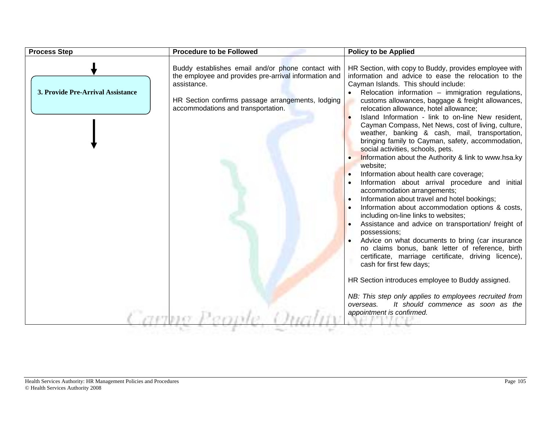| <b>Process Step</b>               | <b>Procedure to be Followed</b>                                                                                                                                                                                      | <b>Policy to be Applied</b>                                                                                                                                                                                                                                                                                                                                                                                                                                                                                                                                                                                                                                                                                                                                                                                                                                                                                                                                                                                                                                                                                                                                                                                                                                                                                                                                                        |
|-----------------------------------|----------------------------------------------------------------------------------------------------------------------------------------------------------------------------------------------------------------------|------------------------------------------------------------------------------------------------------------------------------------------------------------------------------------------------------------------------------------------------------------------------------------------------------------------------------------------------------------------------------------------------------------------------------------------------------------------------------------------------------------------------------------------------------------------------------------------------------------------------------------------------------------------------------------------------------------------------------------------------------------------------------------------------------------------------------------------------------------------------------------------------------------------------------------------------------------------------------------------------------------------------------------------------------------------------------------------------------------------------------------------------------------------------------------------------------------------------------------------------------------------------------------------------------------------------------------------------------------------------------------|
| 3. Provide Pre-Arrival Assistance | Buddy establishes email and/or phone contact with<br>the employee and provides pre-arrival information and<br>assistance.<br>HR Section confirms passage arrangements, lodging<br>accommodations and transportation. | HR Section, with copy to Buddy, provides employee with<br>information and advice to ease the relocation to the<br>Cayman Islands. This should include:<br>• Relocation information - immigration regulations,<br>customs allowances, baggage & freight allowances,<br>relocation allowance, hotel allowance;<br>Island Information - link to on-line New resident,<br>Cayman Compass, Net News, cost of living, culture,<br>weather, banking & cash, mail, transportation,<br>bringing family to Cayman, safety, accommodation,<br>social activities, schools, pets.<br>Information about the Authority & link to www.hsa.ky<br>website;<br>Information about health care coverage;<br>Information about arrival procedure and initial<br>accommodation arrangements;<br>Information about travel and hotel bookings;<br>Information about accommodation options & costs,<br>including on-line links to websites;<br>Assistance and advice on transportation/ freight of<br>possessions;<br>Advice on what documents to bring (car insurance<br>no claims bonus, bank letter of reference, birth<br>certificate, marriage certificate, driving licence),<br>cash for first few days;<br>HR Section introduces employee to Buddy assigned.<br>NB: This step only applies to employees recruited from<br>It should commence as soon as the<br>overseas.<br>appointment is confirmed. |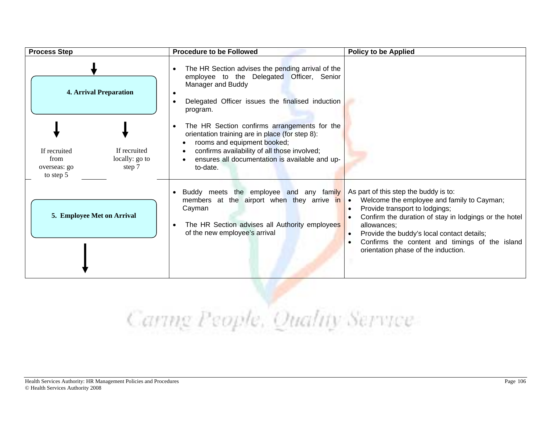| <b>Process Step</b>                                                                           | <b>Procedure to be Followed</b>                                                                                                                                                                                                                           | <b>Policy to be Applied</b>                                                                                                                                                                                                                                                                                                                                                                           |
|-----------------------------------------------------------------------------------------------|-----------------------------------------------------------------------------------------------------------------------------------------------------------------------------------------------------------------------------------------------------------|-------------------------------------------------------------------------------------------------------------------------------------------------------------------------------------------------------------------------------------------------------------------------------------------------------------------------------------------------------------------------------------------------------|
| <b>4. Arrival Preparation</b>                                                                 | The HR Section advises the pending arrival of the<br>$\bullet$<br>employee to the Delegated Officer, Senior<br>Manager and Buddy<br>Delegated Officer issues the finalised induction<br>$\bullet$<br>program.                                             |                                                                                                                                                                                                                                                                                                                                                                                                       |
| If recruited<br>If recruited<br>locally: go to<br>from<br>step 7<br>overseas: go<br>to step 5 | The HR Section confirms arrangements for the<br>$\bullet$<br>orientation training are in place (for step 8):<br>rooms and equipment booked;<br>confirms availability of all those involved;<br>ensures all documentation is available and up-<br>to-date. |                                                                                                                                                                                                                                                                                                                                                                                                       |
| 5. Employee Met on Arrival                                                                    | Buddy meets the employee and any family<br>members at the airport when they arrive in<br>Cayman<br>The HR Section advises all Authority employees<br>of the new employee's arrival                                                                        | As part of this step the buddy is to:<br>Welcome the employee and family to Cayman;<br>$\bullet$<br>Provide transport to lodgings;<br>$\bullet$<br>Confirm the duration of stay in lodgings or the hotel<br>$\bullet$<br>allowances;<br>Provide the buddy's local contact details;<br>$\bullet$<br>Confirms the content and timings of the island<br>$\bullet$<br>orientation phase of the induction. |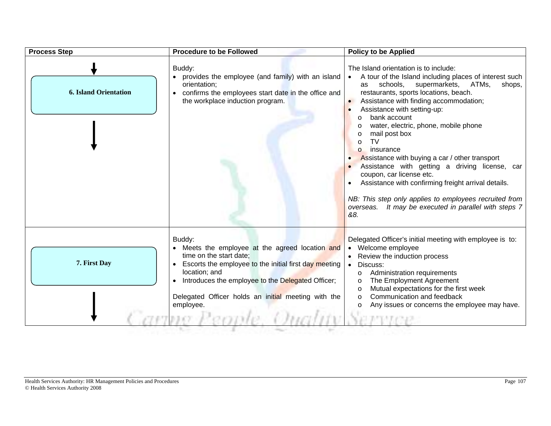| <b>Process Step</b>          | <b>Procedure to be Followed</b>                                                                                                                                                                                                                                                       | <b>Policy to be Applied</b>                                                                                                                                                                                                                                                                                                                                                                                                                                                                                                                                                                                                                                                                                                                                           |
|------------------------------|---------------------------------------------------------------------------------------------------------------------------------------------------------------------------------------------------------------------------------------------------------------------------------------|-----------------------------------------------------------------------------------------------------------------------------------------------------------------------------------------------------------------------------------------------------------------------------------------------------------------------------------------------------------------------------------------------------------------------------------------------------------------------------------------------------------------------------------------------------------------------------------------------------------------------------------------------------------------------------------------------------------------------------------------------------------------------|
| <b>6. Island Orientation</b> | Buddy:<br>• provides the employee (and family) with an island<br>orientation;<br>confirms the employees start date in the office and<br>the workplace induction program.                                                                                                              | The Island orientation is to include:<br>A tour of the Island including places of interest such<br>$\bullet$<br>schools,<br>supermarkets,<br>ATMs,<br>shops,<br>as<br>restaurants, sports locations, beach.<br>Assistance with finding accommodation;<br>$\bullet$<br>Assistance with setting-up:<br>$\bullet$<br>bank account<br>$\circ$<br>water, electric, phone, mobile phone<br>mail post box<br><b>TV</b><br>$\Omega$<br>insurance<br>$\Omega$<br>Assistance with buying a car / other transport<br>Assistance with getting a driving license, car<br>coupon, car license etc.<br>Assistance with confirming freight arrival details.<br>NB: This step only applies to employees recruited from<br>overseas. It may be executed in parallel with steps 7<br>&8. |
| 7. First Day                 | Buddy:<br>Meets the employee at the agreed location and<br>time on the start date;<br>Escorts the employee to the initial first day meeting<br>location; and<br>Introduces the employee to the Delegated Officer;<br>Delegated Officer holds an initial meeting with the<br>employee. | Delegated Officer's initial meeting with employee is to:<br>Welcome employee<br>Review the induction process<br>Discuss:<br>$\bullet$<br>Administration requirements<br>$\circ$<br>The Employment Agreement<br>$\circ$<br>Mutual expectations for the first week<br>$\circ$<br>Communication and feedback<br>$\circ$<br>Any issues or concerns the employee may have.                                                                                                                                                                                                                                                                                                                                                                                                 |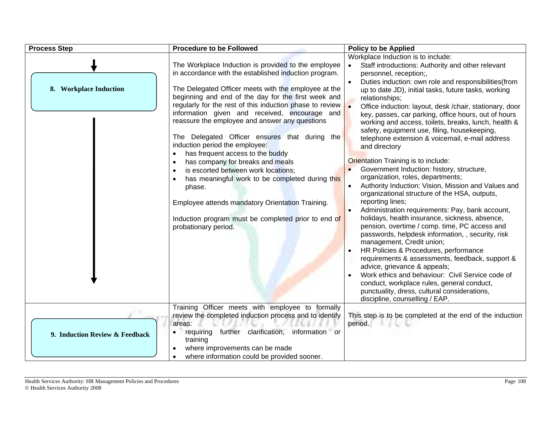| <b>Process Step</b>            | <b>Procedure to be Followed</b>                                                                                                                                                                                                                                                                                                                                                                                                                                                                                                                                                                                                                                                                                                                                                                                        | <b>Policy to be Applied</b>                                                                                                                                                                                                                                                                                                                                                                                                                                                                                                                                                                                                                                                                                                                                                                                                                                                                                                                                                                                                                                                                                                                                                                                                                                                                                                                                                               |
|--------------------------------|------------------------------------------------------------------------------------------------------------------------------------------------------------------------------------------------------------------------------------------------------------------------------------------------------------------------------------------------------------------------------------------------------------------------------------------------------------------------------------------------------------------------------------------------------------------------------------------------------------------------------------------------------------------------------------------------------------------------------------------------------------------------------------------------------------------------|-------------------------------------------------------------------------------------------------------------------------------------------------------------------------------------------------------------------------------------------------------------------------------------------------------------------------------------------------------------------------------------------------------------------------------------------------------------------------------------------------------------------------------------------------------------------------------------------------------------------------------------------------------------------------------------------------------------------------------------------------------------------------------------------------------------------------------------------------------------------------------------------------------------------------------------------------------------------------------------------------------------------------------------------------------------------------------------------------------------------------------------------------------------------------------------------------------------------------------------------------------------------------------------------------------------------------------------------------------------------------------------------|
| 8. Workplace Induction         | The Workplace Induction is provided to the employee<br>in accordance with the established induction program.<br>The Delegated Officer meets with the employee at the<br>beginning and end of the day for the first week and<br>regularly for the rest of this induction phase to review<br>information given and received, encourage and<br>reassure the employee and answer any questions<br>The Delegated Officer ensures that during the<br>induction period the employee:<br>has frequent access to the buddy<br>has company for breaks and meals<br>$\bullet$<br>is escorted between work locations;<br>$\bullet$<br>has meaningful work to be completed during this<br>phase.<br>Employee attends mandatory Orientation Training.<br>Induction program must be completed prior to end of<br>probationary period. | Workplace Induction is to include:<br>Staff introductions: Authority and other relevant<br>personnel, reception;,<br>Duties induction: own role and responsibilities(from<br>$\bullet$<br>up to date JD), initial tasks, future tasks, working<br>relationships;<br>Office induction: layout, desk /chair, stationary, door<br>key, passes, car parking, office hours, out of hours<br>working and access, toilets, breaks, lunch, health &<br>safety, equipment use, filing, housekeeping,<br>telephone extension & voicemail, e-mail address<br>and directory<br>Orientation Training is to include:<br>Government Induction: history, structure,<br>organization, roles, departments;<br>Authority Induction: Vision, Mission and Values and<br>$\bullet$<br>organizational structure of the HSA, outputs,<br>reporting lines;<br>Administration requirements: Pay, bank account,<br>holidays, health insurance, sickness, absence,<br>pension, overtime / comp. time, PC access and<br>passwords, helpdesk information, , security, risk<br>management, Credit union;<br>HR Policies & Procedures, performance<br>requirements & assessments, feedback, support &<br>advice, grievance & appeals;<br>Work ethics and behaviour: Civil Service code of<br>conduct, workplace rules, general conduct,<br>punctuality, dress, cultural considerations,<br>discipline, counselling / EAP. |
| 9. Induction Review & Feedback | Training Officer meets with employee to formally<br>review the completed induction process and to identify<br>areas:<br>requiring further clarification, information or<br>training<br>where improvements can be made<br>where information could be provided sooner.                                                                                                                                                                                                                                                                                                                                                                                                                                                                                                                                                   | This step is to be completed at the end of the induction<br>period.                                                                                                                                                                                                                                                                                                                                                                                                                                                                                                                                                                                                                                                                                                                                                                                                                                                                                                                                                                                                                                                                                                                                                                                                                                                                                                                       |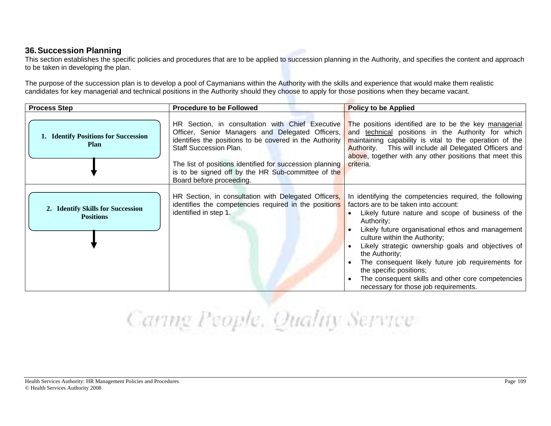#### **36. Succession Planning**

This section establishes the specific policies and procedures that are to be applied to succession planning in the Authority, and specifies the content and approach to be taken in developing the plan.

The purpose of the succession plan is to develop a pool of Caymanians within the Authority with the skills and experience that would make them realistic candidates for key managerial and technical positions in the Authority should they choose to apply for those positions when they became vacant.

| <b>Process Step</b>                                   | <b>Procedure to be Followed</b>                                                                                                                                                                                                                                                            | <b>Policy to be Applied</b>                                                                                                                                                                                                                                                                                                                                                                                                                                                                                                  |
|-------------------------------------------------------|--------------------------------------------------------------------------------------------------------------------------------------------------------------------------------------------------------------------------------------------------------------------------------------------|------------------------------------------------------------------------------------------------------------------------------------------------------------------------------------------------------------------------------------------------------------------------------------------------------------------------------------------------------------------------------------------------------------------------------------------------------------------------------------------------------------------------------|
| 1. Identify Positions for Succession<br><b>Plan</b>   | Officer, Senior Managers and Delegated Officers,<br>identifies the positions to be covered in the Authority<br><b>Staff Succession Plan.</b><br>The list of positions identified for succession planning<br>is to be signed off by the HR Sub-committee of the<br>Board before proceeding. | HR Section, in consultation with Chief Executive The positions identified are to be the key managerial<br>and technical positions in the Authority for which<br>maintaining capability is vital to the operation of the<br>Authority. This will include all Delegated Officers and<br>above, together with any other positions that meet this<br>criteria.                                                                                                                                                                   |
| 2. Identify Skills for Succession<br><b>Positions</b> | HR Section, in consultation with Delegated Officers,<br>identifies the competencies required in the positions<br>identified in step 1.                                                                                                                                                     | In identifying the competencies required, the following<br>factors are to be taken into account:<br>Likely future nature and scope of business of the<br>Authority:<br>Likely future organisational ethos and management<br>culture within the Authority;<br>Likely strategic ownership goals and objectives of<br>the Authority;<br>The consequent likely future job requirements for<br>the specific positions;<br>The consequent skills and other core competencies<br>$\bullet$<br>necessary for those job requirements. |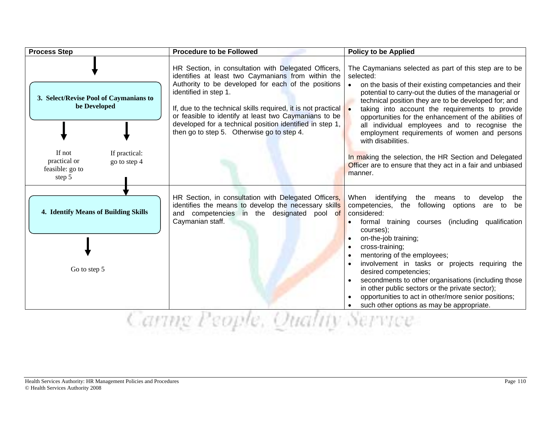| <b>Process Step</b>                                                                                                                            | <b>Procedure to be Followed</b>                                                                                                                                                                                                                                                                                                                                                                                                                                    | <b>Policy to be Applied</b>                                                                                                                                                                                                                                                                                                                                                                                                                                                                                                                                                                                                             |
|------------------------------------------------------------------------------------------------------------------------------------------------|--------------------------------------------------------------------------------------------------------------------------------------------------------------------------------------------------------------------------------------------------------------------------------------------------------------------------------------------------------------------------------------------------------------------------------------------------------------------|-----------------------------------------------------------------------------------------------------------------------------------------------------------------------------------------------------------------------------------------------------------------------------------------------------------------------------------------------------------------------------------------------------------------------------------------------------------------------------------------------------------------------------------------------------------------------------------------------------------------------------------------|
| 3. Select/Revise Pool of Caymanians to<br>be Developed<br>If not<br>If practical:<br>practical or<br>go to step 4<br>feasible: go to<br>step 5 | HR Section, in consultation with Delegated Officers,<br>identifies at least two Caymanians from within the<br>Authority to be developed for each of the positions<br>identified in step 1.<br>If, due to the technical skills required, it is not practical $\begin{array}{ c c }\n\end{array}$<br>or feasible to identify at least two Caymanians to be<br>developed for a technical position identified in step 1,<br>then go to step 5. Otherwise go to step 4. | The Caymanians selected as part of this step are to be<br>selected:<br>on the basis of their existing competancies and their<br>$\bullet$<br>potential to carry-out the duties of the managerial or<br>technical position they are to be developed for; and<br>taking into account the requirements to provide<br>opportunities for the enhancement of the abilities of<br>all individual employees and to recognise the<br>employment requirements of women and persons<br>with disabilities.<br>In making the selection, the HR Section and Delegated<br>Officer are to ensure that they act in a fair and unbiased<br>manner.        |
| 4. Identify Means of Building Skills<br>Go to step 5                                                                                           | HR Section, in consultation with Delegated Officers,<br>identifies the means to develop the necessary skills<br>and competencies in the designated pool of<br>Caymanian staff.                                                                                                                                                                                                                                                                                     | When identifying<br>the<br>means<br>develop<br>to<br>the<br>competencies, the<br>following options<br>are to<br>be<br>considered:<br>formal training courses (including qualification<br>courses);<br>on-the-job training;<br>cross-training;<br>$\bullet$<br>mentoring of the employees;<br>$\bullet$<br>involvement in tasks or projects requiring the<br>desired competencies;<br>secondments to other organisations (including those<br>$\bullet$<br>in other public sectors or the private sector);<br>opportunities to act in other/more senior positions;<br>$\bullet$<br>such other options as may be appropriate.<br>$\bullet$ |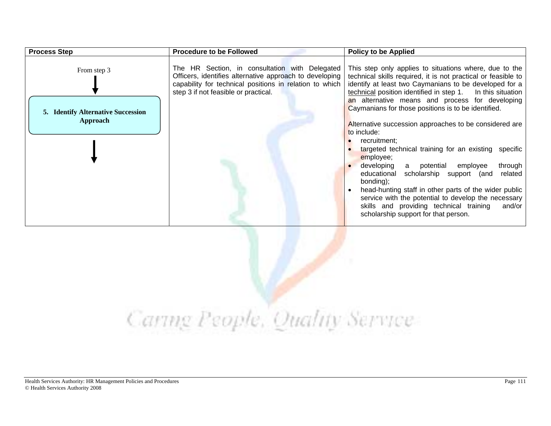| <b>Process Step</b>                                                  | <b>Procedure to be Followed</b>                                                                                                                                                                              | <b>Policy to be Applied</b>                                                                                                                                                                                                                                                                                                                                                                                                                                                                                                                                                                                                                                                                                                                                                                                                                              |
|----------------------------------------------------------------------|--------------------------------------------------------------------------------------------------------------------------------------------------------------------------------------------------------------|----------------------------------------------------------------------------------------------------------------------------------------------------------------------------------------------------------------------------------------------------------------------------------------------------------------------------------------------------------------------------------------------------------------------------------------------------------------------------------------------------------------------------------------------------------------------------------------------------------------------------------------------------------------------------------------------------------------------------------------------------------------------------------------------------------------------------------------------------------|
| From step 3<br><b>5. Identify Alternative Succession</b><br>Approach | The HR Section, in consultation with Delegated<br>Officers, identifies alternative approach to developing<br>capability for technical positions in relation to which<br>step 3 if not feasible or practical. | This step only applies to situations where, due to the<br>technical skills required, it is not practical or feasible to<br>identify at least two Caymanians to be developed for a<br>technical position identified in step 1.<br>In this situation<br>an alternative means and process for developing<br>Caymanians for those positions is to be identified.<br>Alternative succession approaches to be considered are<br>to include:<br>recruitment:<br>targeted technical training for an existing specific<br>employee;<br>developing a potential employee<br>through<br>scholarship support (and<br>educational<br>related<br>bonding);<br>head-hunting staff in other parts of the wider public<br>service with the potential to develop the necessary<br>skills and providing technical training<br>and/or<br>scholarship support for that person. |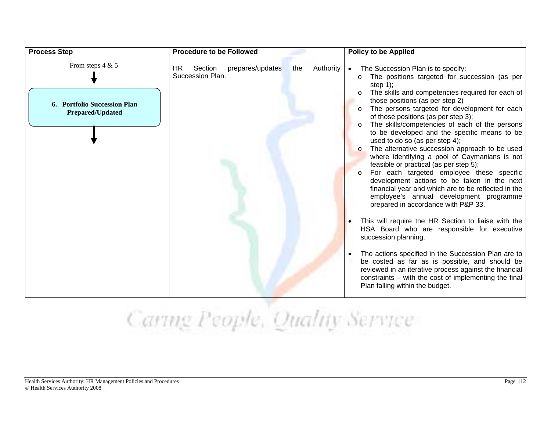| <b>Process Step</b>                                                           | <b>Procedure to be Followed</b>                                            | <b>Policy to be Applied</b>                                                                                                                                                                                                                                                                                                                                                                                                                                                                                                                                                                                                                                                                                                                                                                                                                                                                                                                                                                                                                                                                                                                                                                                                                                                 |
|-------------------------------------------------------------------------------|----------------------------------------------------------------------------|-----------------------------------------------------------------------------------------------------------------------------------------------------------------------------------------------------------------------------------------------------------------------------------------------------------------------------------------------------------------------------------------------------------------------------------------------------------------------------------------------------------------------------------------------------------------------------------------------------------------------------------------------------------------------------------------------------------------------------------------------------------------------------------------------------------------------------------------------------------------------------------------------------------------------------------------------------------------------------------------------------------------------------------------------------------------------------------------------------------------------------------------------------------------------------------------------------------------------------------------------------------------------------|
| From steps $4 & 5$<br>6. Portfolio Succession Plan<br><b>Prepared/Updated</b> | Section<br>prepares/updates<br>Authority<br>HR.<br>the<br>Succession Plan. | The Succession Plan is to specify:<br>$\bullet$<br>The positions targeted for succession (as per<br>$\circ$<br>step $1$ );<br>The skills and competencies required for each of<br>$\circ$<br>those positions (as per step 2)<br>The persons targeted for development for each<br>of those positions (as per step 3);<br>The skills/competencies of each of the persons<br>$\circ$<br>to be developed and the specific means to be<br>used to do so (as per step 4);<br>The alternative succession approach to be used<br>$\Omega$<br>where identifying a pool of Caymanians is not<br>feasible or practical (as per step 5);<br>For each targeted employee these specific<br>$\circ$<br>development actions to be taken in the next<br>financial year and which are to be reflected in the<br>employee's annual development programme<br>prepared in accordance with P&P 33.<br>This will require the HR Section to liaise with the<br>HSA Board who are responsible for executive<br>succession planning.<br>The actions specified in the Succession Plan are to<br>be costed as far as is possible, and should be<br>reviewed in an iterative process against the financial<br>constraints $-$ with the cost of implementing the final<br>Plan falling within the budget. |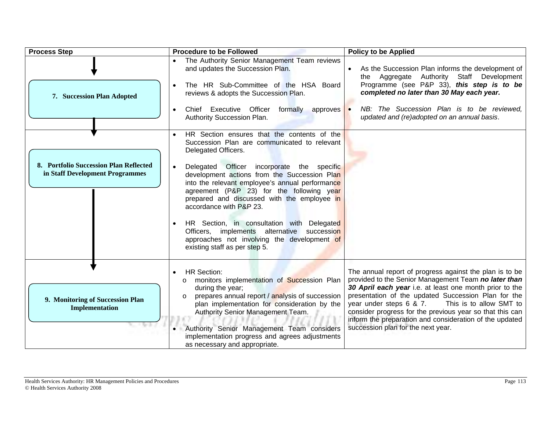| <b>Process Step</b>                                                       | <b>Procedure to be Followed</b>                                                                                                                                                                                                                                                                                                                                                     | <b>Policy to be Applied</b>                                                                                                                                                                                                                                                                                                                                                                                                                          |
|---------------------------------------------------------------------------|-------------------------------------------------------------------------------------------------------------------------------------------------------------------------------------------------------------------------------------------------------------------------------------------------------------------------------------------------------------------------------------|------------------------------------------------------------------------------------------------------------------------------------------------------------------------------------------------------------------------------------------------------------------------------------------------------------------------------------------------------------------------------------------------------------------------------------------------------|
|                                                                           | The Authority Senior Management Team reviews<br>and updates the Succession Plan.<br>The HR Sub-Committee of the HSA Board                                                                                                                                                                                                                                                           | As the Succession Plan informs the development of<br>the Aggregate Authority Staff Development<br>Programme (see P&P 33), this step is to be                                                                                                                                                                                                                                                                                                         |
| 7. Succession Plan Adopted                                                | reviews & adopts the Succession Plan.                                                                                                                                                                                                                                                                                                                                               | completed no later than 30 May each year.                                                                                                                                                                                                                                                                                                                                                                                                            |
|                                                                           | Chief Executive Officer<br>formally approves •<br>$\bullet$<br>Authority Succession Plan.                                                                                                                                                                                                                                                                                           | NB: The Succession Plan is to be reviewed,<br>updated and (re)adopted on an annual basis.                                                                                                                                                                                                                                                                                                                                                            |
|                                                                           | HR Section ensures that the contents of the<br>Succession Plan are communicated to relevant<br>Delegated Officers.                                                                                                                                                                                                                                                                  |                                                                                                                                                                                                                                                                                                                                                                                                                                                      |
| 8. Portfolio Succession Plan Reflected<br>in Staff Development Programmes | Delegated Officer incorporate the specific<br>$\bullet$<br>development actions from the Succession Plan<br>into the relevant employee's annual performance<br>agreement (P&P 23) for the following year<br>prepared and discussed with the employee in<br>accordance with P&P 23.                                                                                                   |                                                                                                                                                                                                                                                                                                                                                                                                                                                      |
|                                                                           | HR Section, in consultation with Delegated<br>Officers, implements alternative succession<br>approaches not involving the development of<br>existing staff as per step 5.                                                                                                                                                                                                           |                                                                                                                                                                                                                                                                                                                                                                                                                                                      |
| 9. Monitoring of Succession Plan<br>Implementation                        | <b>HR Section:</b><br>monitors implementation of Succession Plan<br>$\circ$<br>during the year;<br>prepares annual report / analysis of succession<br>$\circ$<br>plan implementation for consideration by the<br>Authority Senior Management Team.<br>Authority Senior Management Team considers<br>implementation progress and agrees adjustments<br>as necessary and appropriate. | The annual report of progress against the plan is to be<br>provided to the Senior Management Team no later than<br>30 April each year i.e. at least one month prior to the<br>presentation of the updated Succession Plan for the<br>year under steps 6 & 7.<br>This is to allow SMT to<br>consider progress for the previous year so that this can<br>inform the preparation and consideration of the updated<br>succession plan for the next year. |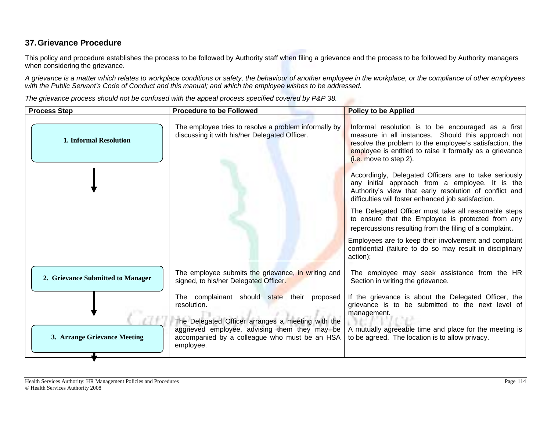#### **37. Grievance Procedure**

This policy and procedure establishes the process to be followed by Authority staff when filing a grievance and the process to be followed by Authority managers when considering the grievance.

*A grievance is a matter which relates to workplace conditions or safety, the behaviour of another employee in the workplace, or the compliance of other employees with the Public Servant's Code of Conduct and this manual; and which the employee wishes to be addressed.*

*The grievance process should not be confused with the appeal process specified covered by P&P 38.*

| <b>Process Step</b>               | <b>Procedure to be Followed</b>                                                                                                                                  | <b>Policy to be Applied</b>                                                                                                                                                                                                                               |
|-----------------------------------|------------------------------------------------------------------------------------------------------------------------------------------------------------------|-----------------------------------------------------------------------------------------------------------------------------------------------------------------------------------------------------------------------------------------------------------|
| <b>1. Informal Resolution</b>     | The employee tries to resolve a problem informally by<br>discussing it with his/her Delegated Officer.                                                           | Informal resolution is to be encouraged as a first<br>measure in all instances. Should this approach not<br>resolve the problem to the employee's satisfaction, the<br>employee is entitled to raise it formally as a grievance<br>(i.e. move to step 2). |
|                                   |                                                                                                                                                                  | Accordingly, Delegated Officers are to take seriously<br>any initial approach from a employee. It is the<br>Authority's view that early resolution of conflict and<br>difficulties will foster enhanced job satisfaction.                                 |
|                                   |                                                                                                                                                                  | The Delegated Officer must take all reasonable steps<br>to ensure that the Employee is protected from any<br>repercussions resulting from the filing of a complaint.                                                                                      |
|                                   |                                                                                                                                                                  | Employees are to keep their involvement and complaint<br>confidential (failure to do so may result in disciplinary<br>action);                                                                                                                            |
| 2. Grievance Submitted to Manager | The employee submits the grievance, in writing and<br>signed, to his/her Delegated Officer.                                                                      | The employee may seek assistance from the HR<br>Section in writing the grievance.                                                                                                                                                                         |
|                                   | The complainant should state their proposed<br>resolution.                                                                                                       | If the grievance is about the Delegated Officer, the<br>grievance is to be submitted to the next level of<br>management.                                                                                                                                  |
| 3. Arrange Grievance Meeting      | The Delegated Officer arranges a meeting with the<br>aggrieved employee, advising them they may be<br>accompanied by a colleague who must be an HSA<br>employee. | A mutually agreeable time and place for the meeting is<br>to be agreed. The location is to allow privacy.                                                                                                                                                 |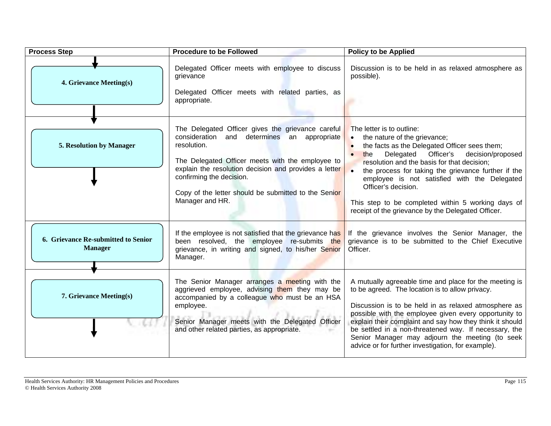| <b>Process Step</b>                                   | <b>Procedure to be Followed</b>                                                                                                                                                                                                                                                                                                     | <b>Policy to be Applied</b>                                                                                                                                                                                                                                                                                                                                                                                                                               |
|-------------------------------------------------------|-------------------------------------------------------------------------------------------------------------------------------------------------------------------------------------------------------------------------------------------------------------------------------------------------------------------------------------|-----------------------------------------------------------------------------------------------------------------------------------------------------------------------------------------------------------------------------------------------------------------------------------------------------------------------------------------------------------------------------------------------------------------------------------------------------------|
| 4. Grievance Meeting(s)                               | Delegated Officer meets with employee to discuss<br>grievance<br>Delegated Officer meets with related parties, as<br>appropriate.                                                                                                                                                                                                   | Discussion is to be held in as relaxed atmosphere as<br>possible).                                                                                                                                                                                                                                                                                                                                                                                        |
| 5. Resolution by Manager                              | The Delegated Officer gives the grievance careful<br>consideration and determines an appropriate<br>resolution.<br>The Delegated Officer meets with the employee to<br>explain the resolution decision and provides a letter<br>confirming the decision.<br>Copy of the letter should be submitted to the Senior<br>Manager and HR. | The letter is to outline:<br>the nature of the grievance;<br>the facts as the Delegated Officer sees them;<br>Officer's<br>Delegated<br>decision/proposed<br>the<br>resolution and the basis for that decision;<br>the process for taking the grievance further if the<br>employee is not satisfied with the Delegated<br>Officer's decision.<br>This step to be completed within 5 working days of<br>receipt of the grievance by the Delegated Officer. |
| 6. Grievance Re-submitted to Senior<br><b>Manager</b> | If the employee is not satisfied that the grievance has<br>been resolved, the employee re-submits the<br>grievance, in writing and signed, to his/her Senior<br>Manager.                                                                                                                                                            | If the grievance involves the Senior Manager, the<br>grievance is to be submitted to the Chief Executive<br>Officer.                                                                                                                                                                                                                                                                                                                                      |
| 7. Grievance Meeting(s)                               | The Senior Manager arranges a meeting with the<br>aggrieved employee, advising them they may be<br>accompanied by a colleague who must be an HSA<br>employee.<br>Senior Manager meets with the Delegated Officer<br>and other related parties, as appropriate.                                                                      | A mutually agreeable time and place for the meeting is<br>to be agreed. The location is to allow privacy.<br>Discussion is to be held in as relaxed atmosphere as<br>possible with the employee given every opportunity to<br>explain their complaint and say how they think it should<br>be settled in a non-threatened way. If necessary, the<br>Senior Manager may adjourn the meeting (to seek<br>advice or for further investigation, for example).  |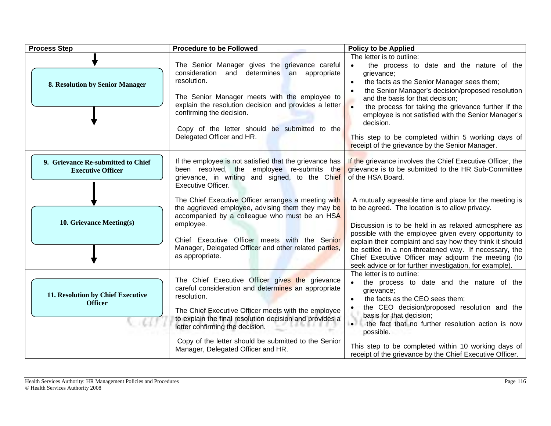| <b>Process Step</b>                                            | <b>Procedure to be Followed</b>                                                                                                                                                                                                                                                                                                                                          | <b>Policy to be Applied</b>                                                                                                                                                                                                                                                                                                                                                                                                                                                  |
|----------------------------------------------------------------|--------------------------------------------------------------------------------------------------------------------------------------------------------------------------------------------------------------------------------------------------------------------------------------------------------------------------------------------------------------------------|------------------------------------------------------------------------------------------------------------------------------------------------------------------------------------------------------------------------------------------------------------------------------------------------------------------------------------------------------------------------------------------------------------------------------------------------------------------------------|
| 8. Resolution by Senior Manager                                | The Senior Manager gives the grievance careful<br>consideration and determines an appropriate<br>resolution.<br>The Senior Manager meets with the employee to<br>explain the resolution decision and provides a letter<br>confirming the decision.<br>Copy of the letter should be submitted to the<br>Delegated Officer and HR.                                         | The letter is to outline:<br>the process to date and the nature of the<br>grievance;<br>the facts as the Senior Manager sees them;<br>the Senior Manager's decision/proposed resolution<br>and the basis for that decision;<br>the process for taking the grievance further if the<br>$\bullet$<br>employee is not satisfied with the Senior Manager's<br>decision.<br>This step to be completed within 5 working days of<br>receipt of the grievance by the Senior Manager. |
| 9. Grievance Re-submitted to Chief<br><b>Executive Officer</b> | If the employee is not satisfied that the grievance has<br>been resolved, the employee re-submits the<br>grievance, in writing and signed, to the Chief<br><b>Executive Officer.</b>                                                                                                                                                                                     | If the grievance involves the Chief Executive Officer, the<br>grievance is to be submitted to the HR Sub-Committee<br>of the HSA Board.                                                                                                                                                                                                                                                                                                                                      |
| 10. Grievance Meeting(s)                                       | The Chief Executive Officer arranges a meeting with<br>the aggrieved employee, advising them they may be<br>accompanied by a colleague who must be an HSA<br>employee.<br>Chief Executive Officer meets with the Senior<br>Manager, Delegated Officer and other related parties,<br>as appropriate.                                                                      | A mutually agreeable time and place for the meeting is<br>to be agreed. The location is to allow privacy.<br>Discussion is to be held in as relaxed atmosphere as<br>possible with the employee given every opportunity to<br>explain their complaint and say how they think it should<br>be settled in a non-threatened way. If necessary, the<br>Chief Executive Officer may adjourn the meeting (to<br>seek advice or for further investigation, for example).            |
| 11. Resolution by Chief Executive<br><b>Officer</b>            | The Chief Executive Officer gives the grievance<br>careful consideration and determines an appropriate<br>resolution.<br>The Chief Executive Officer meets with the employee<br>to explain the final resolution decision and provides a<br>letter confirming the decision.<br>Copy of the letter should be submitted to the Senior<br>Manager, Delegated Officer and HR. | The letter is to outline:<br>the process to date and the nature of the<br>$\bullet$<br>grievance;<br>the facts as the CEO sees them;<br>the CEO decision/proposed resolution and the<br>basis for that decision;<br>• the fact that no further resolution action is now<br>possible.<br>This step to be completed within 10 working days of<br>receipt of the grievance by the Chief Executive Officer.                                                                      |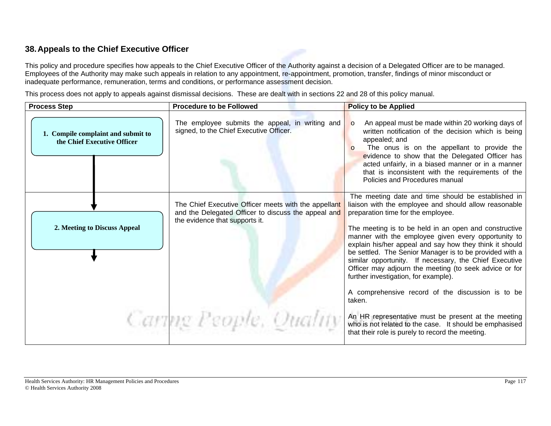#### **38. Appeals to the Chief Executive Officer**

This policy and procedure specifies how appeals to the Chief Executive Officer of the Authority against a decision of a Delegated Officer are to be managed. Employees of the Authority may make such appeals in relation to any appointment, re-appointment, promotion, transfer, findings of minor misconduct or inadequate performance, remuneration, terms and conditions, or performance assessment decision.

This process does not apply to appeals against dismissal decisions. These are dealt with in sections 22 and 28 of this policy manual.

| <b>Process Step</b>                                               | <b>Procedure to be Followed</b>                                                                                                               | <b>Policy to be Applied</b>                                                                                                                                                                                                                                                                                                                                                                                                                                                                                                                         |
|-------------------------------------------------------------------|-----------------------------------------------------------------------------------------------------------------------------------------------|-----------------------------------------------------------------------------------------------------------------------------------------------------------------------------------------------------------------------------------------------------------------------------------------------------------------------------------------------------------------------------------------------------------------------------------------------------------------------------------------------------------------------------------------------------|
| 1. Compile complaint and submit to<br>the Chief Executive Officer | The employee submits the appeal, in writing and<br>signed, to the Chief Executive Officer.                                                    | An appeal must be made within 20 working days of<br>$\Omega$<br>written notification of the decision which is being<br>appealed; and<br>The onus is on the appellant to provide the<br>$\Omega$<br>evidence to show that the Delegated Officer has<br>acted unfairly, in a biased manner or in a manner<br>that is inconsistent with the requirements of the<br>Policies and Procedures manual                                                                                                                                                      |
| 2. Meeting to Discuss Appeal                                      | The Chief Executive Officer meets with the appellant<br>and the Delegated Officer to discuss the appeal and<br>the evidence that supports it. | The meeting date and time should be established in<br>liaison with the employee and should allow reasonable<br>preparation time for the employee.<br>The meeting is to be held in an open and constructive<br>manner with the employee given every opportunity to<br>explain his/her appeal and say how they think it should<br>be settled. The Senior Manager is to be provided with a<br>similar opportunity. If necessary, the Chief Executive<br>Officer may adjourn the meeting (to seek advice or for<br>further investigation, for example). |
|                                                                   | Caring People, Quality                                                                                                                        | A comprehensive record of the discussion is to be<br>taken.<br>An HR representative must be present at the meeting<br>who is not related to the case. It should be emphasised<br>that their role is purely to record the meeting.                                                                                                                                                                                                                                                                                                                   |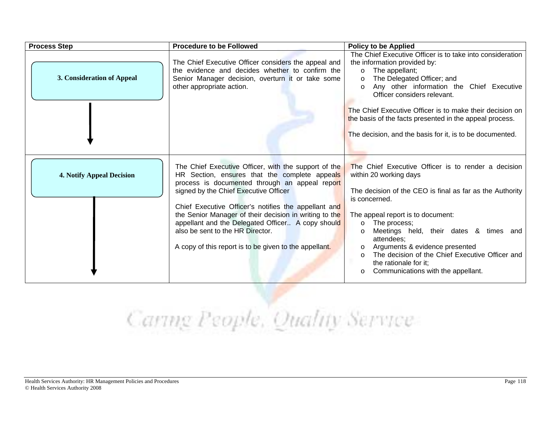| <b>Process Step</b>              | <b>Procedure to be Followed</b>                                                                                                                                                                                                                                                                                                                                                                                                                                       | <b>Policy to be Applied</b>                                                                                                                                                                                                                                                                                                                                                                                                                                                  |
|----------------------------------|-----------------------------------------------------------------------------------------------------------------------------------------------------------------------------------------------------------------------------------------------------------------------------------------------------------------------------------------------------------------------------------------------------------------------------------------------------------------------|------------------------------------------------------------------------------------------------------------------------------------------------------------------------------------------------------------------------------------------------------------------------------------------------------------------------------------------------------------------------------------------------------------------------------------------------------------------------------|
| 3. Consideration of Appeal       | The Chief Executive Officer considers the appeal and<br>the evidence and decides whether to confirm the<br>Senior Manager decision, overturn it or take some<br>other appropriate action.                                                                                                                                                                                                                                                                             | The Chief Executive Officer is to take into consideration<br>the information provided by:<br>The appellant;<br>$\circ$<br>The Delegated Officer; and<br>$\circ$<br>Any other information the Chief Executive<br>$\circ$<br>Officer considers relevant.<br>The Chief Executive Officer is to make their decision on<br>the basis of the facts presented in the appeal process.<br>The decision, and the basis for it, is to be documented.                                    |
| <b>4. Notify Appeal Decision</b> | The Chief Executive Officer, with the support of the<br>HR Section, ensures that the complete appeals<br>process is documented through an appeal report<br>signed by the Chief Executive Officer<br>Chief Executive Officer's notifies the appellant and<br>the Senior Manager of their decision in writing to the<br>appellant and the Delegated Officer A copy should<br>also be sent to the HR Director.<br>A copy of this report is to be given to the appellant. | The Chief Executive Officer is to render a decision<br>within 20 working days<br>The decision of the CEO is final as far as the Authority<br>is concerned.<br>The appeal report is to document:<br>The process;<br>$\circ$<br>Meetings held, their dates & times and<br>$\circ$<br>attendees;<br>Arguments & evidence presented<br>$\circ$<br>The decision of the Chief Executive Officer and<br>$\circ$<br>the rationale for it;<br>Communications with the appellant.<br>O |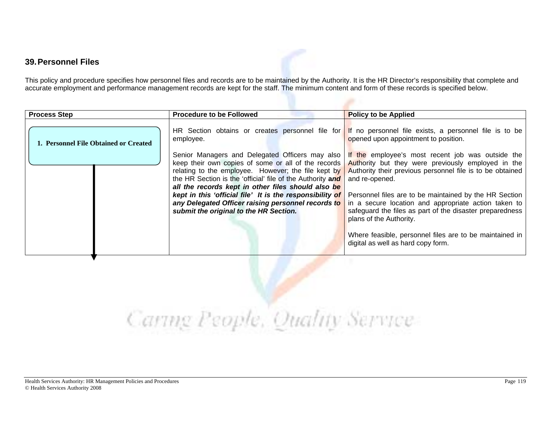#### **39. Personnel Files**

This policy and procedure specifies how personnel files and records are to be maintained by the Authority. It is the HR Director's responsibility that complete and accurate employment and performance management records are kept for the staff. The minimum content and form of these records is specified below.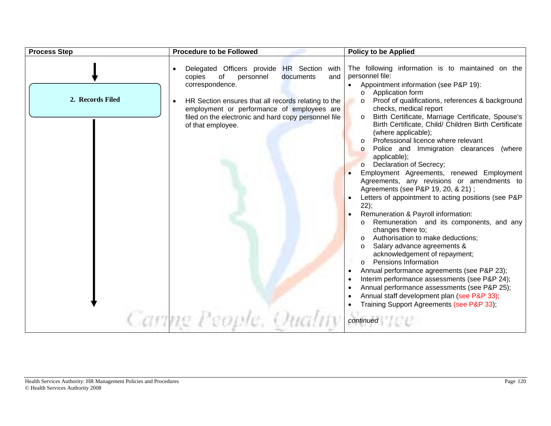| <b>Process Step</b> | <b>Procedure to be Followed</b>                                                                                                                                                                                                                                                          | <b>Policy to be Applied</b>                                                                                                                                                                                                                                                                                                                                                                                                                                                                                                                 |
|---------------------|------------------------------------------------------------------------------------------------------------------------------------------------------------------------------------------------------------------------------------------------------------------------------------------|---------------------------------------------------------------------------------------------------------------------------------------------------------------------------------------------------------------------------------------------------------------------------------------------------------------------------------------------------------------------------------------------------------------------------------------------------------------------------------------------------------------------------------------------|
| 2. Records Filed    | Delegated Officers provide HR Section with<br>of<br>documents<br>copies<br>personnel<br>and<br>correspondence.<br>HR Section ensures that all records relating to the<br>$\bullet$<br>employment or performance of employees are<br>filed on the electronic and hard copy personnel file | The following information is to maintained on the<br>personnel file:<br>Appointment information (see P&P 19):<br>Application form<br>$\circ$<br>Proof of qualifications, references & background<br>$\circ$<br>checks, medical report<br>Birth Certificate, Marriage Certificate, Spouse's<br>$\circ$                                                                                                                                                                                                                                       |
|                     | of that employee.                                                                                                                                                                                                                                                                        | Birth Certificate, Child/ Children Birth Certificate<br>(where applicable);<br>Professional licence where relevant<br>$\circ$<br>Police and Immigration clearances<br>(where<br>$\circ$<br>applicable);<br>Declaration of Secrecy;<br>$\circ$<br>Employment Agreements, renewed Employment<br>Agreements, any revisions or amendments to<br>Agreements (see P&P 19, 20, & 21);<br>Letters of appointment to acting positions (see P&P<br>22);<br>Remuneration & Payroll information:<br>Remuneration and its components, and any<br>$\circ$ |
|                     | Caring People, Qualit                                                                                                                                                                                                                                                                    | changes there to;<br>Authorisation to make deductions:<br>Salary advance agreements &<br>acknowledgement of repayment;<br><b>Pensions Information</b><br>$\circ$<br>Annual performance agreements (see P&P 23);<br>٠<br>Interim performance assessments (see P&P 24);<br>٠<br>Annual performance assessments (see P&P 25);<br>Annual staff development plan (see P&P 33);<br>Training Support Agreements (see P&P 33);<br>continued                                                                                                         |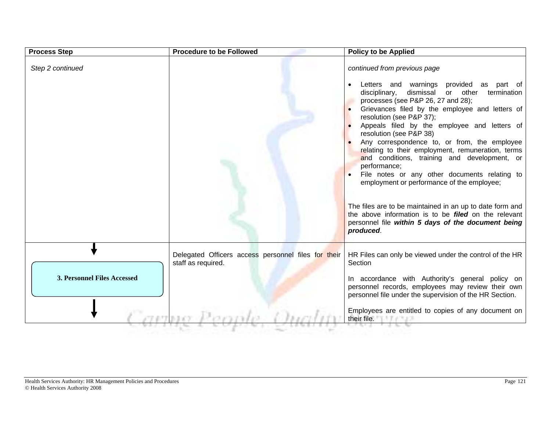| <b>Process Step</b>                | <b>Procedure to be Followed</b>                                           | <b>Policy to be Applied</b>                                                                                                                                                                                                                                                                                                                                                                                                                                                                                                                                                                                                                                                                                                                                                                         |
|------------------------------------|---------------------------------------------------------------------------|-----------------------------------------------------------------------------------------------------------------------------------------------------------------------------------------------------------------------------------------------------------------------------------------------------------------------------------------------------------------------------------------------------------------------------------------------------------------------------------------------------------------------------------------------------------------------------------------------------------------------------------------------------------------------------------------------------------------------------------------------------------------------------------------------------|
| Step 2 continued                   |                                                                           | continued from previous page<br>Letters and warnings provided as part of<br>disciplinary,<br>dismissal<br>or other<br>termination<br>processes (see P&P 26, 27 and 28);<br>Grievances filed by the employee and letters of<br>resolution (see P&P 37);<br>Appeals filed by the employee and letters of<br>resolution (see P&P 38)<br>Any correspondence to, or from, the employee<br>relating to their employment, remuneration, terms<br>and conditions, training and development, or<br>performance;<br>File notes or any other documents relating to<br>employment or performance of the employee;<br>The files are to be maintained in an up to date form and<br>the above information is to be <i>filed</i> on the relevant<br>personnel file within 5 days of the document being<br>produced. |
| <b>3. Personnel Files Accessed</b> | Delegated Officers access personnel files for their<br>staff as required. | HR Files can only be viewed under the control of the HR<br>Section<br>In accordance with Authority's general policy on<br>personnel records, employees may review their own<br>personnel file under the supervision of the HR Section.                                                                                                                                                                                                                                                                                                                                                                                                                                                                                                                                                              |
|                                    |                                                                           | Employees are entitled to copies of any document on<br>their file.                                                                                                                                                                                                                                                                                                                                                                                                                                                                                                                                                                                                                                                                                                                                  |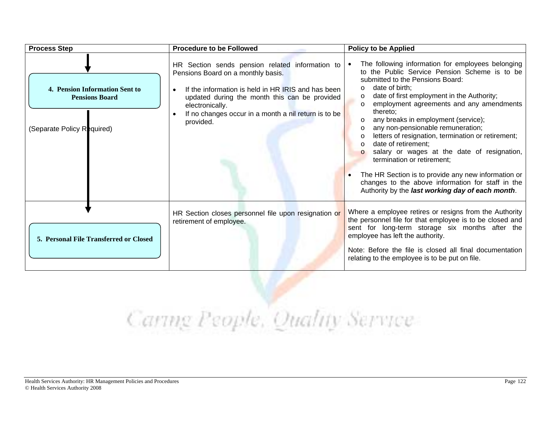| <b>Process Step</b>                                                                   | <b>Procedure to be Followed</b>                                                                                                                                                                                                                                                                   | <b>Policy to be Applied</b>                                                                                                                                                                                                                                                                                                                                                                                                                                                                                                                                                                                                                                                                                                             |
|---------------------------------------------------------------------------------------|---------------------------------------------------------------------------------------------------------------------------------------------------------------------------------------------------------------------------------------------------------------------------------------------------|-----------------------------------------------------------------------------------------------------------------------------------------------------------------------------------------------------------------------------------------------------------------------------------------------------------------------------------------------------------------------------------------------------------------------------------------------------------------------------------------------------------------------------------------------------------------------------------------------------------------------------------------------------------------------------------------------------------------------------------------|
| 4. Pension Information Sent to<br><b>Pensions Board</b><br>(Separate Policy Required) | HR Section sends pension related information to<br>Pensions Board on a monthly basis.<br>If the information is held in HR IRIS and has been<br>$\bullet$<br>updated during the month this can be provided<br>electronically.<br>If no changes occur in a month a nil return is to be<br>provided. | The following information for employees belonging<br>to the Public Service Pension Scheme is to be<br>submitted to the Pensions Board:<br>date of birth:<br>$\circ$<br>date of first employment in the Authority;<br>$\circ$<br>employment agreements and any amendments<br>$\circ$<br>thereto;<br>any breaks in employment (service);<br>any non-pensionable remuneration;<br>$\circ$<br>letters of resignation, termination or retirement;<br>$\Omega$<br>date of retirement;<br>$\circ$<br>salary or wages at the date of resignation,<br>termination or retirement;<br>The HR Section is to provide any new information or<br>changes to the above information for staff in the<br>Authority by the last working day of each month. |
| 5. Personal File Transferred or Closed                                                | HR Section closes personnel file upon resignation or<br>retirement of employee.                                                                                                                                                                                                                   | Where a employee retires or resigns from the Authority<br>the personnel file for that employee is to be closed and<br>sent for long-term storage six months after the<br>employee has left the authority.<br>Note: Before the file is closed all final documentation<br>relating to the employee is to be put on file.                                                                                                                                                                                                                                                                                                                                                                                                                  |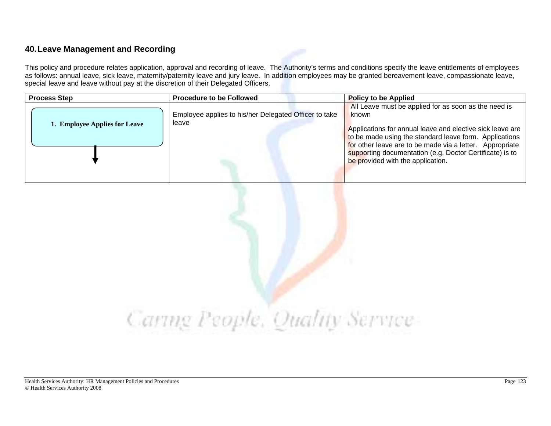#### **40. Leave Management and Recording**

This policy and procedure relates application, approval and recording of leave. The Authority's terms and conditions specify the leave entitlements of employees as follows: annual leave, sick leave, maternity/paternity leave and jury leave. In addition employees may be granted bereavement leave, compassionate leave, special leave and leave without pay at the discretion of their Delegated Officers.

| <b>Process Step</b>           | <b>Procedure to be Followed</b>                                | <b>Policy to be Applied</b>                                                                                                                                                                                                                                                                                                                       |
|-------------------------------|----------------------------------------------------------------|---------------------------------------------------------------------------------------------------------------------------------------------------------------------------------------------------------------------------------------------------------------------------------------------------------------------------------------------------|
| 1. Employee Applies for Leave | Employee applies to his/her Delegated Officer to take<br>leave | All Leave must be applied for as soon as the need is<br>known<br>Applications for annual leave and elective sick leave are<br>to be made using the standard leave form. Applications<br>for other leave are to be made via a letter. Appropriate<br>supporting documentation (e.g. Doctor Certificate) is to<br>be provided with the application. |
|                               |                                                                |                                                                                                                                                                                                                                                                                                                                                   |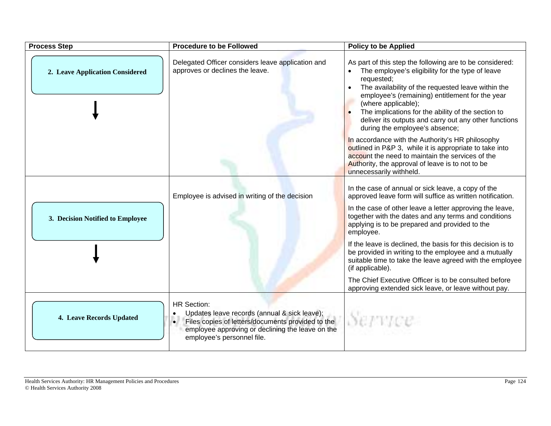| <b>Process Step</b>              | <b>Procedure to be Followed</b>                                                                                                                                                                                        | <b>Policy to be Applied</b>                                                                                                                                                                                                                                                                                                                                                                                                                        |
|----------------------------------|------------------------------------------------------------------------------------------------------------------------------------------------------------------------------------------------------------------------|----------------------------------------------------------------------------------------------------------------------------------------------------------------------------------------------------------------------------------------------------------------------------------------------------------------------------------------------------------------------------------------------------------------------------------------------------|
| 2. Leave Application Considered  | Delegated Officer considers leave application and<br>approves or declines the leave.                                                                                                                                   | As part of this step the following are to be considered:<br>The employee's eligibility for the type of leave<br>$\bullet$<br>requested;<br>The availability of the requested leave within the<br>$\bullet$<br>employee's (remaining) entitlement for the year<br>(where applicable);<br>The implications for the ability of the section to<br>$\bullet$<br>deliver its outputs and carry out any other functions<br>during the employee's absence; |
|                                  |                                                                                                                                                                                                                        | In accordance with the Authority's HR philosophy<br>outlined in P&P 3, while it is appropriate to take into<br>account the need to maintain the services of the<br>Authority, the approval of leave is to not to be<br>unnecessarily withheld.                                                                                                                                                                                                     |
|                                  | Employee is advised in writing of the decision                                                                                                                                                                         | In the case of annual or sick leave, a copy of the<br>approved leave form will suffice as written notification.                                                                                                                                                                                                                                                                                                                                    |
| 3. Decision Notified to Employee |                                                                                                                                                                                                                        | In the case of other leave a letter approving the leave,<br>together with the dates and any terms and conditions<br>applying is to be prepared and provided to the<br>employee.                                                                                                                                                                                                                                                                    |
|                                  |                                                                                                                                                                                                                        | If the leave is declined, the basis for this decision is to<br>be provided in writing to the employee and a mutually<br>suitable time to take the leave agreed with the employee<br>(if applicable).                                                                                                                                                                                                                                               |
|                                  |                                                                                                                                                                                                                        | The Chief Executive Officer is to be consulted before<br>approving extended sick leave, or leave without pay.                                                                                                                                                                                                                                                                                                                                      |
| 4. Leave Records Updated         | <b>HR Section:</b><br>Updates leave records (annual & sick leave);<br>$\bullet$<br>Files copies of letters/documents provided to the<br>employee approving or declining the leave on the<br>employee's personnel file. | Service                                                                                                                                                                                                                                                                                                                                                                                                                                            |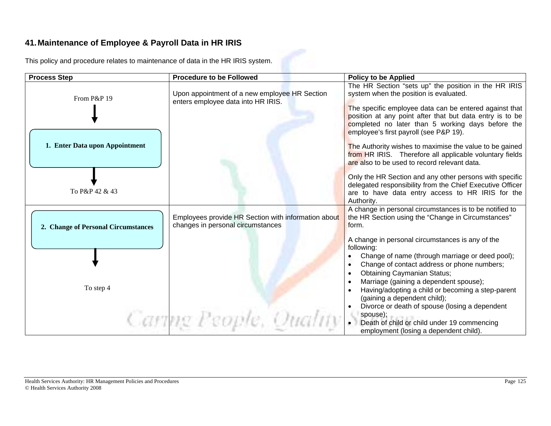#### **41. Maintenance of Employee & Payroll Data in HR IRIS**

This policy and procedure relates to maintenance of data in the HR IRIS system.

| <b>Process Step</b>                 | <b>Procedure to be Followed</b>                                                          | <b>Policy to be Applied</b>                                                                                                                                                                                                                                                                                                                                                                                       |
|-------------------------------------|------------------------------------------------------------------------------------------|-------------------------------------------------------------------------------------------------------------------------------------------------------------------------------------------------------------------------------------------------------------------------------------------------------------------------------------------------------------------------------------------------------------------|
| From P&P 19                         | Upon appointment of a new employee HR Section<br>enters employee data into HR IRIS.      | The HR Section "sets up" the position in the HR IRIS<br>system when the position is evaluated.<br>The specific employee data can be entered against that<br>position at any point after that but data entry is to be<br>completed no later than 5 working days before the                                                                                                                                         |
| 1. Enter Data upon Appointment      |                                                                                          | employee's first payroll (see P&P 19).<br>The Authority wishes to maximise the value to be gained<br>from HR IRIS. Therefore all applicable voluntary fields<br>are also to be used to record relevant data.                                                                                                                                                                                                      |
| To P&P 42 & 43                      |                                                                                          | Only the HR Section and any other persons with specific<br>delegated responsibility from the Chief Executive Officer<br>are to have data entry access to HR IRIS for the<br>Authority.                                                                                                                                                                                                                            |
| 2. Change of Personal Circumstances | Employees provide HR Section with information about<br>changes in personal circumstances | A change in personal circumstances is to be notified to<br>the HR Section using the "Change in Circumstances"<br>form.                                                                                                                                                                                                                                                                                            |
| To step 4                           |                                                                                          | A change in personal circumstances is any of the<br>following:<br>Change of name (through marriage or deed pool);<br>Change of contact address or phone numbers;<br>$\bullet$<br><b>Obtaining Caymanian Status;</b><br>$\bullet$<br>Marriage (gaining a dependent spouse);<br>Having/adopting a child or becoming a step-parent<br>(gaining a dependent child);<br>Divorce or death of spouse (losing a dependent |
|                                     | Caring People, Quality                                                                   | spouse);<br>Death of child or child under 19 commencing<br>employment (losing a dependent child).                                                                                                                                                                                                                                                                                                                 |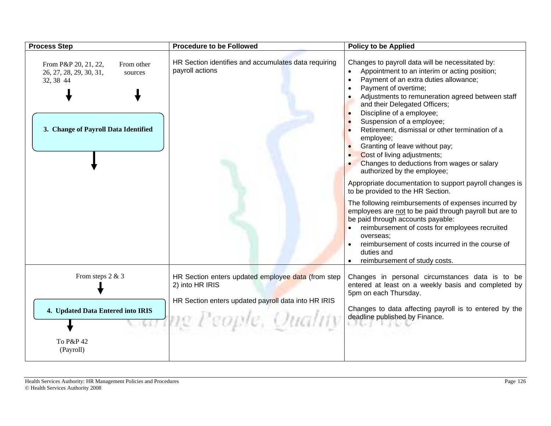| <b>Process Step</b>                                                                                                           | <b>Procedure to be Followed</b>                                                                                              | <b>Policy to be Applied</b>                                                                                                                                                                                                                                                                                                                                                                                                                                                                                                                                                                                                                                                                                                                                                                                                                                                                                                                                                                      |
|-------------------------------------------------------------------------------------------------------------------------------|------------------------------------------------------------------------------------------------------------------------------|--------------------------------------------------------------------------------------------------------------------------------------------------------------------------------------------------------------------------------------------------------------------------------------------------------------------------------------------------------------------------------------------------------------------------------------------------------------------------------------------------------------------------------------------------------------------------------------------------------------------------------------------------------------------------------------------------------------------------------------------------------------------------------------------------------------------------------------------------------------------------------------------------------------------------------------------------------------------------------------------------|
| From P&P 20, 21, 22,<br>From other<br>26, 27, 28, 29, 30, 31,<br>sources<br>32, 38 44<br>3. Change of Payroll Data Identified | HR Section identifies and accumulates data requiring<br>payroll actions                                                      | Changes to payroll data will be necessitated by:<br>Appointment to an interim or acting position;<br>Payment of an extra duties allowance;<br>$\bullet$<br>Payment of overtime;<br>$\bullet$<br>Adjustments to remuneration agreed between staff<br>$\bullet$<br>and their Delegated Officers;<br>Discipline of a employee;<br>Suspension of a employee;<br>Retirement, dismissal or other termination of a<br>employee;<br>Granting of leave without pay;<br>Cost of living adjustments;<br>Changes to deductions from wages or salary<br>authorized by the employee;<br>Appropriate documentation to support payroll changes is<br>to be provided to the HR Section.<br>The following reimbursements of expenses incurred by<br>employees are not to be paid through payroll but are to<br>be paid through accounts payable:<br>reimbursement of costs for employees recruited<br>overseas;<br>reimbursement of costs incurred in the course of<br>duties and<br>reimbursement of study costs. |
| From steps 2 & 3                                                                                                              | HR Section enters updated employee data (from step<br>2) into HR IRIS<br>HR Section enters updated payroll data into HR IRIS | Changes in personal circumstances data is to be<br>entered at least on a weekly basis and completed by<br>5pm on each Thursday.                                                                                                                                                                                                                                                                                                                                                                                                                                                                                                                                                                                                                                                                                                                                                                                                                                                                  |
| 4. Updated Data Entered into IRIS                                                                                             | ng People, Quality                                                                                                           | Changes to data affecting payroll is to entered by the<br>deadline published by Finance.<br>1. 子をいずしてしてないもの                                                                                                                                                                                                                                                                                                                                                                                                                                                                                                                                                                                                                                                                                                                                                                                                                                                                                      |
| To P&P 42<br>(Payroll)                                                                                                        |                                                                                                                              |                                                                                                                                                                                                                                                                                                                                                                                                                                                                                                                                                                                                                                                                                                                                                                                                                                                                                                                                                                                                  |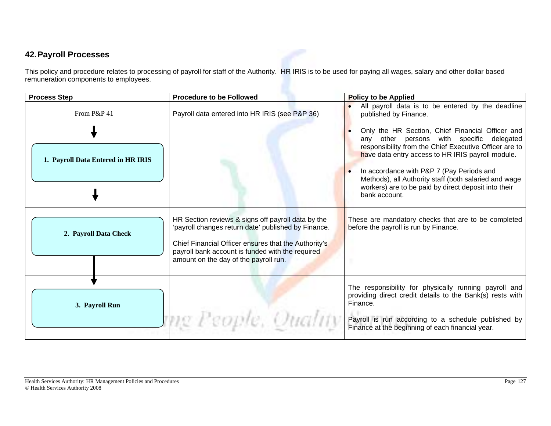#### **42. Payroll Processes**

This policy and procedure relates to processing of payroll for staff of the Authority. HR IRIS is to be used for paying all wages, salary and other dollar based remuneration components to employees.

| <b>Process Step</b>                               | <b>Procedure to be Followed</b>                                                                                                                                                                                                                                | <b>Policy to be Applied</b>                                                                                                                                                                                                                                                                                                                                                                                                                                                  |
|---------------------------------------------------|----------------------------------------------------------------------------------------------------------------------------------------------------------------------------------------------------------------------------------------------------------------|------------------------------------------------------------------------------------------------------------------------------------------------------------------------------------------------------------------------------------------------------------------------------------------------------------------------------------------------------------------------------------------------------------------------------------------------------------------------------|
| From P&P 41<br>1. Payroll Data Entered in HR IRIS | Payroll data entered into HR IRIS (see P&P 36)                                                                                                                                                                                                                 | All payroll data is to be entered by the deadline<br>published by Finance.<br>Only the HR Section, Chief Financial Officer and<br>persons with specific delegated<br>any other<br>responsibility from the Chief Executive Officer are to<br>have data entry access to HR IRIS payroll module.<br>In accordance with P&P 7 (Pay Periods and<br>Methods), all Authority staff (both salaried and wage<br>workers) are to be paid by direct deposit into their<br>bank account. |
| 2. Payroll Data Check                             | HR Section reviews & signs off payroll data by the<br>'payroll changes return date' published by Finance.<br>Chief Financial Officer ensures that the Authority's<br>payroll bank account is funded with the required<br>amount on the day of the payroll run. | These are mandatory checks that are to be completed<br>before the payroll is run by Finance.                                                                                                                                                                                                                                                                                                                                                                                 |
| 3. Payroll Run                                    | me People, Quality                                                                                                                                                                                                                                             | The responsibility for physically running payroll and<br>providing direct credit details to the Bank(s) rests with<br>Finance.<br>Payroll is run according to a schedule published by<br>Finance at the beginning of each financial year.                                                                                                                                                                                                                                    |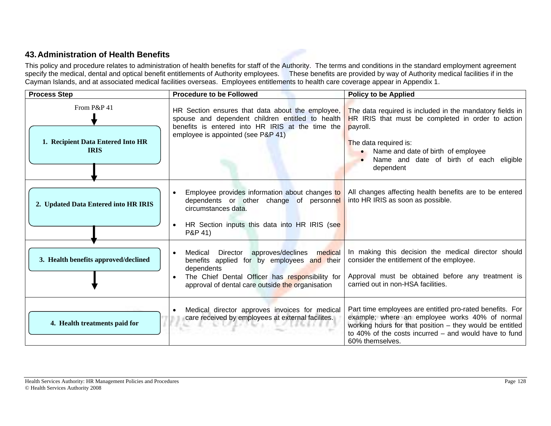#### **43. Administration of Health Benefits**

This policy and procedure relates to administration of health benefits for staff of the Authority. The terms and conditions in the standard employment agreement specify the medical, dental and optical benefit entitlements of Authority employees. These benefits are provided by way of Authority medical facilities if in the Cayman Islands, and at associated medical facilities overseas. Employees entitlements to health care coverage appear in Appendix 1.

| <b>Process Step</b>                                             | <b>Procedure to be Followed</b>                                                                                                                                                                                             | <b>Policy to be Applied</b>                                                                                                                                                                                                                                   |
|-----------------------------------------------------------------|-----------------------------------------------------------------------------------------------------------------------------------------------------------------------------------------------------------------------------|---------------------------------------------------------------------------------------------------------------------------------------------------------------------------------------------------------------------------------------------------------------|
| From P&P 41<br>1. Recipient Data Entered Into HR<br><b>IRIS</b> | HR Section ensures that data about the employee,<br>spouse and dependent children entitled to health<br>benefits is entered into HR IRIS at the time the<br>employee is appointed (see P&P 41)                              | The data required is included in the mandatory fields in<br>HR IRIS that must be completed in order to action<br>payroll.<br>The data required is:<br>Name and date of birth of employee<br>$\bullet$<br>Name and date of birth of each eligible<br>dependent |
| 2. Updated Data Entered into HR IRIS                            | Employee provides information about changes to<br>$\bullet$<br>dependents or other change of personnel<br>circumstances data.<br>HR Section inputs this data into HR IRIS (see<br>$\bullet$<br>P&P 41)                      | All changes affecting health benefits are to be entered<br>into HR IRIS as soon as possible.                                                                                                                                                                  |
| 3. Health benefits approved/declined                            | Medical Director approves/declines medical<br>$\bullet$<br>benefits applied for by employees and their<br>dependents<br>The Chief Dental Officer has responsibility for<br>approval of dental care outside the organisation | In making this decision the medical director should<br>consider the entitlement of the employee.<br>Approval must be obtained before any treatment is<br>carried out in non-HSA facilities.                                                                   |
| 4. Health treatments paid for                                   | Medical director approves invoices for medical<br>$\bullet$<br>care received by employees at external facilites.<br>あいじの エヌ ク あたましょ                                                                                         | Part time employees are entitled pro-rated benefits. For<br>example; where an employee works 40% of normal<br>working hours for that position - they would be entitled<br>to 40% of the costs incurred $-$ and would have to fund<br>60% themselves.          |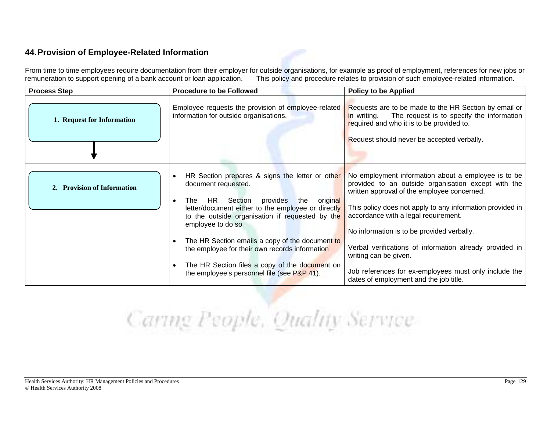#### **44. Provision of Employee-Related Information**

From time to time employees require documentation from their employer for outside organisations, for example as proof of employment, references for new jobs or remuneration to support opening of a bank account or loan appl This policy and procedure relates to provision of such employee-related information.

| <b>Process Step</b>         | <b>Procedure to be Followed</b>                                                                                                                                                                                                                                                                                                                                                                                                                                                                             | <b>Policy to be Applied</b>                                                                                                                                                                                                                                                                                                                                                                                                                                                                         |
|-----------------------------|-------------------------------------------------------------------------------------------------------------------------------------------------------------------------------------------------------------------------------------------------------------------------------------------------------------------------------------------------------------------------------------------------------------------------------------------------------------------------------------------------------------|-----------------------------------------------------------------------------------------------------------------------------------------------------------------------------------------------------------------------------------------------------------------------------------------------------------------------------------------------------------------------------------------------------------------------------------------------------------------------------------------------------|
| 1. Request for Information  | Employee requests the provision of employee-related<br>information for outside organisations.                                                                                                                                                                                                                                                                                                                                                                                                               | Requests are to be made to the HR Section by email or<br>The request is to specify the information<br>in writing.<br>required and who it is to be provided to.<br>Request should never be accepted verbally.                                                                                                                                                                                                                                                                                        |
| 2. Provision of Information | HR Section prepares & signs the letter or other<br>$\bullet$<br>document requested.<br>Section provides<br>original<br>the<br>HR.<br>The T<br>$\bullet$<br>letter/document either to the employee or directly<br>to the outside organisation if requested by the<br>employee to do so<br>The HR Section emails a copy of the document to<br>$\bullet$<br>the employee for their own records information<br>The HR Section files a copy of the document on<br>the employee's personnel file (see $P&P 41$ ). | No employment information about a employee is to be<br>provided to an outside organisation except with the<br>written approval of the employee concerned.<br>This policy does not apply to any information provided in<br>accordance with a legal requirement.<br>No information is to be provided verbally.<br>Verbal verifications of information already provided in<br>writing can be given.<br>Job references for ex-employees must only include the<br>dates of employment and the job title. |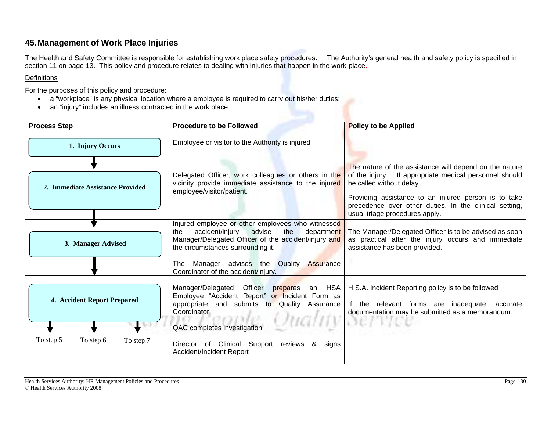#### **45. Management of Work Place Injuries**

The Health and Safety Committee is responsible for establishing work place safety procedures. The Authority's general health and safety policy is specified in section 11 on page 13. This policy and procedure relates to dealing with injuries that happen in the work-place.

#### Definitions

For the purposes of this policy and procedure:

- a "workplace" is any physical location where a employee is required to carry out his/her duties;
- an "injury" includes an illness contracted in the work place.

| <b>Process Step</b>                                                | <b>Procedure to be Followed</b>                                                                                                                                                                                                                                                                 | <b>Policy to be Applied</b>                                                                                                                                                                                                                                                                      |
|--------------------------------------------------------------------|-------------------------------------------------------------------------------------------------------------------------------------------------------------------------------------------------------------------------------------------------------------------------------------------------|--------------------------------------------------------------------------------------------------------------------------------------------------------------------------------------------------------------------------------------------------------------------------------------------------|
| 1. Injury Occurs                                                   | Employee or visitor to the Authority is injured                                                                                                                                                                                                                                                 |                                                                                                                                                                                                                                                                                                  |
| 2. Immediate Assistance Provided                                   | Delegated Officer, work colleagues or others in the<br>vicinity provide immediate assistance to the injured<br>employee/visitor/patient.                                                                                                                                                        | The nature of the assistance will depend on the nature<br>of the injury. If appropriate medical personnel should<br>be called without delay.<br>Providing assistance to an injured person is to take<br>precedence over other duties. In the clinical setting,<br>usual triage procedures apply. |
| 3. Manager Advised                                                 | Injured employee or other employees who witnessed<br>accident/injury<br>advise<br>the<br>department<br>the<br>Manager/Delegated Officer of the accident/injury and<br>the circumstances surrounding it.<br>The Manager advises the Quality Assurance<br>Coordinator of the accident/injury.     | The Manager/Delegated Officer is to be advised as soon<br>as practical after the injury occurs and immediate<br>assistance has been provided.                                                                                                                                                    |
| 4. Accident Report Prepared<br>To step 5<br>To step 6<br>To step 7 | Manager/Delegated Officer<br>an HSA<br>prepares<br>Employee "Accident Report" or Incident Form as<br>appropriate and submits to Quality Assurance<br>Coordinator.<br>QAC completes investigation<br>Director of Clinical Support reviews<br>8 <sup>8</sup><br>signs<br>Accident/Incident Report | H.S.A. Incident Reporting policy is to be followed<br>If the relevant forms are inadequate, accurate<br>documentation may be submitted as a memorandum.<br><b>DETTIL</b>                                                                                                                         |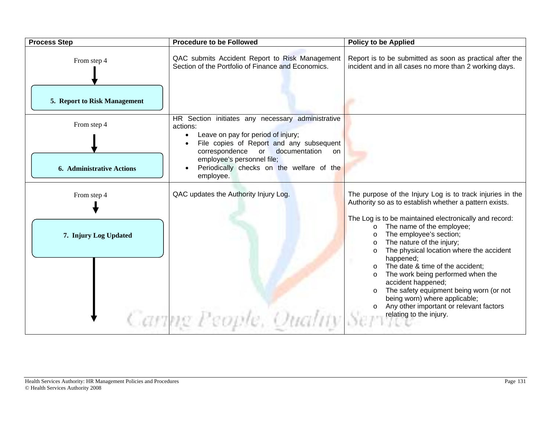| <b>Process Step</b>              | <b>Procedure to be Followed</b>                                                                      | <b>Policy to be Applied</b>                                                                                                                                                                                                                                                                                                                                                                                                                                                                       |
|----------------------------------|------------------------------------------------------------------------------------------------------|---------------------------------------------------------------------------------------------------------------------------------------------------------------------------------------------------------------------------------------------------------------------------------------------------------------------------------------------------------------------------------------------------------------------------------------------------------------------------------------------------|
| From step 4                      | QAC submits Accident Report to Risk Management<br>Section of the Portfolio of Finance and Economics. | Report is to be submitted as soon as practical after the<br>incident and in all cases no more than 2 working days.                                                                                                                                                                                                                                                                                                                                                                                |
| 5. Report to Risk Management     |                                                                                                      |                                                                                                                                                                                                                                                                                                                                                                                                                                                                                                   |
| From step 4                      | HR Section initiates any necessary administrative<br>actions:<br>Leave on pay for period of injury;  |                                                                                                                                                                                                                                                                                                                                                                                                                                                                                                   |
|                                  | File copies of Report and any subsequent                                                             |                                                                                                                                                                                                                                                                                                                                                                                                                                                                                                   |
|                                  | correspondence or documentation<br>on<br>employee's personnel file;                                  |                                                                                                                                                                                                                                                                                                                                                                                                                                                                                                   |
| <b>6. Administrative Actions</b> | Periodically checks on the welfare of the<br>employee.                                               |                                                                                                                                                                                                                                                                                                                                                                                                                                                                                                   |
| From step 4                      | QAC updates the Authority Injury Log.                                                                | The purpose of the Injury Log is to track injuries in the<br>Authority so as to establish whether a pattern exists.                                                                                                                                                                                                                                                                                                                                                                               |
| 7. Injury Log Updated            | Caring People, Quality Serv                                                                          | The Log is to be maintained electronically and record:<br>The name of the employee;<br>$\circ$<br>The employee's section;<br>$\circ$<br>The nature of the injury;<br>$\circ$<br>The physical location where the accident<br>$\circ$<br>happened;<br>The date & time of the accident;<br>The work being performed when the<br>accident happened;<br>The safety equipment being worn (or not<br>being worn) where applicable;<br>Any other important or relevant factors<br>relating to the injury. |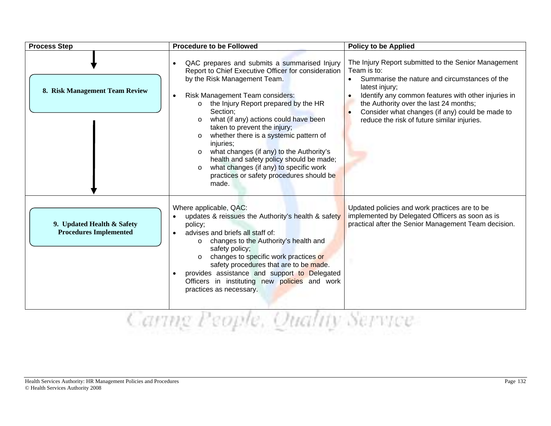| <b>Process Step</b>                                         | <b>Procedure to be Followed</b>                                                                                                                                                                                                                                                                                                                                                                                                                                                                                                                                                                                                    | <b>Policy to be Applied</b>                                                                                                                                                                                                                                                                                                                            |
|-------------------------------------------------------------|------------------------------------------------------------------------------------------------------------------------------------------------------------------------------------------------------------------------------------------------------------------------------------------------------------------------------------------------------------------------------------------------------------------------------------------------------------------------------------------------------------------------------------------------------------------------------------------------------------------------------------|--------------------------------------------------------------------------------------------------------------------------------------------------------------------------------------------------------------------------------------------------------------------------------------------------------------------------------------------------------|
| 8. Risk Management Team Review                              | QAC prepares and submits a summarised Injury<br>$\bullet$<br>Report to Chief Executive Officer for consideration<br>by the Risk Management Team.<br>Risk Management Team considers:<br>$\bullet$<br>the Injury Report prepared by the HR<br>$\circ$<br>Section;<br>what (if any) actions could have been<br>$\circ$<br>taken to prevent the injury;<br>whether there is a systemic pattern of<br>$\circ$<br>injuries;<br>what changes (if any) to the Authority's<br>$\circ$<br>health and safety policy should be made;<br>what changes (if any) to specific work<br>$\circ$<br>practices or safety procedures should be<br>made. | The Injury Report submitted to the Senior Management<br>Team is to:<br>Summarise the nature and circumstances of the<br>latest injury;<br>Identify any common features with other injuries in<br>$\bullet$<br>the Authority over the last 24 months;<br>Consider what changes (if any) could be made to<br>reduce the risk of future similar injuries. |
| 9. Updated Health & Safety<br><b>Procedures Implemented</b> | Where applicable, QAC:<br>updates & reissues the Authority's health & safety<br>policy;<br>advises and briefs all staff of:<br>$\bullet$<br>changes to the Authority's health and<br>$\circ$<br>safety policy;<br>changes to specific work practices or<br>safety procedures that are to be made.<br>provides assistance and support to Delegated<br>Officers in instituting new policies and work<br>practices as necessary.                                                                                                                                                                                                      | Updated policies and work practices are to be<br>implemented by Delegated Officers as soon as is<br>practical after the Senior Management Team decision.                                                                                                                                                                                               |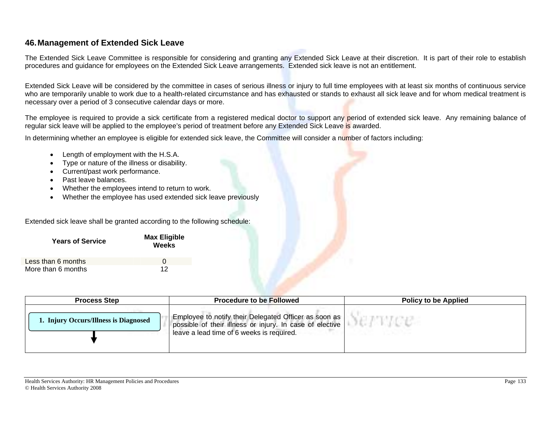#### **46. Management of Extended Sick Leave**

The Extended Sick Leave Committee is responsible for considering and granting any Extended Sick Leave at their discretion. It is part of their role to establish procedures and guidance for employees on the Extended Sick Leave arrangements. Extended sick leave is not an entitlement.

Extended Sick Leave will be considered by the committee in cases of serious illness or injury to full time employees with at least six months of continuous service who are temporarily unable to work due to a health-related circumstance and has exhausted or stands to exhaust all sick leave and for whom medical treatment is necessary over a period of 3 consecutive calendar days or more.

The employee is required to provide a sick certificate from a registered medical doctor to support any period of extended sick leave. Any remaining balance of regular sick leave will be applied to the employee's period of treatment before any Extended Sick Leave is awarded.

In determining whether an employee is eligible for extended sick leave, the Committee will consider a number of factors including:

- Length of employment with the H.S.A.
- Type or nature of the illness or disability.
- Current/past work performance.
- Past leave balances.
- Whether the employees intend to return to work.
- Whether the employee has used extended sick leave previously

Extended sick leave shall be granted according to the following schedule:

| <b>Years of Service</b> | <b>Max Eligible</b><br>Weeks |  |
|-------------------------|------------------------------|--|
| Less than 6 months      | $\Omega$                     |  |
| More than 6 months      | 12                           |  |

| <b>Process Step</b>                   | <b>Procedure to be Followed</b>                                                                                                                                  | <b>Policy to be Applied</b> |
|---------------------------------------|------------------------------------------------------------------------------------------------------------------------------------------------------------------|-----------------------------|
| 1. Injury Occurs/Illness is Diagnosed | Employee to notify their Delegated Officer as soon as  <br>possible of their illness or injury. In case of elective<br>leave a lead time of 6 weeks is required. |                             |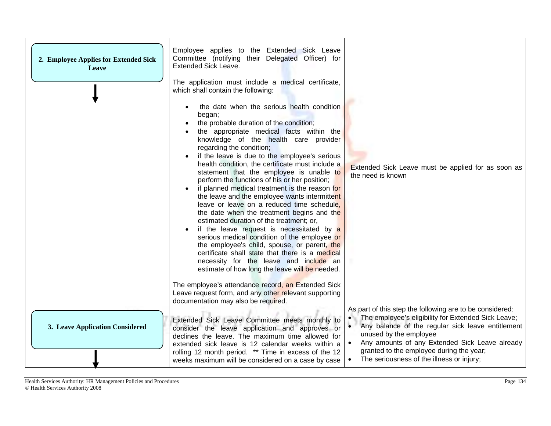| 2. Employee Applies for Extended Sick<br>Leave | Employee applies to the Extended Sick Leave<br>Committee (notifying their Delegated Officer) for<br><b>Extended Sick Leave.</b><br>The application must include a medical certificate,<br>which shall contain the following:                                                                                                                                                                                                                                                                                                                                                                                                                                                                                                                                                                                                                                                                                                                                                                                    |                                                                                                                                                                                                                                                                                                                                                                     |
|------------------------------------------------|-----------------------------------------------------------------------------------------------------------------------------------------------------------------------------------------------------------------------------------------------------------------------------------------------------------------------------------------------------------------------------------------------------------------------------------------------------------------------------------------------------------------------------------------------------------------------------------------------------------------------------------------------------------------------------------------------------------------------------------------------------------------------------------------------------------------------------------------------------------------------------------------------------------------------------------------------------------------------------------------------------------------|---------------------------------------------------------------------------------------------------------------------------------------------------------------------------------------------------------------------------------------------------------------------------------------------------------------------------------------------------------------------|
|                                                | the date when the serious health condition<br>began;<br>the probable duration of the condition;<br>the appropriate medical facts within the<br>knowledge of the health care provider<br>regarding the condition;<br>if the leave is due to the employee's serious<br>health condition, the certificate must include a<br>statement that the employee is unable to<br>perform the functions of his or her position;<br>if planned medical treatment is the reason for<br>the leave and the employee wants intermittent<br>leave or leave on a reduced time schedule,<br>the date when the treatment begins and the<br>estimated duration of the treatment; or,<br>if the leave request is necessitated by a<br>serious medical condition of the employee or<br>the employee's child, spouse, or parent, the<br>certificate shall state that there is a medical<br>necessity for the leave and include an<br>estimate of how long the leave will be needed.<br>The employee's attendance record, an Extended Sick | Extended Sick Leave must be applied for as soon as<br>the need is known                                                                                                                                                                                                                                                                                             |
|                                                | Leave request form, and any other relevant supporting<br>documentation may also be required.                                                                                                                                                                                                                                                                                                                                                                                                                                                                                                                                                                                                                                                                                                                                                                                                                                                                                                                    |                                                                                                                                                                                                                                                                                                                                                                     |
| 3. Leave Application Considered                | Extended Sick Leave Committee meets monthly to<br>consider the leave application and approves or<br>declines the leave. The maximum time allowed for<br>extended sick leave is 12 calendar weeks within a<br>rolling 12 month period. ** Time in excess of the 12<br>weeks maximum will be considered on a case by case                                                                                                                                                                                                                                                                                                                                                                                                                                                                                                                                                                                                                                                                                         | As part of this step the following are to be considered:<br>The employee's eligibility for Extended Sick Leave;<br>Any balance of the regular sick leave entitlement<br>$\bullet$<br>unused by the employee<br>Any amounts of any Extended Sick Leave already<br>granted to the employee during the year;<br>The seriousness of the illness or injury;<br>$\bullet$ |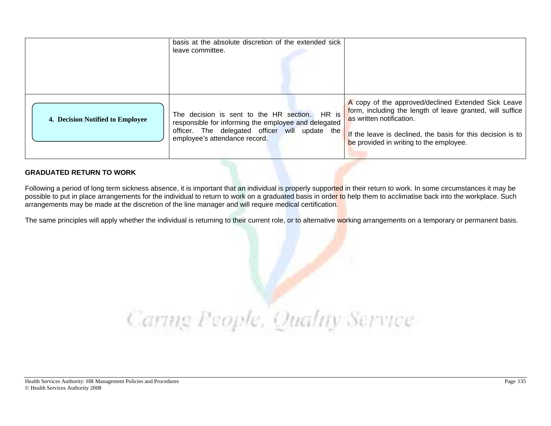|                                  | basis at the absolute discretion of the extended sick<br>leave committee.                                                                                                                |                                                                                                                                                                                                                                                        |
|----------------------------------|------------------------------------------------------------------------------------------------------------------------------------------------------------------------------------------|--------------------------------------------------------------------------------------------------------------------------------------------------------------------------------------------------------------------------------------------------------|
| 4. Decision Notified to Employee | The decision is sent to the HR section. HR is<br>responsible for informing the employee and delegated<br>officer. The delegated officer will update the<br>employee's attendance record. | A copy of the approved/declined Extended Sick Leave<br>form, including the length of leave granted, will suffice<br>as written notification.<br>If the leave is declined, the basis for this decision is to<br>be provided in writing to the employee. |

#### **GRADUATED RETURN TO WORK**

Following a period of long term sickness absence, it is important that an individual is properly supported in their return to work. In some circumstances it may be possible to put in place arrangements for the individual to return to work on a graduated basis in order to help them to acclimatise back into the workplace. Such arrangements may be made at the discretion of the line manager and will require medical certification.

The same principles will apply whether the individual is returning to their current role, or to alternative working arrangements on a temporary or permanent basis.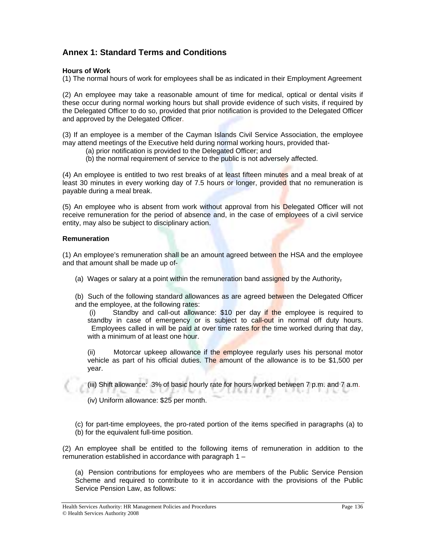#### **Annex 1: Standard Terms and Conditions**

#### **Hours of Work**

(1) The normal hours of work for employees shall be as indicated in their Employment Agreement

(2) An employee may take a reasonable amount of time for medical, optical or dental visits if these occur during normal working hours but shall provide evidence of such visits, if required by the Delegated Officer to do so, provided that prior notification is provided to the Delegated Officer and approved by the Delegated Officer.

(3) If an employee is a member of the Cayman Islands Civil Service Association, the employee may attend meetings of the Executive held during normal working hours, provided that-

- (a) prior notification is provided to the Delegated Officer; and
- (b) the normal requirement of service to the public is not adversely affected.

(4) An employee is entitled to two rest breaks of at least fifteen minutes and a meal break of at least 30 minutes in every working day of 7.5 hours or longer, provided that no remuneration is payable during a meal break.

(5) An employee who is absent from work without approval from his Delegated Officer will not receive remuneration for the period of absence and, in the case of employees of a civil service entity, may also be subject to disciplinary action.

#### **Remuneration**

(1) An employee's remuneration shall be an amount agreed between the HSA and the employee and that amount shall be made up of-

- (a) Wages or salary at a point within the remuneration band assigned by the Authority-
- (b) Such of the following standard allowances as are agreed between the Delegated Officer and the employee, at the following rates:

 (i) Standby and call-out allowance: \$10 per day if the employee is required to standby in case of emergency or is subject to call-out in normal off duty hours. Employees called in will be paid at over time rates for the time worked during that day, with a minimum of at least one hour.

(ii) Motorcar upkeep allowance if the employee regularly uses his personal motor vehicle as part of his official duties. The amount of the allowance is to be \$1,500 per year.

(iii) Shift allowance: 3% of basic hourly rate for hours worked between 7 p.m. and 7 a.m. 1563.CLL9 **Ardina Links** 

(iv) Uniform allowance: \$25 per month.

(c) for part-time employees, the pro-rated portion of the items specified in paragraphs (a) to (b) for the equivalent full-time position.

(2) An employee shall be entitled to the following items of remuneration in addition to the remuneration established in accordance with paragraph 1 –

(a) Pension contributions for employees who are members of the Public Service Pension Scheme and required to contribute to it in accordance with the provisions of the Public Service Pension Law, as follows:

Health Services Authority: HR Management Policies and Procedures Page 136 © Health Services Authority 2008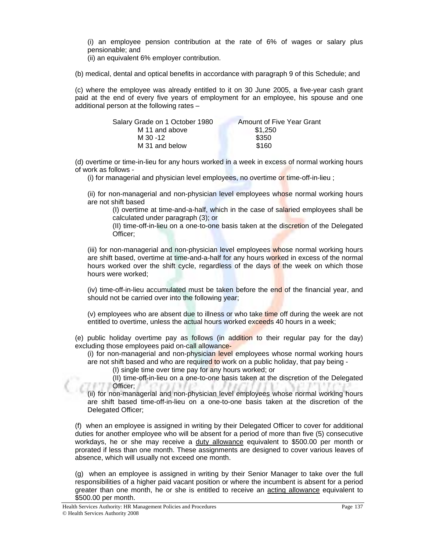(i) an employee pension contribution at the rate of 6% of wages or salary plus pensionable; and

(ii) an equivalent 6% employer contribution.

(b) medical, dental and optical benefits in accordance with paragraph 9 of this Schedule; and

(c) where the employee was already entitled to it on 30 June 2005, a five-year cash grant paid at the end of every five years of employment for an employee, his spouse and one additional person at the following rates –

| Salary Grade on 1 October 1980 | Amount of Five Year Grant |
|--------------------------------|---------------------------|
| M 11 and above                 | \$1.250                   |
| M 30 - 12                      | \$350                     |
| M 31 and below                 | \$160                     |

(d) overtime or time-in-lieu for any hours worked in a week in excess of normal working hours of work as follows -

(i) for managerial and physician level employees, no overtime or time-off-in-lieu;

(ii) for non-managerial and non-physician level employees whose normal working hours are not shift based

(I) overtime at time-and-a-half, which in the case of salaried employees shall be calculated under paragraph (3); or

(II) time-off-in-lieu on a one-to-one basis taken at the discretion of the Delegated Officer;

(iii) for non-managerial and non-physician level employees whose normal working hours are shift based, overtime at time-and-a-half for any hours worked in excess of the normal hours worked over the shift cycle, regardless of the days of the week on which those hours were worked;

(iv) time-off-in-lieu accumulated must be taken before the end of the financial year, and should not be carried over into the following year;

(v) employees who are absent due to illness or who take time off during the week are not entitled to overtime, unless the actual hours worked exceeds 40 hours in a week;

(e) public holiday overtime pay as follows (in addition to their regular pay for the day) excluding those employees paid on-call allowance-

(i) for non-managerial and non-physician level employees whose normal working hours are not shift based and who are required to work on a public holiday, that pay being -

(I) single time over time pay for any hours worked; or

(II) time-off-in-lieu on a one-to-one basis taken at the discretion of the Delegated **Officer;** 

(ii) for non-managerial and non-physician level employees whose normal working hours are shift based time-off-in-lieu on a one-to-one basis taken at the discretion of the Delegated Officer;

(f) when an employee is assigned in writing by their Delegated Officer to cover for additional duties for another employee who will be absent for a period of more than five (5) consecutive workdays, he or she may receive a duty allowance equivalent to \$500.00 per month or prorated if less than one month. These assignments are designed to cover various leaves of absence, which will usually not exceed one month.

(g) when an employee is assigned in writing by their Senior Manager to take over the full responsibilities of a higher paid vacant position or where the incumbent is absent for a period greater than one month, he or she is entitled to receive an acting allowance equivalent to \$500.00 per month.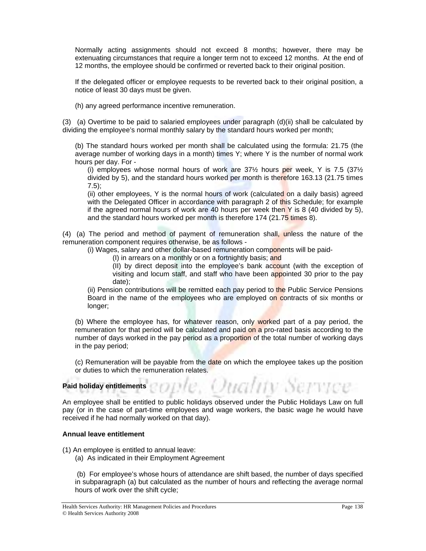Normally acting assignments should not exceed 8 months; however, there may be extenuating circumstances that require a longer term not to exceed 12 months. At the end of 12 months, the employee should be confirmed or reverted back to their original position.

If the delegated officer or employee requests to be reverted back to their original position, a notice of least 30 days must be given.

(h) any agreed performance incentive remuneration.

(3) (a) Overtime to be paid to salaried employees under paragraph (d)(ii) shall be calculated by dividing the employee's normal monthly salary by the standard hours worked per month;

(b) The standard hours worked per month shall be calculated using the formula: 21.75 (the average number of working days in a month) times Y; where Y is the number of normal work hours per day. For -

(i) employees whose normal hours of work are  $37\frac{1}{2}$  hours per week, Y is 7.5 (37 $\frac{1}{2}$ ) divided by 5), and the standard hours worked per month is therefore 163.13 (21.75 times 7.5);

(ii) other employees, Y is the normal hours of work (calculated on a daily basis) agreed with the Delegated Officer in accordance with paragraph 2 of this Schedule; for example if the agreed normal hours of work are 40 hours per week then  $Y$  is 8 (40 divided by 5), and the standard hours worked per month is therefore 174 (21.75 times 8).

(4) (a) The period and method of payment of remuneration shall, unless the nature of the remuneration component requires otherwise, be as follows -

(i) Wages, salary and other dollar-based remuneration components will be paid-

(I) in arrears on a monthly or on a fortnightly basis; and

(II) by direct deposit into the employee's bank account (with the exception of visiting and locum staff, and staff who have been appointed 30 prior to the pay date);

(ii) Pension contributions will be remitted each pay period to the Public Service Pensions Board in the name of the employees who are employed on contracts of six months or longer;

(b) Where the employee has, for whatever reason, only worked part of a pay period, the remuneration for that period will be calculated and paid on a pro-rated basis according to the number of days worked in the pay period as a proportion of the total number of working days in the pay period;

(c) Remuneration will be payable from the date on which the employee takes up the position or duties to which the remuneration relates.

### Paid holiday entitlements<sup>1</sup>CODUC, OUCLITY SCITYCE

An employee shall be entitled to public holidays observed under the Public Holidays Law on full pay (or in the case of part-time employees and wage workers, the basic wage he would have received if he had normally worked on that day).

#### **Annual leave entitlement**

(1) An employee is entitled to annual leave:

(a) As indicated in their Employment Agreement

 (b) For employee's whose hours of attendance are shift based, the number of days specified in subparagraph (a) but calculated as the number of hours and reflecting the average normal hours of work over the shift cycle;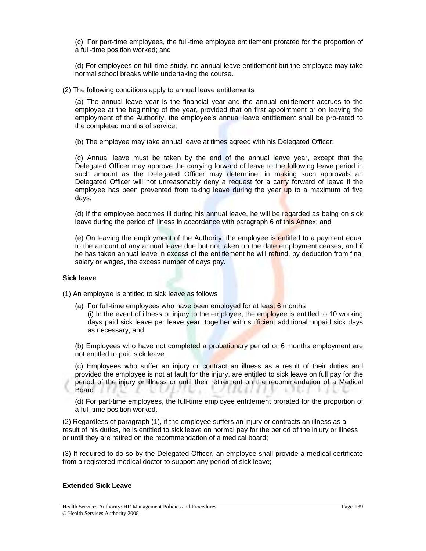(c) For part-time employees, the full-time employee entitlement prorated for the proportion of a full-time position worked; and

(d) For employees on full-time study, no annual leave entitlement but the employee may take normal school breaks while undertaking the course.

(2) The following conditions apply to annual leave entitlements

(a) The annual leave year is the financial year and the annual entitlement accrues to the employee at the beginning of the year, provided that on first appointment or on leaving the employment of the Authority, the employee's annual leave entitlement shall be pro-rated to the completed months of service;

(b) The employee may take annual leave at times agreed with his Delegated Officer;

(c) Annual leave must be taken by the end of the annual leave year, except that the Delegated Officer may approve the carrying forward of leave to the following leave period in such amount as the Delegated Officer may determine; in making such approvals an Delegated Officer will not unreasonably deny a request for a carry forward of leave if the employee has been prevented from taking leave during the year up to a maximum of five days;

(d) If the employee becomes ill during his annual leave, he will be regarded as being on sick leave during the period of illness in accordance with paragraph 6 of this Annex; and

(e) On leaving the employment of the Authority, the employee is entitled to a payment equal to the amount of any annual leave due but not taken on the date employment ceases, and if he has taken annual leave in excess of the entitlement he will refund, by deduction from final salary or wages, the excess number of days pay.

#### **Sick leave**

(1) An employee is entitled to sick leave as follows

(a) For full-time employees who have been employed for at least  $6$  months (i) In the event of illness or injury to the employee, the employee is entitled to 10 working days paid sick leave per leave year, together with sufficient additional unpaid sick days as necessary; and

(b) Employees who have not completed a probationary period or 6 months employment are not entitled to paid sick leave.

(c) Employees who suffer an injury or contract an illness as a result of their duties and provided the employee is not at fault for the injury, are entitled to sick leave on full pay for the period of the injury or illness or until their retirement on the recommendation of a Medical Board.

(d) For part-time employees, the full-time employee entitlement prorated for the proportion of a full-time position worked.

(2) Regardless of paragraph (1), if the employee suffers an injury or contracts an illness as a result of his duties, he is entitled to sick leave on normal pay for the period of the injury or illness or until they are retired on the recommendation of a medical board;

(3) If required to do so by the Delegated Officer, an employee shall provide a medical certificate from a registered medical doctor to support any period of sick leave;

#### **Extended Sick Leave**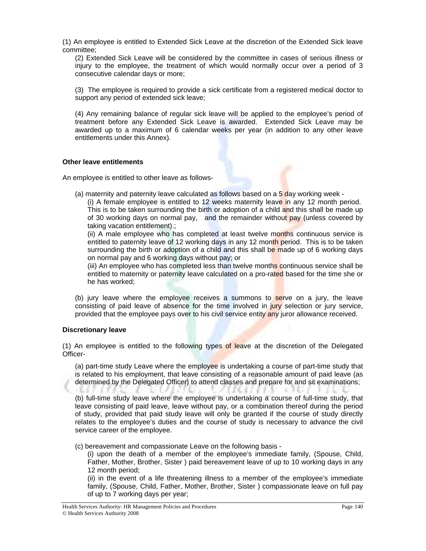(1) An employee is entitled to Extended Sick Leave at the discretion of the Extended Sick leave committee;

(2) Extended Sick Leave will be considered by the committee in cases of serious illness or injury to the employee, the treatment of which would normally occur over a period of 3 consecutive calendar days or more;

(3) The employee is required to provide a sick certificate from a registered medical doctor to support any period of extended sick leave;

(4) Any remaining balance of regular sick leave will be applied to the employee's period of treatment before any Extended Sick Leave is awarded. Extended Sick Leave may be awarded up to a maximum of 6 calendar weeks per year (in addition to any other leave entitlements under this Annex).

#### **Other leave entitlements**

An employee is entitled to other leave as follows-

(a) maternity and paternity leave calculated as follows based on a  $5$  day working week -

(i) A female employee is entitled to 12 weeks maternity leave in any 12 month period. This is to be taken surrounding the birth or adoption of a child and this shall be made up of 30 working days on normal pay, and the remainder without pay (unless covered by taking vacation entitlement).;

(ii) A male employee who has completed at least twelve months continuous service is entitled to paternity leave of 12 working days in any 12 month period. This is to be taken surrounding the birth or adoption of a child and this shall be made up of 6 working days on normal pay and 6 working days without pay; or

(iii) An employee who has completed less than twelve months continuous service shall be entitled to maternity or paternity leave calculated on a pro-rated based for the time she or he has worked;

(b) jury leave where the employee receives a summons to serve on a jury, the leave consisting of paid leave of absence for the time involved in jury selection or jury service, provided that the employee pays over to his civil service entity any juror allowance received.

#### **Discretionary leave**

(1) An employee is entitled to the following types of leave at the discretion of the Delegated Officer-

(a) part-time study Leave where the employee is undertaking a course of part-time study that is related to his employment, that leave consisting of a reasonable amount of paid leave (as determined by the Delegated Officer) to attend classes and prepare for and sit examinations;

(b) full-time study leave where the employee is undertaking a course of full-time study, that leave consisting of paid leave, leave without pay, or a combination thereof during the period of study, provided that paid study leave will only be granted if the course of study directly relates to the employee's duties and the course of study is necessary to advance the civil service career of the employee.

(c) bereavement and compassionate Leave on the following basis -

(i) upon the death of a member of the employee's immediate family, (Spouse, Child, Father, Mother, Brother, Sister ) paid bereavement leave of up to 10 working days in any 12 month period;

(ii) in the event of a life threatening illness to a member of the employee's immediate family, (Spouse, Child, Father, Mother, Brother, Sister ) compassionate leave on full pay of up to 7 working days per year;

Health Services Authority: HR Management Policies and Procedures Page 140<br>
© Health Services Authority 2008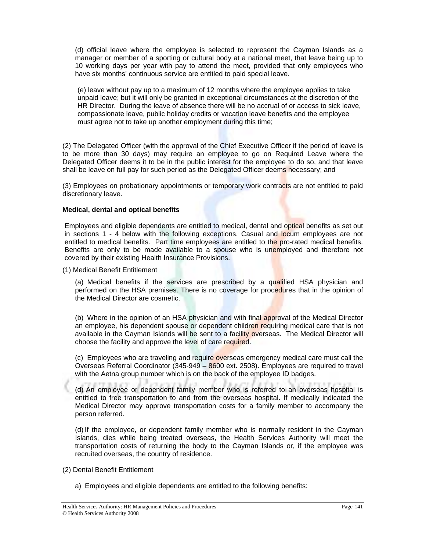(d) official leave where the employee is selected to represent the Cayman Islands as a manager or member of a sporting or cultural body at a national meet, that leave being up to 10 working days per year with pay to attend the meet, provided that only employees who have six months' continuous service are entitled to paid special leave.

(e) leave without pay up to a maximum of 12 months where the employee applies to take unpaid leave; but it will only be granted in exceptional circumstances at the discretion of the HR Director. During the leave of absence there will be no accrual of or access to sick leave, compassionate leave, public holiday credits or vacation leave benefits and the employee must agree not to take up another employment during this time;

(2) The Delegated Officer (with the approval of the Chief Executive Officer if the period of leave is to be more than 30 days) may require an employee to go on Required Leave where the Delegated Officer deems it to be in the public interest for the employee to do so, and that leave shall be leave on full pay for such period as the Delegated Officer deems necessary; and

(3) Employees on probationary appointments or temporary work contracts are not entitled to paid discretionary leave.

#### **Medical, dental and optical benefits**

Employees and eligible dependents are entitled to medical, dental and optical benefits as set out in sections 1 - 4 below with the following exceptions. Casual and locum employees are not entitled to medical benefits. Part time employees are entitled to the pro-rated medical benefits. Benefits are only to be made available to a spouse who is unemployed and therefore not covered by their existing Health Insurance Provisions.

(1) Medical Benefit Entitlement

(a) Medical benefits if the services are prescribed by a qualified HSA physician and performed on the HSA premises. There is no coverage for procedures that in the opinion of the Medical Director are cosmetic.

(b) Where in the opinion of an HSA physician and with final approval of the Medical Director an employee, his dependent spouse or dependent children requiring medical care that is not available in the Cayman Islands will be sent to a facility overseas. The Medical Director will choose the facility and approve the level of care required.

(c) Employees who are traveling and require overseas emergency medical care must call the Overseas Referral Coordinator (345-949 – 8600 ext. 2508). Employees are required to travel with the Aetna group number which is on the back of the employee ID badges.

(d) An employee or dependent family member who is referred to an overseas hospital is entitled to free transportation to and from the overseas hospital. If medically indicated the Medical Director may approve transportation costs for a family member to accompany the person referred.

(d) If the employee, or dependent family member who is normally resident in the Cayman Islands, dies while being treated overseas, the Health Services Authority will meet the transportation costs of returning the body to the Cayman Islands or, if the employee was recruited overseas, the country of residence.

- (2) Dental Benefit Entitlement
	- a) Employees and eligible dependents are entitled to the following benefits: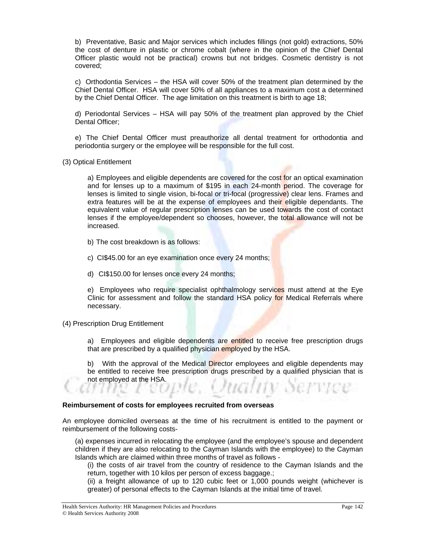b) Preventative, Basic and Major services which includes fillings (not gold) extractions, 50% the cost of denture in plastic or chrome cobalt (where in the opinion of the Chief Dental Officer plastic would not be practical) crowns but not bridges. Cosmetic dentistry is not covered;

c) Orthodontia Services – the HSA will cover 50% of the treatment plan determined by the Chief Dental Officer. HSA will cover 50% of all appliances to a maximum cost a determined by the Chief Dental Officer. The age limitation on this treatment is birth to age 18;

d) Periodontal Services – HSA will pay 50% of the treatment plan approved by the Chief Dental Officer;

e) The Chief Dental Officer must preauthorize all dental treatment for orthodontia and periodontia surgery or the employee will be responsible for the full cost.

(3) Optical Entitlement

a) Employees and eligible dependents are covered for the cost for an optical examination and for lenses up to a maximum of \$195 in each 24-month period. The coverage for lenses is limited to single vision, bi-focal or tri-focal (progressive) clear lens. Frames and extra features will be at the expense of employees and their eligible dependants. The equivalent value of regular prescription lenses can be used towards the cost of contact lenses if the employee/dependent so chooses, however, the total allowance will not be increased.

- b) The cost breakdown is as follows:
- c) CI\$45.00 for an eye examination once every 24 months;
- d) CI\$150.00 for lenses once every 24 months;

e) Employees who require specialist ophthalmology services must attend at the Eye Clinic for assessment and follow the standard HSA policy for Medical Referrals where necessary.

#### (4) Prescription Drug Entitlement

a) Employees and eligible dependents are entitled to receive free prescription drugs that are prescribed by a qualified physician employed by the HSA.

b) With the approval of the Medical Director employees and eligible dependents may be entitled to receive free prescription drugs prescribed by a qualified physician that is not employed at the HSA.

#### **Reimbursement of costs for employees recruited from overseas**

An employee domiciled overseas at the time of his recruitment is entitled to the payment or reimbursement of the following costs-

(a) expenses incurred in relocating the employee (and the employee's spouse and dependent children if they are also relocating to the Cayman Islands with the employee) to the Cayman Islands which are claimed within three months of travel as follows -

(i) the costs of air travel from the country of residence to the Cayman Islands and the return, together with 10 kilos per person of excess baggage.;

(ii) a freight allowance of up to 120 cubic feet or 1,000 pounds weight (whichever is greater) of personal effects to the Cayman Islands at the initial time of travel.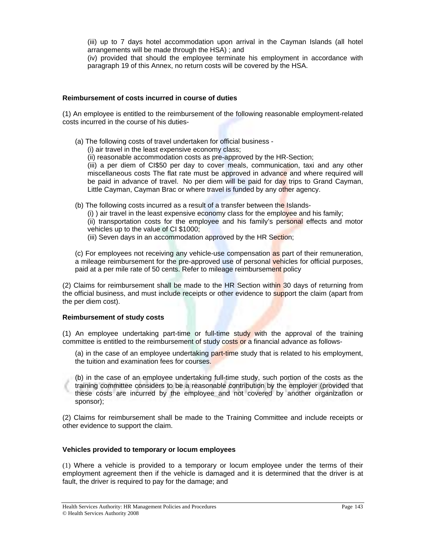(iii) up to 7 days hotel accommodation upon arrival in the Cayman Islands (all hotel arrangements will be made through the HSA) ; and

(iv) provided that should the employee terminate his employment in accordance with paragraph 19 of this Annex, no return costs will be covered by the HSA.

#### **Reimbursement of costs incurred in course of duties**

(1) An employee is entitled to the reimbursement of the following reasonable employment-related costs incurred in the course of his duties-

- (a) The following costs of travel undertaken for official business
	- (i) air travel in the least expensive economy class;
	- (ii) reasonable accommodation costs as pre-approved by the HR-Section;

(iii) a per diem of CI\$50 per day to cover meals, communication, taxi and any other miscellaneous costs The flat rate must be approved in advance and where required will be paid in advance of travel. No per diem will be paid for day trips to Grand Cayman, Little Cayman, Cayman Brac or where travel is funded by any other agency.

- (b) The following costs incurred as a result of a transfer between the Islands-
	- (i) ) air travel in the least expensive economy class for the employee and his family;
	- (ii) transportation costs for the employee and his family's personal effects and motor vehicles up to the value of CI \$1000;
	- (iii) Seven days in an accommodation approved by the HR Section;

(c) For employees not receiving any vehicle-use compensation as part of their remuneration, a mileage reimbursement for the pre-approved use of personal vehicles for official purposes, paid at a per mile rate of 50 cents. Refer to mileage reimbursement policy

(2) Claims for reimbursement shall be made to the HR Section within 30 days of returning from the official business, and must include receipts or other evidence to support the claim (apart from the per diem cost).

#### **Reimbursement of study costs**

(1) An employee undertaking part-time or full-time study with the approval of the training committee is entitled to the reimbursement of study costs or a financial advance as follows-

(a) in the case of an employee undertaking part-time study that is related to his employment, the tuition and examination fees for courses.

(b) in the case of an employee undertaking full-time study, such portion of the costs as the training committee considers to be a reasonable contribution by the employer (provided that these costs are incurred by the employee and not covered by another organization or sponsor);

(2) Claims for reimbursement shall be made to the Training Committee and include receipts or other evidence to support the claim.

#### **Vehicles provided to temporary or locum employees**

(1) Where a vehicle is provided to a temporary or locum employee under the terms of their employment agreement then if the vehicle is damaged and it is determined that the driver is at fault, the driver is required to pay for the damage; and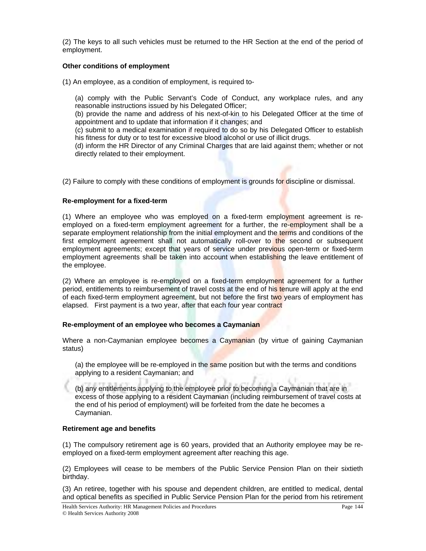(2) The keys to all such vehicles must be returned to the HR Section at the end of the period of employment.

#### **Other conditions of employment**

(1) An employee, as a condition of employment, is required to-

(a) comply with the Public Servant's Code of Conduct, any workplace rules, and any reasonable instructions issued by his Delegated Officer;

(b) provide the name and address of his next-of-kin to his Delegated Officer at the time of appointment and to update that information if it changes; and

(c) submit to a medical examination if required to do so by his Delegated Officer to establish his fitness for duty or to test for excessive blood alcohol or use of illicit drugs.

(d) inform the HR Director of any Criminal Charges that are laid against them; whether or not directly related to their employment.

(2) Failure to comply with these conditions of employment is grounds for discipline or dismissal.

#### **Re-employment for a fixed-term**

(1) Where an employee who was employed on a fixed-term employment agreement is reemployed on a fixed-term employment agreement for a further, the re-employment shall be a separate employment relationship from the initial employment and the terms and conditions of the first employment agreement shall not automatically roll-over to the second or subsequent employment agreements; except that years of service under previous open-term or fixed-term employment agreements shall be taken into account when establishing the leave entitlement of the employee.

(2) Where an employee is re-employed on a fixed-term employment agreement for a further period, entitlements to reimbursement of travel costs at the end of his tenure will apply at the end of each fixed-term employment agreement, but not before the first two years of employment has elapsed. First payment is a two year, after that each four year contract

#### **Re-employment of an employee who becomes a Caymanian**

Where a non-Caymanian employee becomes a Caymanian (by virtue of gaining Caymanian status)

(a) the employee will be re-employed in the same position but with the terms and conditions applying to a resident Caymanian; and

(b) any entitlements applying to the employee prior to becoming a Caymanian that are in excess of those applying to a resident Caymanian (including reimbursement of travel costs at the end of his period of employment) will be forfeited from the date he becomes a Caymanian.

#### **Retirement age and benefits**

(1) The compulsory retirement age is 60 years, provided that an Authority employee may be reemployed on a fixed-term employment agreement after reaching this age.

(2) Employees will cease to be members of the Public Service Pension Plan on their sixtieth birthday.

(3) An retiree, together with his spouse and dependent children, are entitled to medical, dental and optical benefits as specified in Public Service Pension Plan for the period from his retirement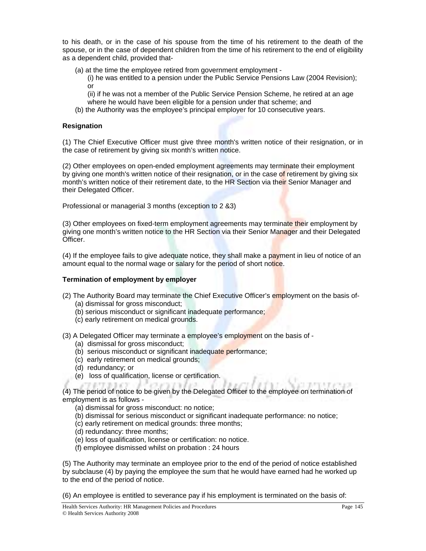to his death, or in the case of his spouse from the time of his retirement to the death of the spouse, or in the case of dependent children from the time of his retirement to the end of eligibility as a dependent child, provided that-

(a) at the time the employee retired from government employment -

(i) he was entitled to a pension under the Public Service Pensions Law (2004 Revision); or

(ii) if he was not a member of the Public Service Pension Scheme, he retired at an age where he would have been eligible for a pension under that scheme; and

(b) the Authority was the employee's principal employer for 10 consecutive years.

## **Resignation**

(1) The Chief Executive Officer must give three month's written notice of their resignation, or in the case of retirement by giving six month's written notice.

(2) Other employees on open-ended employment agreements may terminate their employment by giving one month's written notice of their resignation, or in the case of retirement by giving six month's written notice of their retirement date, to the HR Section via their Senior Manager and their Delegated Officer.

Professional or managerial 3 months (exception to 2 &3)

(3) Other employees on fixed-term employment agreements may terminate their employment by giving one month's written notice to the HR Section via their Senior Manager and their Delegated Officer.

(4) If the employee fails to give adequate notice, they shall make a payment in lieu of notice of an amount equal to the normal wage or salary for the period of short notice.

### **Termination of employment by employer**

- (2) The Authority Board may terminate the Chief Executive Officer's employment on the basis of-
	- (a) dismissal for gross misconduct;
	- (b) serious misconduct or significant inadequate performance;
	- (c) early retirement on medical grounds.

(3) A Delegated Officer may terminate a employee's employment on the basis of -

- (a) dismissal for gross misconduct;
- (b) serious misconduct or significant inadequate performance;
- (c) early retirement on medical grounds;
- (d) redundancy; or
- (e) loss of qualification, license or certification.

(4) The period of notice to be given by the Delegated Officer to the employee on termination of employment is as follows -

(a) dismissal for gross misconduct: no notice;

(b) dismissal for serious misconduct or significant inadequate performance: no notice;

- (c) early retirement on medical grounds: three months;
- (d) redundancy: three months;
- (e) loss of qualification, license or certification: no notice.
- (f) employee dismissed whilst on probation : 24 hours

(5) The Authority may terminate an employee prior to the end of the period of notice established by subclause (4) by paying the employee the sum that he would have earned had he worked up to the end of the period of notice.

(6) An employee is entitled to severance pay if his employment is terminated on the basis of:

日本医療の必ず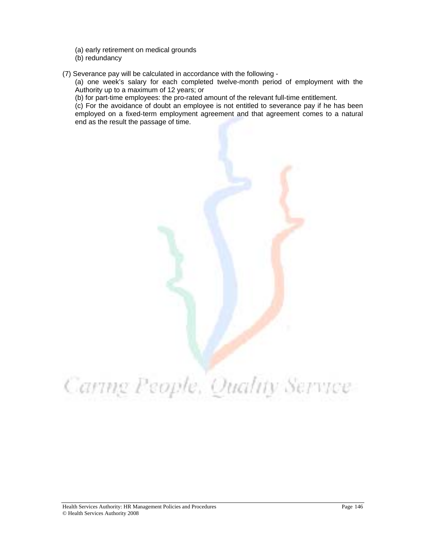- (a) early retirement on medical grounds
- (b) redundancy
- (7) Severance pay will be calculated in accordance with the following -

(a) one week's salary for each completed twelve-month period of employment with the Authority up to a maximum of 12 years; or

(b) for part-time employees: the pro-rated amount of the relevant full-time entitlement.

(c) For the avoidance of doubt an employee is not entitled to severance pay if he has been employed on a fixed-term employment agreement and that agreement comes to a natural end as the result the passage of time.



## Caring People, Quality Service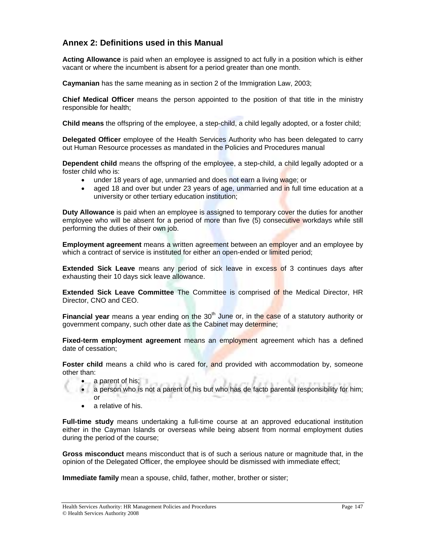## **Annex 2: Definitions used in this Manual**

**Acting Allowance** is paid when an employee is assigned to act fully in a position which is either vacant or where the incumbent is absent for a period greater than one month.

**Caymanian** has the same meaning as in section 2 of the Immigration Law, 2003;

**Chief Medical Officer** means the person appointed to the position of that title in the ministry responsible for health;

**Child means** the offspring of the employee, a step-child, a child legally adopted, or a foster child;

**Delegated Officer** employee of the Health Services Authority who has been delegated to carry out Human Resource processes as mandated in the Policies and Procedures manual

**Dependent child** means the offspring of the employee, a step-child, a child legally adopted or a foster child who is:

- under 18 years of age, unmarried and does not earn a living wage; or
- aged 18 and over but under 23 years of age, unmarried and in full time education at a university or other tertiary education institution;

**Duty Allowance** is paid when an employee is assigned to temporary cover the duties for another employee who will be absent for a period of more than five (5) consecutive workdays while still performing the duties of their own job.

**Employment agreement** means a written agreement between an employer and an employee by which a contract of service is instituted for either an open-ended or limited period;

**Extended Sick Leave** means any period of sick leave in excess of 3 continues days after exhausting their 10 days sick leave allowance.

**Extended Sick Leave Committee** The Committee is comprised of the Medical Director, HR Director, CNO and CEO.

**Financial year** means a year ending on the 30<sup>th</sup> June or, in the case of a statutory authority or government company, such other date as the Cabinet may determine;

**Fixed-term employment agreement** means an employment agreement which has a defined date of cessation;

**Foster child** means a child who is cared for, and provided with accommodation by, someone other than:

- a parent of his;  $\blacksquare$
- a person who is not a parent of his but who has de facto parental responsibility for him; or
	- a relative of his.

**Full-time study** means undertaking a full-time course at an approved educational institution either in the Cayman Islands or overseas while being absent from normal employment duties during the period of the course;

**Gross misconduct** means misconduct that is of such a serious nature or magnitude that, in the opinion of the Delegated Officer, the employee should be dismissed with immediate effect;

**Immediate family** mean a spouse, child, father, mother, brother or sister;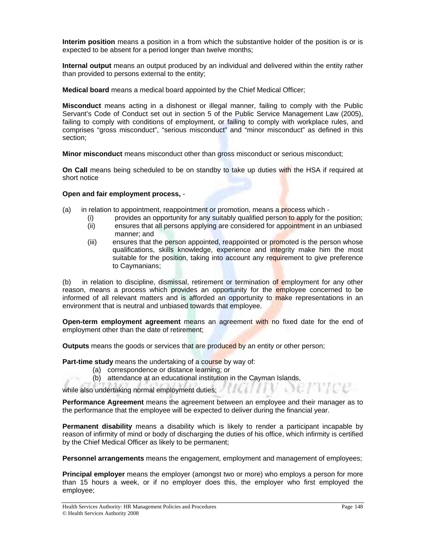**Interim position** means a position in a from which the substantive holder of the position is or is expected to be absent for a period longer than twelve months;

**Internal output** means an output produced by an individual and delivered within the entity rather than provided to persons external to the entity;

**Medical board** means a medical board appointed by the Chief Medical Officer;

**Misconduct** means acting in a dishonest or illegal manner, failing to comply with the Public Servant's Code of Conduct set out in section 5 of the Public Service Management Law (2005), failing to comply with conditions of employment, or failing to comply with workplace rules, and comprises "gross misconduct", "serious misconduct" and "minor misconduct" as defined in this section;

**Minor misconduct** means misconduct other than gross misconduct or serious misconduct;

**On Call** means being scheduled to be on standby to take up duties with the HSA if required at short notice

#### **Open and fair employment process,** -

- (a) in relation to appointment, reappointment or promotion, means a process which
	- (i) provides an opportunity for any suitably qualified person to apply for the position;
	- (ii) ensures that all persons applying are considered for appointment in an unbiased manner; and
	- (iii) ensures that the person appointed, reappointed or promoted is the person whose qualifications, skills knowledge, experience and integrity make him the most suitable for the position, taking into account any requirement to give preference to Caymanians;

(b) in relation to discipline, dismissal, retirement or termination of employment for any other reason, means a process which provides an opportunity for the **em**ployee concerned to be informed of all relevant matters and is afforded an opportunity to make representations in an environment that is neutral and unbiased towards that employee.

**Open-term employment agreement** means an agreement with no fixed date for the end of employment other than the date of retirement;

**Outputs** means the goods or services that are produced by an entity or other person;

**Part-time study** means the undertaking of a course by way of:

- (a) correspondence or distance learning; or
- (b) attendance at an educational institution in the Cayman Islands,

while also undertaking normal employment duties; **with all also undertaking normal employment duties;** 

**Performance Agreement** means the agreement between an employee and their manager as to the performance that the employee will be expected to deliver during the financial year.

**Permanent disability** means a disability which is likely to render a participant incapable by reason of infirmity of mind or body of discharging the duties of his office, which infirmity is certified by the Chief Medical Officer as likely to be permanent;

**Personnel arrangements** means the engagement, employment and management of employees;

**Principal employer** means the employer (amongst two or more) who employs a person for more than 15 hours a week, or if no employer does this, the employer who first employed the employee;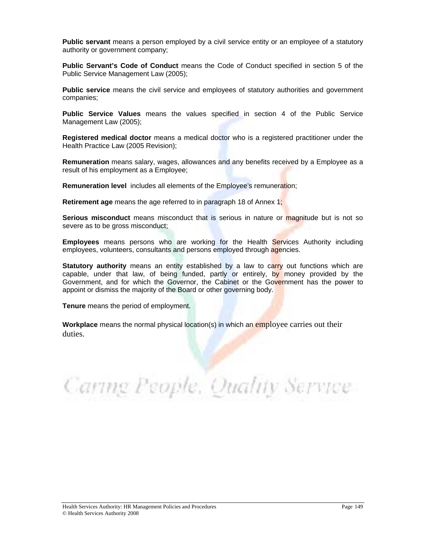**Public servant** means a person employed by a civil service entity or an employee of a statutory authority or government company;

**Public Servant's Code of Conduct** means the Code of Conduct specified in section 5 of the Public Service Management Law (2005);

**Public service** means the civil service and employees of statutory authorities and government companies;

**Public Service Values** means the values specified in section 4 of the Public Service Management Law (2005);

**Registered medical doctor** means a medical doctor who is a registered practitioner under the Health Practice Law (2005 Revision);

**Remuneration** means salary, wages, allowances and any benefits received by a Employee as a result of his employment as a Employee;

**Remuneration level** includes all elements of the Employee's remuneration;

**Retirement age** means the age referred to in paragraph 18 of Annex 1;

**Serious misconduct** means misconduct that is serious in nature or magnitude but is not so severe as to be gross misconduct;

**Employees** means persons who are working for the Health Services Authority including employees, volunteers, consultants and persons employed through agencies.

**Statutory authority** means an entity established by a law to carry out functions which are capable, under that law, of being funded, partly or entirely, by money provided by the Government, and for which the Governor, the Cabinet or the Government has the power to appoint or dismiss the majority of the Board or other governing body.

**Tenure** means the period of employment.

**Workplace** means the normal physical location(s) in which an employee carries out their duties.

Caring People, Quality Service